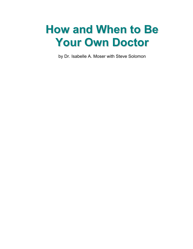# **How and When to Be Your Own Doctor**

by Dr. Isabelle A. Moser with Steve Solomon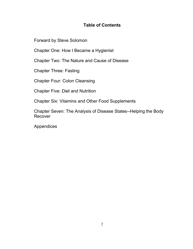## **Table of Contents**

[Forward by Steve Solomon](#page-2-0)

[Chapter One: How I Became a Hygienist](#page-7-0)

[Chapter Two: The Nature and Cause of Disease](#page-29-0)

[Chapter Three: Fasting](#page-52-0)

[Chapter Four: Colon Cleansing](#page-102-0)

[Chapter Five: Diet and Nutrition](#page-126-0)

[Chapter Six: Vitamins and Other Food Supplements](#page-190-0)

[Chapter Seven: The Analysis of Disease States--Helping the Body](#page-212-0) Recover

[Appendices](#page-261-0)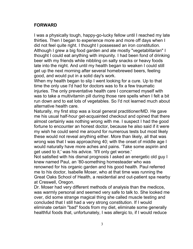#### <span id="page-2-0"></span>**FORWARD**

I was a physically tough, happy-go-lucky fellow until I reached my late thirties. Then I began to experience more and more off days when I did not feel quite right. I thought I possessed an iron constitution. Although I grew a big food garden and ate mostly "vegetablitarian" I thought I could eat anything with impunity. I had been fond of drinking beer with my friends while nibbling on salty snacks or heavy foods late into the night. And until my health began to weaken I could still get up the next morning after several homebrewed beers, feeling good, and would put in a solid day's work.

When my health began to slip I went looking for a cure. Up to that time the only use I'd had for doctors was to fix a few traumatic injuries. The only preventative health care I concerned myself with was to take a multivitamin pill during those rare spells when I felt a bit run down and to eat lots of vegetables. So I'd not learned much about alternative health care.

Naturally, my first stop was a local general practitioner/MD. He gave me his usual half-hour get-acquainted checkout and opined that there almost certainly was nothing wrong with me. I suspect I had the good fortune to encounter an honest doctor, because he also said if it were my wish he could send me around for numerous tests but most likely these would not reveal anything either. More than likely, all that was wrong was that I was approaching 40; with the onset of middle age I would naturally have more aches and pains. 'Take some aspirin and get used to it,' was his advice. 'It'll only get worse.'

Not satisfied with his dismal prognosis I asked an energetic old guy I knew named Paul, an '80-something homesteader who was renowned for his organic garden and his good health. Paul referred me to his doctor, Isabelle Moser, who at that time was running the Great Oaks School of Health, a residential and out-patient spa nearby at Creswell, Oregon.

Dr. Moser had very different methods of analysis than the medicos, was warmly personal and seemed very safe to talk to. She looked me over, did some strange magical thing she called muscle testing and concluded that I still had a very strong constitution. If I would eliminate certain "bad" foods from my diet, eliminate some generally healthful foods that, unfortunately, I was allergic to, if I would reduce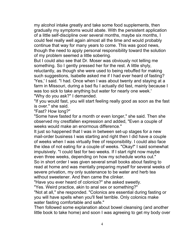my alcohol intake greatly and take some food supplements, then gradually my symptoms would abate. With the persistent application of a little self-discipline over several months, maybe six months, I could feel really well again almost all the time and would probably continue that way for many years to come. This was good news, though the need to apply personal responsibility toward the solution of my problem seemed a little sobering.

But I could also see that Dr. Moser was obviously not telling me something. So I gently pressed her for the rest. A little shyly, reluctantly, as though she were used to being rebuffed for making such suggestions, Isabelle asked me if I had ever heard of fasting? 'Yes,' I said. "I had. Once when I was about twenty and staying at a farm in Missouri, during a bad flu I actually did fast, mainly because I was too sick to take anything but water for nearly one week.' "Why do you ask?" I demanded.

"If you would fast, you will start feeling really good as soon as the fast is over." she said.

"Fast? How long?"

"Some have fasted for a month or even longer," she said. Then she observed my crestfallen expression and added, "Even a couple of weeks would make an enormous difference."

It just so happened that I was in between set-up stages for a new mail-order business I was starting and right then I did have a couple of weeks when I was virtually free of responsibility. I could also face the idea of not eating for a couple of weeks. "Okay!" I said somewhat impulsively. "I could fast for two weeks. If I start right now maybe even three weeks, depending on how my schedule works out." So in short order I was given several small books about fasting to read at home and was mentally preparing myself for several weeks of severe privation, my only sustenance to be water and herb tea without sweetener. And then came the clinker.

"Have you ever heard of colonics?" she asked sweetly.

"Yes. Weird practice, akin to anal sex or something?"

"Not at all," she responded. "Colonics are essential during fasting or you will have spells when you'll feel terrible. Only colonics make water fasting comfortable and safe."

Then followed some explanation about bowel cleansing (and another little book to take home) and soon I was agreeing to get my body over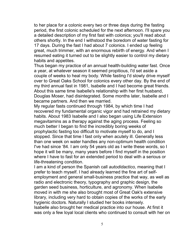to her place for a colonic every two or three days during the fasting period, the first colonic scheduled for the next afternoon. I'll spare you a detailed description of my first fast with colonics; you'll read about others shortly. In the end I withstood the boredom of water fasting for 17 days. During the fast I had about 7 colonics. I ended up feeling great, much trimmer, with an enormous rebirth of energy. And when I resumed eating it turned out to be slightly easier to control my dietary habits and appetites.

Thus began my practice of an annual health-building water fast. Once a year, at whatever season it seemed propitious, I'd set aside a couple of weeks to heal my body. While fasting I'd slowly drive myself over to Great Oaks School for colonics every other day. By the end of my third annual fast in 1981, Isabelle and I had become great friends. About this same time Isabelle's relationship with her first husband, Douglas Moser, had disintegrated. Some months later, Isabelle and I became partners. And then we married.

My regular fasts continued through 1984, by which time I had recovered my fundamental organic vigor and had retrained my dietary habits. About 1983 Isabelle and I also began using Life Extension megavitamins as a therapy against the aging process. Feeling so much better I began to find the incredibly boring weeks of prophylactic fasting too difficult to motivate myself to do, and I stopped. Since that time I fast only when acutely ill. Generally less than one week on water handles any non-optimum health condition I've had since '84. I am only 54 years old as I write these words, so I hope it will be many, many years before I find myself in the position where I have to fast for an extended period to deal with a serious or life-threatening condition.

I am a kind of person the Spanish call *autodidactico,* meaning that I prefer to teach myself. I had already learned the fine art of selfemployment and general small-business practice that way, as well as radio and electronic theory, typography and graphic design, the garden seed business, horticulture, and agronomy. When Isabelle moved in with me she also brought most of Great Oak's extensive library, including very hard to obtain copies of the works of the early hygienic doctors. Naturally I studied her books intensely.

Isabelle also brought her medical practice into our house. At first it was only a few loyal local clients who continued to consult with her on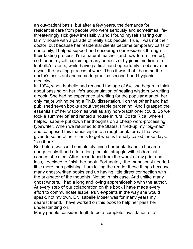an out-patient basis, but after a few years, the demands for residential care from people who were seriously and sometimes lifethreateningly sick grew irresistibly, and I found myself sharing our family house with a parade of really sick people. True, I was not their doctor, but because her residential clients became temporary parts of our family, I helped support and encourage our residents through their fasting process. I'm a natural teacher (and how-to-do-it writer), so I found myself explaining many aspects of hygienic medicine to Isabelle's clients, while having a first-hand opportunity to observe for myself the healing process at work. Thus it was that I became the doctor's assistant and came to practice second-hand hygienic medicine.

In 1994, when Isabelle had reached the age of 54, she began to think about passing on her life's accumulation of healing wisdom by writing a book. She had no experience at writing for the popular market, her only major writing being a Ph.D. dissertation. I on the other hand had published seven books about vegetable gardening. And I grasped the essentials of her wisdom as well as any non-practitioner could. So we took a summer off and rented a house in rural Costa Rica, where I helped Isabelle put down her thoughts on a cheap word-processing typewriter. When we returned to the States, I fired-up my "big-mac" and composed this manuscript into a rough book format that was given to some of her clients to get what is trendily called these days, "feedback."

But before we could completely finish her book, Isabelle became dangerously ill and after a long, painful struggle with abdominal cancer, she died. After I resurfaced from the worst of my grief and loss, I decided to finish her book. Fortunately, the manuscript needed little more than polishing. I am telling the reader these things because many ghost-written books end up having little direct connection with the originator of the thoughts. Not so in this case. And unlike many ghost writers, I had a long and loving apprenticeship with the author. At every step of our colaboration on this book I have made every effort to communicate Isabelle's viewpoints in the way she would speak, not my own. Dr. Isabelle Moser was for many years my dearest friend. I have worked on this book to help her pass her understanding on.

Many people consider death to be a complete invalidation of a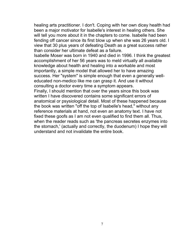healing arts practitioner. I don't. Coping with her own dicey health had been a major motivator for Isabelle's interest in healing others. She will tell you more about it in the chapters to come. Isabelle had been fending off cancer since its first blow up when she was 26 years old. I view that 30 plus years of defeating Death as a great success rather than consider her ultimate defeat as a failure.

Isabelle Moser was born in 1940 and died in 1996. I think the greatest accomplishment of her 56 years was to meld virtually all available knowledge about health and healing into a workable and most importantly, a simple model that allowed her to have amazing success. Her "system" is simple enough that even a generally welleducated non-medico like me can grasp it. And use it without consulting a doctor every time a symptom appears.

Finally, I should mention that over the years since this book was written I have discovered contains some significant errors of anatomical or psysiological detail. Most of these happened because the book was written "off the top of Isabelle's head," without any reference materials at hand, not even an anatomy text. I have not fixed these goofs as I am not even qualified to find them all. Thus, when the reader reads such as 'the pancreas secretes enzymes into the stomach,' (actually and correctly, the duodenum) I hope they will understand and not invalidate the entire book.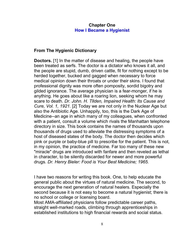### **Chapter One How I Became a Hygienist**

## <span id="page-7-0"></span>**From The Hygienic Dictionary**

**Doctors.** [1] In the matter of disease and healing, the people have been treated as serfs. The doctor is a dictator who knows it all, and the people are stupid, dumb, driven cattle, fit for nothing except to be herded together, bucked and gagged when necessary to force medical opinion down their throats or under their skins. I found that professional dignity was more often pomposity, sordid bigotry and gilded ignorance. The average physician is a fear-monger, if he is anything. He goes about like a roaring lion, seeking whom he may scare to death. *Dr. John. H. Tllden, Impaired Health: Its Cause and Cure, Vol. 1, 1921.* [2] Today we are not only in the Nuclear Age but also the Antibiotic Age. Unhappily, too, this is the Dark Age of Medicine--an age in which many of my colleagues, when confronted with a patient, consult a volume which rivals the Manhattan telephone directory in size. This book contains the names of thousands upon thousands of drugs used to alleviate the distressing symptoms of a host of diseased states of the body. The doctor then decides which pink or purple or baby-blue pill to prescribe for the patient. This is not, in my opinion, the practice of medicine. Far too many of these new "miracle" drugs are introduced with fanfare and then reveled as lethal in character, to be silently discarded for newer and more powerful drugs. *Dr. Henry Bieler: Food is Your Best Medicine; 1965.*

I have two reasons for writing this book. One, to help educate the general public about the virtues of natural medicine. The second, to encourage the next generation of natural healers. Especially the second because it is not easy to become a natural hygienist; there is no school or college or licensing board.

Most AMA-affiliated physicians follow predictable career paths, straight well-marked roads, climbing through apprenticeships in established institutions to high financial rewards and social status.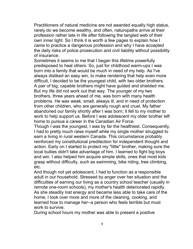Practitioners of natural medicine are not awarded equally high status, rarely do we become wealthy, and often, naturopaths arrive at their profession rather late in life after following the tangled web of their own inner light. So I think it is worth a few pages to explain how I came to practice a dangerous profession and why I have accepted the daily risks of police prosecution and civil liability without possibility of insurance.

Sometimes it seems to me that I began this lifetime powerfully predisposed to heal others. So, just for childhood warm-ups I was born into a family that would be much in need of my help. As I've always disliked an easy win, to make rendering that help even more difficult, I decided to be the youngest child, with two older brothers. A pair of big, capable brothers might have guided and shielded me. But my life did not work out that way. The younger of my two brothers, three years ahead of me, was born with many health problems. He was weak, small, always ill, and in need of protection from other children, who are generally rough and cruel. My father abandoned our family shortly after I was born; it fell to my mother to work to help support us. Before I was adolescent my older brother left home to pursue a career in the Canadian Air Force.

Though I was the youngest, I was by far the healthiest. Consequently, I had to pretty much raise myself while my single mother struggled to earn a living in rural western Canada. This circumstance probably reinforced my constitutional predilection for independent thought and action. Early on I started to protect my "little" brother, making sure the local bullies didn't take advantage of him. I learned to fight big boys and win. I also helped him acquire simple skills, ones that most kids grasp without difficulty, such as swimming, bike riding, tree climbing, etc.

And though not yet adolescent, I had to function as a responsible adult in our household. Stressed by anger over her situation and the difficulties of earning our living as a country school teacher (usually in remote one-room schools), my mother's health deteriorated rapidly. As she steadily lost energy and became less able to take care of the home, I took over more and more of the cleaning, cooking, and learned how to manage her--a person who feels terrible but must work to survive.

During school hours my mother was able to present a positive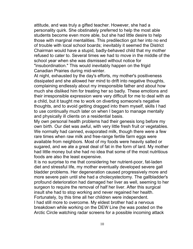attitude, and was truly a gifted teacher. However, she had a personality quirk. She obstinately preferred to help the most able students become even more able, but she had little desire to help those with marginal mentalities. This predilection got her into no end of trouble with local school boards; inevitably it seemed the District Chairman would have a stupid, badly-behaved child that my mother refused to cater to. Several times we had to move in the middle of the school year when she was dismissed without notice for "insubordination." This would inevitably happen on the frigid Canadian Prairies during mid-winter.

At night, exhausted by the day's efforts, my mother's positiveness dissipated and she allowed her mind to drift into negative thoughts, complaining endlessly about my irresponsible father and about how much she disliked him for treating her so badly. These emotions and their irresponsible expression were very difficult for me to deal with as a child, but it taught me to work on diverting someone's negative thoughts, and to avoid getting dragged into them myself, skills I had to use continually much later on when I began to manage mentally and physically ill clients on a residential basis.

My own personal health problems had their genesis long before my own birth. Our diet was awful, with very little fresh fruit or vegetables. We normally had canned, evaporated milk, though there were a few rare times when raw milk and free-range fertile farm eggs were available from neighbors. Most of my foods were heavily salted or sugared, and we ate a great deal of fat in the form of lard. My mother had little money but she had no idea that some of the most nutritious foods are also the least expensive.

It is no surprise to me that considering her nutrient-poor, fat-laden diet and stressful life, my mother eventually developed severe gall bladder problems. Her degeneration caused progressively more and more severe pain until she had a cholecystectomy. The gallbladder's profound deterioration had damaged her liver as well, seeming to her surgeon to require the removal of half her liver. After this surgical insult she had to stop working and never regained her health. Fortunately, by this time all her children were independent. I had still more to overcome. My eldest brother had a nervous breakdown while working on the DEW Line (he was posted on the Arctic Circle watching radar screens for a possible incoming attack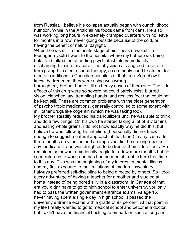from Russia). I believe his collapse actually began with our childhood nutrition. While in the Arctic all his foods came from cans. He also was working long hours in extremely cramped quarters with no leave for months in a row, never going outside because of the cold, or having the benefit of natural daylight.

When he was still in the acute stage of his illness (I was still a teenager myself) I went to the hospital where my bother was being held, and talked the attending psychiatrist into immediately discharging him into my care. The physician also agreed to refrain from giving him electroshock therapy, a commonly used treatment for mental conditions in Canadian hospitals at that time. Somehow I knew the treatment they were using was wrong.

I brought my brother home still on heavy doses of thorazine. The side effects of this drug were so severe he could barely exist: blurred vision, clenched jaw, trembling hands, and restless feet that could not be kept still. These are common problems with the older generation of psycho tropic medications, generally controlled to some extent with still other drugs like cogentin (which he was taking too).

My brother steadily reduced his tranquilizers until he was able to think and do a few things. On his own he started taking a lot of B vitamins and eating whole grains. I do not know exactly why he did this, but I believe he was following his intuition. (I personally did not know enough to suggest a natural approach at that time.) In any case after three months on vitamins and an improved diet he no long needed any medication, and was delighted to be free of their side effects. He remained somewhat emotionally fragile for a few more months but he soon returned to work, and has had no mental trouble from that time to this day. This was the beginning of my interest in mental illness, and my first exposure to the limitations of 'modern' psychiatry. I always preferred self-discipline to being directed by others. So I took every advantage of having a teacher for a mother and studied at home instead of being bored silly in a classroom. In Canada of that era you didn't have to go to high school to enter university, you only had to pass the written government entrance exams. At age 16, never having spent a single day in high school, I passed the university entrance exams with a grade of 97 percent. At that point in my life I really wanted to go to medical school and become a doctor, but I didn't have the financial backing to embark on such a long and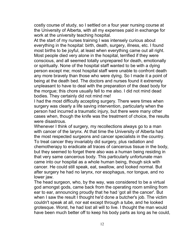costly course of study, so I settled on a four year nursing course at the University of Alberta, with all my expenses paid in exchange for work at the university teaching hospital.

At the start of my nurses training I was intensely curious about everything in the hospital: birth, death, surgery, illness, etc. I found most births to be joyful, at least when everything came out all right. Most people died very alone in the hospital, terrified if they were conscious, and all seemed totally unprepared for death, emotionally or spiritually. None of the hospital staff wanted to be with a dying person except me; most hospital staff were unable to confront death any more bravely than those who were dying. So I made it a point of being at the death bed. The doctors and nurses found it extremely unpleasant to have to deal with the preparation of the dead body for the morgue; this chore usually fell to me also. I did not mind dead bodies. They certainly did not mind me!

I had the most difficulty accepting surgery. There were times when surgery was clearly a life saving intervention, particularly when the person had incurred a traumatic injury, but there were many other cases when, though the knife was the treatment of choice, the results were disastrous.

Whenever I think of surgery, my recollections always go to a man with cancer of the larynx. At that time the University of Alberta had the most respected surgeons and cancer specialists in the country. To treat cancer they invariably did surgery, plus radiation and chemotherapy to eradicate all traces of cancerous tissue in the body, but they seemed to forget there also was a human being residing in that very same cancerous body. This particularly unfortunate man came into our hospital as a whole human being, though sick with cancer. He could still speak, eat, swallow, and looked normal. But after surgery he had no larynx, nor esophagus, nor tongue, and no lower jaw.

The head surgeon, who, by the way, was considered to be a virtual god amongst gods, came back from the operating room smiling from ear to ear, announcing proudly that he had 'got all the cancer'. But when I saw the result I thought he'd done a butcher's job. The victim couldn't speak at all, nor eat except through a tube, and he looked grotesque. Worst, he had lost all will to live. I thought the man would have been much better off to keep his body parts as long as he could,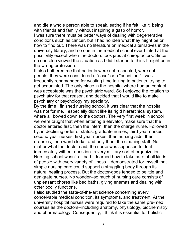and die a whole person able to speak, eating if he felt like it, being with friends and family without inspiring a gasp of horror.

I was sure there must be better ways of dealing with degenerative conditions such as cancer, but I had no idea what they might be or how to find out. There was no literature on medical alternatives in the university library, and no one in the medical school ever hinted at the possibility except when the doctors took jabs at chiropractors. Since no one else viewed the situation as I did I started to think I might be in the wrong profession.

It also bothered me that patients were not respected, were not people; they were considered a "case" or a "condition." I was frequently reprimanded for wasting time talking to patients, trying to get acquainted. The only place in the hospital where human contact was acceptable was the psychiatric ward. So I enjoyed the rotation to psychiatry for that reason, and decided that I would like to make psychiatry or psychology my specialty.

By the time I finished nursing school, it was clear that the hospital was not for me. I especially didn't like its rigid hierarchical system, where all bowed down to the doctors. The very first week in school we were taught that when entering a elevator, make sure that the doctor entered first, then the intern, then the charge nurse. Followed by, in declining order of status: graduate nurses, third year nurses, second year nurses, first year nurses, then nursing aids, then orderlies, then ward clerks, and only then, the cleaning staff. No matter what the doctor said, the nurse was supposed to do it immediately without question--a very military sort of organization. Nursing school wasn't all bad. I learned how to take care of all kinds of people with every variety of illness. I demonstrated for myself that simple nursing care could support a struggling body through its natural healing process. But the doctor-gods tended to belittle and denigrate nurses. No wonder--so much of nursing care consists of unpleasant chores like bed baths, giving enemas and dealing with other bodily functions.

I also studied the state-of-the-art science concerning every conceivable medical condition, its symptoms, and treatment. At the university hospital nurses were required to take the same pre-med courses as the doctors--including anatomy, physiology, biochemistry, and pharmacology. Consequently, I think it is essential for holistic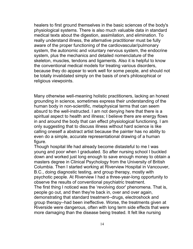healers to first ground themselves in the basic sciences of the body's physiological systems. There is also much valuable data in standard medical texts about the digestion, assimilation, and elimination. To really understand illness, the alternative practitioner must be fully aware of the proper functioning of the cardiovascular/pulmonary system, the autonomic and voluntary nervous system, the endocrine system, plus the mechanics and detailed nomenclature of the skeleton, muscles, tendons and ligaments. Also it is helpful to know the conventional medical models for treating various disorders, because they do appear to work well for some people, and should not be totally invalidated simply on the basis of one's philosophical or religious viewpoints.

Many otherwise well-meaning holistic practitioners, lacking an honest grounding in science, sometimes express their understanding of the human body in non-scientific, metaphysical terms that can seem absurd to the well-instructed. I am not denying here that there is a spiritual aspect to health and illness; I believe there are energy flows in and around the body that can effect physiological functioning. I am only suggesting that to discuss illness without hard science is like calling oneself a abstract artist because the painter has no ability to even do a simple, accurate representational drawing of a human figure.

Though hospital life had already become distasteful to me I was young and poor when I graduated. So after nursing school I buckled down and worked just long enough to save enough money to obtain a masters degree in Clinical Psychology from the University of British Columbia. Then I started working at Riverview Hospital in Vancouver, B.C., doing diagnostic testing, and group therapy, mostly with psychotic people. At Riverview I had a three-year-long opportunity to observe the results of conventional psychiatric treatment. The first thing I noticed was the 'revolving door' phenomena. That is, people go out, and then they're back in, over and over again, demonstrating that standard treatment--drugs, electroshock and group therapy--had been ineffective. Worse, the treatments given at Riverside were dangerous, often with long term side effects that were more damaging than the disease being treated. It felt like nursing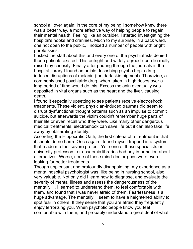school all over again; in the core of my being I somehow knew there was a better way, a more effective way of helping people to regain their mental health. Feeling like an outsider, I started investigating the hospital's nooks and crannies. Much to my surprise, in a back ward, one not open to the public, I noticed a number of people with bright purple skins.

I asked the staff about this and every one of the psychiatrists denied these patients existed. This outright and widely-agreed-upon lie really raised my curiosity. Finally after pouring through the journals in the hospital library I found an article describing psycho tropic-druginduced disruptions of melanin (the dark skin pigment). Thorazine, a commonly used psychiatric drug, when taken in high doses over a long period of time would do this. Excess melanin eventually was deposited in vital organs such as the heart and the liver, causing death.

I found it especially upsetting to see patients receive electroshock treatments. These violent, physician-induced traumas did seem to disrupt dysfunctional thought patterns such as an impulse to commit suicide, but afterwards the victim couldn't remember huge parts of their life or even recall who they were. Like many other dangerous medical treatments, electroshock can save life but it can also take life away by obliterating identity.

According the Hippocratic Oath, the first criteria of a treatment is that it should do no harm. Once again I found myself trapped in a system that made me feel severe protest. Yet none of these specialists or university professors, or academic libraries had any information about alternatives. Worse, none of these mind-doctor-gods were even looking for better treatments.

Though unpleasant and profoundly disappointing, my experience as a mental hospital psychologist was, like being in nursing school, also very valuable. Not only did I learn how to diagnose, and evaluate the severity of mental illness and assess the dangerousness of the mentally ill, I learned to understand them, to feel comfortable with them, and found that I was never afraid of them. Fearlessness is a huge advantage. The mentally ill seem to have a heightened ability to spot fear in others. If they sense that you are afraid they frequently enjoy terrorizing you. When psychotic people know you feel comfortable with them, and probably understand a great deal of what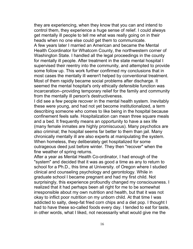they are experiencing, when they know that you can and intend to control them, they experience a huge sense of relief. I could always get mentally ill people to tell me what was really going on in their heads when no one else could get them to communicate. A few years later I married an American and became the Mental Health Coordinator for Whatcom County, the northwestern corner of Washington State. I handled all the legal proceedings in the county for mentally ill people. After treatment in the state mental hospital I supervised their reentry into the community, and attempted to provide some follow up. This work further confirmed my conclusions that in most cases the mentally ill weren't helped by conventional treatment. Most of them rapidly became social problems after discharge. It seemed the mental hospital's only ethically defensible function was incarceration--providing temporary relief for the family and community from the mentally ill person's destructiveness.

I did see a few people recover in the mental health system. Inevitably these were young, and had not yet become institutionalized, a term describing someone who comes to like being in the hospital because confinement feels safe. Hospitalization can mean three square meals and a bed. It frequently means an opportunity to have a sex life (many female inmates are highly promiscuous). Many psychotics are also criminal; the hospital seems far better to them than jail. Many chronically mentally ill are also experts at manipulating the system. When homeless, they deliberately get hospitalized for some outrageous deed just before winter. They then "recover" when the fine weather of spring returns.

After a year as Mental Health Co-ordinator, I had enough of the "system" and decided that it was as good a time as any to return to school for a Ph.D., this time at University. of Oregon where I studied clinical and counseling psychology and gerontology. While in graduate school I became pregnant and had my first child. Not surprisingly, this experience profoundly changed my consciousness. I realized that it had perhaps been all right for me to be somewhat irresponsible about my own nutrition and health, but that it was not okay to inflict poor nutrition on my unborn child. At that time I was addicted to salty, deep-fat fried corn chips and a diet pop. I thought I had to have these so-called foods every day. I tended to eat for taste, in other words, what I liked, not necessarily what would give me the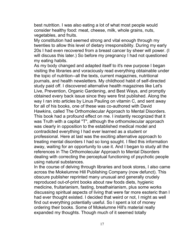best nutrition. I was also eating a lot of what most people would consider healthy food: meat, cheese, milk, whole grains, nuts, vegetables, and fruits.

My constitution had seemed strong and vital enough through my twenties to allow this level of dietary irresponsibility. During my early 20s I had even recovered from a breast cancer by sheer will power. (I will discuss this later.) So before my pregnancy I had not questioned my eating habits.

As my body changed and adapted itself to it's new purpose I began visiting the libraries and voraciously read everything obtainable under the topic of nutrition--all the texts, current magazines, nutritional journals, and health newsletters. My childhood habit of self-directed study paid off. I discovered alternative health magazines like Let's Live, Prevention, Organic Gardening, and Best Ways, and promptly obtained every back issue since they were first published. Along the way I ran into articles by Linus Pauling on vitamin C, and sent away for all of his books, one of these was co-authored with David Hawkins, called The Orthomolecular Approach to Mental Disorders. This book had a profound effect on me. I instantly recognized that it was Truth with a capital "T", although the orthomolecular approach was clearly in opposition to the established medical model and contradicted everything I had ever learned as a student or professional. Here at last was the exciting alternative approach to treating mental disorders I had so long sought. I filed this information away, waiting for an opportunity to use it. And I began to study all the references in The Orthomolecular Approach to Mental Disorders dealing with correcting the perceptual functioning of psychotic people using natural substances.

In the course of delving through libraries and book stores, I also came across the Mokelumne Hill Publishing Company (now defunct). This obscure publisher reprinted many unusual and generally crudely reproduced out-of-print books about raw foods diets, hygienic medicine, fruitarianism, fasting, breathairianism, plus some works discussing spiritual aspects of living that were far more esoteric than I had ever thought existed. I decided that weird or not, I might as well find out everything potentially useful. So I spent a lot of money ordering their books. Some of Mokelumne Hill's material really expanded my thoughts. Though much of it seemed totally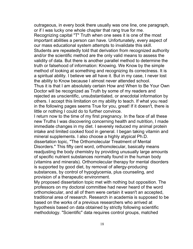outrageous, in every book there usually was one line, one paragraph, or if I was lucky one whole chapter that rang true for me. Recognizing capital "T" Truth when one sees it is one of the most important abilities a person can have. Unfortunately, every aspect of our mass educational system attempts to invalidate this skill. Students are repeatedly told that derivation from recognized authority and/or the scientific method are the only valid means to assess the validity of data. But there is another parallel method to determine the truth or falsehood of information: Knowing. We Know by the simple method of looking at something and recognizing its correctness. It is a spiritual ability. I believe we all have it. But in my case, I never lost the ability to Know because I almost never attended school. Thus it is that I am absolutely certain How and When to Be Your Own Doctor will be recognized as Truth by some of my readers and rejected as unscientific, unsubstantiated, or anecdotal information by others. I accept this limitation on my ability to teach. If what you read in the following pages seems True for you, great! If it doesn't, there is little or nothing I could do to further convince.

I return now to the time of my first pregnancy. In the face of all these new Truths I was discovering concerning health and nutrition, I made immediate changes in my diet. I severely reduced my animal protein intake and limited cooked food in general. I began taking vitamin and mineral supplements. I also choose a highly atypical Ph.D. dissertation topic, "The Orthomolecular Treatment of Mental Disorders." This fifty cent word, orthomolecular, basically means readjusting the body chemistry by providing unusually large amounts of specific nutrient substances normally found in the human body (vitamins and minerals). Orthomolecular therapy for mental disorders is supported by good diet, by removal of allergy-producing substances, by control of hypoglycemia, plus counseling, and provision of a therapeutic environment.

My proposed dissertation topic met with nothing but opposition. The professors on my doctoral committee had never heard of the word orthomolecular, and all of them were certain it wasn't an accepted, traditional area of research. Research in academia is supposed to be based on the works of a previous researchers who arrived at hypothesis based on data obtained by strictly following scientific methodology. "Scientific" data requires control groups, matched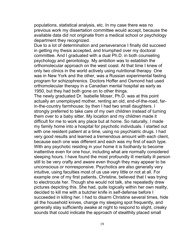populations, statistical analysis, etc. In my case there was no previous work my dissertation committee would accept, because the available data did not originate from a medical school or psychology department they recognized.

Due to a lot of determination and perseverance I finally did succeed in getting my thesis accepted, and triumphed over my doctoral committee. And I graduated with a dual Ph.D. in both counseling psychology and gerontology. My ambition was to establish the orthomolecular approach on the west coast. At that time I knew of only two clinics in the world actively using nutritional therapy. One was in New York and the other, was a Russian experimental fasting program for schizophrenics. Doctors Hoffer and Osmond had used orthomolecular therapy in a Canadian mental hospital as early as 1950, but they had both gone on to other things.

The newly graduated Dr. Isabelle Moser, Ph.D. was at this point actually an unemployed mother, renting an old, end-of-the-road, farin-the-country farmhouse; by then I had two small daughters. I strongly preferred to take care of my own children instead of turning them over to a baby sitter. My location and my children made it difficult for me to work any place but at home. So naturally, I made my family home into a hospital for psychotic individuals. I started out with one resident patient at a time, using no psychiatric drugs. I had very good results and learned a tremendous amount with each client, because each one was different and each was my first of each type. With any psychotic residing in your home it is foolhardy to become inattentive even for one hour, including what are normally considered sleeping hours. I have found the most profoundly ill mentally ill person still to be very crafty and aware even though they may appear to be unconscious or nonresponsive. Psychotics are also generally very intuitive, using faculties most of us use very little or not at all. For example one of my first patients, Christine, believed that I was trying to electrocute her. Though she would not talk, she repeatedly drew pictures depicting this. She had, quite logically within her own reality, decided to kill me with a butcher knife in self-defense before I succeeded in killing her. I had to disarm Christine several times, hide all the household knives, change my sleeping spot frequently, and generally stay sufficiently awake at night to respond to slight, creaky sounds that could indicate the approach of stealthily placed small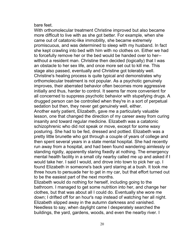bare feet.

With orthomolecular treatment Christine improved but also became more difficult to live with as she got better. For example, when she came out of catatonic-like immobility, she became extremely promiscuous, and was determined to sleep with my husband. In fact she kept crawling into bed with him with no clothes on. Either we had to forcefully remove her or the bed would be handed over to her- without a resident man. Christine then decided (logically) that I was an obstacle to her sex life, and once more set out to kill me. This stage also passed, eventually and Christine got tolerably well. Christine's healing process is quite typical and demonstrates why orthomolecular treatment is not popular. As a psychotic genuinely improves, their aberrated behavior often becomes more aggressive initially and thus, harder to control. It seems far more convenient for all concerned to suppress psychotic behavior with stupefying drugs. A drugged person can be controlled when they're in a sort of perpetual sedation but then, they never get genuinely well, either. Another early patient, Elizabeth, gave me a particularly valuable lesson, one that changed the direction of my career away from curing insanity and toward regular medicine. Elizabeth was a catatonic schizophrenic who did not speak or move, except for some waxy posturing. She had to be fed, dressed and pottied. Elizabeth was a pretty little brunette who got through a couple of years of college and then spent several years in a state mental hospital. She had recently run away from a hospital, and had been found wandering aimlessly or standing rigidly, apparently staring fixedly at nothing. The emergency mental health facility in a small city nearby called me up and asked if I would take her. I said I would, and drove into town to pick her up. I found Elizabeth in someone's back yard staring at a bush. It took me three hours to persuade her to get in my car, but that effort turned out

Elizabeth would do nothing for herself, including going to the bathroom. I managed to get some nutrition into her, and change her clothes, but that was about all I could do. Eventually she wore me down; I drifted off for an hour's nap instead of watching her all night. Elizabeth slipped away in the autumn darkness and vanished. Needless to say, when daylight came I desperately searched the buildings, the yard, gardens, woods, and even the nearby river. I

to be the easiest part of the next months.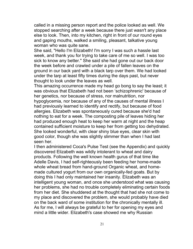called in a missing person report and the police looked as well. We stopped searching after a week because there just wasn't any place else to look. Then, into my kitchen, right in front of our round eyes and gaping mouths, walked a smiling, pleasant, talkative young woman who was quite sane.

She said, "Hello I'm Elizabeth! I'm sorry I was such a hassle last week, and thank you for trying to take care of me so well. I was too sick to know any better." She said she had gone out our back door the week before and crawled under a pile of fallen leaves on the ground in our back yard with a black tarp over them. We had looked under the tarp at least fifty times during the days past, but never thought to look under the leaves as well.

This amazing occurrence made my head go bong to say the least; it was obvious that Elizabeth had not been 'schizophrenic' because of her genetics, nor because of stress, nor malnutrition, nor hypoglycemia, nor because of any of the causes of mental illness I had previously learned to identify and rectify, but because of food allergies. Elizabeth was spontaneously cured because she'd had nothing to eat for a week. The composting pile of leaves hiding her had produced enough heat to keep her warm at night and the heap contained sufficient moisture to keep her from getting too dehydrated. She looked wonderful, with clear shiny blue eyes, clear skin with good color, though she was slightly slimmer than when I had last seen her.

I then administered Coca's Pulse Test (see the Appendix) and quickly discovered Elizabeth was wildly intolerant to wheat and dairy products. Following the well known health gurus of that time like Adelle Davis, I had self-righteously been feeding her home-made whole wheat bread from hand-ground Organic wheat, and homemade cultured yogurt from our own organically-fed goats. But by doing this I had only maintained her insanity. Elizabeth was an intelligent young woman, and once she understood what was causing her problems, she had no trouble completely eliminating certain foods from her diet. She shuddered at the thought that had she not come to my place and discovered the problem, she would probably have died on the back ward of some institution for the chronically mentally ill. As for me, I will always be grateful to her for opening my eyes and mind a little wider. Elizabeth's case showed me why Russian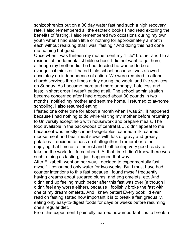schizophrenics put on a 30 day water fast had such a high recovery rate. I also remembered all the esoteric books I had read extolling the benefits of fasting. I also remembered two occasions during my own youth when I had eaten little or nothing for approximately a month each without realizing that I was "fasting." And doing this had done me nothing but good.

Once when I was thirteen my mother sent my "little" brother and I to a residential fundamentalist bible school. I did not want to go there, although my brother did; he had decided he wanted to be a evangelical minister. I hated bible school because I was allowed absolutely no independence of action. We were required to attend church services three times a day during the week, and five services on Sunday. As I became more and more unhappy, I ate less and less; in short order I wasn't eating at all. The school administration became concerned after I had dropped about 30 pounds in two months, notified my mother and sent me home. I returned to at-home schooling. I also resumed eating.

I fasted one other time for about a month when I was 21. It happened because I had nothing to do while visiting my mother before returning to University except help with housework and prepare meals. The food available in the backwoods of central B.C. didn't appeal to me because it was mostly canned vegetables, canned milk, canned moose meat and bear meat stews with lots of gravy and greasy potatoes. I decided to pass on it altogether. I remember rather enjoying that time as a fine rest and I left feeling very good ready to take on the world full force ahead. At that time I didn't know there was such a thing as fasting, it just happened that way.

After Elizabeth went on her way, I decided to experimentally fast myself. I consumed only water for two weeks. But I must have had counter intentions to this fast because I found myself frequently having dreams about sugared plums, and egg omelets, etc. And I didn't end up feeling much better after this fast was over (although I didn't feel any worse either), because I foolishly broke the fast with one of my dream omelets. And I knew better! Every book I'd ever read on fasting stated how important it is to break a fast gradually, eating only easy-to-digest foods for days or weeks before resuming one's regular diet.

From this experiment I painfully learned how important it is to break a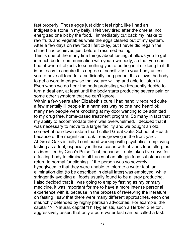fast properly. Those eggs just didn't feel right, like I had an indigestible stone in my belly. I felt very tired after the omelet, not energized one bit by the food. I immediately cut back my intake to raw fruits and vegetables while the eggs cleared out of my system. After a few days on raw food I felt okay, but I never did regain the shine I had achieved just before I resumed eating.

This is one of the many fine things about fasting, it allows you to get in much better communication with your own body, so that you can hear it when it objects to something you're putting in it or doing to it. It is not easy to acquire this degree of sensitivity to your body unless you remove all food for a sufficiently long period; this allows the body to get a word in edgewise that we are willing and able to listen to. Even when we do hear the body protesting, we frequently decide to turn a deaf ear, at least until the body starts producing severe pain or some other symptom that we can't ignore.

Within a few years after Elizabeth's cure I had handily repaired quite a few mentally ill people in a harmless way no one had heard of; many new people were knocking at my door wanting to be admitted to my drug free, home-based treatment program. So many in fact that my ability to accommodate them was overwhelmed. I decided that it was necessary to move to a larger facility and we bought an old, somewhat run-down estate that I called Great Oaks School of Health because of the magnificent oak trees growing in the front yard. At Great Oaks initially I continued working with psychotics, employing fasting as a tool, especially in those cases with obvious food allergies as identified by Coca's Pulse Test, because it only takes five days for a fasting body to eliminate all traces of an allergic food substance and return to normal functioning. If the person was so severely hypoglycemic that they were unable to tolerate a water fast, an elimination diet (to be described in detail later) was employed, while stringently avoiding all foods usually found to be allergy producing. I also decided that if I was going to employ fasting as my primary medicine, it was important for me to have a more intense personal experience with it, because in the process of reviewing the literature on fasting I saw that there were many different approaches, each one staunchly defended by highly partisan advocates. For example, the capital "N" Natural, capital "H" Hygienists, such a Herbert Shelton, aggressively assert that only a pure water fast can be called a fast.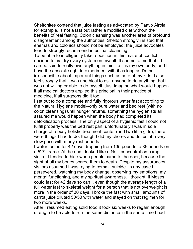Sheltonites contend that juice fasting as advocated by Paavo Airola, for example, is not a fast but rather a modified diet without the benefits of real fasting. Colon cleansing was another area of profound disagreement among the authorities. Shelton strongly insisted that enemas and colonics should not be employed; the juice advocates tend to strongly recommend intestinal cleansing.

To be able to intelligently take a position in this maze of conflict I decided to first try every system on myself. It seems to me that if I can be said to really own anything in this life it is my own body, and I have the absolute right to experiment with it as long as I'm not irresponsible about important things such as care of my kids. I also feel strongly that it was unethical to ask anyone to do anything that I was not willing or able to do myself. Just imagine what would happen if all medical doctors applied this principal in their practice of medicine, if all surgeons did it too!

I set out to do a complete and fully rigorous water fast according to the Natural Hygiene model--only pure water and bed rest (with no colon cleansing) until hunger returns, something the hygienists all assured me would happen when the body had completed its detoxification process. The only aspect of a hygienic fast I could not fulfill properly was the bed rest part; unfortunately I was in sole charge of a busy holistic treatment center (and two little girls); there were things I had to do, though I did my chores and duties at a very slow pace with many rest periods.

I water fasted for 42 days dropping from 135 pounds to 85 pounds on a 5' 7" frame. At the end I looked like a Nazi concentration camp victim. I tended to hide when people came to the door, because the sight of all my bones scared them to death. Despite my assurances visitors assumed I was trying to commit suicide. In any case I persevered, watching my body change, observing my emotions, my mental functioning, and my spiritual awareness. I thought, if Moses could fast for 42 days so can I, even though the average length of a full water fast to skeletal weight for a person that is not overweight is more in the order of 30 days. I broke the fast with small amounts of carrot juice diluted 50/50 with water and stayed on that regimen for two more weeks.

After I resumed eating solid food it took six weeks to regain enough strength to be able to run the same distance in the same time I had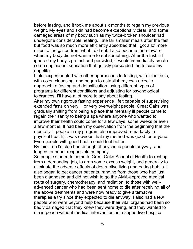before fasting, and it took me about six months to regain my previous weight. My eyes and skin had become exceptionally clear, and some damaged areas of my body such as my twice-broken shoulder had undergone considerable healing. I ate far smaller meals after the fast, but food was so much more efficiently absorbed that I got a lot more miles to the gallon from what I did eat. I also became more aware when my body did not want me to eat something. After the fast, if I ignored my body's protest and persisted, it would immediately create some unpleasant sensation that quickly persuaded me to curb my appetite.

I later experimented with other approaches to fasting, with juice fasts, with colon cleansing, and began to establish my own eclectic approach to fasting and detoxification, using different types of programs for different conditions and adjusting for psychological tolerances. I'll have a lot more to say about fasting.

After my own rigorous fasting experience I felt capable of supervising extended fasts on very ill or very overweight people. Great Oaks was gradually shifting from being a place that mentally ill people came to regain their sanity to being a spa where anyone who wanted to improve their health could come for a few days, some weeks or even a few months. It had been my observation from the beginning that the mentally ill people in my program also improved remarkably in physical health; it was obvious that my method was good for anyone. Even people with good health could feel better.

By this time I'd also had enough of psychotic people anyway, and longed for sane, responsible company.

So people started to come to Great Oaks School of Health to rest up from a demanding job, to drop some excess weight, and generally to eliminate the adverse effects of destructive living and eating habits. I also began to get cancer patients, ranging from those who had just been diagnosed and did not wish to go the AMA-approved medical route of surgery, chemotherapy, and radiation, to those with welladvanced cancer who had been sent home to die after receiving all of the above treatments and were now ready to give alternative therapies a try since they expected to die anyway. I also had a few people who were beyond help because their vital organs had been so badly damaged that they knew they were dying, and they wanted to die in peace without medical intervention, in a supportive hospice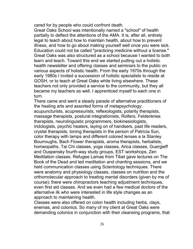cared for by people who could confront death.

Great Oaks School was intentionally named a "school" of health partially to deflect the attentions of the AMA. It is, after all, entirely legal to teach about how to maintain health, about how to prevent illness, and how to go about making yourself well once you were sick. Education could not be called "practicing medicine without a license." Great Oaks was also structured as a school because I wanted to both learn and teach. Toward this end we started putting out a holistic health newsletter and offering classes and seminars to the public on various aspects of holistic health. From the early 1970s through the early 1980s I invited a succession of holistic specialists to reside at GOSH, or to teach at Great Oaks while living elsewhere. These teachers not only provided a service to the community, but they all became my teachers as well. I apprenticed myself to each one in turn.

There came and went a steady parade of alternative practitioners of the healing arts and assorted forms of metapsychology: acupuncturists, acupressurists, reflexologists, polarity therapists, massage therapists, postural integrationists, Rolfers, Feldenkries therapists, neurolinguistic programmers, biokinesiologists, iridologists, psychic healers, laying on of handsers, past life readers, crystal therapists, toning therapists in the person of Patricia Sun, color therapy with lamps and different colored lenses a la Stanley Bourroughs, Bach Flower therapists, aroma therapists, herbalists, homeopaths, Tai Chi classes, yoga classes, Arica classes, Guergieff and Ouspensky fourth-way study groups, EST workshops, Zen Meditation classes. Refugee Lamas from Tibet gave lectures on The Book of the Dead and led meditation and chanting sessions, and we held communication classes using Scientology techniques. There were anatomy and physiology classes, classes on nutrition and the orthomolecular approach to treating mental disorders (given by me of course); there were chiropractors teaching adjustment techniques, even first aid classes. And we even had a few medical doctors of the alternative ilk who were interested in life style changes as an approach to maintaining health.

Classes were also offered on colon health including herbs, clays, enemas, and colonics. So many of my client at Great Oaks were demanding colonics in conjunction with their cleansing programs, that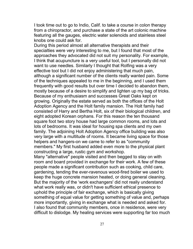I took time out to go to Indio, Calif. to take a course in colon therapy from a chiropractor, and purchase a state of the art colonic machine featuring all the gauges, electric water solenoids and stainless steel knobs one could ask for.

During this period almost all alternative therapists and their specialties were very interesting to me, but I found that most of the approaches they advocated did not suit my personality. For example, I think that acupuncture is a very useful tool, but I personally did not want to use needles. Similarly I thought that Rolfing was a very effective tool but I did not enjoy administering that much pain, although a significant number of the clients really wanted pain. Some of the techniques appealed to me in the beginning, and I used them frequently with good results but over time I decided to abandon them, mostly because of a desire to simplify and lighten up my bag of tricks. Because of my enthusiasm and successes Great Oaks kept on growing. Originally the estate served as both the offices of the Holt Adoption Agency and the Holt family mansion. The Holt family had consisted of Harry and Bertha Holt, six of their biological children, and eight adopted Korean orphans. For this reason the ten thousand square foot two story house had large common rooms, and lots and lots of bedrooms. It was ideal for housing spa clients and my own family. The adjoining Holt Adoption Agency office building was also very large with a multitude of rooms. It became living space for those helpers and hangers-on we came to refer to as "community members." My first husband added even more to the physical plant constructing a large, rustic gym and workshop.

Many "alternative" people visited and then begged to stay on with room and board provided in exchange for their work. A few of these people made a significant contribution such as cooking, child care, gardening, tending the ever-ravenous wood-fired boiler we used to keep the huge concrete mansion heated, or doing general cleaning. But the majority of the 'work exchangers' did not really understand what work really was, or didn't have sufficient ethical presence to uphold the principle of fair exchange, which is basically giving something of equal value for getting something of value and, perhaps more importantly, giving in exchange what is needed and asked for. I also found that community members, once in residence, were very difficult to dislodge. My healing services were supporting far too much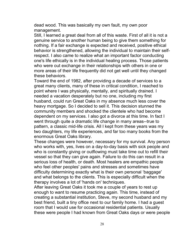dead wood. This was basically my own fault, my own poor management.

Still, I learned a great deal from all of this waste. First of all it is not a genuine service to another human being to give them something for nothing. If a fair exchange is expected and received, positive ethical behavior is strengthened, allowing the individual to maintain their selfrespect. I also came to realize what an important factor conducting one's life ethically is in the individual healing process. Those patients who were out exchange in their relationships with others in one or more areas of their life frequently did not get well until they changed these behaviors.

Toward the end of 1982, after providing a decade of services to a great many clients, many of these in critical condition, I reached to point where I was physically, mentally, and spiritually drained. I needed a vacation desperately but no one, including my first husband, could run Great Oaks in my absence much less cover the heavy mortgage. So I decided to sell it. This decision stunned the community members and shocked the clientele who had become dependent on my services. I also got a divorce at this time. In fact I went through quite a dramatic life change in many areas--true to pattern, a classic mid-life crisis. All I kept from these years was my two daughters, my life experiences, and far too many books from the enormous Great Oaks library.

These changes were however, necessary for my survival. Any person who works with, yes, lives on a day-to-day basis with sick people and who is constantly giving or outflowing must take time out to refill their vessel so that they can give again. Failure to do this can result in a serious loss of health, or death. Most healers are empathic people who feel other peoples' pains and stresses and sometimes have difficulty determining exactly what is their own personal 'baggage' and what belongs to the clients. This is especially difficult when the therapy involves a lot of 'hands on' techniques.

After leaving Great Oaks it took me a couple of years to rest up enough to want to resume practicing again. This time, instead of creating a substantial institution, Steve, my second husband and my best friend, built a tiny office next to our family home. I had a guest room that I would use for occasional residential patients. Usually these were people I had known from Great Oaks days or were people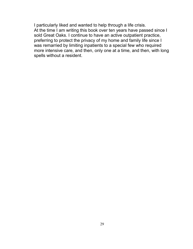I particularly liked and wanted to help through a life crisis. At the time I am writing this book over ten years have passed since I sold Great Oaks. I continue to have an active outpatient practice, preferring to protect the privacy of my home and family life since I was remarried by limiting inpatients to a special few who required more intensive care, and then, only one at a time, and then, with long spells without a resident.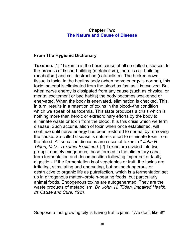#### **Chapter Two The Nature and Cause of Disease**

### <span id="page-29-0"></span>**From The Hygienic Dictionary**

**Toxemia.** [1] "Toxemia is the basic cause of all so-called diseases. In the process of tissue-building (metabolism), there is cell-building (anabolism) and cell destruction (catabolism). The broken-down tissue is toxic. In the healthy body (when nerve energy is normal), this toxic material is eliminated from the blood as fast as it is evolved. But when nerve energy is dissipated from any cause (such as physical or mental excitement or bad habits) the body becomes weakened or enervated. When the body is enervated, elimination is checked. This, in turn, results in a retention of toxins in the blood--the condition which we speak of as toxemia. This state produces a crisis which is nothing more than heroic or extraordinary efforts by the body to eliminate waste or toxin from the blood. It is this crisis which we term disease. Such accumulation of toxin when once established, will continue until nerve energy has been restored to normal by removing the cause. So-called disease is nature's effort to eliminate toxin from the blood. All so-called diseases are crises of toxemia." *John H. Tilden, M.D., Toxemia Explained.* [2] Toxins are divided into two groups; namely exogenous, those formed in the alimentary canal from fermentation and decomposition following imperfect or faulty digestion. If the fermentation is of vegetables or fruit, the toxins are irritating, stimulating and enervating, but not so dangerous or destructive to organic life as putrefaction, which is a fermentation set up in nitrogenous matter--protein-bearing foods, but particularly animal foods. Endogenous toxins are autogenerated. They are the waste products of metabolism. *Dr. John. H. Tllden, Impaired Health: Its Cause and Cure, 1921.*

Suppose a fast-growing city is having traffic jams. "We don't like it!"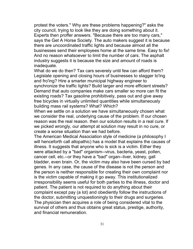protest the voters." Why are these problems happening?" asks the city council, trying to look like they are doing something about it. Experts then proffer answers. "Because there are too many cars," says the Get A Horse Society. The auto makers suggest it is because there are uncoordinated traffic lights and because almost all the businesses send their employees home at the same time. Easy to fix! And no reason whatsoever to limit the number of cars. The asphalt industry suggests it is because the size and amount of roads is inadequate.

What do we do then? Tax cars severely until few can afford them? Legislate opening and closing hours of businesses to stagger to'ing and fro'ing? Hire a smarter municipal highway engineer to synchronize the traffic lights? Build larger and more efficient streets? Demand that auto companies make cars smaller so more can fit the existing roads? Tax gasoline prohibitively, pass out and give away free bicycles in virtually unlimited quantities while simultaneously building mass rail systems? What? Which?

When we settle on a solution we have simultaneously chosen what we consider the real, underlying cause of the problem. If our chosen reason was the real reason. then our solution results in a real cure. If we picked wrongly, our attempt at solution may result in no cure, or create a worse situation than we had before.

The American Medical Association style of medicine (a philosophy I will henceforth call allopathic) has a model that explains the causes of illness. It suggests that anyone who is sick is a victim. Either they were attacked by a "bad" organism--virus, bacteria, yeast, pollen, cancer cell, etc.--or they have a "bad" organ--liver, kidney, gall bladder, even brain. Or, the victim may also have been cursed by bad genes. In any case, the cause of the disease is not the person and the person is neither responsible for creating their own complaint nor is the victim capable of making it go away. This institutionalized irresponsibility seems useful for both parties to the illness, doctor and patient. The patient is not required to do anything about their complaint except pay (a lot) and obediently follow the instructions of the doctor, submitting unquestioningly to their drugs and surgeries. The physician then acquires a role of being considered vital to the survival of others and thus obtains great status, prestige, authority, and financial remuneration.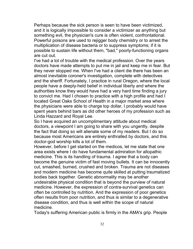Perhaps because the sick person is seen to have been victimized, and it is logically impossible to consider a victimizer as anything but something evil, the physician's cure is often violent, confrontational. Powerful poisons are used to rejigger body chemistry or to arrest the multiplication of disease bacteria or to suppress symptoms; if it is possible to sustain life without them, "bad," poorly-functioning organs are cut out.

I've had a lot of trouble with the medical profession. Over the years doctors have made attempts to put me in jail and keep me in fear. But they never stopped me. When I've had a client die there has been an almost inevitable coroner's investigation, complete with detectives and the sheriff. Fortunately, I practice in rural Oregon, where the local people have a deeply-held belief in individual liberty and where the authorities know they would have had a very hard time finding a jury to convict me. Had I chosen to practice with a high profile and had I located Great Oaks School of Health in a major market area where the physicians were able to charge top dollar, I probably would have spent years behind bars as did other heroes of my profession such as Linda Hazzard and Royal Lee.

So I have acquired an uncomplimentary attitude about medical doctors, a viewpoint I am going to share with you ungently, despite the fact that doing so will alienate some of my readers. But I do so because most Americans are entirely enthralled by doctors, and this doctor-god worship kills a lot of them.

However, before I get started on the medicos, let me state that one area exists where I do have fundamental admiration for allopathic medicine. This is its handling of trauma. I agree that a body can become the genuine victim of fast moving bullets. It can be innocently cut, smashed, burned, crushed and broken. Trauma are not diseases and modern medicine has become quite skilled at putting traumatized bodies back together. Genetic abnormality may be another undesirable physical condition that is beyond the purview of natural medicine. However, the expression of contra-survival genetics can often be controlled by nutrition. And the expression of poor genetics often results from poor nutrition, and thus is similar to a degenerative disease condition, and thus is well within the scope of natural medicine.

Today's suffering American public is firmly in the AMA's grip. People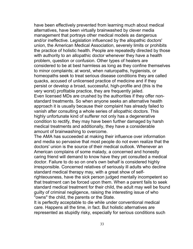have been effectively prevented from learning much about medical alternatives, have been virtually brainwashed by clever media management that portrays other medical models as dangerous and/or ineffective. Legislation influenced by the allopathic doctors' union, the American Medical Association, severely limits or prohibits the practice of holistic health. People are repeatedly directed by those with authority to an allopathic doctor whenever they have a health problem, question or confusion. Other types of healers are considered to be at best harmless as long as they confine themselves to minor complaints; at worst, when naturopaths, hygienists, or homeopaths seek to treat serious disease conditions they are called quacks, accused of unlicensed practice of medicine and if they persist or develop a broad, successful, high-profile and (this is the very worst) profitable practice, they are frequently jailed. Even licensed MDs are crushed by the authorities if they offer nonstandard treatments. So when anyone seeks an alternative health approach it is usually because their complaint has already failed to vanish after consulting a whole series of allopathic doctors. This highly unfortunate kind of sufferer not only has a degenerative condition to rectify, they may have been further damaged by harsh medical treatments and additionally, they have a considerable amount of brainwashing to overcome.

The AMA has succeeded at making their influence over information and media so pervasive that most people do not even realize that the doctors' union is the source of their medical outlook. Whenever an American complains of some malady, a concerned and honestly caring friend will demand to know have they yet consulted a medical doctor. Failure to do so on one's own behalf is considered highly irresponsible. Concerned relatives of seriously ill adults who decline standard medical therapy may, with a great show of self-

righteousness, have the sick person judged mentally incompetent so that treatment can be forced upon them. When a parent fails to seek standard medical treatment for their child, the adult may well be found guilty of criminal negligence, raising the interesting issue of who "owns" the child, the parents or the State.

It is perfectly acceptable to die while under conventional medical care. Happens all the time, in fact. But holistic alternatives are represented as stupidly risky, especially for serious conditions such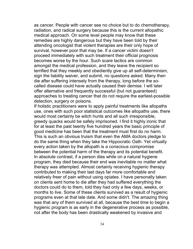as cancer. People with cancer see no choice but to do chemotherapy, radiation, and radical surgery because this is the current allopathic medical approach. On some level people may know that these remedies are highly dangerous but they have been told by their attending oncologist that violent therapies are their only hope of survival, however poor that may be. If a cancer victim doesn't proceed immediately with such treatment their official prognosis becomes worse by the hour. Such scare tactics are common amongst the medical profession, and they leave the recipient so terrified that they meekly and obediently give up all self-determinism, sign the liability waiver, and submit, no questions asked. Many then die after suffering intensely from the therapy, long before the socalled disease could have actually caused their demise. I will later offer alternative and frequently successful (but not guaranteed) approaches to treating cancer that do not require the earliest-possible detection, surgery or poisons.

If holistic practitioners were to apply painful treatments like allopaths use, ones with such poor statistical outcomes like allopaths use, there would most certainly be witch hunts and all such irresponsible, greedy quacks would be safely imprisoned. I find it highly ironic that for at least the past twenty five hundred years the basic principle of good medicine has been that the treatment must first do no harm. This is such an obvious truism that even the AMA doctors pledge to do the same thing when they take the Hippocratic Oath. Yet virtually every action taken by the allopath is a conscious compromise between the potential harm of the therapy and its potential benefit. In absolute contrast, if a person dies while on a natural hygiene program, they died because their end was inevitable no matter what therapy was attempted. Almost certainly receiving hygienic therapy contributed to making their last days far more comfortable and relatively freer of pain without using opiates. I have personally taken on clients sent home to die after they had suffered everything the doctors could do to them, told they had only a few days, weeks, or months to live. Some of these clients survived as a result of hygienic programs even at that late date. And some didn't. The amazing thing was that any of them survived at all, because the best time to begin a hygienic program is as early in the degenerative process as possible, not after the body has been drastically weakened by invasive and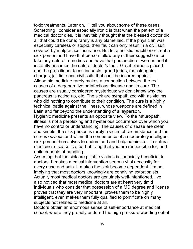toxic treatments. Later on, I'll tell you about some of these cases. Something I consider especially ironic is that when the patient of a medical doctor dies, it is inevitably thought that the blessed doctor did all that could be done; rarely is any blame laid. If the physician was especially careless or stupid, their fault can only result in a civil suit, covered by malpractice insurance. But let a holistic practitioner treat a sick person and have that person follow any of their suggestions or take any natural remedies and have that person die or worsen and it instantly becomes the natural doctor's fault. Great blame is placed and the practitioner faces inquests, grand juries, manslaughter charges, jail time and civil suits that can't be insured against. Allopathic medicine rarely makes a connection between the real causes of a degenerative or infectious disease and its cure. The causes are usually considered mysterious: we don't know why the pancreas is acting up, etc. The sick are sympathized with as victims who did nothing to contribute to their condition. The cure is a highly technical battle against the illness, whose weapons are defined in Latin and far beyond the understanding of a layperson.

Hygienic medicine presents an opposite view. To the naturopath, illness is not a perplexing and mysterious occurrence over which you have no control or understanding. The causes of disease are clear and simple, the sick person is rarely a victim of circumstance and the cure is obvious and within the competence of a moderately intelligent sick person themselves to understand and help administer. In natural medicine, disease is a part of living that you are responsible for, and quite capable of handling.

Asserting that the sick are pitiable victims is financially beneficial to doctors. It makes medical intervention seem a vital necessity for every ache and pain. It makes the sick become dependent. I'm not implying that most doctors knowingly are conniving extortionists. Actually most medical doctors are genuinely well-intentioned. I've also noticed that most medical doctors are at heart very timid individuals who consider that possession of a MD degree and license proves that they are very important, proves them to be highly intelligent, even makes them fully qualified to pontificate on many subjects not related to medicine at all.

Doctors obtain an enormous sense of self-importance at medical school, where they proudly endured the high pressure weeding out of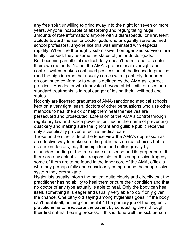any free spirit unwilling to grind away into the night for seven or more years. Anyone incapable of absorbing and regurgitating huge amounts of rote information; anyone with a disrespectful or irreverent attitude toward the senior doctor-gods who arrogantly serve as med school professors, anyone like this was eliminated with especial rapidity. When the thoroughly submissive, homogenized survivors are finally licensed, they assume the status of junior doctor-gods. But becoming an official medical deity doesn't permit one to create their own methods. No no, the AMA's professional oversight and control system makes continued possession of the license to practice (and the high income that usually comes with it) entirely dependent on continued conformity to what is defined by the AMA as "correct practice." Any doctor who innovates beyond strict limits or uses nonstandard treatments is in real danger of losing their livelihood and status.

Not only are licensed graduates of AMA-sanctioned medical schools kept on a very tight leash, doctors of other persuasions who use other methods to heal the sick or help them heal themselves are persecuted and prosecuted. Extension of the AMA's control through regulatory law and police power is justified in the name of preventing quackery and making sure the ignorant and gullible public receives only scientifically proven effective medical care.

Those on the other side of the fence view the AMA's oppression as an effective way to make sure the public has no real choices but to use union doctors, pay their high fees and suffer greatly by misunderstanding of the true cause of disease and its proper cure. If there are any actual villains responsible for this suppressive tragedy some of them are to be found in the inner core of the AMA, officials who may perhaps fully and consciously comprehend the suppressive system they promulgate.

Hygienists usually inform the patient quite clearly and directly that the practitioner has no ability to heal them or cure their condition and that no doctor of any type actually is able to heal. Only the body can heal itself, something it is eager and usually very able to do if only given the chance. One pithy old saying among hygienists goes, "if the body can't heal itself, nothing can heal it." The primary job of the hygienic practitioner is to reeducate the patient by conducting them through their first natural healing process. If this is done well the sick person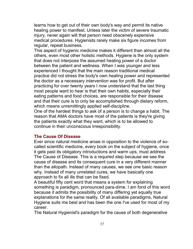learns how to get out of their own body's way and permit its native healing power to manifest. Unless later the victim of severe traumatic injury, never again will that person need obscenely expensive medical procedures. Hygienists rarely make six figure incomes from regular, repeat business.

This aspect of hygienic medicine makes it different than almost all the others, even most other holistic methods. Hygiene is the only system that does not interpose the assumed healing power of a doctor between the patient and wellness. When I was younger and less experienced I thought that the main reason traditional medical practice did not stress the body's own healing power and represented the doctor as a necessary intervention was for profit. But after practicing for over twenty years I now understand that the last thing most people want to hear is that their own habits, especially their eating patterns and food choices, are responsible for their disease and that their cure is to only be accomplished through dietary reform, which means unremittingly applied self-discipline.

One of the hardest things to ask of a person is to change a habit. The reason that AMA doctors have most of the patients is they're giving the patients exactly what they want, which is to be allowed to continue in their unconscious irresponsibility.

## **The Cause Of Disease**

Ever since natural medicine arose in opposition to the violence of socalled scientific medicine, every book on the subject of hygiene, once it gets past its obligatory introductions and warm ups, must address The Cause of Disease. This is a required step because we see the cause of disease and its consequent cure in a very different manner than the allopath. Instead of many causes, we see one basic reason why. Instead of many unrelated cures, we have basically one approach to fix all ills that can be fixed.

A beautiful fifty cent word that means a system for explaining something is paradigm, pronounced para-dime. I am fond of this word because it admits the possibility of many differing yet equally true explanations for the same reality. Of all available paradigms, Natural Hygiene suits me best and has been the one I've used for most of my career.

The Natural Hygienist's paradigm for the cause of both degenerative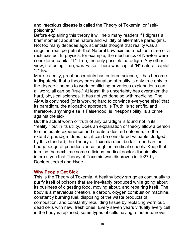and infectious disease is called the Theory of Toxemia, or "selfpoisoning."

Before explaining this theory it will help many readers if I digress a brief moment about the nature and validity of alternative paradigms. Not too many decades ago, scientists thought that reality was a singular, real, perpetual--that Natural Law existed much as a tree or a rock existed. In physics, for example, the mechanics of Newton were considered capital "T" True, the only possible paradigm. Any other view, not being True, was False. There was capital "N" natural capital "L" law.

More recently, great uncertainty has entered science; it has become indisputable that a theory or explanation of reality is only true only to the degree it seems to work; conflicting or various explanations can all work, all can be "true." At least, this uncertainty has overtaken the hard, physical sciences. It has not yet done so with medicine. The AMA is convinced (or is working hard to convince everyone else) that its paradigm, the allopathic approach, is Truth, is scientific, and therefore, anything else is Falsehood, is irresponsibility, is a crime against the sick.

But the actual worth or truth of any paradigm is found not in its "reality," but in its utility. Does an explanation or theory allow a person to manipulate experience and create a desired outcome. To the extent a paradigm does that, it can be considered valuable. Judged by this standard, the Theory of Toxemia must be far truer than the hodgepodge of psuedoscience taught in medical schools. Keep that in mind the next time some officious medical doctor disdainfully informs you that Theory of Toxemia was disproven in 1927 by Doctors Jeckel and Hyde.

### **Why People Get Sick**

This is the Theory of Toxemia. A healthy body struggles continually to purify itself of poisons that are inevitably produced while going about its business of digesting food, moving about, and repairing itself. The body is a marvelous creation, a carbon, oxygen combustion machine, constantly burning fuel, disposing of the waste products of combustion, and constantly rebuilding tissue by replacing worn out, dead cells with new, fresh ones. Every seven years virtually every cell in the body is replaced, some types of cells having a faster turnover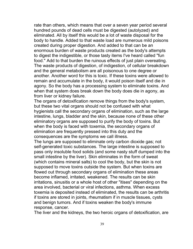rate than others, which means that over a seven year period several hundred pounds of dead cells must be digested (autolyzed) and eliminated. All by itself this would be a lot of waste disposal for the body to handle. Added to that waste load are numerous mild poisons created during proper digestion. And added to that can be an enormous burden of waste products created as the body's attempts to digest the indigestible, or those tasty items I've heard called "fun food." Add to that burden the ruinous effects of just plain overeating. The waste products of digestion, of indigestion, of cellular breakdown and the general metabolism are all poisonous to one degree or another. Another word for this is toxic. If these toxins were allowed to remain and accumulate in the body, it would poison itself and die in agony. So the body has a processing system to eliminate toxins. And when that system does break down the body does die in agony, as from liver or kidney failure.

The organs of detoxification remove things from the body's system, but these two vital organs should not be confused with what hygienists call the secondary organs of elimination, such as the large intestine, lungs, bladder and the skin, because none of these other eliminatory organs are supposed to purify the body of toxins. But when the body is faced with toxemia, the secondary organs of elimination are frequently pressed into this duty and the consequences are the symptoms we call illness.

The lungs are supposed to eliminate only carbon dioxide gas; not self-generated toxic substances. The large intestine is supposed to pass only insoluble food solids (and some nasty stuff dumped into the small intestine by the liver). Skin eliminates in the form of sweat (which contains mineral salts) to cool the body, but the skin is not supposed to move toxins outside the system. But when toxins are flowed out through secondary organs of elimination these areas become inflamed, irritated, weakened. The results can be skin irritations, sinusitis or a whole host of other "itises" depending on the area involved, bacterial or viral infections, asthma. When excess toxemia is deposited instead of eliminated, the results can be arthritis if toxins are stored in joints, rheumatism if in muscle tissues, cysts and benign tumors. And if toxins weaken the body's immune response, cancer.

The liver and the kidneys, the two heroic organs of detoxification, are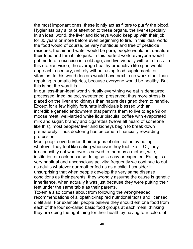the most important ones; these jointly act as filters to purify the blood. Hygienists pay a lot of attention to these organs, the liver especially. In an ideal world, the liver and kidneys would keep up with their job for 80 years or more before even beginning to tire. In this ideal world, the food would of course, be very nutritious and free of pesticide residues, the air and water would be pure, people would not denature their food and turn it into junk. In this perfect world everyone would get moderate exercise into old age, and live virtually without stress. In this utopian vision, the average healthy productive life span would approach a century, entirely without using food supplements or vitamins. In this world doctors would have next to no work other than repairing traumatic injuries, because everyone would be healthy. But this is not the way it is.

In our less-than-ideal world virtually everything we eat is denatured, processed, fried, salted, sweetened, preserved; thus more stress is placed on the liver and kidneys than nature designed them to handle. Except for a few highly fortunate individuals blessed with an incredible genetic endowment that permits them to live to age 99 on moose meat, well-larded white flour biscuits, coffee with evaporated milk and sugar, brandy and cigarettes (we've all heard of someone like this), most peoples' liver and kidneys begin to break down prematurely. Thus doctoring has become a financially rewarding profession.

Most people overburden their organs of elimination by eating whatever they feel like eating whenever they feel like it. Or, they irresponsibly eat whatever is served to them by a mother, wife, institution or cook because doing so is easy or expected. Eating is a very habitual and unconscious activity; frequently we continue to eat as adults whatever our mother fed us as a child. I consider it unsurprising that when people develop the very same disease conditions as their parents. they wrongly assume the cause is genetic inheritance, when actually it was just because they were putting their feet under the same table as their parents.

Toxemia also comes about from following the wrongheaded recommendations of allopathic-inspired nutritional texts and licensed dietitians. For example, people believe they should eat one food from each of the four so-called basic food groups at each meal, thinking they are doing the right thing for their health by having four colors of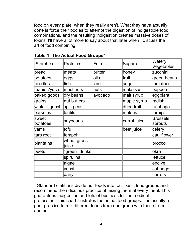food on every plate, when they really aren't. What they have actually done is force their bodies to attempt the digestion of indigestible food combinations, and the resulting indigestion creates massive doses of toxins. I'll have a lot more to say about that later when I discuss the art of food combining.

| <b>Starches</b>    | Proteins             | $\mathsf{Fats}$ | <b>Sugars</b> | Watery<br>Vegetables        |
|--------------------|----------------------|-----------------|---------------|-----------------------------|
| bread              | meats                | butter          | honey         | zucchini                    |
| potatoes           | leggs                | oils            | fruit         | green beans                 |
| noodles            | lfish                | lard            | sugar         | tomatoes                    |
| manioc/yuca        | most nuts            | ∣nuts           | molassas      | peppers                     |
| baked goods        | dry beans            | avocado         | malt syrup    | eggplant                    |
| grains             | nut butters          |                 | maple syrup   | radish                      |
| winter squash      | split peas           |                 | dried fruit   | rutabaga                    |
| parsnips           | lentils              |                 | melons        | turnips                     |
| lsweet<br>potatoes | soybeans             |                 | carrot juice  | <b>Brussels</b><br> sprouts |
| <b>yams</b>        | tofu                 |                 | beet juice    | celery                      |
| taro root          | ltempeh              |                 |               | cauliflower                 |
| plantains          | wheat grass<br>∥uice |                 |               | broccoli                    |
| beets              | "green" drinks       |                 |               | lokra                       |
|                    | spirulina            |                 |               | llettuce                    |
|                    | algae                |                 |               | endive                      |
|                    | lyeast               |                 |               | cabbage                     |
|                    | dairy                |                 |               | carrots                     |

**Table 1: The Actual Food Groups\***

\* Standard dietitians divide our foods into four basic food groups and recommend the ridiculous practice of mixing them at every meal. This guarantees indigestion and lots of business for the medical profession. This chart illustrates the actual food groups. It is usually a poor practice to mix different foods from one group with those from another.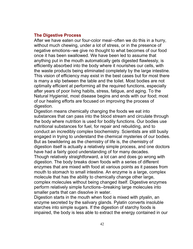## **The Digestive Process**

After we have eaten our four-color meal--often we do this in a hurry, without much chewing, under a lot of stress, or in the presence of negative emotions--we give no thought to what becomes of our food once it has been swallowed. We have been led to assume that anything put in the mouth automatically gets digested flawlessly, is efficiently absorbed into the body where it nourishes our cells, with the waste products being eliminated completely by the large intestine. This vision of efficiency may exist in the best cases but for most there is many a slip between the table and the toilet. Most bodies are not optimally efficient at performing all the required functions, especially after years of poor living habits, stress, fatigue, and aging. To the Natural Hygienist, most disease begins and ends with our food; most of our healing efforts are focused on improving the process of digestion.

Digestion means chemically changing the foods we eat into substances that can pass into the blood stream and circulate through the body where nutrition is used for bodily functions. Our bodies use nutritional substances for fuel, for repair and rebuilding, and to conduct an incredibly complex biochemistry. Scientists are still busily engaged in trying to understand the chemical mysteries of our bodies. But as bewildering as the chemistry of life is, the chemistry of digestion itself is actually a relatively simple process, and one doctors have had a fairly good understanding of for many decades. Though relatively straightforward, a lot can and does go wrong with digestion. The body breaks down foods with a series of different enzymes that are mixed with food at various points as it passes from mouth to stomach to small intestine. An enzyme is a large, complex molecule that has the ability to chemically change other large, complex molecules without being changed itself. Digestive enzymes perform relatively simple functions--breaking large molecules into smaller parts that can dissolve in water.

Digestion starts in the mouth when food is mixed with ptyalin, an enzyme secreted by the salivary glands. Pylatin converts insoluble starches into simple sugars. If the digestion of starchy foods is impaired, the body is less able to extract the energy contained in our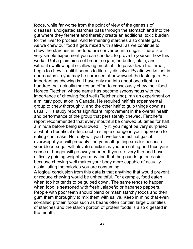foods, while far worse from the point of view of the genesis of diseases, undigested starches pass through the stomach and into the gut where they ferment and thereby create an additional toxic burden for the liver to process. And fermenting starches also create gas. As we chew our food it gets mixed with saliva; as we continue to chew the starches in the food are converted into sugar. There is a very simple experiment you can conduct to prove to yourself how this works. Get a plain piece of bread, no jam, no butter, plain, and without swallowing it or allowing much of it to pass down the throat, begin to chew it until it seems to literally dissolve. Pylatin works fast in our mouths so you may be surprised at how sweet the taste gets. As important as chewing is, I have only run into about one client in a hundred that actually makes an effort to consciously chew their food. Horace Fletcher, whose name has become synonymous with the importance of chewing food well (Fletcherizing), ran an experiment on a military population in Canada. He required half his experimental group to chew thoroughly, and the other half to gulp things down as usual,. His study reports significant improvement in the overall health and performance of the group that persistently chewed. Fletcher's report recommended that every mouthful be chewed 50 times for half a minute before being swallowed. Try it, you might be very surprised at what a beneficial effect such a simple change in your approach to eating can make. Not only will you have less intestinal gas, if overweight you will probably find yourself getting smaller because your blood sugar will elevate quicker as you are eating and thus your sense of hunger will go away sooner. If you are very thin and have difficulty gaining weight you may find that the pounds go on easier because chewing well makes your body more capable of actually assimilating the calories you are consuming.

A logical conclusion from this data is that anything that would prevent or reduce chewing would be unhealthful. For example, food eaten when too hot tends to be gulped down. The same tends to happen when food is seasoned with fresh Jalapeño or habaneo peppers. People with poor teeth should blend or mash starchy foods and then gum them thoroughly to mix them with saliva. Keep in mind that even so-called protein foods such as beans often contain large quantities of starches and the starch portion of protein foods is also digested in the mouth.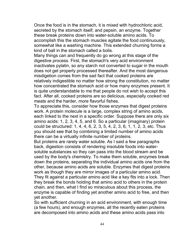Once the food is in the stomach, it is mixed with hydrochloric acid, secreted by the stomach itself, and pepsin, an enzyme. Together these break proteins down into water-soluble amino acids. To accomplish this the stomach muscles agitate the food continuously, somewhat like a washing machine. This extended churning forms a kind of ball in the stomach called a bolis.

Many things can and frequently do go wrong at this stage of the digestive process. First, the stomach's very acid environment inactivates pylatin, so any starch not converted to sugar in the mouth does not get properly processed thereafter. And the most dangerous misdigetion comes from the sad fact that cooked proteins are relatively indigestible no matter how strong the constitution, no matter how concentrated the stomach acid or how many enzymes present. It is quite understandable to me that people do not wish to accept this fact. After all, cooked proteins are so delicious, especially cooked red meats and the harder, more flavorful fishes.

To appreciate this, consider how those enzymes that digest proteins work. A protein molecule is a large, complex string of amino acids, each linked to the next in a specific order. Suppose there are only six amino acids: 1, 2, 3, 4, 5, and 6. So a particular (imaginary) protein could be structured: 1, 4, 4, 6, 2, 3, 5, 4, 2, 3, 6, 1, 1, 2, 3, etc. Thus you should see that by combining a limited number of amino acids there can be a virtually infinite number of proteins.

But proteins are rarely water soluble. As I said a few paragraphs back, digestion consists of rendering insoluble foods into watersoluble substances so they can pass into the blood stream and be used by the body's chemistry. To make them soluble, enzymes break down the proteins, separating the individual amino acids one from the other, because amino acids are soluble. Enzymes that digest proteins work as though they are mirror images of a particular amino acid. They fit against a particular amino acid like a key fits into a lock. Then they break the bonds holding that amino acid to others in the protein chain, and then, what I find so miraculous about this process, the enzyme is capable of finding yet another amino acid to free, and then yet another.

So with sufficient churning in an acid environment, with enough time (a few hours), and enough enzymes, all the recently eaten proteins are decomposed into amino acids and these amino acids pass into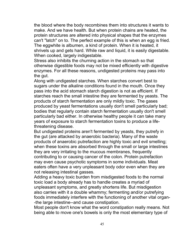the blood where the body recombines them into structures it wants to make. And we have health. But when protein chains are heated, the protein structures are altered into physical shapes that the enzymes can't "latch" on to. The perfect example of this is when an egg is fried. The eggwhite is albumen, a kind of protein. When it is heated, it shrivels up and gets hard. While raw and liquid, it is easily digestable. When cooked, largely indigestable.

Stress also inhibits the churning action in the stomach so that otherwise digestible foods may not be mixed efficiently with digestive enzymes. For all these reasons, undigested proteins may pass into the gut.

Along with undigested starches. When starches convert best to sugars under the alkaline conditions found in the mouth. Once they pass into the acid stomach starch digestion is not as efficient. If starches reach the small intestine they are fermented by yeasts. The products of starch fermentation are only mildly toxic. The gases produced by yeast fermentations usually don't smell particularly bad; bodies that regularly contain starch fermentation usually don't smell particularly bad either. In otherwise healthy people it can take many years of exposure to starch fermentation toxins to produce a lifethreatening disease.

But undigested proteins aren't fermented by yeasts, they putrefy in the gut (are attacked by anaerobic bacteria). Many of the waste products of anaerobic putrefaction are highly toxic and evil smelling; when these toxins are absorbed through the small or large intestines they are very irritating to the mucous membranes, frequently contributing to or causing cancer of the colon. Protein putrefaction may even cause psychotic symptoms in some individuals. Meat eaters often have a very unpleasant body odor even when they are not releasing intestinal gasses.

Adding a heavy toxic burden from misdigested foods to the normal toxic load a body already has to handle creates a myriad of unpleasant symptoms, and greatly shortens life. But misdigestion also carries with it a double whammy; fermenting and/or putrefying foods immediately interfere with the functioning of another vital organ- -the large intestine--and cause constipation.

Most people don't know what the word constipation really means. Not being able to move one's bowels is only the most elementary type of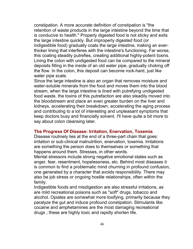constipation. A more accurate definition of constipation is "the retention of waste products in the large intestine beyond the time that is conducive to health." Properly digested food is not sticky and exits the large intestine quickly. But improperly digested food (or indigestible food) gradually coats the large intestine, making an everthicker lining that interferes with the intestine's functioning. Far worse, this coating steadily putrefies, creating additional highly-potent toxins. Lining the colon with undigested food can be compared to the mineral deposits filling in the inside of an old water pipe, gradually choking off the flow. In the colon, this deposit can become rock-hard, just like water pipe scale.

Since the large intestine is also an organ that removes moisture and water-soluble minerals from the food and moves them into the blood stream, when the large intestine is lined with putrefying undigested food waste, the toxins of this putrefaction are also steadily moved into the bloodstream and place an even greater burden on the liver and kidneys, accelerating their breakdown, accelerating the aging process and contributing to a lot of interesting and unpleasant symptoms that keep doctors busy and financially solvent. I'll have quite a bit more to say about colon cleansing later.

## **The Progress Of Disease: Irritation, Enervation, Toxemia**

Disease routinely lies at the end of a three-part chain that goes: irritation or sub-clinical malnutrition, enervation, toxemia. Irritations are something the person does to themselves or something that happens around them. Stresses, in other words.

Mental stressors include strong negative emotional states such as anger, fear, resentment, hopelessness, etc. Behind most diseases it is common to find a problematic mind churning in profound confusion, one generated by a character that avoids responsibility. There may also be job stress or ongoing hostile relationships, often within the family.

Indigestible foods and misdigestion are also stressful irritations, as are mild recreational poisons such as "soft" drugs, tobacco and alcohol. Opiates are somewhat more toxifying, primarily because they paralyze the gut and induce profound constipation. Stimulants like cocaine and amphetamines are the most damaging recreational drugs ; these are highly toxic and rapidly shorten life.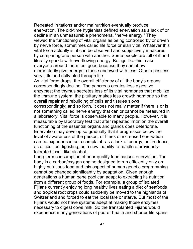Repeated irritations and/or malnutrition eventually produce enervation. The old-time hygienists defined enervation as a lack of or decline in an unmeasurable phenomena, "nerve energy." They viewed the functioning of vital organs as being controlled by or driven by nerve force, sometimes called life force or élan vital. Whatever this vital force actually is, it can be observed and subjectively measured by comparing one person with another. Some people are full of it and literally sparkle with overflowing energy. Beings like this make everyone around them feel good because they somehow momentarily give energy to those endowed with less. Others possess very little and dully plod through life.

As vital force drops, the overall efficiency of all the body's organs correspondingly decline. The pancreas creates less digestive enzymes; the thymus secretes less of its vital hormones that mobilize the immune system; the pituitary makes less growth hormone so the overall repair and rebuilding of cells and tissues slows correspondingly; and so forth. It does not really matter if there is or is not something called nerve energy that can or cannot be measured in a laboratory. Vital force is observable to many people. However, it is measurable by laboratory test that after repeated irritation the overall functioning of the essential organs and glands does deteriorate. Enervation may develop so gradually that it progresses below the level of awareness of the person, or times of increased enervation can be experienced as a complaint--as a lack of energy, as tiredness, as difficulties digesting, as a new inability to handle a previouslytolerated insult like alcohol.

Long-term consumption of poor-quality food causes enervation. The body is a carbon/oxygen engine designed to run efficiently only on highly nutritious food and this aspect of human genetic programming cannot be changed significantly by adaptation. Given enough generations a human gene pool can adapt to extracting its nutrition from a different group of foods. For example, a group of isolated Fijians currently enjoying long healthy lives eating a diet of seafoods and tropical root crops could suddenly be moved to the highlands of Switzerland and forced to eat the local fare or starve. But most of the Fijians would not have systems adept at making those enzymes necessary to digest cows milk. So the transplanted Fijians would experience many generations of poorer health and shorter life spans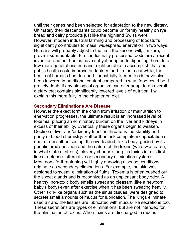until their genes had been selected for adaptation to the new dietary. Ultimately their descendants could become uniformly healthy on rye bread and dairy products just like the highland Swiss were. However, modern industrial farming and processing of foodstuffs significantly contributes to mass, widespread enervation in two ways. Humans will probably adjust to the first; the second will, I'm sure, prove insurmountable. First, industrially processed foods are a recent invention and our bodies have not yet adapted to digesting them. In a few more generations humans might be able to accomplish that and public health could improve on factory food. In the meanwhile, the health of humans has declined. Industrially farmed foods have also been lowered in nutritional content compared to what food could be. I gravely doubt if any biological organism can ever adapt to an overall dietary that contains significantly lowered levels of nutrition. I will explain this more fully in the chapter on diet.

## **Secondary Eliminations Are Disease**

However the exact form the chain from irritation or malnutrition to enervation progresses, the ultimate result is an increased level of toxemia, placing an eliminatory burden on the liver and kidneys in excess of their ability. Eventually these organs begin to weaken. Decline of liver and/or kidney function threatens the stability and purity of blood chemistry. Rather than risk complete incapacitation or death from self-poisoning, the overloaded, toxic body, guided by its genetic predisposition and the nature of the toxins (what was eaten, in what state of stress), cleverly channels surplus toxins into its first line of defense--alternative or secondary elimination systems. Most non-life-threatening yet highly annoying disease conditions originate as secondary eliminations. For example, the skin was designed to sweat, elimination of fluids. Toxemia is often pushed out the sweat glands and is recognized as an unpleasant body odor. A healthy, non-toxic body smells sweet and pleasant (like a newborn baby's body) even after exercise when it has been sweating heavily. Other skin-like organs such as the sinus tissues, were designed to secrete small amounts of mucus for lubrication. The lungs eliminate used air and the tissues are lubricated with mucus-like secretions too. These secretions are types of eliminations, but are not intended for the elimination of toxins. When toxins are discharged in mucus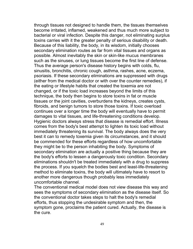through tissues not designed to handle them, the tissues themselves become irritated, inflamed, weakened and thus much more subject to bacterial or viral infection. Despite this danger, not eliminating surplus toxins carries with it the greater penalty of serious disability or death. Because of this liability, the body, in its wisdom, initially chooses secondary elimination routes as far from vital tissues and organs as possible. Almost inevitably the skin or skin-like mucus membranes such as the sinuses, or lung tissues become the first line of defense. Thus the average person's disease history begins with colds, flu, sinusitis, bronchitis, chronic cough, asthma, rashes, acne, eczema, psoriasis. If these secondary eliminations are suppressed with drugs (either from the medical doctor or with over the counter remedies), if the eating or lifestyle habits that created the toxemia are not changed, or if the toxic load increases beyond the limits of this technique, the body then begins to store toxins in fat or muscle tissues or the joint cavities, overburdens the kidneys, creates cysts, fibroids, and benign tumors to store those toxins. If toxic overload continues over a longer time the body will eventually have to permit damages to vital tissues, and life-threatening conditions develop. Hygienic doctors always stress that disease is remedial effort. Illness comes from the body's best attempt to lighten its toxic load without immediately threatening its survival. The body always does the very best it can to remedy toxemia given its circumstances, and it should be commended for these efforts regardless of how uncomfortable they might be to the person inhabiting the body. Symptoms of secondary elimination are actually a positive thing because they are the body's efforts to lessen a dangerously toxic condition. Secondary eliminations shouldn't be treated immediately with a drug to suppress the process. If you squelch the bodies best and least-life-threatening method to eliminate toxins, the body will ultimately have to resort to another more dangerous though probably less immediately uncomfortable channel.

The conventional medical model does not view disease this way and sees the symptoms of secondary elimination as the disease itself. So the conventional doctor takes steps to halt the body's remedial efforts, thus stopping the undesirable symptom and then, the symptom gone, proclaims the patient cured. Actually, the disease is the cure.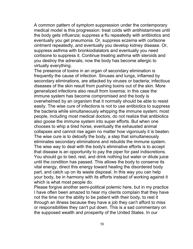A common pattern of symptom suppression under the contemporary medical model is this progression: treat colds with antihistamines until the body gets influenza; suppress a flu repeatedly with antibiotics and eventually you get pneumonia. Or, suppress eczema with cortisone ointment repeatedly, and eventually you develop kidney disease. Or, suppress asthma with bronkiodialators and eventually you need cortisone to suppress it. Continue treating asthma with steroids and you destroy the adrenals; now the body has become allergic to virtually everything.

The presence of toxins in an organ of secondary elimination is frequently the cause of infection. Sinuses and lungs, inflamed by secondary eliminations, are attacked by viruses or bacteria; infectious diseases of the skin result from pushing toxins out of the skin. More generalized infections also result from toxemia; in this case the immune system has become compromised and the body is overwhelmed by an organism that it normally should be able to resist easily. The wise cure of infections is not to use antibiotics to suppress the bacteria while simultaneously whipping the immune system; most people, including most medical doctors, do not realize that antibiotics also goose the immune system into super efforts. But when one chooses to whip a tired horse, eventually the exhausted animal collapses and cannot rise again no matter how vigorously it is beaten. The wise cure is to detoxify the body, a step that simultaneously eliminates secondary eliminations and rebuilds the immune system. The wise way to deal with the body's eliminative efforts is to accept that disease is an opportunity to pay the piper for past indiscretions. You should go to bed, rest, and drink nothing but water or dilute juice until the condition has passed. This allows the body to conserve its vital energy, direct this energy toward healing the disordered body part, and catch up on its waste disposal. In this way you can help your body, be in harmony with its efforts instead of working against it which is what most people do.

Please forgive another semi-political polemic here, but in my practice I have often been amazed to hear my clients complain that they have not the time nor the ability to be patient with their body, to rest it through an illness because they have a job they can't afford to miss or responsibilities they can't put down. This is a sad commentary on the supposed wealth and prosperity of the United States. In our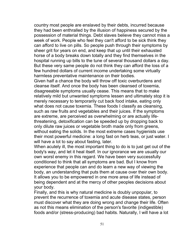country most people are enslaved by their debts, incurred because they had been enthralled by the illusion of happiness secured by the possession of material things. Debt slaves believe they cannot miss a week of work. People who feel they can't afford to be sick think they can afford to live on pills. So people push through their symptoms by sheer grit for years on end, and keep that up until their exhausted horse of a body breaks down totally and they find themselves in the hospital running up bills to the tune of several thousand dollars a day. But these very same people do not think they can afford the loss of a few hundred dollars of current income undertaking some virtually harmless preventative maintenance on their bodies.

Given half a chance the body will throw off toxic overburdens and cleanse itself. And once the body has been cleansed of toxemia, disagreeable symptoms usually cease. This means that to make relatively mild but unwanted symptoms lessen and ultimately stop it is merely necessary to temporarily cut back food intake, eating only what does not cause toxemia. These foods I classify as cleansing, such as raw fruits and vegetables and their juices. If the symptoms are extreme, are perceived as overwhelming or are actually lifethreatening, detoxification can be speeded up by dropping back to only dilute raw juices or vegetable broth made only from greens, without eating the solids. In the most extreme cases hygienists use their most powerful medicine: a long fast on herb teas, or just water. I will have a lot to say about fasting, later.

When acutely ill, the most important thing to do is to just get out of the body's way, and let it heal itself. In our ignorance we are usually our own worst enemy in this regard. We have been very successfully conditioned to think that all symptoms are bad. But I know from experience that people can and do learn a new way of viewing the body, an understanding that puts them at cause over their own body. It allows you to be empowered in one more area of life instead of being dependent and at the mercy of other peoples decisions about your body.

Finally, and this is why natural medicine is doubly unpopular, to prevent the recurrence of toxemia and acute disease states, person must discover what they are doing wrong and change their life. Often as not this means elimination of the person's favorite (indigestible) foods and/or (stress-producing) bad habits. Naturally, I will have a lot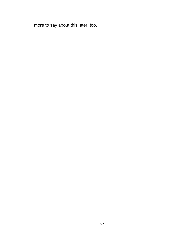more to say about this later, too.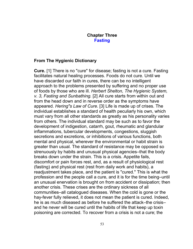# **Chapter Three Fasting**

# **From The Hygienic Dictionary**

**Cure.** [1] There is no "cure" for disease; fasting is not a cure. Fasting facilitates natural healing processes. Foods do not cure. Until we have discarded our faith in cures, there can be no intelligent approach to the problems presented by suffering and no proper use of foods by those who are ill. *Herbert Shelton, The Hygienic System, v. 3, Fasting and Sunbathing.* [2] All cure starts from within out and from the head down and in reverse order as the symptoms have appeared. *Hering"s Law of Cure.* [3] Life is made up of crises. The individual establishes a standard of health peculiarly his own, which must vary from all other standards as greatly as his personality varies from others. The individual standard may be such as to favor the development of indigestion, catarrh, gout, rheumatic and glandular inflammations, tubercular developments, congestions, sluggish secretions and excretions, or inhibitions of various functions, both mental and physical, wherever the environmental or habit strain is greater than usual. The standard of resistance may be opposed so strenuously by habits and unusual physical agencies–that the body breaks down under the strain. This is a crisis. Appetite fails, discomfort or pain forces rest, and, as a result of physiological rest (fasting) and physical rest (rest from daily work and habits), a readjustment takes place, and the patient is "cured." This is what the profession and the people call a cure, and it is for the time being–until an unusual enervation is brought on from accident or dissipation; then another crisis. These crises are the ordinary sickness of all communities–all catalogued diseases. When the cold is gone or the hay-fever fully relieved, it does not mean the patient is cured. Indeed, he is as much diseased as before he suffered the attack–the crisis– and he never will be cured until the habits of life that keep up toxin poisoning are corrected. To recover from a crisis is not a cure; the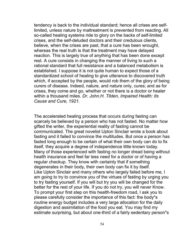tendency is back to the individual standard; hence all crises are selflimited, unless nature by maltreatment is prevented from reacting. All so-called healing systems ride to glory on the backs of self-limited crises, and the self-deluded doctors and their credulous clients, believe, when the crises are past, that a cure has been wrought, whereas the real truth is that the treatment may have delayed reaction. This is largely true of anything that has been done except rest. A cure consists in changing the manner of living to such a rational standard that full resistance and a balanced metabolism is established. I suppose it is not quite human to expect those of a standardized school of healing to give utterance to discovered truth which, if accepted by the people, would rob them of the glory of being curers of disease. Indeed, nature, and nature only, cures; and as for crises, they come and go, whether or not there is a doctor or healer within a thousand miles. *Dr. John.H. Tllden, Impaired Health: Its Cause and Cure, 1921.*

The accelerated healing process that occurs during fasting can scarcely be believed by a person who has not fasted. No matter how gifted the writer, the experiential reality of fasting cannot be communicated. The great novelist Upton Sinclair wrote a book about fasting and it failed to convince the multitudes. But once a person has fasted long enough to be certain of what their own body can do to fix itself, they acquire a degree of independence little known today. Many of those experienced with fasting no longer dread being without health insurance and feel far less need for a doctor or of having a regular checkup. They know with certainty that if something degenerates in their body, their own body can fix it by itself. Like Upton Sinclair and many others who largely failed before me, I am going to try to convince you of the virtues of fasting by urging you to try fasting yourself. If you will but try you will be changed for the better for the rest of your life. If you do not try, you will never Know. To prompt your first step on this health-freedom road, I ask you to please carefully consider the importance of this fact: the body"s routine energy budget includes a very large allocation for the daily digestion and assimilation of the food you eat. You may find my estimate surprising, but about one-third of a fairly sedentary person"s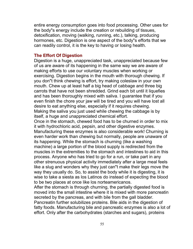entire energy consumption goes into food processing. Other uses for the body"s energy include the creation or rebuilding of tissues, detoxification, moving (walking, running, etc.), talking, producing hormones, etc. Digestion is one aspect of the body"s efforts that we can readily control, it is the key to having or losing health.

### **The Effort Of Digestion**

Digestion is a huge, unappreciated task, unappreciated because few of us are aware of its happening in the same way we are aware of making efforts to use our voluntary muscles when working or exercising. Digestion begins in the mouth with thorough chewing. If you don"t think chewing is effort, try making coleslaw in your own mouth. Chew up at least half a big head of cabbage and three big carrots that have not been shredded. Grind each bit until it liquefies and has been thoroughly mixed with saliva. I guarantee that if you even finish the chore your jaw will be tired and you will have lost all desire to eat anything else, especially if it requires chewing. Making the saliva you just used while chewing the cabbage is by itself, a huge and unappreciated chemical effort.

Once in the stomach, chewed food has to be churned in order to mix it with hydrochloric acid, pepsin, and other digestive enzymes. Manufacturing these enzymes is also considerable work! Churning is even harder work than chewing but normally, people are unaware of its happening. While the stomach is churning (like a washing machine) a large portion of the blood supply is redirected from the muscles in the extremities to the stomach and intestines to aid in this process. Anyone who has tried to go for a run, or take part in any other strenuous physical activity immediately after a large meal feels like a slug and wonders why they just can"t make their legs move the way they usually do. So, to assist the body while it is digesting, it is wise to take a siesta as los Latinos do instead of expecting the blood to be two places at once like los norteamericanos.

After the stomach is through churning, the partially digested food is moved into the small intestine where it is mixed with more pancreatin secreted by the pancreas, and with bile from the gall bladder.

Pancreatin further solubilizes proteins. Bile aids in the digestion of fatty foods. Manufacturing bile and pancreatic enzymes is also a lot of effort. Only after the carbohydrates (starches and sugars), proteins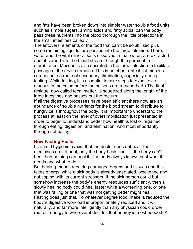and fats have been broken down into simpler water soluble food units such as simple sugars, amino acids and fatty acids, can the body pass these nutrients into the blood thorough the little projections in the small intestines called villi.

The leftovers, elements of the food that can"t be solubilized plus some remaining liquids, are passed into the large intestine. There, water and the vital mineral salts dissolved in that water, are extracted and absorbed into the blood stream through thin permeable membranes. Mucous is also secreted in the large intestine to facilitate passage of the dryish remains. This is an effort. (Intestinal mucous can become a route of secondary elimination, especially during fasting. While fasting, it is essential to take steps to expel toxic mucous in the colon before the poisons are re adsorbed.) The final residue, now called fecal matter, is squeezed along the length of the large intestines and passes out the rectum.

If all the digestive processes have been efficient there now are an abundance of soluble nutrients for the blood stream to distribute to hungry cells throughout the body. It is important to understand the process at least on the level of oversimplification just presented in order to begin to understand better how health is lost or regained through eating, digestion, and elimination. And most importantly, through not eating.

#### **How Fasting Heals**

Its an old hygienic maxim that the doctor does not heal, the medicines do not heal, only the body heals itself. If the body can"t heal then nothing can heal it. The body always knows best what it needs and what to do.

But healing means repairing damaged organs and tissues and this takes energy, while a sick body is already enervated, weakened and not coping with its current stressors. If the sick person could but somehow increase the body"s energy resources sufficiently, then a slowly healing body could heal faster while a worsening one, or one that was failing or one that was not getting better might heal. Fasting does just that. To whatever degree food intake is reduced the body"s digestive workload is proportionately reduced and it will naturally, and far more intelligently than any physician could order, redirect energy to wherever it decides that energy is most needed. A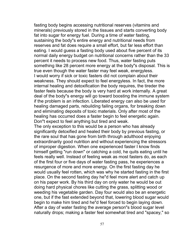fasting body begins accessing nutritional reserves (vitamins and minerals) previously stored in the tissues and starts converting body fat into sugar for energy fuel. During a time of water fasting, sustaining the body"s entire energy and nutritional needs from reserves and fat does require a small effort, but far less effort than eating. I would guess a fasting body used about five percent of its normal daily energy budget on nutritional concerns rather than the 33 percent it needs to process new food. Thus, water fasting puts something like 28 percent more energy at the body"s disposal. This is true even though the water faster may feel weak, energyless. I would worry if sick or toxic fasters did not complain about their weakness. They should expect to feel energyless. In fact, the more internal healing and detoxification the body requires, the tireder the faster feels because the body is very hard at work internally. A great deal of the body"s energy will go toward boosting the immune system if the problem is an infection. Liberated energy can also be used for healing damaged parts, rebuilding failing organs, for breaking down and eliminating deposits of toxic materials. Only after most of the healing has occurred does a faster begin to feel energetic again. Don"t expect to feel anything but tired and weak.

The only exception to this would be a person who has already significantly detoxified and healed their body by previous fasting, or the rare soul that has gone from birth through adulthood enjoying extraordinarily good nutrition and without experiencing the stressors of improper digestion. When one experienced faster I know finds himself getting "run down" or catching a cold, he quits eating until he feels really well. Instead of feeling weak as most fasters do, as each of the first four or five days of water fasting pass, he experiences a resurgence of more and more energy. On the first fasting day he would usually feel rotten, which was why he started fasting in the first place. On the second fasting day he"d feel more alert and catch up on his paper work. By his third day on only water he would be out doing hard physical chores like cutting the grass, splitting wood or weeding his vegetable garden. Day four would also be an energetic one, but if the fast extended beyond that, lowering blood sugar would begin to make him tired and he"d feel forced to begin laying down. After a day of water fasting the average person"s blood sugar level naturally drops; making a faster feel somewhat tired and "spacey," so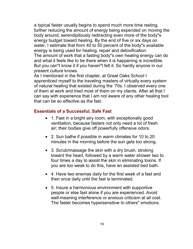a typical faster usually begins to spend much more time resting, further reducing the amount of energy being expended on moving the body around, serendipitously redirecting even more of the body"s energy budget toward healing. By the end of five or six days on water, I estimate that from 40 to 50 percent of the body"s available energy is being used for healing, repair and detoxification. The amount of work that a fasting body"s own healing energy can do

and what it feels like to be there when it is happening is incredible. But you can"t know it if you haven"t felt it. So hardly anyone in our present culture knows.

As I mentioned in the first chapter, at Great Oaks School I apprenticed myself to the traveling masters of virtually every system of natural healing that existed during the '70s. I observed every one of them at work and tried most of them on my clients. After all that I can say with experience that I am not aware of any other healing tool that can be so effective as the fast.

# **Essentials of a Successful, Safe Fast**

- 1. Fast in a bright airy room, with exceptionally good ventilation, because fasters not only need a lot of fresh air; their bodies give off powerfully offensive odors.
- 2. Sun bathe if possible in warm climates for 10 to 20 minutes in the morning before the sun gets too strong.
- 3. Scrub/massage the skin with a dry brush, stroking toward the heart, followed by a warm water shower two to four times a day to assist the skin in eliminating toxins. If you are too weak to do this, have an assisted bed bath.
- 4. Have two enemas daily for the first week of a fast and then once daily until the fast is terminated.
- 5. Insure a harmonious environment with supportive people or else fast alone if you are experienced. Avoid well-meaning interference or anxious criticism at all cost. The faster becomes hypersensitive to others" emotions.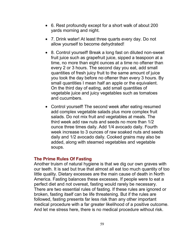- 6. Rest profoundly except for a short walk of about 200 yards morning and night.
- 7. Drink water! At least three quarts every day. Do not allow yourself to become dehydrated!
- 8. Control yourself! Break a long fast on diluted non-sweet fruit juice such as grapefruit juice, sipped a teaspoon at a time, no more than eight ounces at a time no oftener than every 2 or 3 hours. The second day you eat, add small quantities of fresh juicy fruit to the same amount of juice you took the day before no oftener than every 3 hours. By small quantities I mean half an apple or the equivalent. On the third day of eating, add small quantities of vegetable juice and juicy vegetables such as tomatoes and cucumbers.
- Control yourself! The second week after eating resumed add complex vegetable salads plus more complex fruit salads. Do not mix fruit and vegetables at meals. The third week add raw nuts and seeds no more than 1/2 ounce three times daily. Add 1/4 avocado daily. Fourth week increase to 3 ounces of raw soaked nuts and seeds daily and 1/2 avocado daily. Cooked grains may also be added, along with steamed vegetables and vegetable soups.

## **The Prime Rules Of Fasting**

Another truism of natural hygiene is that we dig our own graves with our teeth. It is sad but true that almost all eat too much quantity of too little quality. Dietary excesses are the main cause of death in North America. Fasting balances these excesses. If people were to eat a perfect diet and not overeat, fasting would rarely be necessary. There are two essential rules of fasting. If these rules are ignored or broken, fasting itself can be life threatening. But if the rules are followed, fasting presents far less risk than any other important medical procedure with a far greater likelihood of a positive outcome. And let me stress here, there is no medical procedure without risk.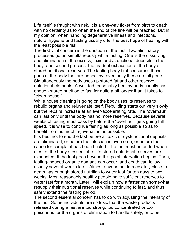Life itself is fraught with risk, it is a one-way ticket from birth to death, with no certainty as to when the end of the line will be reached. But in my opinion, when handling degenerative illness and infections, natural hygiene and fasting usually offer the best hope of healing with the least possible risk.

The first vital concern is the duration of the fast. Two eliminatory processes go on simultaneously while fasting. One is the dissolving and elimination of the excess, toxic or dysfunctional deposits in the body, and second process, the gradual exhaustion of the body"s stored nutritional reserves. The fasting body first consumes those parts of the body that are unhealthy; eventually these are all gone. Simultaneously the body uses up stored fat and other reserve nutritional elements. A well-fed reasonably healthy body usually has enough stored nutrition to fast for quite a bit longer than it takes to "clean house."

While house cleaning is going on the body uses its reserves to rebuild organs and rejuvenate itself. Rebuilding starts out very slowly but the repairs increase at an ever-accelerating rate. The "overhaul" can last only until the body has no more reserves. Because several weeks of fasting must pass by before the "overhaul" gets going full speed, it is wise to continue fasting as long as possible so as to benefit from as much rejuvenation as possible.

It is best not to end the fast before all toxic or dysfunctional deposits are eliminated, or before the infection is overcome, or before the cause for complaint has been healed. The fast must be ended when most of the body"s essential-to-life stored nutritional reserves are exhausted. If the fast goes beyond this point, starvation begins. Then, fasting-induced organic damage can occur, and death can follow, usually several weeks later. Almost anyone not immediately close to death has enough stored nutrition to water fast for ten days to two weeks. Most reasonably healthy people have sufficient reserves to water fast for a month. Later I will explain how a faster can somewhat resupply their nutritional reserves while continuing to fast, and thus safely extend the fasting period.

The second essential concern has to do with adjusting the intensity of the fast. Some individuals are so toxic that the waste products released during a fast are too strong, too concentrated or too poisonous for the organs of elimination to handle safely, or to be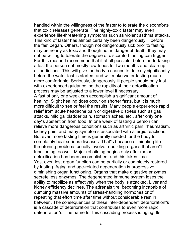handled within the willingness of the faster to tolerate the discomforts that toxic releases generate. The highly-toxic faster may even experience life-threatening symptoms such as violent asthma attacks. This kind of faster has almost certainly been dangerously ill before the fast began. Others, though not dangerously sick prior to fasting, may be nearly as toxic and though not in danger of death, they may not be willing to tolerate the degree of discomfort fasting can trigger. For this reason I recommend that if at all possible, before undertaking a fast the person eat mostly raw foods for two months and clean up all addictions. This will give the body a chance to detoxify significantly before the water fast is started, and will make water fasting much more comfortable. Seriously, dangerously ill people should only fast with experienced guidance, so the rapidity of their detoxification process may be adjusted to a lower level if necessary.

A fast of only one week can accomplish a significant amount of healing. Slight healing does occur on shorter fasts, but it is much more difficult to see or feel the results. Many people experience rapid relief from acute headache pain or digestive distress such as gas attacks, mild gallbladder pain, stomach aches, etc., after only one day"s abstention from food. In one week of fasting a person can relieve more dangerous conditions such as arthritic pain, rheumatism, kidney pain, and many symptoms associated with allergic reactions,. But even more fasting time is generally needed for the body to completely heal serious diseases. That"s because eliminating lifethreatening problems usually involve rebuilding organs that aren"t functioning too well. Major rebuilding begins only after major detoxification has been accomplished, and this takes time. Yes, even lost organ function can be partially or completely restored by fasting. Aging and age-related degeneration is progressive, diminishing organ functioning. Organs that make digestive enzymes secrete less enzymes. The degenerated immune system loses the ability to mobilize as effectively when the body is attacked. Liver and kidney efficiency declines. The adrenals tire, becoming incapable of dumping massive amounts of stress-handling hormones or of repeating that effort time after time without considerable rest in between. The consequences of these inter-dependent deterioration"s is a cascade of deterioration that contributes to even more rapid deterioration"s. The name for this cascading process is aging. Its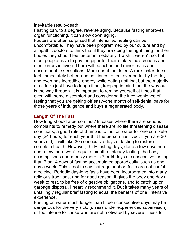inevitable result–death.

Fasting can, to a degree, reverse aging. Because fasting improves organ functioning, it can slow down aging.

Fasters are often surprised that intensified healing can be uncomfortable. They have been programmed by our culture and by allopathic doctors to think that if they are doing the right thing for their bodies they should feel better immediately. I wish it weren"t so, but most people have to pay the piper for their dietary indiscretions and other errors in living. There will be aches and minor pains and uncomfortable sensations. More about that later. A rare faster does feel immediately better, and continues to feel ever better by the day, and even has incredible energy while eating nothing, but the majority of us folks just have to tough it out, keeping in mind that the way out is the way through. It is important to remind yourself at times that even with some discomfort and considering the inconvenience of fasting that you are getting off easy–one month of self-denial pays for those years of indulgence and buys a regenerated body.

## **Length Of The Fast**

How long should a person fast? In cases where there are serious complaints to remedy but where there are no life threatening disease conditions, a good rule of thumb is to fast on water for one complete day (24 hours) for each year that the person has lived. If you are 30 years old, it will take 30 consecutive days of fasting to restore complete health. However, thirty fasting days, done a few days here and a few there won"t equal a month of steady fasting; the body accomplishes enormously more in 7 or l4 days of consecutive fasting, than 7 or 14 days of fasting accumulated sporadically, such as one day a week. This is not to say that regular short fasts are not useful medicine. Periodic day-long fasts have been incorporated into many religious traditions, and for good reason; it gives the body one day a week to rest, to be free of digestive obligations, and to catch up on garbage disposal. I heartily recommend it. But it takes many years of unfailingly regular brief fasting to equal the benefits of one, intensive experience.

Fasting on water much longer than fifteen consecutive days may be dangerous for the very sick, (unless under experienced supervision) or too intense for those who are not motivated by severe illness to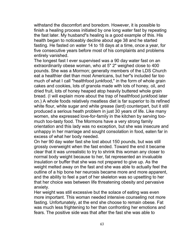withstand the discomfort and boredom. However, it is possible to finish a healing process initiated by one long water fast by repeating the fast later. My husband"s healing is a good example of this. His health began to noticeably decline about age 38 and he started fasting. He fasted on water 14 to 18 days at a time, once a year, for five consecutive years before most of his complaints and problems entirely vanished.

The longest fast I ever supervised was a 90 day water fast on an extraordinarily obese woman, who at 5" 2" weighed close to 400 pounds. She was a Mormon; generally members of the LDS Church eat a healthier diet than most Americans, but her"s included far too much of what I call "healthfood junkfood," in the form of whole grain cakes and cookies, lots of granola made with lots of honey, oil, and dried fruit, lots of honey heaped atop heavily buttered whole grain bread. (I will explain more about the trap of healthfood junkfood later on.) A whole foods relatively meatless diet is far superior to its refined white flour, white sugar and white grease (lard) counterpart, but it still produced a serious heath problem in just 30 years of life. Like many women, she expressed love-for-family in the kitchen by serving toomuch too-tasty food. The Mormons have a very strong family orientation and this lady was no exception, but she was insecure and unhappy in her marriage and sought consolation in food, eaten far in excess of what her body needed.

On her 90 day water fast she lost about 150 pounds, but was still grossly overweight when the fast ended. Toward the end it became clear that it was unrealistic to try to shrink this woman any closer to normal body weight because to her, fat represented an invaluable insulation or buffer that she was not prepared to give up. As the weight melted away on the fast and she was able to actually feel the outline of a hip bone her neurosis became more and more apparent, and the ability to feel a part of her skeleton was so upsetting to her that her choice was between life threatening obesity and pervasive anxiety.

Her weight was still excessive but the solace of eating was even more important. This woman needed intensive counseling not more fasting. Unfortunately, at the end she choose to remain obese. Fat was much less frightening to her than confronting her emotions and fears. The positive side was that after the fast she was able to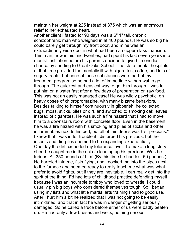maintain her weight at 225 instead of 375 which was an enormous relief to her exhausted heart.

Another client I fasted for 90 days was a 6" 1" tall, chronic schizophrenic man who weighed in at 400 pounds. He was so big he could barely get through my front door, and mine was an extraordinarily wide door in what had been an upper-class mansion. This man, now in his mid twenties, had spent his last seven years in a mental institution before his parents decided to give him one last chance by sending to Great Oaks School. The state mental hospitals at that time provided the mentally ill with cigarettes, coffee, and lots of sugary treats, but none of these substances were part of my treatment program so he had a lot of immediate withdrawal to go through. The quickest and easiest way to get him through it was to put him on a water fast after a few days of preparation on raw food. This was not an easily managed case! He was wildly psychotic, on heavy doses of chloropromazine, with many bizarre behaviors. Besides talking to himself continuously in gibberish, he collected bugs, moss, sticks, piles or dirt, and switched to smoking oak leaves instead of cigarettes. He was such a fire hazard that I had to move him to a downstairs room with concrete floor. Even in the basement he was a fire hazard with his smoking and piles of sticks and other inflammables next to his bed, but all of this debris was his "precious." I knew that I was in for trouble if I disturbed his precious, but the insects and dirt piles seemed to be expanding exponentially. One day the dirt exceeded my tolerance level. To make a long story short he caught me in the act of cleaning up his precious. Was he furious! All 350 pounds of him! (By this time he had lost 50 pounds.) He barreled into me, fists flying, and knocked me into the pipes next to the furnace and seemed ready to really teach me what was what. I prefer to avoid fights, but if they are inevitable, I can really get into the spirit of the thing. I"d had lots of childhood practice defending myself because I was an incurable tomboy who loved to wrestle; I could usually pin big boys who considered themselves tough. So I began using my fists and what little martial arts training I had to good use. After I hurt him a bit he realized that I was not going to be easily intimidated, and that in fact he was in danger of getting seriously damaged. So he called a truce before either of us were badly beaten up. He had only a few bruises and welts, nothing serious.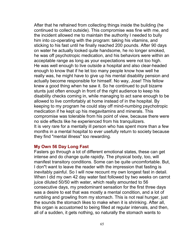After that he refrained from collecting things inside the building (he continued to collect outside). This compromise was fine with me, and the incident allowed me to maintain the authority I needed to bully him into co-operating with the program: taking his vitamins, and sticking to his fast until he finally reached 200 pounds. After 90 days on water he actually looked quite handsome, he no longer smoked, he was off psychotropic medication, and his behaviors were within an acceptable range as long as your expectations were not too high. He was well enough to live outside a hospital and also clear-headed enough to know that if he let too many people know how well he really was, he might have to give up his mental disability pension and actually become responsible for himself. No way, Jose! This fellow knew a good thing when he saw it. So he continued to pull bizarre stunts just often enough in front of the right audience to keep his disability checks coming in, while managing to act sane enough to be allowed to live comfortably at home instead of in the hospital. By keeping to my program he could stay off mind-numbing psychotropic medication if he kept up his megavitamins and minerals. This compromise was tolerable from his point of view, because there were no side effects like he experienced from his tranquilizers. It is very rare for a mentally ill person who has spent more than a few months in a mental hospital to ever usefully return to society because they find "mental illness" too rewarding.

## **My Own 56 Day Long Fast**

Fasters go through a lot of different emotional states, these can get intense and do change quite rapidly. The physical body, too, will manifest transitory conditions. Some can be quite uncomfortable. But, I don"t want to leave the reader with the impression that fasting is inevitably painful. So I will now recount my own longest fast in detail. When I did my own 42 day water fast followed by two weeks on carrot juice diluted 50/50 with water, which really amounted to 56 consecutive days, my predominant sensation for the first three days was a desire to eat that was mostly a mental condition, and a lot of rumbling and growling from my stomach. This is not real hunger, just the sounds the stomach likes to make when it is shrinking. After all, this organ is accustomed to being filled at regular intervals, and then, all of a sudden, it gets nothing, so naturally the stomach wants to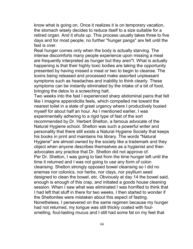know what is going on. Once it realizes it is on temporary vacation, the stomach wisely decides to reduce itself to a size suitable for a retired organ. And it shuts up. This process usually takes three to five days and for most people, no further "hunger pangs" are felt until the fast is over.

Real hunger comes only when the body is actually starving. The intense discomforts many people experience upon missing a meal are frequently interpreted as hunger but they aren"t. What is actually happening is that their highly toxic bodies are taking the opportunity presented by having missed a meal or two to begin to cleanse. The toxins being released and processed make assorted unpleasant symptoms such as headaches and inability to think clearly. These symptoms can be instantly eliminated by the intake of a bit of food, bringing the detox to a screeching halt.

Two weeks into the fast I experienced sharp abdominal pains that felt like I imagine appendicitis feels, which compelled me toward the nearest toilet in a state of great urgency where I productively busied myself for about half an hour. As I mentioned earlier, I was experimentally adhering to a rigid type of fast of the sort recommended by Dr. Herbert Shelton, a famous advocate of the Natural Hygiene school. Shelton was such a powerful writer and personality that there still exists a Natural Hygiene Society that keeps his books in print and maintains his library. The words "Natural Hygiene" are almost owned by the society like a trademark and they object when anyone describes themselves as a hygienist and then advocates any practice that Dr. Shelton did not approve of. Per Dr. Shelton, I was going to fast from the time hunger left until the time it returned and I was not going to use any form of colon cleansing. Shelton strongly opposed bowel cleansing so I did no enemas nor colonics, nor herbs, nor clays, nor psyllium seed designed to clean the bowel, etc. Obviously at day 14 the bowel said, enough is enough of this crap, and initiated a goods house cleaning session. When I saw what was eliminated I was horrified to think that I had left that stuff in there for two weeks. I then started to wonder if the Sheltonites were mistaken about this aspect of fasting. Nonetheless, I persevered on the same regimen because my hunger had not returned, my tongue was still thickly coated with foulsmelling, foul-tasting mucus and I still had some fat on my feet that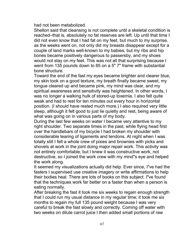had not been metabolized.

Shelton said that cleansing is not complete until a skeletal condition is reached–that is, absolutely no fat reserves are left. Up until that time I did not even know that I had fat on my feet, but much to my surprise, as the weeks went on, not only did my breasts disappear except for a couple of land marks well-known to my babies, but my ribs and hip bones became positively dangerous to passersby, and my shoes would not stay on my feet. This was not all that surprising because I went from 135 pounds down to 85 on a 5" 7" frame with substantial bone structure.

Toward the end of the fast my eyes became brighter and clearer blue, my skin took on a good texture, my breath finally became sweet, my tongue cleared up and became pink, my mind was clear, and my spiritual awareness and sensitivity was heightened. In other words, I was no longer a walking hulk of stored-up toxemia. I also felt quite weak and had to rest for ten minutes out every hour in horizontal position. (I should have rested much more.) I also required very little sleep, although it felt good to just lie quietly and rest, being aware of what was going on in various parts of my body.

During the last few weeks on water I became very attentive to my right shoulder. Two separate times in the past, while flying head first over the handlebars of my bicycle I had broken my shoulder with considerable tearing of ligaments and tendons. At night when I was totally still I felt a whole crew of pixies and brownies with picks and shovels at work in the joint doing major repair work. This activity was not entirely comfortable, but I knew it was constructive work, not destructive, so I joined the work crew with my mind"s eye and helped the work along.

It seemed my visualizations actually did help. Ever since, I"ve had the fasters I supervised use creative imagery or write affirmations to help their bodies heal. There are lots of books on this subject. I"ve found that the techniques work far better on a faster than when a person is eating normally.

After breaking the fast it took me six weeks to regain enough strength that I could run my usual distance in my regular time; it took me six months to regain my full 135 pound weight because I was very careful to break the fast slowly and correctly. Coming off water with two weeks on dilute carrot juice I then added small portions of raw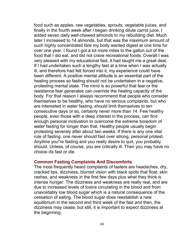food such as apples, raw vegetables, sprouts, vegetable juices, and finally in the fourth week after I began drinking dilute carrot juice, I added seven daily well-chewed almonds to my rebuilding diet. Much later I increased to 14 almonds, but that was the maximum amount of such highly concentrated fare my body wanted digest at one time for over one year. I found I got a lot more miles to the gallon out of the food that I did eat, and did not crave recreational foods. Overall I was very pleased with my educational fast, it had taught me a great deal. If I had undertaken such a lengthy fast at a time when I was actually ill, and therefore had felt forced into it, my experience could have been different. A positive mental attitude is an essential part of the healing process so fasting should not be undertaken in a negative, protesting mental state. The mind is so powerful that fear or the resistance fear generates can override the healing capacity of the body. For that reason I always recommend that people who consider themselves to be healthy, who have no serious complaints, but who are interested in water fasting, should limit themselves to ten consecutive days or so, certainly never more than 14. Few healthy people, even those with a deep interest in the process, can find enough personal motivation to overcome the extreme boredom of water fasting for longer than that. Healthy people usually begin protesting severely after about two weeks. If there is any one vital rule of fasting, one never should fast over strong, personal protest. Anytime you"re fasting and you really desire to quit, you probably should. Unless, of course, you are critically ill. Then you may have no choice–its fast or die.

### **Common Fasting Complaints And Discomforts**

The most frequently heard complaints of fasters are headaches, dry, cracked lips, dizziness, blurred vision with black spots that float, skin rashes, and weakness in the first few days plus what they think is intense hunger. The dizziness and weakness are really real, and are due to increased levels of toxins circulating in the blood and from unavoidably low blood sugar which is a natural consequence of the cessation of eating. The blood sugar does reestablish a new equilibrium in the second and third week of the fast and then, the dizziness may cease, but still, it is important to expect dizziness at the beginning.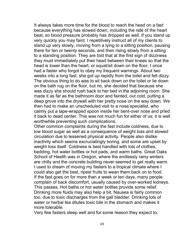It always takes more time for the blood to reach the head on a fast because everything has slowed down, including the rate of the heart beat, so blood pressure probably has dropped as well. If you stand up very quickly you may faint. I repetitively instruct all of my clients to stand up very slowly, moving from a lying to a sitting position, pausing there for ten or twenty seconds, and then rising slowly from a sitting to a standing position. They are told that at the first sign of dizziness they must immediately put their head between their knees so that the head is lower than the heart, or squat/sit down on the floor, I once had a faster who forgot to obey my frequent warnings. About two weeks into a long fast, she got up rapidly from the toilet and felt dizzy. The obvious thing to do was to sit back down on the toilet or lie down on the bath rug on the floor, but no, she decided that because she was dizzy she should rush back to her bed in the adjoining room. She made it as far as the bathroom door and fainted, out cold, putting a deep grove into the drywall with her pretty nose on the way down. We then had to make an unscheduled visit to a nose specialist, who calmly put a tape-wrapped spoon inside her bent-over nose and pried it back to dead center. This was not much fun for either of us; it is well worthwhile preventing such complications.

Other common complaints during the fast include coldness, due to low blood sugar as well as a consequence of weight loss and slowed circulation due to lessened physical activity. People also dislike inactivity which seems excruciatingly boring, and some are upset by weight loss itself. Coldness is best handled with lots of clothes, bedding, hot water bottles or hot pads, and warm baths. Great Oaks School of Health was in Oregon, where the endlessly rainy winters are chilly and the concrete building never seemed to get really warm. I used to dream of moving my fasters to a tropical climate where I could also get the best, ripest fruits to wean them back on to food. If the fast goes on for more than a week or ten days, many people complain of back discomfort, usually caused by over-worked kidneys. This passes. Hot baths or hot water bottles provide some relief. Drinking more fluids may also help a bit. Nausea is fairly common too, due to toxic discharges from the gall bladder. Drinking lots of water or herbal tea dilutes toxic bile in the stomach and makes it more tolerable.

Very few fasters sleep well and for some reason they expect to,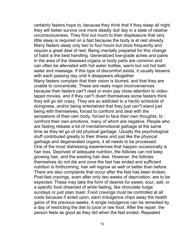certainly fasters hope to, because they think that if they sleep all night they will better survive one more deadly dull day in a state of relative unconsciousness. They find out much to their displeasure that very little sleep is required on a fast because the body is at rest already. Many fasters sleep only two to four hours but doze frequently and require a great deal of rest. Being mentally prepared for this change of habit is the best handling. Generalized low-grade aches and pains in the area of the diseased organs or body parts are common and can often be alleviated with hot water bottles, warm but not hot bath water and massage. If this type of discomfort exists, it usually lessens with each passing day until it disappears altogether. Many fasters complain that their vision is blurred, and that they are unable to concentrate. These are really major inconveniences because then fasters can"t read or even pay close attention to videotaped movies, and if they can"t divert themselves some fasters think they will go stir crazy. They are so addicted to a hectic schedule of doingness, and/or being entertained that they just can"t stand just being with themselves, forced to confront and deal with the sensations of their own body, forced to face their own thoughts, to confront their own emotions, many of which are negative. People who are fasting release a lot of mental/emotional garbage at the same time as they let go of old physical garbage. Usually the psychological stuff contributed greatly to their illness and just like the physical garbage and degenerated organs, it all needs to be processed. One of the most distressing experiences that happen occasionally is hair loss. Deprived of adequate nutrition, the follicles can not keep growing hair, and the existing hair dies. However, the follicles themselves do not die and once the fast has ended and sufficient nutrition is forthcoming, hair will regrow as well or better than before. There are also complaints that occur after the fast has been broken. Post-fast cravings, even after only two weeks of deprivation, are to be expected. These may take the form of desires for sweet, sour, salt, or a specific food dreamed of while fasting, like chocolate fudge sundays or just plain toast. Food cravings must be controlled at all

costs because if acted upon, each indulgence chips away the health gains of the previous weeks. A single indulgence can be remedied by a day of restricting the diet to juice or raw food. After the repair, the person feels as good as they did when the fast ended. Repeated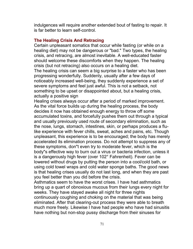indulgences will require another extended bout of fasting to repair. It is far better to learn self-control.

### **The Healing Crisis And Retracing**

Certain unpleasant somatics that occur while fasting (or while on a healing diet) may not be dangerous or "bad." Two types, the healing crisis, and retracing, are almost inevitable. A well-educated faster should welcome these discomforts when they happen. The healing crisis (but not retracing) also occurs on a healing diet.

The healing crisis can seem a big surprise to a faster who has been progressing wonderfully. Suddenly, usually after a few days of noticeably increased well-being, they suddenly experience a set of severe symptoms and feel just awful. This is not a setback, not something to be upset or disappointed about, but a healing crisis, actually a positive sign

Healing crises always occur after a period of marked improvement. As the vital force builds up during the healing process, the body decides it now has obtained enough energy to throw off some accumulated toxins, and forcefully pushes them out through a typical and usually previously used route of secondary elimination, such as the nose, lungs, stomach, intestines, skin, or perhaps produces a flulike experience with fever chills, sweat, aches and pains, etc. Though unpleasant, this experience is to be encouraged; the body has merely accelerated its elimination process. Do not attempt to suppress any of these symptoms, don"t even try to moderate fever, which is the body"s effective way to burn out a virus or bacteria infection, unless it is a dangerously high fever (over 102° Fahrenheit). Fever can be lowered without drugs by putting the person into a cool/cold bath, or using cold towel wraps and cold water sponge baths. The good news is that healing crises usually do not last long, and when they are past you feel better than you did before the crisis.

Asthmatics seem to have the worst crises. I have had asthmatics bring up a quart of obnoxious mucous from their lungs every night for weeks. They have stayed awake all night for three nights continuously coughing and choking on the material that was being eliminated. After that clearing-out process they were able to breath much more freely. Likewise I have had people who have had sinusitis have nothing but non-stop pussy discharge from their sinuses for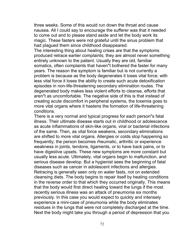three weeks. Some of this would run down the throat and cause nausea. All I could say to encourage the sufferer was that it needed to come out and to please stand aside and let the body work its magic. These fasters were not grateful until the sinus problem that had plagued them since childhood disappeared.

The interesting thing about healing crises are that the symptoms produced retrace earlier complaints; they are almost never something entirely unknown to the patient. Usually they are old, familiar somatics, often complaints that haven"t bothered the faster for many years. The reason the symptom is familiar but is not currently a problem is because as the body degenerates it loses vital force; with less vital force it loses the ability to create such acute detoxification episodes in non-life-threatening secondary elimination routes. The degenerated body makes less violent efforts to cleanse, efforts that aren"t as uncomfortable. The negative side of this is that instead of creating acute discomfort in peripheral systems, the toxemia goes to more vital organs where it hastens the formation of life-threatening conditions.

There is a very normal and typical progress for each person"s fatal illness. Their ultimate disease starts out in childhood or adolescence as acute inflammations of skin-like organs, viral or bacterial infections of the same. Then, as vital force weakens, secondary eliminations are shifted to more vital organs. Allergies or colds stop happening so frequently; the person becomes rheumatic, arthritic or experience weakness in joints, tendons, ligaments, or to have back pains, or to have digestive upsets. These new symptoms are more constant but usually less acute. Ultimately, vital organs begin to malfunction, and serious disease develop. But a hygienist sees the beginning of fatal diseases such as cancer in adolescent infections and allergies. Retracing is generally seen only on water fasts, not on extended cleansing diets. The body begins to repair itself by healing conditions in the reverse order to that which they occurred originally. This means that the body would first direct healing toward the lungs if the most recently serious illness was an attack of pneumonia six months previously. In this case you would expect to quickly and intensely experience a mini-case of pneumonia while the body eliminates residues in the lungs that were not completely discharged at the time. Next the body might take you through a period of depression that you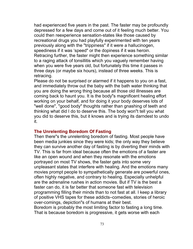had experienced five years in the past. The faster may be profoundly depressed for a few days and come out of it feeling much better. You could then reexperience sensation-states like those caused by recreational drugs you had playfully experimented with ten years previously along with the "trippiness" if it were a hallucinogen, speediness if it was 'speed" or the dopiness if it was heroin. Retracing further, the faster might then experience something similar to a raging attack of tonsillitis which you vaguely remember having when you were five years old, but fortunately this time it passes in three days (or maybe six hours), instead of three weeks. This is retracing.

Please do not be surprised or alarmed if it happens to you on a fast, and immediately throw out the baby with the bath water thinking that you are doing the wrong thing because all those old illnesses are coming back to haunt you. It is the body"s magnificent healing effort working on your behalf, and for doing it your body deserves lots of "well done", "good body" thoughts rather than gnashing of teeth and thinking what did I do to deserve this. The body won"t tell you what you did to deserve this, but it knows and is trying its darndest to undo it.

#### **The Unrelenting Boredom Of Fasting**

Then there"s the unrelenting boredom of fasting. Most people have been media junkies since they were kids; the only way they believe they can survive another day of fasting is by diverting their minds with TV. This is far from ideal because often the emotions of a faster are like an open wound and when they resonate with the emotions portrayed on most TV shows, the faster gets into some very unpleasant states that interfere with healing. And the emotions many movies prompt people to sympathetically generate are powerful ones, often highly negative, and contrary to healing. Especially unhelpful are the adrenaline rushes in action movies. But if TV is the best a faster can do, it is far better that someone fast with television programming filling their minds than to not fast at all. I keep a library of positive VHS tapes for these addicts–comedies, stories of heroic over-comings, depiction"s of humans at their best.

Boredom is probably the most limiting factor to fasting a long time. That is because boredom is progressive, it gets worse with each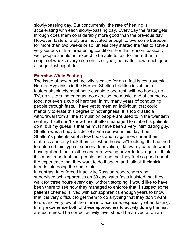slowly-passing day. But concurrently, the rate of healing is accelerating with each slowly-passing day. Every day the faster gets through does them considerably more good than the previous day. However, fasters rarely are motivated enough to overcome boredom for more than two weeks or so, unless they started the fast to solve a very serious or life-threatening condition. For this reason, basically well people should not expect to be able to fast for more than a couple of weeks every six months or year, no matter how much good a longer fast might do.

#### **Exercise While Fasting**

The issue of how much activity is called for on a fast is controversial. Natural Hygienists in the Herbert Shelton tradition insist that all fasters absolutely must have complete bed rest, with no books, no TV, no visitors, no enemas, no exercise, no music, and of course no food, not even a cup of herb tea. In my many years of conducting people through fasts, I have yet to meet an individual that could mentally tolerate this degree of nothingness. It is too drastic a withdrawal from all the stimulation people are used to in the twentieth century. I still don"t know how Shelton managed to make his patients do it, but my guess is that he must have been a very intimidating guy. Shelton was a body builder of some renown in his day. I bet Shelton"s patients kept a few books and magazines under their mattress and only took them out when he wasn"t looking. If I had tried to enforced this type of sensory deprivation, I know my patients would have grabbed their clothes and run, vowing never to fast again. I think it is most important that people fast, and that they feel so good about the experience that they want to do it again, and talk all their sick friends into doing the same thing.

In contrast to enforced inactivity, Russian researchers who supervised schizophrenics on 30 day water fasts insisted that they walk for three hours every day, without stopping. I would like to have been there to see how they managed to enforce that. I suspect some patients cheated. I lived with schizophrenics enough years to know that it is very difficult to get them to do anything that they don"t want to do, and very few of them are into exercise, especially when fasting. In my experience both of these approaches to activity during the fast are extremes. The correct activity level should be arrived at on an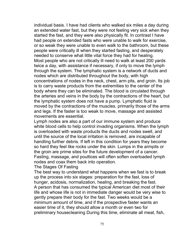individual basis. I have had clients who walked six miles a day during an extended water fast, but they were not feeling very sick when they started the fast, and they were also physically fit. In contrast I have had people on extended fasts who were unable to walk for exercise, or so weak they were unable to even walk to the bathroom, but these people were critically ill when they started fasting, and desperately needed to conserve what little vital force they had for healing. Most people who are not critically ill need to walk at least 200 yards twice a day, with assistance if necessary, if only to move the lymph through the system. The lymphatic system is a network of ducts and nodes which are distributed throughout the body, with high concentrations of nodes in the neck, chest, arm pits, and groin. Its job is to carry waste products from the extremities to the center of the body where they can be eliminated. The blood is circulated through the arteries and veins in the body by the contractions of the heart, but the lymphatic system does not have a pump. Lymphatic fluid is moved by the contractions of the muscles, primarily those of the arms and legs. If the faster is too weak to move, massage and assisted movements are essential.

Lymph nodes are also a part of our immune system and produce white blood cells to help control invading organisms. When the lymph is overloaded with waste products the ducts and nodes swell, and until the source of the local irritation is removed, are incapable of handling further debris. If left in this condition for years they become so hard they feel like rocks under the skin. Lumps in the armpits or the groin are prime sites for the future development of a cancer. Fasting, massage, and poultices will often soften overloaded lymph nodes and coax them back into operation.

## The Stages Of Fasting

The best way to understand what happens when we fast is to break up the process into six stages: preparation for the fast, loss of hunger, acidosis, normalization, healing, and breaking the fast. A person that has consumed the typical American diet most of their life and whose life is not in immediate danger would be very wise to gently prepare their body for the fast. Two weeks would be a minimum amount of time, and if the prospective faster wants an easier time of it, they should allow a month or even two for preliminary housecleaning During this time, eliminate all meat, fish,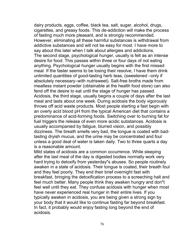dairy products, eggs, coffee, black tea, salt, sugar, alcohol, drugs, cigarettes, and greasy foods. This de-addiction will make the process of fasting much more pleasant, and is strongly recommended. However, eliminating all these harmful substances is withdrawal from addictive substances and will not be easy for most. I have more to say about this later when I talk about allergies and addictions. The second stage, psychological hunger, usually is felt as an intense desire for food. This passes within three or four days of not eating anything. Psychological hunger usually begins with the first missed meal. If the faster seems to be losing their resolve, I have them drink unlimited quantities of good-tasting herb teas, (sweetened –only if absolutely necessary–with nutrisweet). Salt-free broths made from meatless instant powder (obtainable at the health food store) can also fend off the desire to eat until the stage of hunger has passed. Acidosis, the third stage, usually begins a couple of days after the last meal and lasts about one week. During acidosis the body vigorously throws off acid waste products. Most people starting a fast begin with an overly acid blood pH from the typical American diet that contains a predominance of acid-forming foods. Switching over to burning fat for fuel triggers the release of even more acidic substances. Acidosis is usually accompanied by fatigue, blurred vision, and possibly dizziness. The breath smells very bad, the tongue is coated with badtasting dryish mucus, and the urine may be concentrated and foul unless a good deal of water is taken daily. Two to three quarts a day is a reasonable amount.

Mild states of acidosis are a common occurrence. While sleeping after the last meal of the day is digested bodies normally work very hard trying to detoxify from yesterday"s abuses. So people routinely awaken in a state of acidosis. Their tongue is coated, their breath foul and they feel poorly. They end their brief overnight fast with breakfast, bringing the detoxification process to a screeching halt and feel much better. Many people think they awaken hungry and don"t feel well until they eat. They confuse acidosis with hunger when most have never experienced real hunger in their entire lives. If you typically awaken in acidosis, you are being given a strong sign by your body that it would like to continue fasting far beyond breakfast. In fact, it probably would enjoy fasting long beyond the end of acidosis.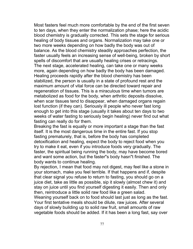Most fasters feel much more comfortable by the end of the first seven to ten days, when they enter the normalization phase; here the acidic blood chemistry is gradually corrected. This sets the stage for serious healing of body tissues and organs. Normalization may take one or two more weeks depending on how badly the body was out of balance. As the blood chemistry steadily approaches perfection, the faster usually feels an increasing sense of well-being, broken by short spells of discomfort that are usually healing crises or retracings. The next stage, accelerated healing, can take one or many weeks more, again depending on how badly the body has been damaged. Healing proceeds rapidly after the blood chemistry has been stabilized, the person is usually in a state of profound rest and the maximum amount of vital force can be directed toward repair and regeneration of tissues. This is a miraculous time when tumors are metabolized as food for the body, when arthritic deposits dissolve, when scar tissues tend to disappear, when damaged organs regain lost function (if they can). Seriously ill people who never fast long enough to get into this stage (usually it takes about ten days to two weeks of water fasting to seriously begin healing) never find out what fasting can really do for them.

Breaking the fast is equally or more important a stage than the fast itself. It is the most dangerous time in the entire fast. If you stop fasting prematurely, that is, before the body has completed detoxification and healing, expect the body to reject food when you try to make it eat, even if you introduce foods very gradually. The faster, the spiritual being running the body, may have become bored and want some action, but the faster"s body hasn"t finished. The body wants to continue healing.

By rejection, I mean that food may not digest, may feel like a stone in your stomach, make you feel terrible. If that happens and if, despite that clear signal you refuse to return to fasting, you should go on a juice diet, take as little as possible, sip it slowly (almost chew it) and stay on juice until you find yourself digesting it easily. Then and only then, reintroduce a little solid raw food like a green salad.

Weaning yourself back on to food should last just as long as the fast. Your first tentative meals should be dilute, raw juices. After several days of slowly building up to solid raw fruit, small amounts of raw vegetable foods should be added. If it has been a long fast, say over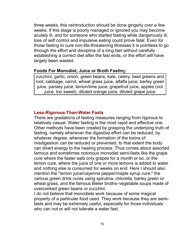three weeks, this reintroduction should be done gingerly over a few weeks. If this stage is poorly managed or ignored you may become acutely ill, and for someone who started fasting while dangerously ill, loss of self control and impulsive eating could prove fatal. Even for those fasting to cure non-life-threatening illnesses it is pointless to go through the effort and discipline of a long fast without carefully establishing a correct diet after the fast ends, or the effort will have largely been wasted.

## **Foods For Monodiet, Juice or Broth Fastin**g

zucchini, garlic, onion, green beans, kale, celery, beet greens and root, cabbage, carrot, wheat grass juice, alfalfa juice, barley green juice, parsley juice, lemon/lime juice, grapefruit juice, apples (not juice, too sweet), diluted orange juice, diluted grape juice

## **Less-Rigorous-Than-Water Fasts**

There are gradations of fasting measures ranging from rigorous to relatively casual. Water fasting is the most rapid and effective one. Other methods have been created by grasping the underlying truth of fasting, namely whenever the digestive effort can be reduced, by whatever degree, whenever the formation of the toxins of misdigestion can be reduced or prevented, to that extent the body can divert energy to the healing process. Thus comes about assorted famous and sometimes notorious monodiet semi-fasts like the grape cure where the faster eats only grapes for a month or so, or the lemon cure, where the juice of one or more lemons is added to water and nothing else is consumed for weeks on end. Here I should also mention the "lemon juice/cayenne pepper/maple syrup cure," the various green drink cures using spirulina, chlorella, barley green or wheat grass, and the famous Bieler broths–vegetable soups made of overcooked green beans or zucchini.

I do not believe that monodiets work because of some magical property of a particular food used. They work because they are semifasts and may be extremely useful, especially for those individuals who can not or will not tolerate a water fast.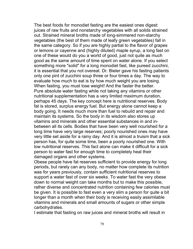The best foods for monodiet fasting are the easiest ones digest: juices of raw fruits and nonstarchy vegetables with all solids strained out. Strained mineral broths made of long-simmered non-starchy vegetables (the best of them made of leafy green vegetables) fall in the same category. So if you are highly partial to the flavor of grapes or lemons or cayenne and (highly diluted) maple syrup, a long fast on one of these would do you a world of good, just not quite as much good as the same amount of time spent on water alone. If you select something more "solid" for a long monodiet fast, like pureed zucchini, it is essential that you not overeat. Dr. Bieler gave his fasting patients only one pint of zucchini soup three or four times a day. The way to evaluate how much to eat is by how much weight you are losing. When fasting, you must lose weight! And the faster the better. Pure absolute water fasting while not taking any vitamins or other nutritional supplementation has a very limited maximum duration, perhaps 45 days. The key concept here is nutritional reserves. Body fat is stored, surplus energy fuel. But energy alone cannot keep a body going. It needs much more than fuel to rebuild and repair and maintain its systems. So the body in its wisdom also stores up vitamins and minerals and other essential substances in and inbetween all its cells. Bodies that have been very well nourished for a long time have very large reserves; poorly nourished ones may have very little set aside for a rainy day. And it is almost a truism that a sick person has, for quite some time, been a poorly nourished one. With low nutritional reserves. This fact alone can make it difficult for a sick person to water fast for enough time to completely heal their damaged organs and other systems.

Obese people have fat reserves sufficient to provide energy for long periods, but rarely can any body, no matter how complete its nutrition was for years previously, contain sufficient nutritional reserves to support a water fast of over six weeks. To water fast the very obese down to normal weight can take months but to make this possible, rather diverse and concentrated nutrition containing few calories must be given. It is possible to fast even a very slim a person for quite a bit longer than a month when their body is receiving easily assimilable vitamins and minerals and small amounts of sugars or other simple carbohydrates.

I estimate that fasting on raw juices and mineral broths will result in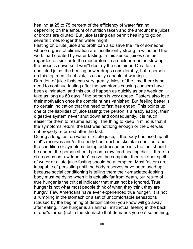healing at 25 to 75 percent of the efficiency of water fasting, depending on the amount of nutrition taken and the amount the juices or broths are diluted. But juice fasting can permit healing to go on several times longer than water might.

Fasting on dilute juice and broth can also save the life of someone whose organs of elimination are insufficiently strong to withstand the work load created by water fasting. In this sense, juices can be regarded as similar to the moderators in a nuclear reactor, slowing the process down so it won"t destroy the container. On a fast of undiluted juice, the healing power drops considerably, but a person on this regimen, if not sick, is usually capable of working.

Duration of juice fasts can vary greatly. Most of the time there is no need to continue fasting after the symptoms causing concern have been eliminated, and this could happen as quickly as one week or take as long as 60 days if the person is very obese. Fasters also lose their motivation once the complaint has vanished. But feeling better is no certain indication that the need to fast has ended. This points up one of the liabilities of juice fasting; the person is already eating, their digestive system never shut down and consequently, it is much easier for them to resume eating. The thing to keep in mind is that if the symptoms return, the fast was not long enough or the diet was not properly reformed after the fast.

During a long fast on water or dilute juice, if the body has used up all of it"s reserves and/or the body has reached skeletal condition, and the condition or symptoms being addressed persists the fast should be ended, the person should go on a raw food healing diet. If three to six months on raw food don"t solve the complaint then another spell of water or dilute juice fasting should be attempted. Most fasters are incapable of persisting until the body reserves have been used up because social conditioning is telling them their emaciated-looking body must be dying when it is actually far from death, but return of true hunger is the critical indicator that must not be ignored. True hunger is not what most people think of when they think they are hungry. Few Americans have ever experienced true hunger. It is not a rumbling in the stomach or a set of uncomfortable sensations (caused by the beginning of detoxification) you know will go away after eating. True hunger is an animal, instinctual feeling in the back of one"s throat (not in the stomach) that demands you eat something,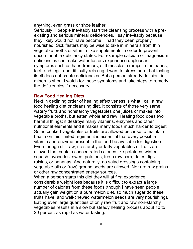anything, even grass or shoe leather.

Seriously ill people inevitably start the cleansing process with a preexisting and serious mineral deficiencies. I say inevitably because they likely would not have become ill had they been properly nourished. Sick fasters may be wise to take in minerals from thin vegetable broths or vitamin-like supplements in order to prevent uncomfortable deficiency states. For example calcium or magnesium deficiencies can make water fasters experience unpleasant symptoms such as hand tremors, stiff muscles, cramps in the hands, feet, and legs, and difficulty relaxing. I want to stress here that fasting itself does not create deficiencies. But a person already deficient in minerals should watch for these symptoms and take steps to remedy the deficiencies if necessary.

## **Raw Food Healing Diets**

Next in declining order of healing effectiveness is what I call a raw food healing diet or cleansing diet. It consists of those very same watery fruits and nonstarchy vegetables one juices or makes into vegetable broths, but eaten whole and raw. Heating food does two harmful things: it destroys many vitamins, enzymes and other nutritional elements and it makes many foods much harder to digest. So no cooked vegetables or fruits are allowed because to maintain health on this limited regimen it is essential that every possible vitamin and enzyme present in the food be available for digestion. Even though still raw, no starchy or fatty vegetables or fruits are allowed that contain concentrated calories like potatoes, winter squash, avocados, sweet potatoes, fresh raw corn, dates, figs, raisins, or bananas. And naturally, no salad dressings containing vegetable oils or (raw) ground seeds are allowed. Nor are raw grains or other raw concentrated energy sources.

When a person starts this diet they will at first experience considerable weight loss because it is difficult to extract a large number of calories from these foods (though I have seen people actually gain weight on a pure melon diet, so much sugar do these fruits have, and well-chewed watermelon seeds are very nourishing). Eating even large quantities of only raw fruit and raw non-starchy vegetables results in a slow but steady healing process about 10 to 20 percent as rapid as water fasting.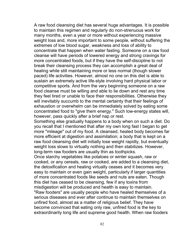A raw food cleansing diet has several huge advantages. It is possible to maintain this regimen and regularly do non-strenuous work for many months, even a year or more without experiencing massive weight loss and, more important to some people, without suffering the extremes of low blood sugar, weakness and loss of ability to concentrate that happen when water fasting. Someone on a raw food cleanse will have periods of lowered energy and strong cravings for more concentrated foods, but if they have the self-discipline to not break their cleansing process they can accomplish a great deal of healing while still maintaining more or less normal (though slower paced) life activities. However, almost no one on this diet is able to sustain an extremely active life-style involving hard physical labor or competitive sports. And from the very beginning someone on a raw food cleanse must be willing and able to lie down and rest any time they feel tired or unable to face their responsibilities. Otherwise they will inevitably succumb to the mental certainty that their feelings of exhaustion or overwhelm can be immediately solved by eating some concentrated food to "give them energy." Such low-energy states will, however, pass quickly after a brief nap or rest.

Something else gradually happens to a body when on such a diet. Do you recall that I mentioned that after my own long fast I began to get more "mileage" out of my food. A cleansed, healed body becomes far more efficient at digestion and assimilation; a body that is kept on a raw food cleansing diet will initially lose weight rapidly, but eventually weight loss slows to virtually nothing and then stabilizes. However, long-term raw fooders are usually thin as toothpicks.

Once starchy vegetables like potatoes or winter squash, raw or cooked, or any cereals, raw or cooked, are added to a cleansing diet, the detoxification and healing virtually ceases and it becomes very easy to maintain or even gain weight, particularly if larger quantities of more concentrated foods like seeds and nuts are eaten. Though this diet has ceased to be cleansing, few if any toxins from misdigestion will be produced and health is easy to maintain.

"Raw fooders" are usually people who have healed themselves of a serious diseases and ever after continue to maintain themselves on unfired food, almost as a matter of religious belief. They have become convinced that eating only raw, unfired food is the key to extraordinarily long life and supreme good health. When raw fooders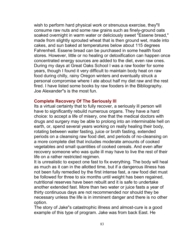wish to perform hard physical work or strenuous exercise, they"ll consume raw nuts and some raw grains such as finely-ground oats soaked overnight in warm water or deliciously sweet "Essene bread," made from slightly sprouted wheat that is then ground wet, made into cakes, and sun baked at temperatures below about 115 degrees Fahrenheit. Essene bread can be purchased in some health food stores. However, little or no healing or detoxification can happen once concentrated energy sources are added to the diet, even raw ones. During my days at Great Oaks School I was a raw fooder for some years, though I found it very difficult to maintain body heat on raw food during chilly, rainy Oregon winters and eventually struck a personal compromise where I ate about half my diet raw and the rest fired. I have listed some books by raw fooders in the Bibliography. Joe Alexander"s is the most fun.

## **Complete Recovery Of The Seriously Ill**

Its a virtual certainty that to fully recover, a seriously ill person will have to significantly rebuild numerous organs. They have a hard choice: to accept a life of misery, one that the medical doctors with drugs and surgery may be able to prolong into an interminable hell on earth, or, spend several years working on really healing their body, rotating between water fasting, juice or broth fasting, extended periods on a cleansing raw food diet, and periods of no-cleansing on a more complete diet that includes moderate amounts of cooked vegetables and small quantities of cooked cereals. And even after recovery someone who was quite ill may have to live the rest of their life on a rather restricted regimen.

It is unrealistic to expect one fast to fix everything. The body will heal as much as it can in the allotted time, but if a dangerous illness has not been fully remedied by the first intense fast, a raw food diet must be followed for three to six months until weight has been regained, nutritional reserves have been rebuilt and it is safe to undertake another extended fast. More than two water or juice fasts a year of thirty continuous days are not recommended nor should they be necessary unless the life is in imminent danger and there is no other option.

The story of Jake"s catastrophic illness and almost-cure is a good example of this type of program. Jake was from back East. He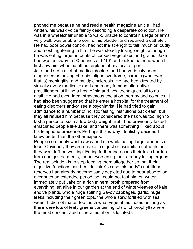phoned me because he had read a health magazine article I had written, his weak voice faintly describing a desperate condition. He was in a wheelchair unable to walk, unable to control his legs or arms very well, was unable to control his bladder and required a catheter. He had poor bowel control, had not the strength to talk much or loudly and most frightening to him, he was steadily losing weight although he was eating large amounts of cooked vegetables and grains. Jake had wasted away to 90 pounds at 5"10" and looked pathetic when I first saw him wheeled off an airplane at my local airport. Jake had seen a lot of medical doctors and had variously been diagnosed as having chronic fatigue syndrome, chronic (whatever that is) meningitis, and multiple sclerosis. He had been treated by virtually every medical expert and many famous alternative practitioners, utilizing a host of old and new techniques, all to no avail. He had even tried intravenous chelation therapy and colonics. It had also been suggested that he enter a hospital for the treatment of eating disorders and/or see a psychiatrist. He had tried to gain admittance to a number of holistic fasting institutions back east, but they all refused him because they considered the risk was too high to fast a person at such a low body weight. But I had previously fasted emaciated people like Jake, and there was something I liked about his telephone presence. Perhaps this is why I foolishly decided I knew better than the other experts.

People commonly waste away and die while eating large amounts of food. Obviously they are unable to digest or assimilate nutrients or they wouldn"t be wasting. Eating further increases their toxic burden from undigested meals, further worsening their already failing organs. The real solution is to stop feeding them altogether so that their digestive functions can heal. In Jake"s case, his body"s nutritional reserves had already become sadly depleted due to poor absorption over such an extended period, so I could not fast him on water. I immediately put Jake on a rich mineral broth prepared from everything left alive in our garden at the end of winter–leaves of kale, endive plants, whole huge splitting Savoy cabbages, garlic, huge leeks including their green tops, the whole stew fortified with sea weed. It did not matter too much what vegetables I used as long as there were lots of leafy greens containing lots of chlorophyll (where the most concentrated mineral nutrition is located).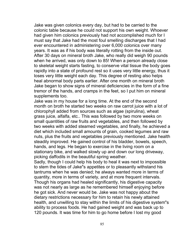Jake was given colonics every day, but had to be carried to the colonic table because he could not support his own weight. Whoever had given him colonics previously had not accomplished much for I must say that Jake had the most foul smelling discharges that I had ever encountered in administering over 6,000 colonics over many years. It was as if his body was literally rotting from the inside out. After 30 days on mineral broth Jake, who really did weigh 90 pounds when he arrived, was only down to 85! When a person already close to skeletal weight starts fasting, to conserve vital tissue the body goes rapidly into a state of profound rest so it uses very little energy, thus it loses very little weight each day. This degree of resting also helps heal abnormal body parts earlier. After one month on mineral broth Jake began to show signs of mineral deficiencies in the form of a fine tremor of the hands, and cramps in the feet, so I put him on mineral supplements too.

Jake was in my house for a long time. At the end of the second month on broth he started two weeks on raw carrot juice with a lot of chlorophyll added from sources such as algae (spirulina), wheat grass juice, alfalfa, etc.. This was followed by two more weeks on small quantities of raw fruits and vegetables, and then followed by two weeks with added steamed vegetables, and finally, he achieved a diet which included small amounts of grain, cooked legumes and raw nuts, plus the fruits and vegetables previously mentioned. Jake health steadily improved. He gained control of his bladder, bowels, speech, hands, and legs. He began to exercise in the living room on a stationary bike, and walked slowly up and down our long driveway, picking daffodils in the beautiful spring weather.

Sadly, though I could help his body to heal it was next to impossible to stem the tides of Jake"s appetites or to pleasantly withstand his tantrums when he was denied; he always wanted more in terms of quantity, more in terms of variety, and at more frequent intervals. Though his organs had healed significantly, his digestive capacity was not nearly as large as he remembered himself enjoying before he got sick. And never would be. Jake was not happy about the dietary restrictions necessary for him to retain his newly attained health, and unwilling to stay within the limits of his digestive system"s ability to process foods. He had gained weight and was back up to 120 pounds. It was time for him to go home before I lost my good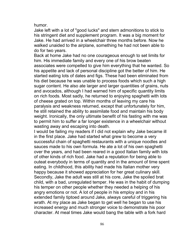humor.

Jake left with a lot of "good lucks" and stern admonitions to stick to his stringent diet and supplement program. It was a big moment for Jake. He had arrived in a wheelchair three months before. Now he walked unaided to the airplane, something he had not been able to do for two years.

Back at home Jake had no one courageous enough to set limits for him. His immediate family and every one of his brow beaten associates were compelled to give him everything that he wanted. So his appetite and lack of personal discipline got the better of him. He started eating lots of dates and figs. These had been eliminated from his diet because he was unable to process foods which such a high sugar content. He also ate larger and larger quantities of grains, nuts and avocados, although I had warned him of specific quantity limits on rich foods. Most sadly, he returned to enjoying spaghetti with lots of cheese grated on top. Within months of leaving my care his paralysis and weakness returned, except that unfortunately for him, he still retained the ability to assimilate food and maintain his body weight. Ironically, the only ultimate benefit of his fasting with me was to permit him to suffer a far longer existence in a wheelchair without wasting away and escaping into death.

I would be failing my readers if I did not explain why Jake became ill in the first place. Jake had started what grew to become a very successful chain of spaghetti restaurants with a unique noodles and sauces made to his own formula. He ate a lot of his own spaghetti over the years, and had been reared in a good Italian family with lots of other kinds of rich food. Jake had a reputation for being able to outeat everybody in terms of quantity and in the amount of time spent eating. In childhood, this ability had made his Italian mother very happy because it showed appreciation for her great culinary skill. Secondly, Jake the adult was still at his core, Jake the spoiled brat child, with a bad, unregulated temper. He was in the habit of dumping his temper on other people whether they needed a helping of his angry emotions or not. A lot of people in his employ and in his extended family tiptoed around Jake, always careful of triggering his wrath. At my place as Jake began to get well he began to use his increased energy and much stronger voice to demonstrate his poor character. At meal times Jake would bang the table with a fork hard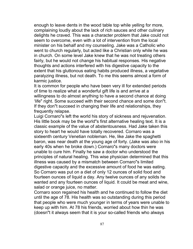enough to leave dents in the wood table top while yelling for more, complaining loudly about the lack of rich sauces and other culinary delights he craved. This was a character problem that Jake could not seem to overcome, even with a lot of intervention from the local minister on his behalf and my counseling. Jake was a Catholic who went to church regularly, but acted like a Christian only while he was in church. On some level Jake knew that he was not treating others fairly, but he would not change his habitual responses. His negative thoughts and actions interfered with his digestive capacity to the extent that his gluttonous eating habits produced illness, a vegetative paralyzing illness, but not death. To me this seems almost a form of karmic justice.

It is common for people who have been very ill for extended periods of time to realize what a wonderful gift life is and arrive at a willingness to do almost anything to have a second chance at doing 'life" right. Some succeed with their second chance and some don"t. If they don"t succeed in changing their life and relationships, they frequently relapse.

Luigi Cornaro"s left the world his story of sickness and rejuvenation. His little book may be the world"s first alternative healing text. It is a classic example of the value of abstentousness. Had Jake taken this story to heart he would have totally recovered. Cornaro was a sixteenth century Venetian nobleman. He, like Jake the spaghetti baron, was near death at the young age of forty. (Jake was also in his early 40s when he broke down.) Cornaro"s many doctors were unable to cure him. Finally he saw a doctor who understood the principles of natural healing. This wise physician determined that this illness was caused by a mismatch between Cornaro"s limited digestive capacity and the excessive amount of food he was eating. So Cornaro was put on a diet of only 12 ounces of solid food and fourteen ounces of liquid a day. Any twelve ounces of any solids he wanted and any fourteen ounces of liquid. It could be meat and wine, salad or orange juice, no matter.

Cornaro soon regained his health and he continued to follow the diet until the age of 78. His health was so outstanding during this period that people who were much younger in terms of years were unable to keep up with him. At 78 his friends, worried about how thin he was (doesn"t it always seem that it is your so-called friends who always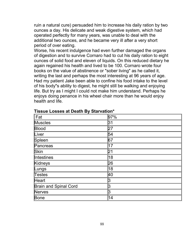ruin a natural cure) persuaded him to increase his daily ration by two ounces a day. His delicate and weak digestive system, which had operated perfectly for many years, was unable to deal with the additional two ounces, and he became very ill after a very short period of over eating.

Worse, his recent indulgence had even further damaged the organs of digestion and to survive Cornaro had to cut his daily ration to eight ounces of solid food and eleven of liquids. On this reduced dietary he again regained his health and lived to be 100. Cornaro wrote four books on the value of abstinence or "sober living" as he called it, writing the last and perhaps the most interesting at 96 years of age. Had my patient Jake been able to confine his food intake to the level of his body"s ability to digest, he might still be walking and enjoying life. But try as I might I could not make him understand. Perhaps he enjoys doing penance in his wheel chair more than he would enjoy health and life.

| Fat                          | 97% |
|------------------------------|-----|
| Muscles                      | 31  |
| Blood                        | 27  |
| Liver                        | 54  |
| Spleen                       | 67  |
| Pancreas                     | 17  |
| Skin                         | 21  |
| <b>Intestines</b>            | 18  |
| Kidneys                      | 26  |
| Lungs                        | 18  |
| Testes                       | 40  |
| Heart                        | 3   |
| <b>Brain and Spinal Cord</b> | З   |
| Nerves                       | З   |
| Bone                         | 14  |

#### **Tissue Losses at Death By Starvation\***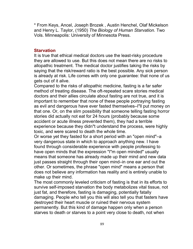\* From Keys, Ancel, Joseph Brozek , Austin Henchel, Olaf Mickelson and Henry L. Taylor, (1950) *The Biology of Human Starvation.* Two Vols. Minneapolis: University of Minnesota Press.

## **Starvation**

It is true that ethical medical doctors use the least-risky procedure they are allowed to use. But this does not mean there are no risks to allopathic treatment. The medical doctor justifies taking the risks by saying that the risk/reward ratio is the best possible. Any sick person is already at risk. Life comes with only one guarantee: that none of us gets out of it alive.

Compared to the risks of allopathic medicine, fasting is a far safer method of treating disease. The oft-repeated scare stories medical doctors and their allies circulate about fasting are not true, and it is important to remember that none of these people portraying fasting as evil and dangerous have ever fasted themselves–I"ll put money on that one. Or, on the slim possibility that someone telling fasting horror stories did actually not eat for 24 hours (probably because some accident or acute illness prevented them), they had a terrible experience because they didn"t understand the process, were highly toxic, and were scared to death the whole time.

Or worse yet they fasted for a short period with an "open mind"–a very dangerous state in which to approach anything new. I have found through considerable experience with people professing to have open minds that the expression "I"m open minded" usually means that someone has already made up their mind and new data just passes straight through their open mind–in one ear and out the other. Or sometimes, the phrase "open mind" means a person that does not believe any information has reality and is entirely unable to make up their mind.

The most commonly leveled criticism of fasting is that in its efforts to survive self-imposed starvation the body metabolizes vital tissue, not just fat, and therefore, fasting is damaging, potentially fatally damaging. People who tell you this will also tell you that fasters have destroyed their heart muscle or ruined their nervous system permanently. But this kind of damage happen only when a person starves to death or starves to a point very close to death, not when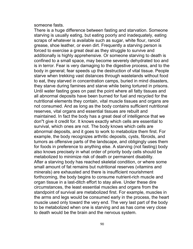someone fasts.

There is a huge difference between fasting and starvation. Someone starving is usually eating, but eating poorly and inadequately, eating scraps of whatever is available such as sugar, white flour, rancid grease, shoe leather, or even dirt. Frequently a starving person is forced to exercise a great deal as they struggle to survive and additionally is highly apprehensive. Or someone starving to death is confined to a small space, may become severely dehydrated too and is in terror. Fear is very damaging to the digestive process, and to the body in general; fear speeds up the destruction of vital tissue. People starve when trekking vast distances through wastelands without food to eat, they starved in concentration camps, buried in mind disasters, they starve during famines and starve while being tortured in prisons. Until water fasting goes on past the point where all fatty tissues and all abnormal deposits have been burned for fuel and recycled for the nutritional elements they contain, vital muscle tissues and organs are not consumed. And as long as the body contains sufficient nutritional reserves, vital organs and essential tissues are rebuilt and maintained. In fact the body has a great deal of intelligence that we don"t give it credit for. It knows exactly which cells are essential to survival, which ones are not. The body knows which cells are abnormal deposits, and it goes to work to metabolize them first. For example, the body recognizes arthritic deposits, cysts, fibroids, and tumors as offensive parts of the landscape, and obligingly uses them for foods in preference to anything else. A starving (not fasting) body also knows precisely in what order of priority body cells should be metabolized to minimize risk of death or permanent disability. After a starving body has reached skeletal condition, or where some small amount of fat remains but nutritional reserves (vitamins and minerals) are exhausted and there is insufficient nourishment forthcoming, the body begins to consume nutrient-rich muscle and organ tissue in a last-ditch effort to stay alive. Under these dire circumstances, the least essential muscles and organs from the standpoint of survival are metabolized first. For example, muscles in the arms and legs would be consumed early in the process, the heart muscle used only toward the very end. The very last part of the body to be metabolized when one is starving and as has come very close to death would be the brain and the nervous system.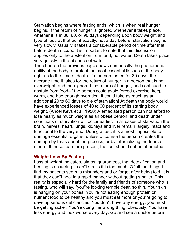Starvation begins where fasting ends, which is when real hunger begins. If the return of hunger is ignored whenever it takes place, whether it is in 30, 60, or 90 days depending upon body weight and type of fast, at that point exactly, not a day before, starvation begins very slowly. Usually it takes a considerable period of time after that before death occurs. It is important to note that this discussion applies only to the abstention from food, not water. Death takes place very quickly in the absence of water.

The chart on the previous page shows numerically the phenomenal ability of the body to protect the most essential tissues of the body right up to the time of death. If a person fasted for 30 days, the average time it takes for the return of hunger in a person that is not overweight, and then ignored the return of hunger, and continued to abstain from food–if the person could avoid forced exercise, keep warm, and had enough hydration, it could take as much as an additional 20 to 60 days to die of starvation! At death the body would have experienced losses of 40 to 60 percent of its starting body weight. (Ancel Keys et al, 1950) A emaciated person can not afford to lose nearly as much weight as an obese person, and death under conditions of starvation will occur earlier. In all cases of starvation the brain, nerves, heart, lungs, kidneys and liver remain largely intact and functional to the very end. During a fast, it is almost impossible to damage essential organs, unless of course the person creates the damage by fears about the process, or by internalizing the fears of others. If those fears are present, the fast should not be attempted.

## **Weight Loss By Fasting**

Loss of weight indicates, almost guarantees, that detoxification and healing is occurring. I can"t stress this too much. Of all the things I find my patients seem to misunderstand or forget after being told, it is that they can"t heal in a rapid manner without getting smaller. This reality is especially hard for the family and friends of someone who is fasting, who will say, "you"re looking terrible dear, so thin. Your skin is hanging on your bones. You"re not eating enough protein or nutrient food to be healthy and you must eat more or you"re going to develop serious deficiencies. You don"t have any energy, you must be getting sicker. You"re doing the wrong thing, obviously. You have less energy and look worse every day. Go and see a doctor before it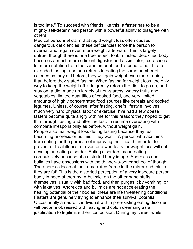is too late." To succeed with friends like this, a faster has to be a mighty self-determined person with a powerful ability to disagree with others.

Medical personnel claim that rapid weight loss often causes dangerous deficiencies; these deficiencies force the person to overeat and regain even more weight afterward. This is largely untrue, though there is one true aspect to it: a fasted, detoxified body becomes a much more efficient digester and assimilator, extracting a lot more nutrition from the same amount food is used to eat. If, after extended fasting a person returns to eating the same number of calories as they did before; they will gain weight even more rapidly than before they stated fasting. When fasting for weight loss, the only way to keep the weight off is to greatly reform the diet; to go on, and stay on, a diet made up largely of non-starchy, watery fruits and vegetables, limited quantities of cooked food, and very limited amounts of highly concentrated food sources like cereals and cooked legumes. Unless, of course, after fasting, one"s lifestyle involves much very hard physical labor or exercise. I"ve had a few obese fasters become quite angry with me for this reason; they hoped to get thin through fasting and after the fast, to resume overeating with complete irresponsibility as before, without weight gain. People also fear weight loss during fasting because they fear becoming anorexic or bulimic. They won"t! A person who abstains from eating for the purpose of improving their health, in order to prevent or treat illness, or even one who fasts for weight loss will not develop an eating disorder. Eating disorders mean eating compulsively because of a distorted body image. Anorexics and bulimics have obsessions with the thinner-is-better school of thought. The anorexic looks at their emaciated frame in the mirror and thinks they are fat! This is the distorted perception of a very insecure person badly in need of therapy. A bulimic, on the other hand stuffs themselves, usually with bad food, and then purges it by vomiting, or with laxatives. Anorexics and bulimics are not accelerating the healing potential of their bodies; these are life threatening conditions. Fasters are genuinely trying to enhance their survival potential. Occasionally a neurotic individual with a pre-existing eating disorder will become obsessed with fasting and colon cleansing as a justification to legitimize their compulsion. During my career while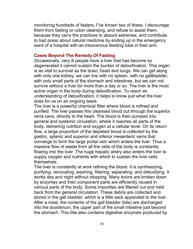monitoring hundreds of fasters, I"ve known two of these. I discourage them from fasting or colon cleansing, and refuse to assist them, because they carry the practices to absurd extremes, and contribute to bad press about natural medicine by ending up in the emergency ward of a hospital with an intravenous feeding tube in their arm.

## **Cases Beyond The Remedy Of Fasting**

Occasionally, very ill people have a liver that has become so degenerated it cannot sustain the burden of detoxification. This organ is as vital to survival as the brain, heart and lungs. We can get along with only one kidney, we can live with no spleen, with no gallbladder, with only small parts of the stomach and intestines, but we can not survive without a liver for more than a day or so. The liver is the most active organ in the body during detoxification. To reach an understanding of detoxification, it helps to know just what the liver does for us on an ongoing basis.

The liver is a powerful chemical filter where blood is refined and purified. The liver passes this cleansed blood out through the superior vena cava, directly to the heart. The blood is then pumped into general and systemic circulation, where it reaches all parts of the body, delivering nutrition and oxygen at a cellular level. On its return flow, a large proportion of the depleted blood is collected by the gastric, splenic and superior and inferior mesenteric veins that converge to form the large portal vein which enters the liver. Thus a massive flow of waste from all the cells of the body is constantly flowing into the liver. The huge hepatic artery also enters the liver to supply oxygen and nutrients with which to sustain the liver cells themselves.

The liver is constantly at work refining the blood. It is synthesizing, purifying, renovating, washing, filtering, separating, and detoxifying. It works day and night without stopping. Many toxins are broken down by enzymes and their component parts are efficiently reused in various parts of the body. Some impurities are filtered out and held back from the general circulation. These debris are collected and stored in the gall bladder, which is a little sack appended to the liver. After a meal, the contents of the gall bladder (bile) are discharged into the duodenum, the upper part of the small intestine just beyond the stomach. This bile also contains digestive enzymes produced by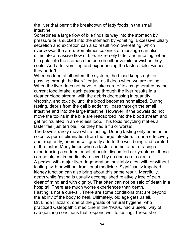the liver that permit the breakdown of fatty foods in the small intestine.

Sometimes a large flow of bile finds its way into the stomach by pressure or is sucked into the stomach by vomiting. Excessive biliary secretion and excretion can also result from overeating, which overcrowds the area. Sometimes colonics or massage can also stimulate a massive flow of bile. Extremely bitter and irritating, when bile gets into the stomach the person either vomits or wishes they could. And after vomiting and experiencing the taste of bile, wishes they hadn"t.

When no food at all enters the system, the blood keeps right on passing through the liver/filter just as it does when we are eating. When the liver does not have to take care of toxins generated by the current food intake, each passage through the liver results in a cleaner blood stream, with the debris decreasing in quantity, viscosity, and toxicity, until the blood becomes normalized. During fasting, debris from the gall bladder still pass through the small intestine and into the large intestine. However, if the bowels do not move the toxins in the bile are readsorbed into the blood stream and get recirculated in an endless loop. This toxic recycling makes a faster feel just terrible, like they had a flu or worse!

The bowels rarely move while fasting. During fasting only enemas or colonics permit elimination from the large intestine. If done effectively and frequently, enemas will greatly add to the well being and comfort of the faster. Many times when a faster seems to be retracing or experiencing a sudden onset of acute discomfort or symptoms, these can be almost immediately relieved by an enema or colonic.

A person with major liver degeneration inevitably dies, with or without fasting, with or without traditional medicine. Significantly impaired kidney function can also bring about this same result. Mercifully, death while fasting is usually accomplished relatively free of pain, clear of mind and with dignity. That often can not be said of death in a hospital. There are much worse experiences than death. Fasting is not a cure-all. There are some conditions that are beyond the ability of the body to heal. Ultimately, old age gets us all. Dr. Linda Hazzard, one of the greats of natural hygiene, who

practiced Osteopathic medicine in the 1920s, had a useful way of categorizing conditions that respond well to fasting. These she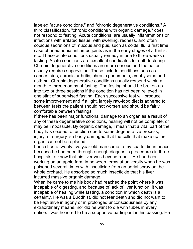labeled "acute conditions," and "chronic degenerative conditions." A third classification, "chronic conditions with organic damage," does not respond to fasting. Acute conditions, are usually inflammations or infections with irritated tissue, with swelling, redness, and often copious secretions of mucous and pus, such as colds, flu, a first time case of pneumonia, inflamed joints as in the early stages of arthritis, etc. These acute conditions usually remedy in one to three weeks of fasting. Acute conditions are excellent candidates for self-doctoring. Chronic degenerative conditions are more serious and the patient usually requires supervision. These include conditions such as cancer, aids, chronic arthritis, chronic pneumonia, emphysema and asthma. Chronic degenerative conditions usually respond within a month to three months of fasting. The fasting should be broken up into two or three sessions if the condition has not been relieved in one stint of supervised fasting. Each successive fast will produce some improvement and if a light, largely raw-food diet is adhered to between fasts the patient should not worsen and should be fairly comfortable between fastings.

If there has been major functional damage to an organ as a result of any of these degenerative conditions, healing will not be complete, or may be impossible. By organic damage, I mean that a vital part of the body has ceased to function due to some degenerative process, injury, or surgery–so badly damaged that the cells that make up the organ can not be replaced.

I once had a twenty five year old man come to my spa to die in peace because he had been through enough diagnostic procedures in three hospitals to know that his liver was beyond repair. He had been working on an apple farm in between terms at university when he was poisoned several times with insecticide from an aerial spray on the whole orchard. He absorbed so much insecticide that his liver incurred massive organic damage.

When he came to me his body had reached the point where it was incapable of digesting, and because of lack of liver function, it was incapable of healing while fasting, a condition in which death is a certainty. He was a Buddhist, did not fear death and did not want to be kept alive in agony or in prolonged unconsciousness by any extraordinary means, nor did he want to die with tubes in every orifice. I was honored to be a supportive participant in his passing. He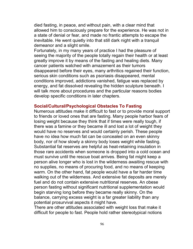died fasting, in peace, and without pain, with a clear mind that allowed him to consciously prepare for the experience. He was not in a state of denial or fear, and made no frantic attempts to escape the inevitable. He went quietly into that still dark night with a tranquil demeanor and a slight smile.

Fortunately, in my many years of practice I had the pleasure of seeing the majority of the people totally regain their health or at least greatly improve it by means of the fasting and healing diets. Many cancer patients watched with amazement as their tumors disappeared before their eyes, many arthritics regained their function, serious skin conditions such as psoriasis disappeared, mental conditions improved, addictions vanished, fatigue was replaced by energy, and fat dissolved revealing the hidden sculpture beneath. I will talk more about procedures and the particular reasons bodies develop specific conditions in later chapters.

## **Social/Cultural/Psychological Obstacles To Fasting**

Numerous attitudes make it difficult to fast or to provide moral support to friends or loved ones that are fasting. Many people harbor fears of losing weight because they think that if times were really tough, if there was a famine or they became ill and lost a lot of weight they would have no reserves and would certainly perish. These people have no idea how much fat can be concealed on an even skinny body, nor of how slowly a skinny body loses weight while fasting. Substantial fat reserves are helpful as heat-retaining insulation in those rare accidents when someone is dropped into a cold ocean and must survive until the rescue boat arrives. Being fat might keep a person alive longer who is lost in the wilderness awaiting rescue with no supplies, no means of procuring food, and no means of keeping warm. On the other hand, fat people would have a far harder time walking out of the wilderness. And extensive fat deposits are merely fuel and do not contain extensive nutritional reserves. An obese person fasting without significant nutritional supplementation would begin starving long before they became really skinny. On the balance, carrying excess weight is a far greater liability than any potential prosurvival aspects it might have.

There are other attitudes associated with weight loss that make it difficult for people to fast. People hold rather stereotypical notions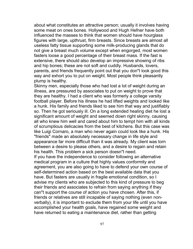about what constitutes an attractive person; usually it involves having some meat on ones bones. Hollywood and Hugh Hefner have both influenced the masses to think that women should have hourglass figures with large, upthrust, firm breasts. Since breasts are almost all useless fatty tissue supporting some milk-producing glands that do not give a breast much volume except when engorged, most women fasters loose a good percentage of their breast mass. If the fast is extensive, there should also develop an impressive showing of ribs and hip bones; these are not soft and cuddly. Husbands, lovers, parents, and friends frequently point out that you don"t look good this way and exhort you to put on weight. Most people think pleasantly plump is healthy.

Skinny men, especially those who had lost a lot of weight during an illness, are pressured by associates to put on weight to prove that they are healthy. I had a client who was formerly a college varsity football player. Before his illness he had lifted weights and looked like a hunk. His family and friends liked to see him that way and justifiably so. Then he got seriously ill. On a long extended healing diet he lost a significant amount of weight and seemed down right skinny, causing all who knew him well and cared about him to tempt him with all kinds of scrumptious delicacies from the best of kitchens. But this case was like Luigi Cornaro, a man who never again could look like a hunk. His "friends" made an absolutely necessary change in life style and appearance far more difficult than it was already. My client was torn between a desire to please others, and a desire to regain and retain his health. This problem a sick person doesn"t need. If you have the independence to consider following an alternative medical program in a culture that highly values conformity and agreement, you are also going to have to defend your own course of self-determined action based on the best available data that you have. But fasters are usually in fragile emotional condition, so I advise my clients who are subjected to this kind of pressure to beg their friends and associates to refrain from saying anything if they can"t support the course of action you have chosen. After this, if

friends or relatives are still incapable of saying nothing (even nonverbally), it is important to exclude them from your life until you have accomplished your health goals, have regained some weight and have returned to eating a maintenance diet, rather than getting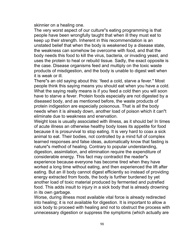skinnier on a healing one.

The very worst aspect of our culture"s eating programming is that people have been wrongfully taught that when ill they must eat to keep up their strength. Inherent in this recommendation is an unstated belief that when the body is weakened by a disease state, the weakness can somehow be overcome with food, and that the body needs this food to kill the virus, bacteria, or invading yeast, and uses the protein to heal or rebuild tissue. Sadly, the exact opposite is the case. Disease organisms feed and multiply on the toxic waste products of misdigestion, and the body is unable to digest well when it is weak or ill.

There"s an old saying about this: 'feed a cold, starve a fever." Most people think this saying means you should eat when you have a cold. What the saying really means is if you feed a cold then you will soon have to starve a fever. Protein foods especially are not digested by a diseased body, and as mentioned before, the waste products of protein indigestion are especially poisonous. That is all the body needs when it is already down, another load of poison which it can"t eliminate due to weakness and enervation.

Weight loss is usually associated with illness, as it should be! In times of acute illness an otherwise healthy body loses its appetite for food because it is prosurvival to stop eating. It is very hard to coax a sick animal to eat. Their bodies, not controlled by a mind full of complex learned responses and false ideas, automatically know that fasting is nature"s method of healing. Contrary to popular understanding, digestion, assimilation, and elimination require the expenditure of considerable energy. This fact may contradict the reader"s experience because everyone has become tired when they have worked a long time without eating, and then experienced the lift after eating. But an ill body cannot digest efficiently so instead of providing energy extracted from foods, the body is further burdened by yet another load of toxic material produced by fermented and putrefied food. This adds insult to injury in a sick body that is already drowning in its own garbage.

Worse, during illness most available vital force is already redirected into healing; it is not available for digestion. It is important to allow a sick body to proceed with healing and not to obstruct the process with unnecessary digestion or suppress the symptoms (which actually are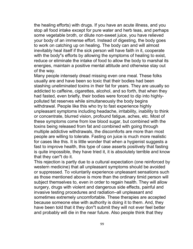the healing efforts) with drugs. If you have an acute illness, and you stop all food intake except for pure water and herb teas, and perhaps some vegetable broth, or dilute non-sweet juice, you have relieved your body of an immense effort. Instead of digesting, the body goes to work on catching up on healing. The body can and will almost inevitably heal itself if the sick person will have faith in it, cooperate with the body"s efforts by allowing the symptoms of healing to exist, reduce or eliminate the intake of food to allow the body to marshal its energies, maintain a positive mental attitude and otherwise stay out of the way.

Many people intensely dread missing even one meal. These folks usually are and have been so toxic that their bodies had been stashing uneliminated toxins in their fat for years. They are usually so addicted to caffeine, cigarettes, alcohol, and so forth, that when they had fasted, even briefly, their bodies were forced to dip into highlypolluted fat reserves while simultaneously the body begins withdrawal. People like this who try to fast experience highly unpleasant symptoms including headache, irritability, inability to think or concentrate, blurred vision, profound fatigue, aches, etc. Most of these symptoms come from low blood sugar, but combined with the toxins being released from fat and combined with going through multiple addictive withdrawals, the discomforts are more than most people are willing to tolerate. Fasting on juice is much more realistic for cases like this. It is little wonder that when a hygienist suggests a fast to improve health, this type of case asserts positively that fasting is quite impossible, they have tried it, it is absolutely terrible and know that they can"t do it.

This rejection is partly due to a cultural expectation (one reinforced by western medicine) that all unpleasant symptoms should be avoided or suppressed. To voluntarily experience unpleasant sensations such as those mentioned above is more than the ordinary timid person will subject themselves to, even in order to regain health. They will allow surgery, drugs with violent and dangerous side effects, painful and invasive testing procedures and radiation–all unpleasant and sometimes extremely uncomfortable. These therapies are accepted because someone else with authority is doing it to them. And, they have been told that it they don"t submit they will not ever feel better and probably will die in the near future. Also people think that they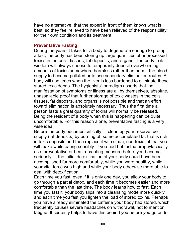have no alternative, that the expert in front of them knows what is best, so they feel relieved to have been relieved of the responsibility for their own condition and its treatment.

## **Preventative Fasting**

During the years it takes for a body to degenerate enough to prompt a fast, the body has been storing up large quantities of unprocessed toxins in the cells, tissues, fat deposits, and organs. The body in its wisdom will always choose to temporarily deposit overwhelming amounts of toxins somewhere harmless rather than permit the blood supply to become polluted or to use secondary elimination routes. A body will use times when the liver is less burdened to eliminate these stored toxic debris. The hygienists" paradigm asserts that the manifestation of symptoms or illness are all by themselves, absolute, unassailable proof that further storage of toxic wastes in the cells, tissues, fat deposits, and organs is not possible and that an effort toward elimination is absolutely necessary. Thus the first time a person fasts a great quantity of toxins will normally be released. Being the resident of a body when this is happening can be quite uncomfortable. For this reason alone, preventative fasting is a very wise idea.

Before the body becomes critically ill, clean up your reserve fuel supply (fat deposits) by burning off some accumulated fat that is rich in toxic deposits and then replace it with clean, non-toxic fat that you will make while eating sensibly. If you had but fasted prophylactically as a preventative or health-creating measure before you became seriously ill, the initial detoxification of your body could have been accomplished far more comfortably, while you were healthy, while your vital force was high and while your body otherwise more able to deal with detoxification.

Each time you fast, even if it is only one day, you allow your body to go through a partial detox, and each time it becomes easier and more comfortable than the last time. The body learns how to fast. Each time you fast it, your body slips into a cleansing mode more quickly, and each time you fast you lighten the load of stored toxins. Perhaps you have already eliminated the caffeine your body had stored, which frequently causes severe headaches on withdrawal, not to mention fatigue. It certainly helps to have this behind you before you go on to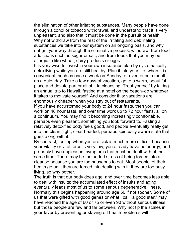the elimination of other irritating substances. Many people have gone through alcohol or tobacco withdrawal, and understand that it is very unpleasant, and also that it must be done in the pursuit of health. Why not withdraw from the rest of the irritating and debilitating substances we take into our system on an ongoing basis, and why not grit your way through the eliminative process, withdraw, from food addictions such as sugar or salt, and from foods that you may be allergic to like wheat, dairy products or eggs.

It is very wise to invest in your own insurance plan by systematically detoxifying while you are still healthy. Plan it into your life, when it is convenient, such as once a week on Sunday, or even once a month on a quiet day. Take a few days of vacation, go to a warm, beautiful place and devote part or all of it to cleansing. Treat yourself by taking an annual trip to Hawaii, fasting at a hotel on the beach–do whatever it takes to motivate yourself. And consider this: vacations are enormously cheaper when you stay out of restaurants.

If you have accustomed your body to 24 hour fasts, then you can work on 48 hour fasts, and over time work up to 72 hour fasts, all on a continuum. You may find it becoming increasingly comfortable, perhaps even pleasant, something you look forward to. Fasting a relatively detoxified body feels good, and people eventually really get into the clean, light, clear headed, perhaps spiritually aware state that goes along with it.

By contrast, fasting when you are sick is much more difficult because your vitality or vital force is very low, you already have no energy, and probably have unpleasant symptoms that must be dealt with at the same time. There may be the added stress of being forced into a cleanse because you are too nauseous to eat. Most people let their health go until they are forced into dealing with it; they are too busy living, so why bother.

The truth is that our body does age, and over time becomes less able to deal with insults; the accumulated effect of insults and aging eventually leads most of us to some serious degenerative illness. Normally this begins happening around age 50 if not sooner. Some of us that were gifted with good genes or what I call "a good start" may have reached the age of 60 or 75 or even 90 without serious illness, but those people are few and far between. Why not tip the scales in your favor by preventing or staving off health problems with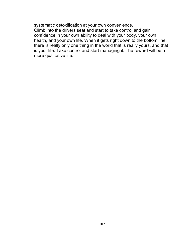systematic detoxification at your own convenience. Climb into the drivers seat and start to take control and gain confidence in your own ability to deal with your body, your own health, and your own life. When it gets right down to the bottom line, there is really only one thing in the world that is really yours, and that is your life. Take control and start managing it. The reward will be a more qualitative life.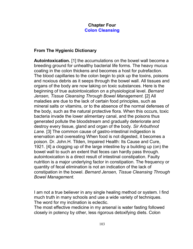# **Chapter Four Colon Cleansing**

# **From The Hygienic Dictionary**

**Autointoxication.** [1] the accumulations on the bowel wall become a breeding ground for unhealthy bacterial life forms. The heavy mucus coating in the colon thickens and becomes a host for putrefaction. The blood capillaries to the colon begin to pick up the toxins, poisons and noxious debris as it seeps through the bowel wall. All tissues and organs of the body are now taking on toxic substances. Here is the beginning of true autointoxication on a physiological level. *Bernard Jensen, Tissue Cleansing Through Bowel Management.* [2] All maladies are due to the lack of certain food principles, such as mineral salts or vitamins, or to the absence of the normal defenses of the body, such as the natural protective flora. When this occurs, toxic bacteria invade the lower alimentary canal, and the poisons thus generated pollute the bloodstream and gradually deteriorate and destroy every tissue, gland and organ of the body. *Sir Arbuthnot Lane.* [3] The common cause of gastro-intestinal indigestion is enervation and overeating When food is not digested, it becomes a poison. Dr. John.H. Tllden, Impaired Health: Its Cause and Cure, 1921. [4] a clogging up of the large intestine by a building up (on) the bowel wall to such an extent that feces can hardly pass through. autointoxication is a direct result of intestinal constipation. Faulty nutrition is a major underlying factor in constipation. The frequency or quantity of fecal elimination is not an indication of the lack of constipation in the bowel. *Bernard Jensen, Tissue Cleansing Through Bowel Management.*

I am not a true believer in any single healing method or system. I find much truth in many schools and use a wide variety of techniques. The word for my inclination is eclectic.

The most effective medicine in my arsenal is water fasting followed closely in potency by other, less rigorous detoxifying diets. Colon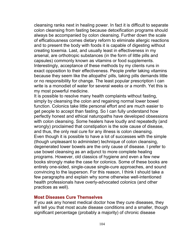cleansing ranks next in healing power. In fact it is difficult to separate colon cleansing from fasting because detoxification programs should always be accompanied by colon cleansing. Further down the scale of efficatiousness comes dietary reform to eliminate allergic reactions and to present the body with foods it is capable of digesting without creating toxemia. Last, and usually least in effectiveness in my arsenal, are orthotropic substances (in the form of little pills and capsules) commonly known as vitamins or food supplements. Interestingly, acceptance of these methods by my clients runs in exact opposition to their effectiveness. People prefer taking vitamins because they seem like the allopaths' pills, taking pills demands little or no responsibility for change. The least popular prescription I can write is a monodiet of water for several weeks or a month. Yet this is my most powerful medicine.

It is possible to resolve many health complaints without fasting, simply by cleansing the colon and regaining normal lower bowel function. Colonics take little personal effort and are much easier to get people to accept than fasting. So I can fully understand how perfectly honest and ethical naturopaths have developed obsessions with colon cleansing. Some healers have loudly and repeatedly (and wrongly) proclaimed that constipation is the sole cause of disease, and thus, the only real cure for any illness is colon cleansing. Even though it is possible to have a lot of successes with the simple (though unpleasant to administer) technique of colon cleansing, degenerated lower bowels are the only cause of disease. I prefer to use bowel cleansing as an adjunct to more complete healing programs. However, old classics of hygiene and even a few new books strongly make the case for colonics. Some of these books are entirely one-sided, single-cause single-cure approaches, and sound convincing to the layperson. For this reason, I think I should take a few paragraphs and explain why some otherwise well-intentioned health professionals have overly-advocated colonics (and other practices as well).

## **Most Diseases Cure Themselves**

If you ask any honest medical doctor how they cure diseases, they will tell you that most acute disease conditions and a smaller, though significant percentage (probably a majority) of chronic disease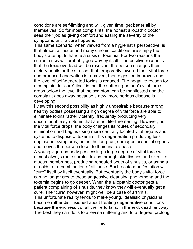conditions are self-limiting and will, given time, get better all by themselves. So for most complaints, the honest allopathic doctor sees their job as giving comfort and easing the severity of the symptoms until a cure happens.

This same scenario, when viewed from a hygienist's perspective, is that almost all acute and many chronic conditions are simply the body's attempt to handle a crisis of toxemia. For two reasons the current crisis will probably go away by itself. The positive reason is that the toxic overload will be resolved: the person changes their dietary habits or the stressor that temporarily lowered their vital force and produced enervation is removed, then digestion improves and the level of self-generated toxins is reduced. The negative reason for a complaint to "cure" itself is that the suffering person's vital force drops below the level that the symptom can be manifested and the complaint goes away because a new, more serious disease is developing.

I view this second possibility as highly undesirable because strong, healthy bodies possessing a high degree of vital force are able to eliminate toxins rather violently, frequently producing very uncomfortable symptoms that are not life-threatening. However, as the vital force drops, the body changes its routes of secondary elimination and begins using more centrally located vital organs and systems to dispose of toxemia. This degeneration producing less unpleasant symptoms, but in the long run, damages essential organs and moves the person closer to their final disease.

A young vigorous body possessing a large degree of vital force will almost always route surplus toxins through skin tissues and skin-like mucus membranes, producing repeated bouts of sinusitis, or asthma, or colds, or a combination of all these. Each acute manifestation will "cure" itself by itself eventually. But eventually the body's vital force can no longer create these aggressive cleansing phenomena and the toxemia begins to go deeper. When the allopathic doctor gets a patient complaining of sinusitis, they know they will eventually get a cure. The "cure" however, might well be a case of arthritis. This unfortunate reality tends to make young, idealistic physicians become rather disillusioned about treating degenerative conditions because the end result of all their efforts is, in the end, death anyway. The best they can do is to alleviate suffering and to a degree, prolong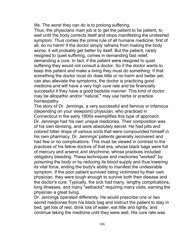life. The worst they can do is to prolong suffering.

Thus, the physicians main job is to get the patient to be patient, to wait until the body corrects itself and stops manifesting the undesired symptom. Thus comes the prime rule of all humane medicine: first of all, do no harm! If the doctor simply refrains from making the body worse, it will probably get better by itself. But the patient, rarely resigned to quiet suffering, comes in demanding fast relief, demanding a cure. In fact, if the patient were resigned to quiet suffering they would not consult a doctor. So if the doctor wants to keep this patient and make a living they must do something. If that something the doctor must do does little or no harm and better yet, can also alleviate the symptoms, the doctor is practicing good medicine and will have a very high cure rate and be financially successful if they have a good bedside manner. This kind of doctor may be allopathic and/or "natural," may use herbs or practice homeopathy.

The story of Dr. Jennings, a very successful and famous or infamous (depending on your viewpoint) physician, who practiced in Connecticut in the early 1800s exemplifies this type of approach. Dr. Jennings had his own unique medicines. Their composition was of his own devising, and were absolutely secret. He had pills and colored bitter drops of various sorts that were compounded himself in his own pharmacy. Dr. Jennings' patients generally recovered and had few or no complications. This must be viewed in contrast to the practices of his fellow doctors of that era, whose black bags were full of mercury and arsenic and strychnine, whose practices included obligatory bleeding. These techniques and medicines "worked" by poisoning the body or by reducing its blood supply and thus lowering its vital force, ending the body's ability to manifest the undesirable symptom. If the poor patient survived being victimized by their own physician, they were tough enough to survive both their disease and the doctor's cure. Typically, the sick had many, lengthy complications, long illnesses, and many "setbacks" requiring many visits, earning the physician a great living.

Dr. Jennings operated differently. He would prescribe one or two secret medicines from his black bag and instruct the patient to stay in bed, get lots of rest, drink lots of water, eat little and lightly, and continue taking the medicine until they were well. His cure rate was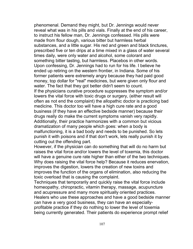phenomenal. Demand they might, but Dr. Jennings would never reveal what was in his pills and vials. Finally at the end of his career, to instruct his fellow man, Dr. Jennings confessed. His pills were made from flour dough, various bitter but harmless herbal substances, and a little sugar. His red and green and black tinctures, prescribed five or ten drips at a time mixed in a glass of water several times daily, were only water and alcohol, some colorant and something bitter tasting, but harmless. Placebos in other words. Upon confessing, Dr. Jennings had to run for his life. I believe he ended up retiring on the western frontier, in Indiana. Some of his former patients were extremely angry because they had paid good money, top dollar for "real" medicines, but were given only flour and water. The fact that they got better didn't seem to count. If the physicians curative procedure suppresses the symptom and/or lowers the vital force with toxic drugs or surgery, (either result will often as not end the complaint) the allopathic doctor is practicing bad medicine. This doctor too will have a high cure rate and a good business (if they have an effective bedside manner) because their drugs really do make the current symptoms vanish very rapidly. Additionally, their practice harmonizes with a common but vicious dramatization of many people which goes: when a body is malfunctioning, it is a bad body and needs to be punished. So lets punish it with poisons and if that don't work, lets really punish it by cutting out the offending part.

However, if the physician can do something that will do no harm but raises the vital force and/or lowers the level of toxemia, this doctor will have a genuine cure rate higher than either of the two techniques. Why does raising the vital force help? Because it reduces enervation, improves the digestion, lowers the creation of new toxins and improves the function of the organs of elimination, also reducing the toxic overload that is causing the complaint.

Techniques that temporarily and quickly raise the vital force include homeopathy, chiropractic, vitamin therapy, massage, acupuncture and acupressure and many more spiritually oriented practices. Healers who use these approaches and have a good bedside manner can have a very good business, they can have an especiallyprofitable practice if they do nothing to lower the level of toxemia being currently generated. Their patients do experience prompt relief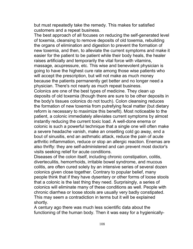but must repeatedly take the remedy. This makes for satisfied customers and a repeat business.

The best approach of all focuses on reducing the self-generated level of toxemia, cleansing to remove deposits of old toxemia, rebuilding the organs of elimination and digestion to prevent the formation of new toxemia, and then, to alleviate the current symptoms and make it easier for the patient to be patient while their body heals, the healer raises artificially and temporarily the vital force with vitamins, massage, acupressure, etc. This wise and benevolent physician is going to have the highest cure rate among those wise patients who will accept the prescription, but will not make as much money because the patients permanently get better and no longer need a physician. There's not nearly as much repeat business.

Colonics are one of the best types of medicine. They clean up deposits of old toxemia (though there are sure to be other deposits in the body's tissues colonics do not touch). Colon cleansing reduces the formation of new toxemia from putrefying fecal matter (but dietary reform is necessary to maximize this benefit). Most noticeable to the patient, a colonic immediately alleviates current symptoms by almost instantly reducing the current toxic load. A well-done enema or colonic is such a powerful technique that a single one will often make a severe headache vanish, make an onsetting cold go away, end a bout of sinusitis, end an asthmatic attack, reduce the pain of acute arthritic inflammation, reduce or stop an allergic reaction. Enemas are also thrifty: they are self-administered and can prevent most doctor's visits seeking relief for acute conditions.

Diseases of the colon itself, including chronic constipation, colitis, diverteculitis, hemorrhoids, irritable bowel syndrome, and mucous colitis, are often cured solely by an intensive series of several dozen colonics given close together. Contrary to popular belief, many people think that if they have dysentery or other forms of loose stools that a colonic is the last thing they need. Surprisingly, a series of colonics will eliminate many of these conditions as well. People with chronic diarrhea or loose stools are usually very badly constipated. This may seem a contradiction in terms but it will be explained shortly.

A century ago there was much less scientific data about the functioning of the human body. Then it was easy for a hygienically-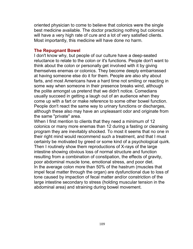oriented physician to come to believe that colonics were the single best medicine available. The doctor practicing nothing but colonics will have a very high rate of cure and a lot of very satisfied clients. Most importantly, this medicine will have done no harm.

## **The Repugnant Bowel**

I don't know why, but people of our culture have a deep-seated reluctance to relate to the colon or it's functions. People don't want to think about the colon or personally get involved with it by giving themselves enemas or colonics. They become deeply embarrassed at having someone else do it for them. People are also shy about farts, and most Americans have a hard time not smiling or reacting in some way when someone in their presence breaks wind, although the polite amongst us pretend that we didn't notice. Comedians usually succeed in getting a laugh out of an audience when they come up with a fart or make reference to some other bowel function. People don't react the same way to urinary functions or discharges, although these also may have an unpleasant odor and originate from the same "private" area.

When I first mention to clients that they need a minimum of 12 colonics or many more enemas than 12 during a fasting or cleansing program they are inevitably shocked. To most it seems that no one in their right mind would recommend such a treatment, and that I must certainly be motivated by greed or some kind of a psychological quirk. Then I routinely show them reproductions of X-rays of the large intestine showing obvious loss of normal structure and function resulting from a combination of constipation, the effects of gravity, poor abdominal muscle tone, emotional stress, and poor diet. In the average colon more than 50% of the hastrum (muscles that impel fecal matter through the organ) are dysfunctional due to loss of tone caused by impaction of fecal matter and/or constriction of the large intestine secondary to stress (holding muscular tension in the abdominal area) and straining during bowel movement.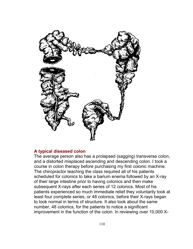

### **A typical diseased colon**

The average person also has a prolapsed (sagging) transverse colon, and a distorted misplaced ascending and descending colon. I took a course in colon therapy before purchasing my first colonic machine. The chiropractor teaching the class required all of his patients scheduled for colonics to take a barium enema followed by an X-ray of their large intestine prior to having colonics and then make subsequent X-rays after each series of 12 colonics. Most of his patients experienced so much immediate relief they voluntarily took at least four complete series, or 48 colonics, before their X-rays began to look normal in terms of structure. It also took about the same number, 48 colonics, for the patients to notice a significant improvement in the function of the colon. In reviewing over 10,000 X-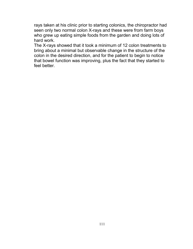rays taken at his clinic prior to starting colonics, the chiropractor had seen only two normal colon X-rays and these were from farm boys who grew up eating simple foods from the garden and doing lots of hard work.

The X-rays showed that it took a minimum of 12 colon treatments to bring about a minimal but observable change in the structure of the colon in the desired direction, and for the patient to begin to notice that bowel function was improving, plus the fact that they started to feel better.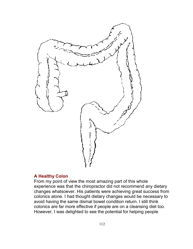

# **A Healthy Colon**

From my point of view the most amazing part of this whole experience was that the chiropractor did not recommend any dietary changes whatsoever. His patients were achieving great success from colonics alone. I had thought dietary changes would be necessary to avoid having the same dismal bowel condition return. I still think colonics are far more effective if people are on a cleansing diet too. However, I was delighted to see the potential for helping people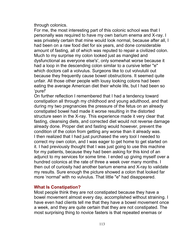through colonics.

For me, the most interesting part of this colonic school was that I personally was required to have my own barium enema and X-ray. I was privately certain that mine would look normal, because after all, I had been on a raw food diet for six years, and done considerable amount of fasting, all of which was reputed to repair a civilized colon. Much to my surprise my colon looked just as mangled and dysfunctional as everyone else's', only somewhat worse because it had a loop in the descending colon similar to a cursive letter "e" which doctors call a volvulus. Surgeons like to cut volvululii out because they frequently cause bowel obstructions. It seemed quite unfair. All those other people with lousy looking colons had been eating the average American diet their whole life, but I had been so 'pure!'

On further reflection I remembered that I had a tendency toward constipation all through my childhood and young adulthood, and that during my two pregnancies the pressure of the fetus on an already constipated bowel had made it worse resulting in the distorted structure seen in the X-ray. This experience made it very clear that fasting, cleansing diets, and corrected diet would not reverse damage already done. Proper diet and fasting would however, prevent the condition of the colon from getting any worse than it already was. I then realized that I had just purchased the very tool I needed to correct my own colon, and I was eager to get home to get started on it. I had previously thought that I was just going to use this machine for my patients, because they had been asking for this kind of an adjunct to my services for some time. I ended up giving myself over a hundred colonics at the rate of three a week over many months. I then out of curiosity had another barium enema and X-ray to validate my results. Sure enough the picture showed a colon that looked far more 'normal' with no vulvulus. That little "e" had disappeared.

# **What Is Constipation?**

Most people think they are not constipated because they have a bowel movement almost every day, accomplished without straining. I have even had clients tell me that they have a bowel movement once a week, and they are quite certain that they are not constipated. The most surprising thing to novice fasters is that repeated enemas or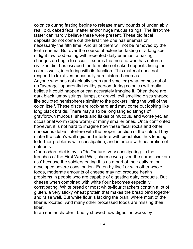colonics during fasting begins to release many pounds of undeniably real, old, caked fecal matter and/or huge mucus strings. The first-time faster can hardly believe these were present. These old fecal deposits do not come out the first time one has enemas or necessarily the fifth time. And all of them will not be removed by the tenth enema. But over the course of extended fasting or a long spell of light raw food eating with repeated daily enemas, amazing changes do begin to occur. It seems that no one who has eaten a civilized diet has escaped the formation of caked deposits lining the colon's walls, interfering with its function. This material does not respond to laxatives or casually administered enemas. Anyone who has not actually seen (and smelled) what comes out of

an "average" apparently healthy person during colonics will really believe it could happen or can accurately imagine it. Often there are dark black lumpy strings, lumps, or gravel, evil smelling discs shaped like sculpted hemispheres similar to the pockets lining the wall of the colon itself. These discs are rock-hard and may come out looking like long black braids. There may also be long tangled strings of gray/brown mucous, sheets and flakes of mucous, and worse yet, an occasional worm (tape worm) or many smaller ones. Once confronted however, it is not hard to imagine how these fecal rocks and other obnoxious debris interfere with the proper function of the colon. They make the colon's wall rigid and interfere with peristalsis thus leading to further problems with constipation, and interfere with adsorption of nutrients.

Our modern diet is by its "de-"nature, very constipating. In the trenches of the First World War, cheese was given the name 'chokem ass' because the soldiers eating this as a part of their daily ration developed severe constipation. Eaten by itself or with other whole foods, moderate amounts of cheese may not produce health problems in people who are capable of digesting dairy products. But cheese when combined with white flour becomes especially constipating. White bread or most white-flour crackers contain a lot of gluten, a very sticky wheat protein that makes the bread bind together and raise well. But white flour is lacking the bran, where most of the fiber is located. And many other processed foods are missing their fiber.

In an earlier chapter I briefly showed how digestion works by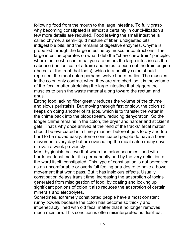following food from the mouth to the large intestine. To fully grasp why becoming constipated is almost a certainty in our civilization a few more details are required. Food leaving the small intestine is called chyme, a semi-liquid mixture of fiber, undigested bits, indigestible bits, and the remains of digestive enzymes. Chyme is propelled through the large intestine by muscular contractions. The large intestine operates on what I dub the "chew chew train" principle, where the most recent meal you ate enters the large intestine as the caboose (the last car of a train) and helps to push out the train engine (the car at the front that toots), which in a healthy colon should represent the meal eaten perhaps twelve hours earlier. The muscles in the colon only contract when they are stretched, so it is the volume of the fecal matter stretching the large intestine that triggers the muscles to push the waste material along toward the rectum and anus.

Eating food lacking fiber greatly reduces the volume of the chyme and slows peristalsis. But moving through fast or slow, the colon still keeps on doing another of its jobs, which is to transfer the water in the chime back into the bloodstream, reducing dehydration. So the longer chime remains in the colon, the dryer and harder and stickier it gets. That's why once arrived at the "end of the tracks" fecal matter should be evacuated in a timely manner before it gets to dry and too hard to be moved easily. Some constipated people do have a bowel movement every day but are evacuating the meal eaten many days or even a week previously.

Most hygienists believe that when the colon becomes lined with hardened fecal matter it is permanently and by the very definition of the word itself, constipated. This type of constipation is not perceived as an uncomfortable or overly full feeling or a desire to have a bowel movement that won't pass. But it has insidious effects. Usually constipation delays transit time, increasing the adsorption of toxins generated from misdigestion of food; by coating and locking up significant portions of colon it also reduces the adsorption of certain minerals and electrolytes.

Sometimes, extremely constipated people have almost constant runny bowels because the colon has become so thickly and impenetrably lined with old fecal matter that it no longer removes much moisture. This condition is often misinterpreted as diarrhea.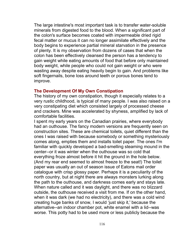The large intestine's most important task is to transfer water-soluble minerals from digested food to the blood. When a significant part of the colon's surface becomes coated with impermeable dried rigid fecal matter or mucus it can no longer assimilate effectively and the body begins to experience partial mineral starvation in the presence of plenty. It is my observation from dozens of cases that when the colon has been effectively cleansed the person has a tendency to gain weight while eating amounts of food that before only maintained body weight, while people who could not gain weight or who were wasting away despite eating heavily begin to gain. And problems like soft fingernails, bone loss around teeth or porous bones tend to improve.

## **The Development Of My Own Constipation**

The history of my own constipation, though it especially relates to a very rustic childhood, is typical of many people. I was also raised on a very constipating diet which consisted largely of processed cheese and crackers. Mine was accelerated by shyness, amplified by lack of comfortable facilities.

I spent my early years on the Canadian prairies, where everybody had an outhouse. The fancy modern versions are frequently seen on construction sites. These are chemical toilets, quiet different than the ones I was raised with because somebody or something mysteriously comes along, empties them and installs toilet paper. The ones I'm familiar with quickly developed a bad-smelling steaming mound in the center--or it was winter when the outhouse was so cold that everything froze almost before it hit the ground in the hole below. (And my rear end seemed to almost freeze to the seat!) The toilet paper was usually an out of season issue of Eatons mail order catalogue with crisp glossy paper. Perhaps it is a peculiarity of the north country, but at night there are always monsters lurking along the path to the outhouse, and darkness comes early and stays late. When nature called and it was daylight, and there was no blizzard outside, the outhouse received a visit from me. If on the other hand, when it was dark (we had no electricity), and there was a cold wind creating huge banks of snow, I would 'just skip it,' because the alternative--an indoor chamber pot, white enamel with a lid--was worse. This potty had to be used more or less publicly because the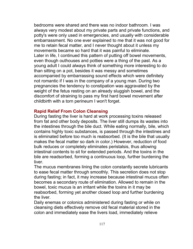bedrooms were shared and there was no indoor bathroom. I was always very modest about my private parts and private functions, and potty's were only used in emergencies, and usually with considerable embarrassment. No one ever explained to me that it was not good for me to retain fecal matter, and I never thought about it unless my movements became so hard that it was painful to eliminate. Later in life, I continued this pattern of putting off bowel movements, even though outhouses and potties were a thing of the past. As a young adult I could always think of something more interesting to do than sitting on a pot, besides it was messy and sometimes accompanied by embarrassing sound effects which were definitely not romantic if I was in the company of a young man. During two pregnancies the tendency to constipation was aggravated by the weight of the fetus resting on an already sluggish bowel, and the discomfort of straining to pass my first hard bowel movement after childbirth with a torn perineum I won't forget.

# **Rapid Relief From Colon Cleansing**

During fasting the liver is hard at work processing toxins released from fat and other body deposits. The liver still dumps its wastes into the intestines through the bile duct. While eating normally, bile, which contains highly toxic substances, is passed through the intestines and is eliminated before too much is reabsorbed. (It is the bile that usually makes the fecal matter so dark in color.) However, reduction of food bulk reduces or completely eliminates peristalsis, thus allowing intestinal contents to sit for extended periods. And the toxins in the bile are readsorbed, forming a continuous loop, further burdening the liver.

The mucus membranes lining the colon constantly secrete lubricants to ease fecal matter through smoothly. This secretion does not stop during fasting; in fact, it may increase because intestinal mucus often becomes a secondary route of elimination. Allowed to remain in the bowel, toxic mucus is an irritant while the toxins in it may be reabsorbed, forming yet another closed loop and further burdening the liver.

Daily enemas or colonics administered during fasting or while on cleansing diets effectively remove old fecal material stored in the colon and immediately ease the livers load, immediately relieve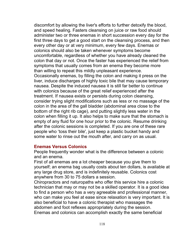discomfort by allowing the liver's efforts to further detoxify the blood, and speed healing. Fasters cleansing on juice or raw food should administer two or three enemas in short succession every day for the first three days to get a good start on the cleansing process, and then every other day or at very minimum, every few days. Enemas or colonics should also be taken whenever symptoms become uncomfortable, regardless of whether you have already cleaned the colon that day or not. Once the faster has experienced the relief from symptoms that usually comes from an enema they become more than willing to repeat this mildly unpleasant experience. Occasionally enemas, by filling the colon and making it press on the liver, induce discharges of highly toxic bile that may cause temporary nausea. Despite the induced nausea it is still far better to continue with colonics because of the great relief experienced after the treatment. If nausea exists or persists during colon cleansing, consider trying slight modifications such as less or no massage of the colon in the area of the gall bladder (abdominal area close to the bottom of the right rib cage), and putting slightly less water in the colon when filling it up. It also helps to make sure that the stomach is empty of any fluid for one hour prior to the colonic. Resume drinking after the colonic sessions is completed. If you are one of these rare people who 'toss their bile', just keep a plastic bucket handy and some water to rinse out the mouth after, and carry on as usual.

### **Enemas Versus Colonics**

People frequently wonder what is the difference between a colonic and an enema.

First of all enemas are a lot cheaper because you give them to yourself; an enema bag usually costs about ten dollars, is available at any large drug store, and is indefinitely reusable. Colonics cost anywhere from 30 to 75 dollars a session.

Chiropractors and naturopaths who offer this service hire a colonic technician that may or may not be a skilled operator. It is a good idea to find a person who has a very agreeable and professional manner, who can make you feel at ease since relaxation is very important. It is also beneficial to have a colonic therapist who massages the abdomen and foot reflexes appropriately during the session. Enemas and colonics can accomplish exactly the same beneficial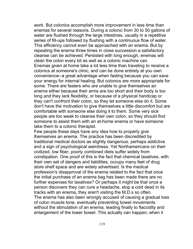work. But colonics accomplish more improvement in less time than enemas for several reasons. During a colonic from 30 to 50 gallons of water are flushed through the large intestines, usually in a repetitive series of fill-ups followed by flushing with a continuous flow of water. This efficiency cannot even be approached with an enema. But by repeating the enema three times in close succession a satisfactory cleanse can be achieved. Persisted with long enough, enemas will clean the colon every bit as well as a colonic machine can. Enemas given at home take a lot less time than traveling to receive a colonics at someone's clinic, and can be done entirely at you own convenience--a great advantage when fasting because you can save your energy for internal healing. But colonics are more appropriate for some. There are fasters who are unable to give themselves an enema either because their arms are too short and their body is too long and they lack flexibility, or because of a physical handicap or they can't confront their colon, so they let someone else do it. Some don't have the motivation to give themselves a little discomfort but are comfortable with someone else doing it to them. Some very sick people are too weak to cleanse their own colon, so they should find someone to assist them with an at-home enema or have someone take them to a colonic therapist.

Few people these days have any idea how to properly give themselves an enema. The practice has been discredited by traditional medical doctors as slightly dangerous, perhaps addictive and a sign of psychological weirdness. Yet Northamericans on their civilized, low fiber, poorly combined diets suffer widely from constipation. One proof of this is the fact that chemical laxatives, with their own set of dangers and liabilities, occupy many feet of drug store shelf space and are widely advertised. Is the medical profession's disapproval of the enema related to the fact that once the initial purchase of an enema bag has been made there are no further expenses for laxatives? Or perhaps it might be that once a person discovers they can cure a headache, stop a cold dead in its tracks with an enema, they aren't visiting the M.D.s so often. The enema has also been wrongly accused of causing a gradual loss of colon muscle tone, eventually preventing bowel movements without the stimulation of an enema, leading finally to flaccidity and enlargement of the lower bowel. This actually can happen; when it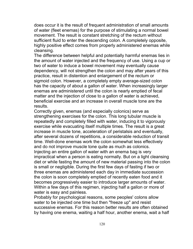does occur it is the result of frequent administration of small amounts of water (fleet enemas) for the purpose of stimulating a normal bowel movement. The result is constant stretching of the rectum without sufficient fluid to enter the descending colon. A completely opposite, highly positive effect comes from properly administered enemas while cleansing.

The difference between helpful and potentially harmful enemas lies in the amount of water injected and the frequency of use. Using a cup or two of water to induce a bowel movement may eventually cause dependency, will not strengthen the colon and may after years of this practice, result in distention and enlargement of the rectum or sigmoid colon. However, a completely empty average-sized colon has the capacity of about a gallon of water. When increasingly larger enemas are administered until the colon is nearly emptied of fecal matter and the injection of close to a gallon of water is achieved, beneficial exercise and an increase in overall muscle tone are the results.

Correctly given, enemas (and especially colonics) serve as strengthening exercises for the colon. This long tubular muscle is repeatedly and completely filled with water, inducing it to vigorously exercise while evacuating itself multiple times. The result is a great increase in muscle tone, acceleration of peristalsis and eventually, after several dozens of repetitions, a considerable reduction of transit time. Well-done enemas work the colon somewhat less effectively and do not improve muscle tone quite as much as colonics. Injecting an entire gallon of water with an enema bag is very impractical when a person is eating normally. But on a light cleansing diet or while fasting the amount of new material passing into the colon is small or negligible. During the first few days of fasting if two or three enemas are administered each day in immediate succession the colon is soon completely emptied of recently eaten food and it becomes progressively easier to introduce larger amounts of water. Within a few days of this regimen, injecting half a gallon or more of water is easy and painless.

Probably for psychological reasons, some peoples' colons allow water to be injected one time but then "freeze up" and resist successive enemas. For this reason better results are often obtained by having one enema, waiting a half hour, another enema, wait a half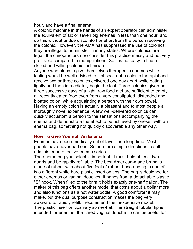hour, and have a final enema.

A colonic machine in the hands of an expert operator can administer the equivalent of six or seven big enemas in less than one hour, and do this without undue discomfort or effort from the person receiving the colonic. However, the AMA has suppressed the use of colonics; they are illegal to administer in many states. Where colonics are legal, the chiropractors now consider this practice messy and not very profitable compared to manipulations. So it is not easy to find a skilled and willing colonic technician.

Anyone who plans to give themselves therapeutic enemas while fasting would be well advised to first seek out a colonic therapist and receive two or three colonics delivered one day apart while eating lightly and then immediately begin the fast. Three colonics given on three successive days of a light, raw food diet are sufficient to empty all recently eaten food even from a very constipated, distended and bloated colon, while acquainting a person with their own bowel. Having an empty colon is actually a pleasant and to most people a thoroughly novel experience. A few well-delivered colonics can quickly accustom a person to the sensations accompanying the enema and demonstrate the effect to be achieved by oneself with an enema bag, something not quickly discoverable any other way.

### **How To Give Yourself An Enema**

Enemas have been medically out of favor for a long time. Most people have never had one. So here are simple directions to selfadminister an effective enema series.

The enema bag you select is important. It must hold at least two quarts and be rapidly refillable. The best American-made brand is made of rubber with about five feet of rubber hose ending in one of two different white hard plastic insertion tips. The bag is designed for either enemas or vaginal douches. It hangs from a detachable plastic "S" hook. When filled to the brim it holds exactly one-half gallon. The maker of this bag offers another model that costs about a dollar more and also functions as a hot water bottle. A good comforter it may make, but the dual purpose construction makes the bag very awkward to rapidly refill. I recommend the inexpensive model. The plastic insertion tips vary somewhat. The straight tubular tip is intended for enemas; the flared vaginal douche tip can be useful for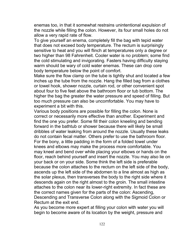enemas too, in that it somewhat restrains unintentional expulsion of the nozzle while filling the colon. However, its four small holes do not allow a very rapid rate of flow.

To give yourself an enema, completely fill the bag with tepid water that does not exceed body temperature. The rectum is surprisingly sensitive to heat and you will flinch at temperatures only a degree or two higher than 98 Fahrenheit. Cooler water is no problem; some find the cold stimulating and invigorating. Fasters having difficulty staying warm should be wary of cold water enemas. These can drop core body temperature below the point of comfort.

Make sure the flow clamp on the tube is tightly shut and located a few inches up the tube from the nozzle. Hang the filled bag from a clothes or towel hook, shower nozzle, curtain rod, or other convenient spot about four to five feet above the bathroom floor or tub bottom. The higher the bag the greater the water pressure and speed of filling. But too much pressure can also be uncomfortable. You may have to experiment a bit with this.

Various body positions are possible for filling the colon. None is correct or necessarily more effective than another. Experiment and find the one you prefer. Some fill their colon kneeling and bending forward in the bathtub or shower because there will likely be small dribbles of water leaking from around the nozzle. Usually these leaks do not contain fecal matter. Others prefer to use the bathroom floor. For the bony, a little padding in the form of a folded towel under knees and elbows may make the process more comfortable. You may kneel and bend over while placing your elbows or hands on the floor, reach behind yourself and insert the nozzle. You may also lie on your back or on your side. Some think the left side is preferable because the colon attaches to the rectum on the left side of the body, ascends up the left side of the abdomen to a line almost as high as the solar plexus, then transverses the body to the right side where it descends again on the right almost to the groin. The small intestine attaches to the colon near its lower-right extremity. In fact these are the correct names given for the parts of the colon: Ascending, Descending and Transverse Colon along with the Sigmoid Colon or Rectum at the exit end.

As you become more expert at filling your colon with water you will begin to become aware of its location by the weight, pressure and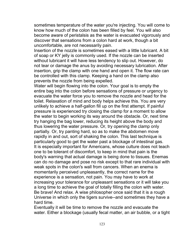sometimes temperature of the water you're injecting. You will come to know how much of the colon has been filled by feel. You will also become aware of peristalsis as the water is evacuated vigorously and discover that sensations from a colon hard at work, though a bit uncomfortable, are not necessarily pain.

Insertion of the nozzle is sometimes eased with a little lubricant. A bit of soap or KY jelly is commonly used. If the nozzle can be inserted without lubricant it will have less tendency to slip out. However, do not tear or damage the anus by avoiding necessary lubrication. After insertion, grip the clamp with one hand and open it. The flow rate can be controlled with this clamp. Keeping a hand on the clamp also prevents the nozzle from being expelled.

Water will begin flowing into the colon. Your goal is to empty the entire bag into the colon before sensations of pressure or urgency to evacuate the water force you to remove the nozzle and head for the toilet. Relaxation of mind and body helps achieve this. You are very unlikely to achieve a half-gallon fill up on the first attempt. If painful pressure is experienced try closing the clamp for a moment to allow the water to begin working its way around the obstacle. Or, next time try hanging the bag lower, reducing its height above the body and thus lowering the water pressure. Or, try opening the clamp only partially. Or, try panting hard, so as to make the abdomen move rapidly in and out, sort of shaking the colon. This last technique is particularly good to get the water past a blockage of intestinal gas. It is especially important for Americans, whose culture does not teach one to be tolerant of discomfort, to keep in mind that pain is the body's warning that actual damage is being done to tissues. Enemas can do no damage and pose no risk except to that rare individual with weak spots in the colon's wall from cancers. When an enema is momentarily perceived unpleasantly, the correct name for the experience is a sensation, not pain. You may have to work at increasing your tolerance for unpleasant sensations or it will take you a long time to achieve the goal of totally filling the colon with water. Be brave! And relax. A wise philosopher once said that it is a rough Universe in which only the tigers survive--and sometimes they have a hard time.

Eventually it will be time to remove the nozzle and evacuate the water. Either a blockage (usually fecal matter, an air bubble, or a tight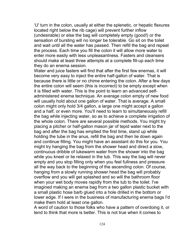'U' turn in the colon, usually at either the splenetic, or hepatic flexures located right below the rib cage) will prevent further inflow (undesirable) or else the bag will completely empty (good!) or the sensation of bursting will no longer be tolerable. Go sit on the toilet and wait until all the water has passed. Then refill the bag and repeat the process. Each time you fill the colon it will allow more water to enter more easily with less unpleasantness. Fasters and cleansers should make at least three attempts at a complete fill-up each time they do an enema session.

Water and juice fasters will find that after the first few enemas, it will become very easy to inject the entire half-gallon of water. That is because there is little or no chime entering the colon. After a few days the entire colon will seem (this is incorrect) to be empty except when it is filled with water. This is the point to learn an advanced selfadministered enema technique. An average colon empty of new food will usually hold about one gallon of water. That is average. A small colon might only hold 3/4 gallon, a large one might accept a gallon and a half, or even more. You'll need to learn to simultaneously refill the bag while injecting water, so as to achieve a complete irrigation of the whole colon. There are several possible methods. You might try placing a pitcher or half-gallon mason jar of tepid water next to the bag and after the bag has emptied the first time, stand up while holding the tube in the anus, refill the bag and then lie down again and continue filling. You might have an assistant do this for you. You might try hanging the bag from the shower head and direct a slow, continuous dribble of lukewarm water from the shower into the bag while you kneel or lie relaxed in the tub. This way the bag will never empty and you stop filling only when you feel fullness and pressure all the way back to the beginning of the ascending colon. Of course, hanging from a slowly running shower head the bag will probably overflow and you will get splashed and so will the bathroom floor when your wet body moves rapidly from the tub to the toilet. I've imagined making an enema bag from a two gallon plastic bucket with a small plastic hose barb glued into a hole drilled in the bottom or lower edge. If I were in the business of manufacturing enema bags I'd make them hold at least one gallon.

A word of caution to those folks who have a pattern of overdoing it, or tend to think that more is better. This is not true when it comes to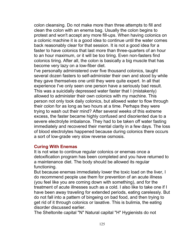colon cleansing. Do not make more than three attempts to fill and clean the colon with an enema bag. Usually the colon begins to protest and won't accept any more fill-ups. When having colonics on a colonic machine it is a good idea to continue until the water comes back reasonably clear for that session. It is not a good idea for a faster to have colonics that last more than three-quarters of an hour to an hour maximum, or it will be too tiring. Even non-fasters find colonics tiring. After all, the colon is basically a big muscle that has become very lazy on a low-fiber diet.

I've personally administered over five thousand colonics, taught several dozen fasters to self-administer their own and stood by while they gave themselves one until they were quite expert. In all that experience I've only seen one person have a seriously bad result. This was a suicidally depressed water faster that I (mistakenly) allowed to administer their own colonics with my machine. This person not only took daily colonics, but allowed water to flow through their colon for as long as two hours at a time. Perhaps they were trying to wash out their mind? After several weeks of this extreme excess, the faster became highly confused and disoriented due to a severe electrolyte imbalance. They had to be taken off water fasting immediately and recovered their mental clarity in a few days. The loss of blood electrolytes happened because during colonics there occurs a sort of low-grade very slow reverse osmosis.

### **Curing With Enemas**

It is not wise to continue regular colonics or enemas once a detoxification program has been completed and you have returned to a maintenance diet. The body should be allowed its regular functioning.

But because enemas immediately lower the toxic load on the liver, I do recommend people use them for prevention of an acute illness (you feel like you are coming down with something), and for the treatment of acute illnesses such as a cold. I also like to take one if I have been away traveling for extended periods, eating carelessly. But do not fall into a pattern of bingeing on bad food, and then trying to get rid of it through colonics or laxative. This is bulimia, the eating disorder discussed earlier.

The Sheltonite capital "N" Natural capital "H" Hygienists do not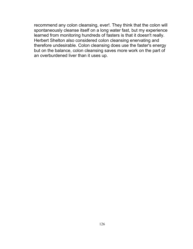recommend any colon cleansing, ever!. They think that the colon will spontaneously cleanse itself on a long water fast, but my experience learned from monitoring hundreds of fasters is that it doesn't really. Herbert Shelton also considered colon cleansing enervating and therefore undesirable. Colon cleansing does use the faster's energy but on the balance, colon cleansing saves more work on the part of an overburdened liver than it uses up.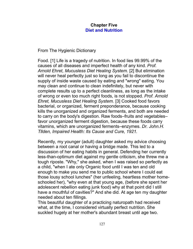# **Chapter Five Diet and Nutrition**

From The Hygienic Dictionary

Food. [1] Life is a tragedy of nutrition. In food lies 99.99% of the causes of all diseases and imperfect health of any kind. *Prof. Arnold Ehret, Mucusless Diet Healing System.* [2] But elimination will never heal perfectly just so long as you fail to discontinue the supply of inside waste caused by eating and "wrong" eating. You may clean and continue to clean indefinitely, but never with complete results up to a perfect cleanliness, as long as the intake of wrong or even too much right foods, is not stopped. *Prof. Arnold Ehret, Mucusless Diet Healing System.* [3] Cooked food favors bacterial, or organized, ferment preponderance, because cooking kills the unorganized and organized ferments, and both are needed to carry on the body's digestion. Raw foods–fruits and vegetables– favor unorganized ferment digestion, because these foods carry vitamins, which are unorganized ferments–enzymes. *Dr. John.H. Tllden, Impaired Health: Its Cause and Cure, 1921.*

Recently, my younger (adult) daughter asked my advice choosing between a root canal or having a bridge made. This led to a discussion of her eating habits in general. Defending her currently less-than-optimum diet against my gentle criticism, she threw me a tough riposte. "Why," she asked, when I was raised so perfectly as a child, "when I ate only Organic food until I was ten and old enough to make you send me to public school where I could eat those lousy school lunches" (her unfeeling, heartless mother homeschooled her), "why even at that young age, (before she spent her adolescent rebellion eating junk food) why at that point did I still have a mouthful of cavities?" And she did. At age ten my daughter needed about ten fillings.

This beautiful daughter of a practicing naturopath had received what, at the time, I considered virtually perfect nutrition. She suckled hugely at her mother's abundant breast until age two.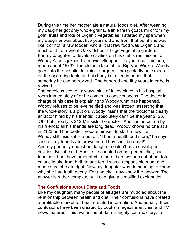During this time her mother ate a natural foods diet. After weaning my daughter got only whole grains, a little fresh goat's milk from my goat, fruits and lots of Organic vegetables. I started my spa when my daughter was about five years old and from that point she was, like it or not, a raw fooder. And all that raw food was Organic and much of it from Great Oaks School's huge vegetable garden. For my daughter to develop cavities on this diet is reminiscent of Woody Allen's joke in his movie "Sleeper." Do you recall this one, made about 1973? The plot is a take off on Rip Van Winkle. Woody goes into the hospital for minor surgery. Unexpectedly he expires on the operating table and his body is frozen in hopes that someday he can be revived. One hundred and fifty years later he is revived.

The priceless scene I always think of takes place in his hospital room immediately after he comes to consciousness. The doctor in charge of his case is explaining to Woody what has happened. Woody refuses to believe he died and was frozen, asserting that the whole story is a put on. Woody insists that the 'doctor' is clearly an actor hired by his friends! It absolutely can't be the year 2123. 'Oh, but it really is 2123,' insists the doctor. 'And it is no put on by his friends; all his friends are long dead; Woody knows no one at all in 2123 and had better prepare himself to start a new life.' Woody still insists it is a put on. "I had a healthfood store," he says, "and all my friends ate brown rice. They can't be dead!" And my perfectly nourished daughter couldn't have developed cavities! But she did. And if she cheated on her perfect diet, bad food could not have amounted to more than two percent of her total caloric intake from birth to age ten. I was a responsible mom and I made sure she ate right! Now my daughter was demanding to know why she had tooth decay. Fortunately, I now know the answer. The answer is rather complex, but I can give a simplified explanation.

## **The Confusions About Diets and Foods**

Like my daughter, many people of all ages are muddled about the relationship between health and diet. Their confusions have created a profitable market for health-related information. And equally, their confusions have been created by books, magazine articles, and TV news features. This avalanche of data is highly contradictory. In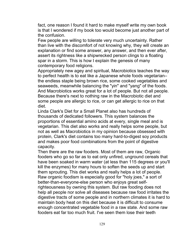fact, one reason I found it hard to make myself write my own book is that I wondered if my book too would become just another part of the confusion.

Few people are willing to tolerate very much uncertainty. Rather than live with the discomfort of not knowing why, they will create an explanation or find some answer, any answer, and then ever after, assert its rightness like a shipwrecked person clings to a floating spar in a storm. This is how I explain the genesis of many contemporary food religions.

Appropriately new agey and spiritual, Macrobiotics teaches the way to perfect health is to eat like a Japanese whole foods vegetarian– the endless staple being brown rice, some cooked vegetables and seaweeds, meanwhile balancing the "yin" and "yang" of the foods. And Macrobiotics works great for a lot of people. But not all people. Because there's next to nothing raw in the Macrobiotic diet and some people are allergic to rice, or can get allergic to rice on that diet.

Linda Clark's Diet for a Small Planet also has hundreds of thousands of dedicated followers. This system balances the proportions of essential amino acids at every, single meal and is vegetarian. This diet also works and really helps some people, but not as well as Macrobiotics in my opinion because obsessed with protein, Clark's diet contains too many hard-to-digest soy products and makes poor food combinations from the point of digestive capacity.

Then there are the raw fooders. Most of them are raw, Organic fooders who go so far as to eat only unfired, unground cereals that have been soaked in warm water (at less than 115 degrees or you'll kill the enzymes) for many hours to soften the seeds up and start them sprouting. This diet works and really helps a lot of people. Raw organic foodism is especially good for "holy joes," a sort of better-than-everyone-else person who enjoys great selfrighteousness by owning this system. But raw fooding does not help all people nor solve all diseases because raw food irritates the digestive tracts of some people and in northern climates it is hard to maintain body heat on this diet because it is difficult to consume enough concentrated vegetable food in a raw state. And some raw fooders eat far too much fruit. I've seen them lose their teeth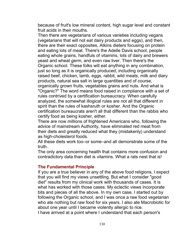because of fruit's low mineral content, high sugar level and constant fruit acids in their mouths.

Then there are vegetarians of various varieties including vegans (vegetarians that will not eat dairy products and eggs), and then, there are their exact opposites, Atkins dieters focusing on protein and eating lots of meat. There's the Adelle Davis school, people eating whole grains, handfuls of vitamins, lots of dairy and brewers yeast and wheat germ, and even raw liver. Then there's the Organic school. These folks will eat anything in any combination, just so long as it is organically produced, including organically raised beef, chicken, lamb, eggs, rabbit, wild meats, milk and diary products, natural sea salt in large quantities and of course, organically grown fruits, vegetables grains and nuts. And what is "Organic?" The word means food raised in compliance with a set of rules contrived by a certification bureaucracy. When carefully analyzed, the somewhat illogical rules are not all that different in spirit than the rules of kashsruth or kosher. And the Organic certification bureaucrats aren't all that different than the rabbis who certify food as being kosher, either.

There are now millions of frightened Americans who, following the advice of mainstream Authority, have eliminated red meat from their diets and greatly reduced what they (mistakenly) understand as high-cholesterol foods.

All these diets work too–or some–and all demonstrate some of the truth.

The only area concerning health that contains more confusion and contradictory data than diet is vitamins. What a rats nest that is!

### **The Fundamental Principle**

If you are a true believer in any of the above food religions, I expect that you will find my views unsettling. But what I consider "good diet" results from my clinical work with thousands of cases. It is what has worked with those cases. My eclectic views incorporate bits and pieces of all the above. In my own case, I started out by following the Organic school, and I was once a raw food vegetarian who ate nothing but raw food for six years. I also ate Macrobiotic for about one year until I became violently allergic to rice. I have arrived at a point where I understand that each person's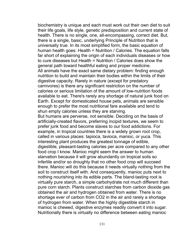biochemistry is unique and each must work out their own diet to suit their life goals, life style, genetic predisposition and current state of health. There is no single, one, all-encompassing, correct diet. But, there is a single, basic, underlying Principle of Nutrition that is universally true. In its most simplified form, the basic equation of human health goes: Health = Nutrition / Calories. The equation falls far short of explaining the origin of each individuals diseases or how to cure diseases but Health = Nutrition / Calories does show the general path toward healthful eating and proper medicine. All animals have the exact same dietary problem: finding enough nutrition to build and maintain their bodies within the limits of their digestive capacity. Rarely in nature (except for predatory carnivores) is there any significant restriction on the number of calories or serious limitation of the amount of low-nutrition foods available to eat. There's rarely any shortage of natural junk food on Earth. Except for domesticated house pets, animals are sensible enough to prefer the most nutritional fare available and tend to shun empty calories unless they are starving.

But humans are perverse, not sensible. Deciding on the basis of artificially-created flavors, preferring incipid textures, we seem to prefer junk food and become slaves to our food addictions. For example, in tropical countries there is a widely grown root crop, called in various places: tapioca, tavioca, manioc, or yuca. This interesting plant produces the greatest tonnage of edible, digestible, pleasant-tasting calories per acre compared to any other food crop I know. Manioc might seem the answer to human starvation because it will grow abundantly on tropical soils so infertile and/or so droughty that no other food crop will succeed there. Manioc will do this because it needs virtually nothing from the soil to construct itself with. And consequently, manioc puts next to nothing nourishing into its edible parts. The bland-tasting root is virtually pure starch, a simple carbohydrate not much different than pure corn starch. Plants construct starches from carbon dioxide gas obtained the air and hydrogen obtained from water. There is no shortage ever of carbon from CO2 in the air and rarely a shortage of hydrogen from water. When the highly digestible starch in manioc is chewed, digestive enzymes readily convert it into sugar. Nutritionally there is virtually no difference between eating manioc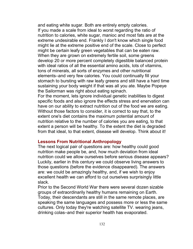and eating white sugar. Both are entirely empty calories. If you made a scale from ideal to worst regarding the ratio of nutrition to calories, white sugar, manioc and most fats are at the extreme undesirable end. Frankly I don't know which single food might lie at the extreme positive end of the scale. Close to perfect might be certain leafy green vegetables that can be eaten raw. When they are grown on extremely fertile soil, some greens develop 20 or more percent completely digestible balanced protein with ideal ratios of all the essential amino acids, lots of vitamins, tons of minerals, all sorts of enzymes and other nutritional elements–and very few calories. You could continually fill your stomach to bursting with raw leafy greens and still have a hard time sustaining your body weight if that was all you ate. Maybe Popeye the Sailorman was right about eating spinach.

For the moment, lets ignore individual genetic inabilities to digest specific foods and also ignore the effects stress and enervation can have on our ability to extract nutrition out of the food we are eating. Without those factors to consider, it is correct to say that, to the extent one's diet contains the maximum potential amount of nutrition relative to the number of calories you are eating, to that extent a person will be healthy. To the extent the diet is degraded from that ideal, to that extent, disease will develop. Think about it!

### **Lessons From Nutritional Anthropology**

The next logical pair of questions are: how healthy could good nutrition make people be, and, how much deviation from ideal nutrition could we allow ourselves before serious disease appears? Luckily, earlier in this century we could observe living answers to those questions (before the evidence disappeared). The answers are: we could be amazingly healthy, and, if we wish to enjoy excellent health we can afford to cut ourselves surprisingly little slack.

Prior to the Second World War there were several dozen sizable groups of extraordinarily healthy humans remaining on Earth. Today, their descendants are still in the same remote places, are speaking the same languages and possess more or less the same cultures. Only today they're watching satellite TV. wearing jeans, drinking colas–and their superior health has evaporated.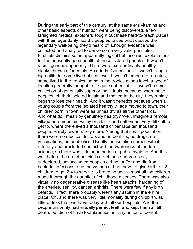During the early part of this century, at the same era vitamins and other basic aspects of nutrition were being discovered, a few farsighted medical explorers sought out these hard-to-reach places with their legendarily healthy peoples to see what caused the legendary well-being they'd heard of. Enough evidence was collected and analyzed to derive some very valid principles. First lets dismiss some apparently logical but incorrect explanations for the unusually good health of these isolated peoples. It wasn't racial, genetic superiority. There were extraordinarily healthy blacks, browns, Orientals, Amerinds, Caucasians. It wasn't living at high altitude; some lived at sea level. It wasn't temperate climates, some lived in the tropics, some in the tropics at sea level, a type of location generally thought to be quite unhealthful. It wasn't a small collection of genetically superior individuals, because when these peoples left their isolated locale and moved to the city, they rapidly began to lose their health. And it wasn't genetics because when a young couple from the isolated healthy village moved to town, their children born in town were as unhealthy as all the other kids. And what do I mean by genuinely healthy? Well, imagine a remote village or a mountain valley or a far island settlement very difficult to get to, where there lived a thousand or perhaps ten thousand people. Rarely fewer, rarely more. Among that small population there were no medical doctors and no dentists, no drugs, no vaccinations, no antibiotics. Usually the isolation carried with it illiteracy and precluded contact with or awareness of modern science, so there was little or no notion of public hygiene. And this was before the era of antibiotics. Yet these unprotected, undoctored, unvaccinated peoples did not suffer and die from bacterial infections; and the women did not have to give birth to 13 children to get 2.4 to survive to breeding age–almost all the children made it through the gauntlet of childhood diseases. There was also virtually no degenerative disease like heart attacks, hardening of the arteries, senility, cancer, arthritis. There were few if any birth defects. In fact, there probably weren't any aspirin in the entire place. Oh, and there was very little mortality during childbirth, as little or less than we have today with all our hospitals. And the people uniformly had virtually perfect teeth and kept them all till death, but did not have toothbrushes nor any notion of dental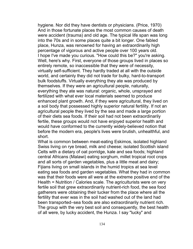hygiene. Nor did they have dentists or physicians. (Price, 1970) And in those fortunate places the most common causes of death were accident (trauma) and old age. The typical life span was long into the 70s and in some places quite a bit longer. One fabled place, Hunza, was renowned for having an extraordinarily high percentage of vigorous and active people over 100 years old. I hope I've made you curious. "How could this be?" you're asking. Well, here's why. First, everyone of those groups lived in places so entirely remote, so inaccessible that they were of necessity, virtually self-sufficient. They hardly traded at all with the outside world, and certainly they did not trade for bulky, hard-to-transport bulk foodstuffs. Virtually everything they ate was produced by themselves. If they were an agricultural people, naturally, everything they ate was natural: organic, whole, unsprayed and fertilized with what ever local materials seemed to produce enhanced plant growth. And, if they were agricultural, they lived on a soil body that possessed highly superior natural fertility. If not an agricultural people they lived by the sea and made a large portion of their diets sea foods. If their soil had not been extraordinarily fertile, these groups would not have enjoyed superior health and would have conformed to the currently widely-believed notion that before the modern era, people's lives were brutish, unhealthful, and short.

What is common between meat-eating Eskimos, isolated highland Swiss living on rye bread, milk and cheese; isolated Scottish island Celts with a dietary of oat porridge, kale and sea foods; highland central Africans (Malawi) eating sorghum, millet tropical root crops and all sorts of garden vegetables, plus a little meat and dairy; Fijians living on small islands in the humid tropics at sea level eating sea foods and garden vegetables. What they had in common was that their foods were all were at the extreme positive end of the Health = Nutrition / Calories scale. The agriculturists were on very fertile soil that grew extraordinarily nutrient-rich food, the sea food gatherers were obtaining their tucker from the place where all the fertility that ever was in the soil had washed out of the land had been transported–sea foods are also extraordinarily nutrient rich. The group with the very best soil and consequently, the best health of all were, by lucky accident, the Hunza. I say "lucky" and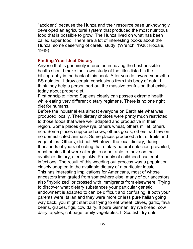"accident" because the Hunza and their resource base unknowingly developed an agricultural system that produced the most nutritious food that is possible to grow. The Hunza lived on what has been called super food. There are a lot of interesting books about the Hunza, some deserving of careful study. (Wrench, 1938; Rodale, 1949)

### **Finding Your Ideal Dietary**

Anyone that is genuinely interested in having the best possible health should make their own study of the titles listed in the bibliography in the back of this book. After you do, award yourself a BS nutrition. I draw certain conclusions from this body of data. I think they help a person sort out the massive confusion that exists today about proper diet.

First principle: Homo Sapiens clearly can posses extreme health while eating very different dietary regimens. There is no one right diet for humans.

Before the industrial era almost everyone on Earth ate what was produced locally. Their dietary choices were pretty much restricted to those foods that were well adapted and productive in their region. Some places grew rye, others wheat, others millet, others rice. Some places supported cows, others goats, others had few on no domesticated animals. Some places produced a lot of fruits and vegetables. Others, did not. Whatever the local dietary, during thousands of years of eating that dietary natural selection prevailed; most babies that were allergic to or not able to thrive on the available dietary, died quickly. Probably of childhood bacterial infections. The result of this weeding out process was a population closely adapted to the available dietary of a particular locale. This has interesting implications for Americans, most of whose ancestors immigrated from somewhere else; many of our ancestors also "hybridized" or crossed with immigrants from elsewhere. Trying to discover what dietary substances your particular genetic endowment is adapted to can be difficult and confusing. If both your parents were Italian and they were more or less pure Italian going way back, you might start out trying to eat wheat, olives, garlic, fava beans, grapes, figs, cow dairy. If pure German, try rye bread, cow dairy, apples, cabbage family vegetables. If Scottish, try oats,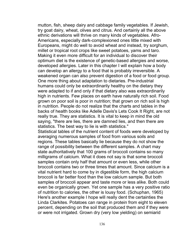mutton, fish, sheep dairy and cabbage family vegetables. If Jewish, try goat dairy, wheat, olives and citrus. And certainly all the above ethnic derivations will thrive on many kinds of vegetables. Afro-Americans, especially dark-complexioned ones little mixed with Europeans, might do well to avoid wheat and instead, try sorghum, millet or tropical root crops like sweet potatoes, yams and taro. Making it even more difficult for an individual to discover their optimum diet is the existence of genetic-based allergies and worse, developed allergies. Later in this chapter I will explain how a body can develop an allergy to a food that is probably irreversible. A weakened organ can also prevent digestion of a food or food group. One more thing about adaptation to dietaries. Pre-industrial humans could only be extraordinarily healthy on the dietary they were adapted to if and only if that dietary also was extraordinarily high in nutrients. Few places on earth have naturally rich soil. Food grown on poor soil is poor in nutrition; that grown on rich soil is high in nutrition. People do not realize that the charts and tables in the backs of health books like Adelle Davis's Lets Cook It Right, are not really true. They are statistics. It is vital to keep in mind the old saying, "there are lies, there are damned lies, and then there are statistics. The best way to lie is with statistics."

Statistical tables of the nutrient content of foods were developed by averaging numerous samples of food from various soils and regions. These tables basically lie because they do not show the range of possibility between the different samples. A chart may state authoritatively that 100 grams of broccoli contains so many milligrams of calcium. What it does not say is that some broccoli samples contain only half that amount or even less, while other broccoli contains two or three times that amount. Since calcium is a vital nutrient hard to come by in digestible form, the high calcium broccoli is far better food than the low calcium sample. But both samples of broccoli appear and taste more or less alike. Both could even be organically grown. Yet one sample has a very positive ratio of nutrition to calories, the other is lousy food. (Schuphan, 1965) Here's another example I hope will really dent the certainties the Linda Clarkites. Potatoes can range in protein from eight to eleven percent, depending on the soil that produced them and if they were or were not irrigated. Grown dry (very low yielding) on semiarid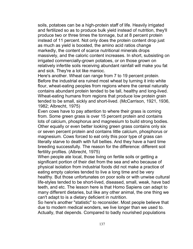soils, potatoes can be a high-protein staff of life. Heavily irrigated and fertilized so as to produce bulk yield instead of nutrition, they'll produce two or three times the tonnage, but at 8 percent protein instead of 11 percent. Not only does the protein content drop just as much as yield is boosted, the amino acid ratios change markedly, the content of scarce nutritional minerals drops massively, and the caloric content increases. In short, subsisting on irrigated commercially-grown potatoes, or on those grown on relatively infertile soils receiving abundant rainfall will make you fat and sick. They're a lot like manioc.

Here's another. Wheat can range from 7 to 19 percent protein. Before the industrial era ruined most wheat by turning it into white flour, wheat-eating peoples from regions where the cereal naturally contains abundant protein tended to be tall, healthy and long-lived. Wheat-eating humans from regions that produce low protein grain tended to be small, sickly and short-lived. (McCarrison, 1921, 1936, 1982; Albrecht, 1975)

Even cows have to pay attention to where their grass is coming from. Some green grass is over 15 percent protein and contains lots of calcium, phosphorus and magnesium to build strong bodies. Other equally or even better looking green grass contains only six or seven percent protein and contains little calcium, phosphorus or magnesium. Cows forced to eat only this poor type of grass can literally starve to death with full bellies. And they have a hard time breeding successfully. The reason for the difference: different soil fertility profiles. (Albrecht, 1975)

When people ate local, those living on fertile soils or getting a significant portion of their diet from the sea and who because of physical isolation from industrial foods did not make a practice of eating empty calories tended to live a long time and be very healthy. But those unfortunates on poor soils or with unwise cultural life-styles tended to be short-lived, diseased, small, weak, have bad teeth, and etc. The lesson here is that Homo Sapiens can adapt to many different dietaries, but like any other animal, the one thing we can't adapt to is a dietary deficient in nutrition.

So here's another "statistic" to reconsider. Most people believe that due to modern medical wonders, we live longer than we used to. Actually, that depends. Compared to badly nourished populations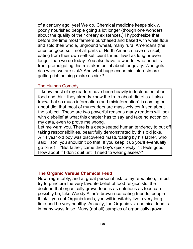of a century ago, yes! We do. Chemical medicine keeps sickly, poorly nourished people going a lot longer (though one wonders about the quality of their dreary existences.) I hypothesize that before the time most farmers purchased and baked with white flour and sold their whole, unground wheat, many rural Americans (the ones on good soil, not all parts of North America have rich soil) eating from their own self-sufficient farms, lived as long or even longer than we do today. You also have to wonder who benefits from promulgating this mistaken belief about longevity. Who gets rich when we are sick? And what huge economic interests are getting rich helping make us sick?

### The Human Comedy

 I know most of my readers have been heavily indoctrinated about food and think they already know the truth about dietetics. I also know that so much information (and misinformation) is coming out about diet that most of my readers are massively confused about the subject. These are two powerful reasons many readers will look with disbelief at what this chapter has to say and take no action on my data, even to prove me wrong.

Let me warn you. There is a deep-seated human tendency to put off taking responsibilities, beautifully demonstrated by this old joke. A 14 year old boy was discovered masturbating by his father, who said, "son, you shouldn't do that! If you keep it up you'll eventually go blind!" ` "But father, came the boy's quick reply. "It feels good. How about if I don't quit until I need to wear glasses?"

#### **The Organic Versus Chemical Feud**

Now, regrettably, and at great personal risk to my reputation, I must try to puncture the very favorite belief of food religionists, the doctrine that organically grown food is as nutritious as food can possibly be, Like Woody Allen's brown-rice-eating friends, people think if you eat Organic foods, you will inevitably live a very long time and be very healthy. Actually, the Organic vs. chemical feud is in many ways false. Many (not all) samples of organically grown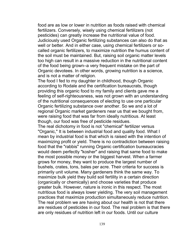food are as low or lower in nutrition as foods raised with chemical fertilizers. Conversely, wisely using chemical fertilizers (not pesticides) can greatly increase the nutritional value of food. Judiciously used Organic fertilizing substances can also do that as well or better. And in either case, using chemical fertilizers or socalled organic fertilizers, to maximize nutrition the humus content of the soil must be maintained. But, raising soil organic matter levels too high can result in a massive reduction in the nutritional content of the food being grown–a very frequent mistake on the part of Organic devotees. In other words, growing nutrition is a science, and is not a matter of religion.

The food I fed to my daughter in childhood, though Organic according to Rodale and the certification bureaucrats, though providing this organic food to my family and clients gave me a feeling of self-righteousness, was not grown with an understanding of the nutritional consequences of electing to use one particular Organic fertilizing substance over another. So we and a lot of regional Organic market gardeners near us that we bought from, were raising food that was far from ideally nutritious. At least though, our food was free of pesticide residues.

The real dichotomy in food is not "chemical" fertilizer versus "Organic," It is between industrial food and quality food. What I mean by industrial food is that which is raised with the intention of maximizing profit or yield. There is no contradiction between raising food that the "rabbis" running Organic certification bureaucracies would deem perfectly "kosher" and raising that same food to make the most possible money or the biggest harvest. When a farmer grows for money, they want to produce the largest number of bushels, crates, tons, bales per acre. Their criteria for success is primarily unit volume. Many gardeners think the same way. To maximize bulk yield they build soil fertility in a certain direction (organically or chemically) and choose varieties that produce greater bulk. However, nature is ironic in this respect. The most nutritious food is always lower yielding. The very soil management practices that maximize production simultaneously reduce nutrition. The real problem we are having about our health is not that there are residues of pesticides in our food. The real problem is that there are only residues of nutrition left in our foods. Until our culture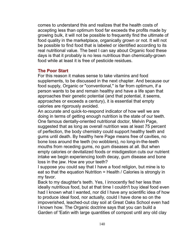comes to understand this and realizes that the health costs of accepting less than optimum food far exceeds the profits made by growing bulk, it will not be possible to frequently find the ultimate of food quality in the marketplace, organically grown or not. It will not be possible to find food that is labeled or identified according to its real nutritional value. The best I can say about Organic food these days is that it probably is no less nutritious than chemically-grown food while at least it is free of pesticide residues.

### **The Poor Start**

For this reason it makes sense to take vitamins and food supplements, to be discussed in the next chapter. And because our food supply, Organic or "conventional," is far from optimum, if a person wants to be and remain healthy and have a life span that approaches their genetic potential (and that potential, it seems, approaches or exceeds a century), it is essential that empty calories are rigorously avoided.

An accurate and quick-to-respond indicator of how well we are doing in terms of getting enough nutrition is the state of our teeth. One famous dentally-oriented nutritional doctor, Melvin Page, suggested that as long as overall nutrition was at least 75 percent of perfection, the body chemistry could support healthy teeth and gums until death. By healthy here Page means free of cavities, no bone loss around the teeth (no wobblers), no long-in-the-teeth mouths from receding gums, no gum diseases at all. But when empty calories or devitalized foods or misdigestion cuts our nutrient intake we begin experiencing tooth decay, gum disease and bone loss in the jaw. How are your teeth?

I suppose you could say that I have a food religion, but mine is to eat so that the equation Nutrition = Health / Calories is strongly in my favor.

Back to my daughter's teeth. Yes, I innocently fed her less than ideally nutritious food, but at that time I couldn't buy ideal food even had I known what I wanted, nor did I have any scientific idea of how to produce ideal food, nor actually, could I have done so on the impoverished, leached-out clay soil at Great Oaks School even had I known how. The Organic doctrine says that you can build a Garden of 'Eatin with large quantities of compost until any old clay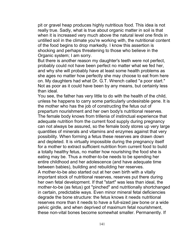pit or gravel heap produces highly nutritious food. This idea is not really true. Sadly, what is true about organic matter in soil is that when it is increased very much above the natural level one finds in untilled soil in the climate you're working with, the nutritional content of the food begins to drop markedly. I know this assertion is shocking and perhaps threatening to those who believe in the Organic system; I am sorry.

But there is another reason my daughter's teeth were not perfect, probably could not have been perfect no matter what we fed her, and why she will probably have at least some health problems as she ages no matter how perfectly she may choose to eat from here on. My daughters had what Dr. G.T. Wrench called "a poor start." Not as poor as it could have been by any means, but certainly less than ideal.

You see, the father has very little to do with the health of the child, unless he happens to carry some particularly undesirable gene. It is the mother who has the job of constructing the fetus out of prepartum nourishment and her own body's nutritional reserves. The female body knows from trillenia of instinctual experience that adequate nutrition from the current food supply during pregnancy can not always be assured, so the female body stores up very large quantities of minerals and vitamins and enzymes against that very possibility. When forming a fetus these reserves are drawn down and depleted. It is virtually impossible during the pregnancy itself for a mother to extract sufficient nutrition from current food to build a totally healthy fetus, no matter how nourishing the food she is eating may be. Thus a mother-to-be needs to be spending her entire childhood and her adolescence (and have adequate time between babies), building and rebuilding her reserves. A mother-to-be also started out at her own birth with a vitally important stock of nutritional reserves, reserves put there during her own fetal development. If that "start" was less than ideal, the mother-to-be (as fetus) got "pinched" and nutritionally shortchanged in certain, predictable ways. Even minor mineral fetal deficiencies degrade the bone structure: the fetus knows it needs nutritional reserves more than it needs to have a full-sized jaw bone or a wide pelvic girdle, and when deprived of maximum fetal nourishment,

these non-vital bones become somewhat smaller. Permanently. If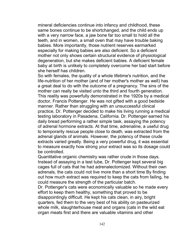mineral deficiencies continue into infancy and childhood, these same bones continue to be shortchanged, and the child ends up with a very narrow face, a jaw bone far too small to hold all the teeth, and in women, a small oven that may have trouble baking babies. More importantly, those nutrient reserves earmarked especially for making babies are also deficient. So a deficient mother not only shows certain structural evidence of physiological degeneration, but she makes deficient babies. A deficient female baby at birth is unlikely to completely overcome her bad start before she herself has children.

So with females, the quality of a whole lifetime's nutrition, and the life-nutrition of her mother (and of her mother's mother as well) has a great deal to do with the outcome of a pregnancy. The sins of the mother can really be visited unto the third and fourth generation. This reality was powerfully demonstrated in the 1920s by a medical doctor, Francis Pottenger. He was not gifted with a good bedside manner. Rather than struggling with an unsuccessful clinical practice, Dr. Pottenger decided to make his living running a medical testing laboratory in Pasadena, California. Dr. Pottenger earned his daily bread performing a rather simple task, assaying the potency of adrenal hormone extracts. At that time, adrenaline, a useful drug to temporarily rescue people close to death, was extracted from the adrenal glands of animals. However, the potency of these crude extracts varied greatly. Being a very powerful drug, it was essential to measure exactly how strong your extract was so its dosage could be controlled.

Quantitative organic chemistry was rather crude in those days. Instead of assaying in a test tube, Dr. Pottenger kept several big cages full of cats that he had adrenalectomized. Without their own adrenals, the cats could not live more than a short time By finding out how much extract was required to keep the cats from failing, he could measure the strength of the particular batch.

Dr. Pottenger's cats were economically valuable so he made every effort to keep them healthy, something that proved to be disappointingly difficult. He kept his cats clean, in airy, bright quarters, fed them to the very best of his ability on pasteurized whole milk, slaughterhouse meat and organs (cats in the wild eat organ meats first and there are valuable vitamins and other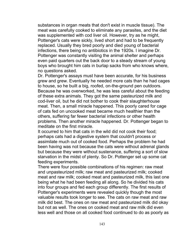substances in organ meats that don't exist in muscle tissue). The meat was carefully cooked to eliminate any parasites, and the diet was supplemented with cod liver oil. However, try as he might, Pottenger's cats were sickly, lived short and had to be frequently replaced. Usually they bred poorly and died young of bacterial infections, there being no antibiotics in the 1920s. I imagine Dr. Pottenger was constantly visiting the animal shelter and perhaps even paid quarters out the back door to a steady stream of young boys who brought him cats in burlap sacks from who knows where, no questions asked.

Dr. Pottenger's assays must have been accurate, for his business grew and grew. Eventually he needed more cats than he had cages to house, so he built a big, roofed, on-the-ground pen outdoors. Because he was overworked, he was less careful about the feeding of these extra animals. They got the same pasteurized milk and cod-liver oil, but he did not bother to cook their slaughterhouse meat. Then, a small miracle happened. This poorly cared for cage of cats fed on uncooked meat became much healthier than the others, suffering far fewer bacterial infections or other health problems. Then another miracle happened. Dr. Pottenger began to meditate on the first miracle.

It occurred to him that cats in the wild did not cook their food; perhaps cats had a digestive system that couldn't process or assimilate much out of cooked food. Perhaps the problem he had been having was not because the cats were without adrenal glands but because they were without sustenance, suffering a sort of slow starvation in the midst of plenty. So Dr. Pottenger set up some cat feeding experiments.

There were four possible combinations of his regimen: raw meat and unpasteurized milk; raw meat and pasteurized milk; cooked meat and raw milk; cooked meat and pasteurized milk, this last one being what he had been feeding all along. So he divided his cats into four groups and fed each group differently. The first results of Pottenger's experiments were revealed quickly though the most valuable results took longer to see. The cats on raw meat and raw milk did best. The ones on raw meat and pasteurized milk did okay but not as well. The ones on cooked meat and raw milk did even less well and those on all cooked food continued to do as poorly as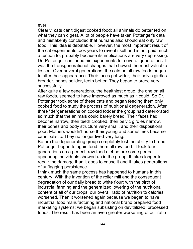ever.

Clearly, cats can't digest cooked food; all animals do better fed on what they can digest. A lot of people have taken Pottenger's data and mistakenly concluded that humans also should eat only raw food. This idea is debatable. However, the most important result of the cat experiments took years to reveal itself and is not paid much attention to, probably because its implications are very depressing. Dr. Pottenger continued his experiments for several generations. It was the transgenerational changes that showed the most valuable lesson. Over several generations, the cats on all raw foods began to alter their appearance. Their faces got wider, their pelvic girdles broader, bones solider, teeth better. They began to breed very successfully.

After quite a few generations, the healthiest group, the one on all raw foods, seemed to have improved as much as it could. So Dr. Pottenger took some of these cats and began feeding them only cooked food to study the process of nutritional degeneration. After three "de"generations on cooked fodder the group had deteriorated so much that the animals could barely breed. Their faces had become narrow, their teeth crooked, their pelvic girdles narrow, their bones and body structure very small, and their dispositions poor. Mothers wouldn't nurse their young and sometimes became cannibalistic. They no longer lived very long.

Before the degenerating group completely lost the ability to breed, Pottenger began to again feed them all raw food. It took four generations on a perfect, raw food diet before some perfect appearing individuals showed up in the group. It takes longer to repair the damage than it does to cause it and it takes generations of unflagging persistence.

I think much the same process has happened to humans in this century. With the invention of the roller mill and the consequent degradation of our daily bread to white flour; with the birth of industrial farming and the generalized lowering of the nutritional content of all of our crops; our overall ratio of nutrition to calories worsened. Then it worsened again because we began to have industrial food manufacturing and national brand prepared food marketing systems; we began subsisting on devitalized, processed foods. The result has been an even greater worsening of our ratio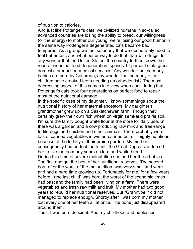of nutrition to calories.

And just like Pottenger's cats, we civilized humans in so-called advanced countries are losing the ability to breed, our willingness (or the energy) to mother our young; we're losing our good humor in the same way Pottenger's degenerated cats became bad tempered. As a group we feel so poorly that we desperately need to feel better fast, and what better way to do that than with drugs. Is it any wonder that the United States, the country furthest down the road of industrial food degeneration, spends 14 percent of its gross domestic product on medical services. Any wonder that so many babies are born by Cesarean, any wonder that so many of our children have crooked teeth needing an orthodontist? The most depressing aspect of this comes into view when considering that Pottenger's cats took four generations on perfect food to repair most of the nutritional damage.

In the specific case of my daughter, I know somethings about the nutritional history of her maternal ancestors. My daughter's grandmother grew up on a Saskatchewan farm. Though they certainly grew their own rich wheat on virgin semi-arid prairie soil, I'm sure the family bought white flour at the store for daily use. Still, there was a garden and a cow producing raw milk and free-range fertile eggs and chicken and other animals. There probably were lots of canned vegetables in winter, canned but still highly nutritious because of the fertility of their prairie garden. My mother consequently had perfect teeth until the Great Depression forced her to live for too many years on lard and white bread. During this time of severe malnutrition she had her three babies. The first one got the best of her nutritional reserves. The second, born after the worst of the malnutrition, was very small and weak and had a hard time growing up. Fortunately for me, for a few years before I (the last child) was born, the worst of the economic times had past and the family had been living on a farm. There were

vegetables and fresh raw milk and fruit. My mother had two good years to rebuild her nutritional reserves. But "Grannybell" did not managed to replace enough. Shortly after I was born my mother lost every one of her teeth all at once. The bone just disappeared around them.

Thus, I was born deficient. And my childhood and adolescent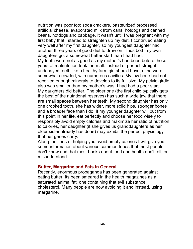nutrition was poor too: soda crackers, pasteurized processed artificial cheese, evaporated milk from cans, hotdogs and canned beans, hotdogs and cabbage. It wasn't until I was pregnant with my first baby that I started to straighten up my diet. I continued eating very well after my first daughter, so my youngest daughter had another three years of good diet to draw on. Thus both my own daughters got a somewhat better start than I had had. My teeth were not as good as my mother's had been before those years of malnutrition took them all. Instead of perfect straight undecayed teeth like a healthy farm girl should have, mine were somewhat crowded, with numerous cavities. My jaw bone had not received enough minerals to develop to its full size. My pelvic girdle also was smaller than my mother's was. I had had a poor start. My daughters did better. The older one (the first child typically gets the best of the nutritional reserves) has such a wide jaw that there are small spaces between her teeth. My second daughter has only one crooked tooth, she has wider, more solid hips, stronger bones and a broader face than I do. If my younger daughter will but from this point in her life, eat perfectly and choose her food wisely to responsibly avoid empty calories and maximize her ratio of nutrition to calories, her daughter (if she gives us granddaughters as her older sister already has done) may exhibit the perfect physiology that her genes carry.

Along the lines of helping you avoid empty calories I will give you some information about various common foods that most people don't know and that most books about food and health don't tell, or misunderstand.

## **Butter, Margarine and Fats in General**

Recently, enormous propaganda has been generated against eating butter. Its been smeared in the health magazines as a saturated animal fat, one containing that evil substance, cholesterol. Many people are now avoiding it and instead, using margarine.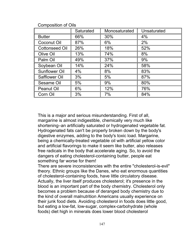|                       | Saturated | Monosaturated | Unsaturated |
|-----------------------|-----------|---------------|-------------|
| <b>Butter</b>         | 66%       | 30%           | $4\%$       |
| Coconut Oil           | 87%       | 6%            | 2%          |
| <b>Cottonseed Oil</b> | 26%       | 18%           | 52%         |
| Olive Oil             | 13%       | 74%           | 8%          |
| Palm Oil              | 49%       | 37%           | 9%          |
| Soybean Oil           | 14%       | 24%           | 58%         |
| Sunflower Oil         | 4%        | 8%            | 83%         |
| <b>Safflower Oil</b>  | 3%        | 5%            | 87%         |
| Sesame Oil            | 5%        | 9%            | 80%         |
| <b>Peanut Oil</b>     | 6%        | 12%           | 76%         |
| Corn Oil              | 3%        | 7%            | 84%         |

Composition of Oils

This is a major and serious misunderstanding. First of all, margarine is almost indigestible, chemically very much like shortening–an artificially saturated or hydrogenated vegetable fat. Hydrogenated fats can't be properly broken down by the body's digestive enzymes, adding to the body's toxic load. Margarine, being a chemically-treated vegetable oil with artificial yellow color and artificial flavorings to make it seem like butter, also releases free radicals in the body that accelerate aging. So, to avoid the dangers of eating cholesterol-containing butter, people eat something far worse for them!

There are severe inconsistencies with the entire "cholesterol-is-evil" theory. Ethnic groups like the Danes, who eat enormous quantities of cholesterol-containing foods, have little circulatory disease. Actually, the liver itself produces cholesterol; it's presence in the blood is an important part of the body chemistry. Cholesterol only becomes a problem because of deranged body chemistry due to the kind of overall malnutrition Americans usually experience on their junk food diets. Avoiding cholesterol in foods does little good, but eating a low-fat, low-sugar, complex-carbohydrate (whole foods) diet high in minerals does lower blood cholesterol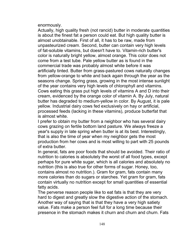enormously.

Actually, high quality fresh (not rancid) butter in moderate quantities is about the finest fat a person could eat. But high quality butter is almost unobtainable. First of all, it has to be raw, made from unpasteurized cream. Second, butter can contain very high levels of fat-soluble vitamins, but doesn't have to. Vitamin-rich butter's color is naturally bright yellow, almost orange. This color does not come from a test tube. Pale yellow butter as is found in the commercial trade was probably almost white before it was artificially tinted. Butter from grass-pastured cows naturally changes from yellow-orange to white and back again through the year as the seasons change. Spring grass, growing in the most intense sunlight of the year contains very high levels of chlorophyll and vitamins. Cows eating this grass put high levels of vitamins A and D into their cream, evidenced by the orange color of vitamin A. By July, natural butter has degraded to medium-yellow in color. By August, it is pale yellow. Industrial dairy cows fed exclusively on hay or artificial, processed feeds (lacking in these vitamins), produce butterfat that is almost white.

I prefer to obtain my butter from a neighbor who has several dairy cows grazing on fertile bottom land pasture. We always freeze a year's supply in late spring when butter is at its best. Interestingly, that is also the time of year when my neighbor gets the most production from her cows and is most willing to part with 25 pounds of extra butter.

In general, fats are poor foods that should be avoided. Their ratio of nutrition to calories is absolutely the worst of all food types, except perhaps for pure white sugar, which is all calories and absolutely no nutrition (this is also true for other forms of sugar. Honey, too, contains almost no nutrition.). Gram for gram, fats contain many more calories than do sugars or starches. Yet gram for gram, fats contain virtually no nutrition except for small quantities of essential fatty acids.

The perverse reason people like to eat fats is that they are very hard to digest and greatly slow the digestive action of the stomach. Another way of saying that is that they have a very high satiety value. Fats make a person feel full for a long time because their presence in the stomach makes it churn and churn and churn. Fats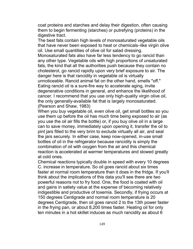coat proteins and starches and delay their digestion, often causing them to begin fermenting (starches) or putrefying (proteins) in the digestive tract.

The best fats contain high levels of monosaturated vegetable oils that have never been exposed to heat or chemicals–like virgin olive oil. Use small quantities of olive oil for salad dressing.

Monosaturated fats also have far less tendency to go rancid than any other type. Vegetable oils with high proportions of unsaturated fats, the kind that all the authorities push because they contain no cholesterol, go rancid rapidly upon very brief exposure to air. The danger here is that rancidity in vegetable oil is virtually unnoticeable. Rancid animal fat on the other hand, smells "off." Eating rancid oil is a sure-fire way to accelerate aging, invite degenerative conditions in general, and enhance the likelihood of cancer. I recommend that you use only high-quality virgin olive oil, the only generally-available fat that is largely monosaturated. (Pearson and Shaw, 1983)

When you buy vegetable oil, even olive oil, get small bottles so you use them up before the oil has much time being exposed to air (as you use the oil air fills the bottle) or, if you buy olive oil in a large can to save money, immediately upon opening it, transfer the oil to pint jars filled to the very brim to exclude virtually all air, and seal the jars securely. In either case, keep now-opened, in-use small bottles of oil in the refrigerator because rancidity is simply the combination of oil with oxygen from the air and this chemical reaction is accelerated at warmer temperatures and slowed greatly at cold ones.

Chemical reactions typically double in speed with every 10 degrees C. increase in temperature. So oil goes rancid about six times faster at normal room temperature than it does in the fridge. If you'll think about the implications of this data you'll see there are two powerful reasons not to fry food. One, the food is coated with oil and gains in satiety value at the expense of becoming relatively indigestible and productive of toxemia. Secondly, if frying occurs at 150 degrees Centigrade and normal room temperature is 20 degrees Centigrade, then oil goes rancid 2 to the 13th power faster in the frying pan, or about 8,200 times faster. Heating oil for only ten minutes in a hot skillet induces as much rancidity as about 6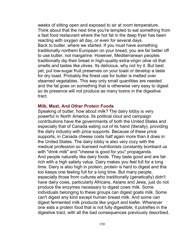weeks of sitting open and exposed to air at room temperature. Think about that the next time you're tempted to eat something from a fast food restaurant where the hot fat in the deep fryer has been reacting with oxygen all day, or even for several days. Back to butter, where we started. If you must have something traditionally northern European on your bread, you are far better off to use butter, not margarine. However, Mediterranean peoples traditionally dip their bread in high-quality extra-virgin olive oil that smells and tastes like olives. Its delicious, why not try it. But best yet, put low-sugar fruit preserves on your toast or develop a taste for dry toast. Probably the finest use for butter is melted over steamed vegetables. This way only small quantities are needed and the fat goes on something that is otherwise very easy to digest so its presence will not produce as many toxins in the digestive tract.

#### **Milk, Meat, And Other Protein Foods**

Speaking of butter, how about milk? The dairy lobby is very powerful in North America. Its political clout and campaign contributions have the governments of both the United States and especially that of Canada eating out of its hand (literally), providing the dairy industry with price supports. Because of these price supports, in Canada cheese costs half again more than it does in the United States. The dairy lobby is also very cozy with the medical profession so licensed nutritionists constantly bombard us with "drink milk" and "cheese is good for you" propaganda. And people naturally like dairy foods. They taste good and are fatrich with a high satiety value. Dairy makes you feel full for a long time. Dairy is also high in protein; protein is hard to digest and this too keeps one feeling full for a long time. But many people, especially those from cultures who traditionally (genetically) didn't have dairy cows, particularly Africans, Asians and Jews, just do not produce the enzymes necessary to digest cows milk. Some individuals belonging to these groups can digest goats milk. Some can't digest any kind except human breast milk. And some can digest fermented milk products like yogurt and kiefer. Whenever one eats a protein food that is not fully digestible, it putrefies in the digestive tract, with all the bad consequences previously described.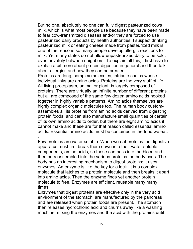But no one, absolutely no one can fully digest pasteurized cows milk, which is what most people use because they have been made to fear cow-transmitted diseases and/or they are forced to use pasteurized dairy products by health authorities. I suspect drinking pasteurized milk or eating cheese made from pasteurized milk is one of the reasons so many people develop allergic reactions to milk. Yet many states do not allow unpasteurized dairy to be sold, even privately between neighbors. To explain all this, I first have to explain a bit more about protein digestion in general and then talk about allergies and how they can be created.

Proteins are long, complex molecules, intricate chains whose individual links are amino acids. Proteins are the very stuff of life. All living protoplasm, animal or plant, is largely composed of proteins. There are virtually an infinite number of different proteins but all are composed of the same few dozen amino acids hooked together in highly variable patterns. Amino acids themselves are highly complex organic molecules too. The human body customassembles all its proteins from amino acids derived from digesting protein foods, and can also manufacture small quantities of certain of its own amino acids to order, but there are eight amino acids it cannot make and these are for that reason called essential amino acids. Essential amino acids must be contained in the food we eat.

Few proteins are water soluble. When we eat proteins the digestive apparatus must first break them down into their water-soluble components, amino acids, so these can pass into the blood and then be reassembled into the various proteins the body uses. The body has an interesting mechanism to digest proteins; it uses enzymes. An enzyme is like the key for a lock. It is a complex molecule that latches to a protein molecule and then breaks it apart into amino acids. Then the enzyme finds yet another protein molecule to free. Enzymes are efficient, reusable many many times.

.

Enzymes that digest proteins are effective only in the very acid environment of the stomach, are manufactured by the pancreas and are released when protein foods are present. The stomach then releases hydrochloric acid and churns away like a washing machine, mixing the enzymes and the acid with the proteins until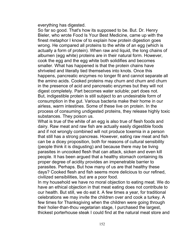everything has digested.

So far so good. That's how its supposed to be. But. Dr. Henry Bieler, who wrote Food Is Your Best Medicine, came up with the finest metaphor I know of to explain how protein digestion goes wrong. He compared all proteins to the white of an egg (which is actually a form of protein). When raw and liquid, the long chains of albumen (egg white) proteins are in their natural form. However, cook the egg and the egg white both solidifies and becomes smaller. What has happened is that the protein chains have shriveled and literally tied themselves into knots. Once this happens, pancreatic enzymes no longer fit and cannot separate all the amino acids. Cooked proteins may churn and churn and churn in the presence of acid and pancreatic enzymes but they will not digest completely. Part becomes water soluble; part does not. But, indigestible protein is still subject to an undesirable form of consumption in the gut. Various bacteria make their home in our airless, warm intestines. Some of these live on protein. In the process of consuming undigested proteins, they release highly toxic substances. They poison us.

What is true of the white of an egg is also true of flesh foods and dairy. Raw meat and raw fish are actually easily digestible foods and if not wrongly combined will not produce toxemia in a person that still has a strong pancreas. However, eating raw meat and fish can be a dicey proposition, both for reasons of cultural sensibility (people think it is disgusting) and because there may be living parasites in uncooked flesh that can attack, sicken and even kill people. It has been argued that a healthy stomach containing its proper degree of acidity provides an impenetrable barrier to parasites. Perhaps. But how many of us are that healthy these days? Cooked flesh and fish seems more delicious to our refined, civilized sensibilities, but are a poor food.

In my household we have no moral objection to eating meat. We do have an ethical objection in that meat eating does not contribute to our health. But still, we do eat it. A few times a year, for traditional celebrations we may invite the children over and cook a turkey. A few times for Thanksgiving when the children were going through their holier-than-thou vegetarian stage, I purchased the largest, thickest porterhouse steak I could find at the natural meat store and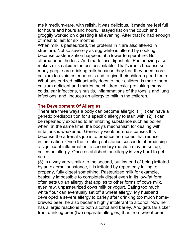ate it medium-rare, with relish. It was delicious. It made me feel full for hours and hours and hours. I stayed flat on the couch and groggily worked on digesting it all evening. After that I'd had enough of meat to last for six months.

When milk is pasteurized, the proteins in it are also altered in structure. Not so severely as egg white is altered by cooking because pasteurization happens at a lower temperature. But altered none the less. And made less digestible. Pasteurizing also makes milk calcium far less assimilable. That's ironic because so many people are drinking milk because they fear they need more calcium to avoid osteoporosis and to give their children good teeth. What pasteurized milk actually does to their children is make them calcium deficient and makes the children toxic, provoking many colds, ear infections, sinusitis, inflammations of the tonsils and lung infections, and, induces an allergy to milk in the children.

#### **The Development Of Allergies**

There are three ways a body can become allergic. (1) It can have a genetic predisposition for a specific allergy to start with. (2) It can be repeatedly exposed to an irritating substance such as pollen when, at the same time, the body's mechanism for dealing with irritations is weakened. Generally weak adrenals causes this because the adrenal's job is to produce hormones that reduce inflammation. Once the irritating substance succeeds at producing a significant inflammation, a secondary reaction may be set up, called an allergy. Once established, an allergy is very hard to get rid of.

(3) in a way very similar to the second, but instead of being irritated by an external substance, it is irritated by repeatedly failing to properly, fully digest something. Pasteurized milk for example, basically impossible to completely digest even in its low-fat form, often sets up an allergy that applies to other forms of cows milk, even raw, unpasteurized cows milk or yogurt. Eating too much white flour can eventually set off a wheat allergy. My husband developed a severe allergy to barley after drinking too much homebrewed beer; he also became highly intolerant to alcohol. Now he has allergic reactions to both alcohol and barley. And gets far sicker from drinking beer (two separate allergies) than from wheat beer,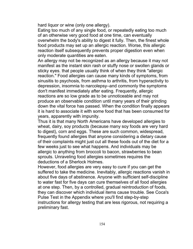hard liquor or wine (only one allergy).

Eating too much of any single food, or repeatedly eating too much of an otherwise very good food at one time, can eventually overwhelm the body's ability to digest it fully. Then, the finest whole food products may set up an allergic reaction. Worse, this allergic reaction itself subsequently prevents proper digestion even when only moderate quantities are eaten.

An allergy may not be recognized as an allergy because it may not manifest as the instant skin rash or stuffy nose or swollen glands or sticky eyes. that people usually think of when they think "allergic reaction." Food allergies can cause many kinds of symptoms, from sinusitis to psychosis, from asthma to arthritis, from hyperactivity to depression, insomnia to narcolepsy–and commonly the symptoms don't manifest immediately after eating. Frequently, allergic reactions are so low grade as to be unnoticeable and may not produce an observable condition until many years of their grinding down the vital force has passed. When the condition finally appears it is hard to associate it with some food that has been consumed for years, apparently with impunity.

Thus it is that many North Americans have developed allergies to wheat, dairy, soy products (because many soy foods are very hard to digest), corn and eggs. These are such common, widespread, frequently found allergies that anyone considering a dietary cause of their complaints might just cut all these foods out of the diet for a few weeks just to see what happens. And individuals may be allergic to anything from broccoli to bacon, strawberries to bean sprouts. Unraveling food allergies sometimes requires the deductions of a Sherlock Holmes.

However, food allergies are very easy to cure if you can get the suffered to take the medicine. Inevitably, allergic reactions vanish in about five days of abstinence. Anyone with sufficient self-discipline to water fast for five days can cure themselves of all food allergies at one step. Then, by a controlled, gradual reintroduction of foods, they can discover which individual items cause trouble. See Coca's Pulse Test in the Appendix where you'll find step-by-step instructions for allergy testing that are less rigorous, not requiring a preliminary fast.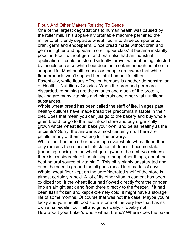# Flour, And Other Matters Relating To Seeds

One of the largest degradations to human health was caused by the roller mill. This apparently profitable machine permitted the miller to efficiently separate wheat flour into three components: bran, germ and endosperm. Since bread made without bran and germ is lighter and appears more "upper class" it became instantly popular. Flour without germ and bran also had an industrial application–it could be stored virtually forever without being infested by insects because white flour does not contain enough nutrition to support life. Most health conscious people are aware that white flour products won't support healthful human life either. Essentially, white flour's effect on humans is another demonstration of Health = Nutrition / Calories. When the bran and germ are discarded, remaining are the calories and much of the protein,

lacking are many vitamins and minerals and other vital nutritional substances.

Whole wheat bread has been called the staff of life. In ages past, healthy cultures have made bread the predominant staple in their diet. Does that mean you can just go to the bakery and buy whole grain bread, or go to the healthfood store and buy organically grown whole wheat flour, bake your own, and be as healthy as the ancients? Sorry, the answer is almost certainly no. There are pitfalls, many of them, waiting for the unwary.

White flour has one other advantage over whole wheat flour. It not only remains free of insect infestation, it doesn't become stale (meaning rancid). In the wheat germ (where the embryo resides) there is considerable oil, containing among other things, about the best natural source of vitamin E. This oil is highly unsaturated and once the seed is ground the oil goes rancid in a matter of days. Whole wheat flour kept on the unrefrigerated shelf of the store is almost certainly rancid. A lot of its other vitamin content has been oxidized too. If the wheat flour had flowed directly from the grinder into an airtight sack and from there directly to the freezer, if it had been flash frozen and kept extremely cold, it might have a storage life of some months. Of course that was not the case. Maybe you're lucky and your healthfood store is one of the very few that has its own small-scale flour mill and grinds daily. Probably not. How about your baker's whole wheat bread? Where does the baker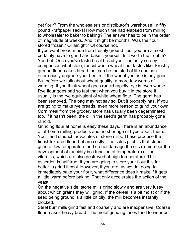get flour? From the wholesaler's or distributor's warehouse! In fifty pound kraftpaper sacks! How much time had elapsed from milling to wholesaler to baker to baking? The answer has to be in the order of magnitude of weeks. And it might be months. Was the flour stored frozen? Or airtight? Of course not.

If you want bread made from freshly ground flour you are almost certainly have to grind and bake it yourself. Is it worth the trouble? You bet. Once you've tasted real bread you'll instantly see by comparison what stale, rancid whole wheat flour tastes like. Freshly ground flour makes bread that can be the staff of life and can enormously upgrade your health–if the wheat you use is any good. But before we talk about wheat quality, a more few words of warning. If you think wheat goes rancid rapidly, rye is even worse. Rye flour goes bad so fast that when you buy it in the store it usually is the rye equivalent of white wheat flour. The germ has been removed. The bag may not say so. But it probably has. If you are going to make rye breads, even more reason to grind your own. Corn meal from the grocery store has usually been degerminated too. If it hasn't been, the oil in the seed's germ has probably gone rancid.

Grinding flour at home is easy these days. There is an abundance of at-home milling products and no shortage of hype about them. You'll find staunch advocates of stone mills. These produce the finest-textured flour, but are costly. The sales pitch is that stones grind at low temperature and do not damage the oils (remember the development of rancidity is a function of temperature) or the vitamins, which are also destroyed at high temperature. This assertion is half true. If you are going to store your flour it is far better to grind it cool. However, if you are, as we do, going to immediately bake your flour, what difference does it make if it gets a little warm before baking. That only accelerates the action of the yeast.

On the negative side, stone mills grind slowly and are very fussy about which grains they will grind. If the cereal is a bit moist or if the seed being ground is a little bit oily, the mill becomes instantly blocked.

Steel burr mills grind fast and coarsely and are inexpensive. Coarse flour makes heavy bread. The metal grinding faces tend to wear out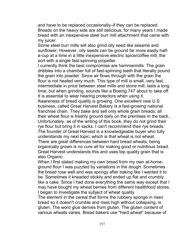and have to be replaced occasionally–if they can be replaced. Breads on the heavy side are still delicious; for many years I made bread with an inexpensive steel burr mill attachment that came with my juicer.

Some steel burr mills will also grind oily seed like sesame and sunflower. However, oily seeds can be ground far more easily halfa-cup at a time in a little inexpensive electric spice/coffee mill, the sort with a single fast-spinning propeller.

I currently think the best compromise are hammermills. The grain dribbles into a chamber full of fast-spinning teeth that literally pound the grain into powder. Since air flows through with the grain the flour is not heated very much. This type of mill is small, very fast, intermediate in price between steel mills and stone mill, lasts a long time, but when grinding, sounds like a Boeing 747 about to take off. It is essential to wear hearing protectors when using it.

Awareness of bread quality is growing. One excellent new U.S. business, called Great Harvest Bakery is a fast-growing national franchise chain. They bake and sell only whole grain breads; all their wheat flour is freshly ground daily on the premises in the back. Unfortunately, as of the writing of this book, they do not grind their rye flour but bring it in sacks. I can't recommend their rye breads. The founder of Great Harvest is a knowledgeable buyer who fully understands my next topic, which is that wheat is not wheat. There are great differences between hard bread wheats; being organically grown is no cure all for making good or nutritious bread. Great Harvest understands this and uses top quality grain that is also Organic.

When I first stated making my own bread from my own at-homeground flour I was puzzled by variations in the dough. Sometimes the bread rose well and was spongy after baking like I wanted it to be. Sometimes it kneaded stickily and ended up flat and crumbly like a cake. Since I had done everything the same way except that I may have bought my wheat berries from different healthfood stores, I began to investigate the subject of wheat quality.

The element in the cereal that forms the rubbery sponge in risen bread so it doesn't crumble and rises high without collapsing, is gluten. The word glue derives from gluten. The gluten content of various wheats varies. Bread bakers use "hard wheat" because of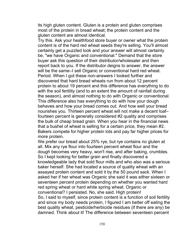its high gluten content. Gluten is a protein and gluten comprises most of the protein in bread wheat; the protein content and the gluten content are almost identical.

Try this. Ask your healthfood store buyer or owner what the protein content is of the hard red wheat seeds they're selling. You'll almost certainly get a puzzled look and your answer will almost certainly be, "we have Organic and conventional." Demand that the store buyer ask this question of their distributor/wholesaler and then report back to you. If the distributor deigns to answer, the answer will be the same–I sell Organic or conventional hard red wheat. Period. When I got these non-answers I looked further and discovered that hard bread wheats run from about 12 percent protein to about 19 percent and this difference has everything to do with the soil fertility (and to an extent the amount of rainfall during the season), and almost nothing to do with Organic or conventional. This difference also has everything to do with how your dough behaves and how your bread comes out. And how well your bread nourishes you. Thirteen percent wheat will not make a decent loaf– fourteen percent is generally considered #2 quality and comprises the bulk of cheap bread grain. When you hear in the financial news that a bushel of wheat is selling for a certain price, they mean #2. Bakers compete for higher protein lots and pay far higher prices for more protein.

We prefer our bread about 25% rye, but rye contains no gluten at all. Mix any rye flour into fourteen percent wheat flour and the dough becomes very heavy, won't rise, and after baking, crumbles. So I kept looking for better grain and finally discovered a knowledgeable lady that sold flour mills and who also was a serious baker herself. She had located a source of quality wheat with an assayed protein content and sold it by the 50 pound sack. When I asked her if her wheat was Organic she said it was either sixteen or seventeen percent protein depending on whether you wanted hard red spring wheat or hard white spring wheat. Organic or conventional? I persisted. No, she said. High protein! So, I said to myself, since protein content is a function of soil fertility and since my body needs protein, I figured I am better off eating the best quality wheat, pesticide/herbicide residues (if there are any) be damned. Think about it! The difference between seventeen percent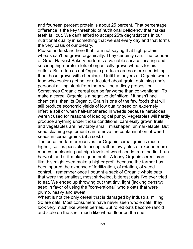and fourteen percent protein is about 25 percent. That percentage difference is the key threshold of nutritional deficiency that makes teeth fall out. We can't afford to accept 25% degradations in our nutritional quality in something that we eat every day and that forms the very basis of our dietary.

Please understand here that I am not saying that high protein wheats can't be grown organically. They certainly can. The founder of Great Harvest Bakery performs a valuable service locating and securing high-protein lots of organically grown wheats for his outlets. But often as not Organic products are no more nourishing than those grown with chemicals. Until the buyers at Organic whole food wholesalers get better educated about grain, obtaining one's personal milling stock from them will be a dicey proposition. Sometimes Organic cereal can be far worse than conventional. To make a cereal Organic is a negative definition; if it hasn't had chemicals, then its Organic. Grain is one of the few foods that will still produce economic yields of low quality seed on extremely infertile soil or when half-smothered in weeds because herbicides weren't used for reasons of ideological purity. Vegetables will hardly produce anything under those conditions; carelessly grown fruits and vegetables are inevitably small, misshapen, unmarketable. But seed cleaning equipment can remove the contamination of weed seeds in cereal grains (at a cost.)

The price the farmer receives for Organic cereal grain is much higher, so it is possible to accept rather low yields or expend more money for cleaning out high levels of weed seeds from the field-run harvest, and still make a good profit. A lousy Organic cereal crop like this might even make a higher profit because the farmer has been spared the expense of fertilization, of rotation, of weed control. I remember once I bought a sack of Organic whole oats that were the smallest, most shriveled, bitterest oats I've ever tried to eat. We ended up throwing out that tiny, light (lacking density) seed in favor of using the "conventional" whole oats that were plump, heavy and sweet.

Wheat is not the only cereal that is damaged by industrial milling. So are oats. Most consumers have never seen whole oats; they look very much like wheat berries. But rolled oats become rancid and stale on the shelf much like wheat flour on the shelf.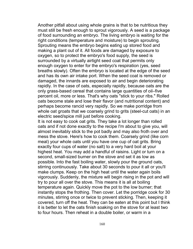Another pitfall about using whole grains is that to be nutritious they must still be fresh enough to sprout vigorously. A seed is a package of food surrounding an embryo. The living embryo is waiting for the right conditions (temperature and moisture) to begin sprouting. Sprouting means the embryo begins eating up stored food and making a plant out of it. All foods are damaged by exposure to oxygen, so to protect the embryo's food supply, the seed is surrounded by a virtually airtight seed coat that permits only enough oxygen to enter for the embryo's respiration (yes, seed breaths slowly). Often the embryo is located at the edge of the seed and has its own air intake port. When the seed coat is removed or damaged, the innards are exposed to air and begin deteriorating rapidly. In the case of oats, especially rapidly, because oats are the only grass-based cereal that contains large quantities of oil–five percent oil, more or less. That's why oats "stick to your ribs." Rolled oats become stale and lose their flavor (and nutritional content) and perhaps become rancid very rapidly. So we make porridge from whole oat groats that we coarsely grind to grits (steel-cut oats) in an electric seed/spice mill just before cooking.

It is not easy to cook oat grits. They take a lot longer than rolled oats and if not done exactly to the recipe I'm about to give you, will almost inevitably stick to the pot badly and may also froth over and mess the stove. Here's how to cook them. Coarsely grind (like corn meal) your whole oats until you have one cup of oat grits. Bring exactly four cups of water (no salt) to a very hard boil at your highest heat. You may add a handful of raisins. Light or turn on a second, small-sized burner on the stove and set it as low as possible. Into the fast boiling water, slowly pour the ground oats, stirring continuously. Take about 30 seconds to pour it all or you'll make clumps. Keep on the high heat until the water again boils vigorously. Suddenly, the mixture will begin rising in the pot and will try to pour all over the stove. This means it is all at boiling temperature again. Quickly move the pot to the low burner; that instantly stops the frothing. Then cover. Let the porridge cook for 30 minutes, stirring once or twice to prevent sticking. Then, keeping it covered, turn off the heat. They can be eaten at this point but I think it is better to let the oats finish soaking on the stove for at least two to four hours. Then reheat in a double boiler, or warm in a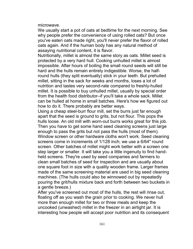microwave.

We usually start a pot of oats at bedtime for the next morning. See why people prefer the convenience of using rolled oats? But once you've eaten oats made right, you'll never prefer the flavor of rolled oats again. And if the human body has any natural method of assaying nutritional content, it is flavor.

Nutritionally, millet is almost the same story as oats. Millet seed is protected by a very hard hull. Cooking unhulled millet is almost impossible. After hours of boiling the small round seeds will still be hard and the hulls remain entirely indigestible. Worse, the halfround hulls (they split eventually) stick in your teeth. But prehulled millet, sitting in the sack for weeks and months, loses a lot of nutrition and tastes very second-rate compared to freshly-hulled millet. It is possible to buy unhulled millet, usually by special order from the health food distributor–if you'll take a whole sack. Millet can be hulled at home in small batches. Here's how we figured out how to do it. There probably are better ways.

Using a cheap steel-burr flour mill, set the burrs just far enough apart that the seed is ground to grits, but not flour. This pops the hulls loose. An old mill with worn-out burrs works great for this job. Then you have to get some hand seed cleaning screens just large enough to pass the grits but not pass the hulls (most of them). Window screen or other hardware cloths won't work. Seed cleaning screens come in increments of 1/128 inch; we use a 6/64" round screen. Other batches of millet might work better with a screen one step larger or smaller. It will take you a little ingenuity to find handheld screens. They're used by seed companies and farmers to clean small batches of seed for inspection and are usually about one square foot in size with a quality wooden frame. Larger frames made of the same screening material are used in big seed cleaning machines. (The hulls could also be winnowed out by repeatedly pouring the grit/hulls mixture back and forth between two buckets in a gentle breeze.)

After you've screened out most of the hulls, the rest will rinse out, floating off as you wash the grain prior to cooking. We never hull more than enough millet for two or three meals and keep the uncooked (unwashed) millet in the freezer in an airtight jar. It is interesting how people will accept poor nutrition and its consequent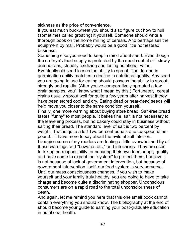sickness as the price of convenience.

If you eat much buckwheat you should also figure out how to hull (sometimes called groating) it yourself. Someone should write a thorough book on the home milling of cereals. And perhaps sell the equipment by mail. Probably would be a good little homestead business.

Something else you need to keep in mind about seed. Even though the embryo's food supply is protected by the seed coat, it still slowly deteriorates, steadily oxidizing and losing nutritional value.

Eventually old seed looses the ability to sprout. The decline in germination ability matches a decline in nutritional quality. Any seed you are going to use for eating should possess the ability to sprout, strongly and rapidly. (After you've comparatively sprouted a few grain samples, you'll know what I mean by this.) Fortunately, cereal grains usually sprout well for quite a few years after harvest if they have been stored cool and dry. Eating dead or near-dead seeds will help move you closer to the same condition yourself.

Finally, one more warning about buying store bread. Salt-free bread tastes "funny" to most people. It bakes fine, salt is not necessary to the leavening process, but no bakery could stay in business without salting their bread. The standard level of salt is two percent by weight. That is quite a lot! Two percent equals one teaspoonful per pound. I'll have more to say about the evils of salt later on.

I imagine some of my readers are feeling a little overwhelmed by all these warnings and "bewares ofs," and intricacies. They are used to taking no responsibility for securing their own food supply quality and have come to expect the "system" to protect them. I believe it is not because of lack of government intervention, but because of government intervention itself, our food system is very perverse. Until our mass consciousness changes, if you wish to make yourself and your family truly healthy, you are going to have to take charge and become quite a discriminating shopper. Unconscious consumers are on a rapid road to the total unconsciousness of death.

And again, let me remind you here that this one small book cannot contain everything you should know. The bibliography at the end of should become your guide to earning your post-graduate education in nutritional health.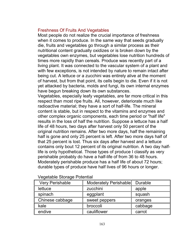## Freshness Of Fruits And Vegetables

Most people do not realize the crucial importance of freshness when it comes to produce. In the same way that seeds gradually die, fruits and vegetables go through a similar process as their nutritional content gradually oxidizes or is broken down by the vegetables own enzymes, but vegetables lose nutrition hundreds of times more rapidly than cereals. Produce was recently part of a living plant. It was connected to the vascular system of a plant and with few exceptions, is not intended by nature to remain intact after being cut. A lettuce or a zucchini was entirely alive at the moment of harvest, but from that point, its cells begin to die. Even if it is not yet attacked by bacteria, molds and fungi, its own internal enzymes have begun breaking down its own substances.

Vegetables, especially leafy vegetables, are far more critical in this respect than most ripe fruits. All, however, deteriorate much like radioactive material; they have a sort of half-life. The mineral content is stable, but in respect to the vitamins and enzymes and other complex organic components, each time period or "half life" results in the loss of half the nutrition. Suppose a lettuce has a half life of 48 hours, two days after harvest only 50 percent of the original nutrition remains. After two more days, half the remaining half is gone and only 25 percent is left. After two more days half of that 25 percent is lost. Thus six days after harvest and a lettuce contains only bout 12 percent of its original nutrition. A two day halflife is only hypothetical. Those types of produce I classify as very perishable probably do have a half-life of from 36 to 48 hours. Moderately perishable produce has a half life of about 72 hours; durable types of produce have half lives of 96 hours or longer.

| <b>Very Perishable</b> | Moderately Perishable | Durable |  |  |  |
|------------------------|-----------------------|---------|--|--|--|
| lettuce                | zucchini              | apple   |  |  |  |
| spinach                | eggplant              | squash  |  |  |  |
| Chinese cabbage        | sweet peppers         | oranges |  |  |  |
| kale                   | broccoli              | cabbage |  |  |  |
| endive                 | cauliflower           | carrot  |  |  |  |

# Vegetable Storage Potential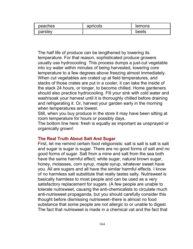| peaches | apricots | lemons |
|---------|----------|--------|
| parsle  |          | neers  |

The half life of produce can be lengthened by lowering its temperature. For that reason, sophisticated produce growers usually use hydrocooling. This process dumps a just-cut vegetable into icy water within minutes of being harvested, lowering core temperature to a few degrees above freezing almost immediately. When cut vegetables are crated up at field temperatures, and stacks of those crates are put in a cooler, it can take the inside of the stack 24 hours, or longer, to become chilled. Home gardeners should also practice hydrocooling. Fill your sink with cold water and wash/soak your harvest until it is thoroughly chilled before draining and refrigerating it. Or, harvest your garden early in the morning when temperatures are lowest.

Still, when you buy produce in the store it may have been sitting at room temperature for hours or possibly days.

The bottom line here: fresh is equally as important as unsprayed or organically grown!

## **The Real Truth About Salt And Sugar**

First, let me remind certain food religionists: salt is salt is salt is salt and sugar is sugar is sugar. There are no good forms of salt and no good forms of sugar. Salt from a mine and salt from the sea both have the same harmful effect; white sugar, natural brown sugar, honey, molasses, corn syrup, maple syrup, whatever sweet have you. All are sugars and all have the similar harmful effects. I know of no harmless salt substitute that really tastes salty. Nutrisweet is basically harmless to most people and can be used as a very satisfactory replacement for sugars. (A few people are unable to tolerate nutrisweet, causing the anti-chemicalists to circulate much anti-nutrisweet propaganda, but you should carefully consider this thought before dismissing nutrisweet–there is almost no food substance that some people are not allergic to or unable to digest. The fact that nutrisweet is made in a chemical vat and the fact that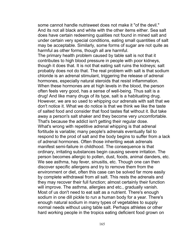some cannot handle nutrisweet does not make it "of the devil." And its not all black and white with the other items either. Sea salt does have certain redeeming qualities not found in mined salt and under certain very special conditions, eating small quantities of salt may be acceptable. Similarly, some forms of sugar are not quite as harmful as other forms, though all are harmful.

The primary health problem caused by table salt is not that it contributes to high blood pressure in people with poor kidneys, though it does that. It is not that eating salt ruins the kidneys; salt probably does not do that. The real problem with salt is that sodium chloride is an adrenal stimulant, triggering the release of adrenal hormones, especially natural steroids that resist inflammation. When these hormones are at high levels in the blood, the person often feels very good, has a sense of well-being. Thus salt is a drug! And like many drugs of its type, salt is a habituating drug. However, we are so used to whipping our adrenals with salt that we don't notice it. What we do notice is that we think we like the taste of salted food and consider that food tastes flat without it. But take away a person's salt shaker and they become very uncomfortable. That's because the addict isn't getting their regular dose. What's wrong with repetitive adrenal whipping is that adrenal fortitude is variable; many people's adrenals eventually fail to respond to the prod of salt and the body begins to suffer from a lack of adrenal hormones. Often those inheriting weak adrenals manifest semi-failure in childhood. The consequence is that ordinary, irritating substances begin causing severe irritation. The person becomes allergic to pollen, dust, foods, animal danders, etc. We see asthma, hay fever, sinusitis, etc. Though one can then discover specific allergens and try to remove them from the environment or diet, often this case can be solved far more easily by complete withdrawal from all salt. This rests the adrenals and they may recover their full function; almost certainly their function will improve. The asthma, allergies and etc., gradually vanish. Most of us don't need to eat salt as a nutrient. There's enough sodium in one dill pickle to run a human body for a year. There's enough natural sodium in many types of vegetables to supply normal needs without using table salt. Perhaps athletes or other hard working people in the tropics eating deficient food grown on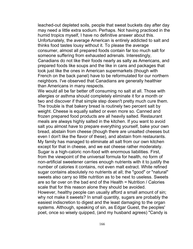leached-out depleted soils, people that sweat buckets day after day may need a little extra sodium. Perhaps. Not having practiced in the humid tropics myself, I have no definitive answer about this. Unfortunately, the average American is entirely addicted to salt and thinks food tastes lousy without it. To please the average consumer, almost all prepared foods contain far too much salt for someone suffering from exhausted adrenals. Interestingly, Canadians do not like their foods nearly as salty as Americans, and prepared foods like soups and the like in cans and packages that look just like the ones in American supermarkets (though with French on the back panel) have to be reformulated for our northern neighbors. I've observed that Canadians are generally healthier than Americans in many respects.

We would all be far better off consuming no salt at all. Those with allergies or asthma should completely eliminate it for a month or two and discover if that simple step doesn't pretty much cure them. The trouble is that bakery bread is routinely two percent salt by weight. Cheese is equally salted or even more so. Canned and frozen prepared food products are all heavily salted. Restaurant meals are always highly salted in the kitchen. If you want to avoid salt you almost have to prepare everything yourself, bake your own bread, abstain from cheese (though there are unsalted cheeses but even I don't like the flavor of these), and abstain from restaurants. My family has managed to eliminate all salt from our own kitchen except for that in cheese, and we eat cheese rather moderately. Sugar is a high-caloric non-food with enormous liabilities. First, from the viewpoint of the universal formula for health, no form of non-artificial sweetener carries enough nutrients with it to justify the number of calories it contains, not even malt extract. White refined sugar contains absolutely no nutrients at all; the "good" or "natural" sweets also carry so little nutrition as to be next to useless. Sweets are so far over on the bad end of the Health = Nutrition / Calories scale that for this reason alone they should be avoided. However, healthy people can usually afford a small amount of sin; why not make it sweets? In small quantity, sugars are probably the

easiest indiscretion to digest and the least damaging to the organ systems. Although, speaking of sin, as Edgar Guest, the peoples' poet, once so wisely quipped, (and my husband agrees) "Candy is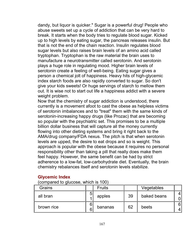dandy, but liquor is quicker." Sugar is a powerful drug! People who abuse sweets set up a cycle of addiction that can be very hard to break. It starts when the body tries to regulate blood sugar. Kicked up to high levels by eating sugar, the pancreas releases insulin. But that is not the end of the chain reaction. Insulin regulates blood sugar levels but also raises brain levels of an amino acid called tryptophan. Tryptophan is the raw material the brain uses to manufacture a neurotransmitter called serotonin. And serotonin plays a huge role in regulating mood. Higher brain levels of serotonin create a feeling of well-being. Eating sugar gives a person a chemical jolt of happiness. Heavy hits of high-glycemic index starch foods are also rapidly converted to sugar. So don't give your kids sweets! Or huge servings of starch to mellow them out. It is wise not to start out life a happiness addict with a severe weight problem.

Now that the chemistry of sugar addiction is understood, there currently is a movement afoot to cast the obese as helpless victims of serotonin imbalances and to "treat" them with the same kinds of serotonin-increasing happy drugs (like Prozac) that are becoming so popular with the psychiatric set. This promises to be a multiple billion dollar business that will capture all the money currently flowing into other dieting systems and bring it right back to the AMA/drug company/FDA nexus. The pitch is that when serotonin levels are upped, the desire to eat drops and so is weight. This approach is popular with the obese because it requires no personal responsibility other than taking a pill that really does make them feel happy. However, the same benefit can be had by strict adherence to a low-fat, low-carbohydrate diet. Eventually, the brain chemistry rebalances itself and serotonin levels stabilize.

# **Glycemic Index**

(compared to glucose, which is 100)

| Grains     | <b>Fruits</b> |    | Vegetables  |   |
|------------|---------------|----|-------------|---|
| all bran   | apples        | 39 | baked beans | 0 |
| brown rice | bananas       | 62 | beets       | 6 |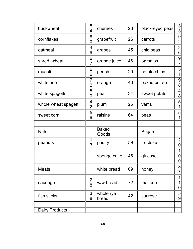| buckwheat             | 5<br>4              | cherries              | 23 | black-eyed peas | $\frac{3}{3}$                 |
|-----------------------|---------------------|-----------------------|----|-----------------|-------------------------------|
| cornflakes            |                     | grapefruit            | 26 | carrots         | 9<br>$\overline{2}$           |
| oatmeal               | 4<br>9              | grapes                | 45 | chic peas       | $\overline{3}$<br>6           |
| shred. wheat          | 6<br>$\overline{7}$ | orange juice          | 46 | parsnips        | 9<br>$\overline{7}$           |
| muesli                | 6<br>6              | peach                 | 29 | potato chips    | 5<br>1                        |
| white rice            | ſ<br>$\overline{2}$ | orange                | 40 | baked potato    | 9<br>8                        |
| white spagetti        | 5<br>0              | pear                  | 34 | sweet potato    | $\overline{\mathcal{A}}$<br>8 |
| whole wheat spagetti  | 4<br>$\overline{2}$ | plum                  | 25 | yams            | 5<br>1                        |
| sweet corn            | 5<br>9              | raisins               | 64 | peas            | 5<br>1                        |
|                       |                     |                       |    |                 |                               |
| <b>Nuts</b>           |                     | <b>Baked</b><br>Goods |    | <b>Sugars</b>   |                               |
| peanuts               | 1<br>3              | pastry                | 59 | fructose        | 2<br>$\mathbf 0$              |
|                       |                     | sponge cake           | 46 | glucose         | 1<br>0<br>$\mathbf 0$         |
| <b>Meats</b>          |                     | white bread           | 69 | honey           | 8<br>$\overline{7}$           |
| sausage               | 2 <br>8             | w/w bread             | 72 | maltose         | 1<br>1<br>$\mathbf 0$         |
| fish sticks           | $\mathbf{3}$<br>8   | whole rye<br>bread    | 42 | sucrose         | 5<br>9                        |
|                       |                     |                       |    |                 |                               |
| <b>Dairy Products</b> |                     |                       |    |                 |                               |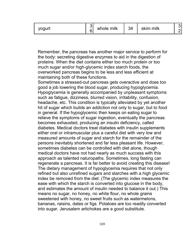| ~…… | milk<br>whole | $\sim$<br>$\overline{\phantom{a}}$<br>54 | milk<br>ckim |  |
|-----|---------------|------------------------------------------|--------------|--|
|-----|---------------|------------------------------------------|--------------|--|

Remember, the pancreas has another major service to perform for the body: secreting digestive enzymes to aid in the digestion of proteins. When the diet contains either too much protein or too much sugar and/or high-glycemic index starch foods, the overworked pancreas begins to be less and less efficient at maintaining both of these functions.

Sometimes a stressed-out pancreas gets overactive and does too good a job lowering the blood sugar, producing hypoglycemia. Hypoglycemia is generally accompanied by unpleasant symptoms such as fatigue, dizziness, blurred vision, irritability, confusion, headache, etc. This condition is typically alleviated by yet another hit of sugar which builds an addiction not only to sugar, but to food in general. If the hypoglycemic then keeps on eating sugar to relieve the symptoms of sugar ingestion, eventually the pancreas becomes exhausted, producing an insulin deficiency, called diabetes. Medical doctors treat diabetes with insulin supplements either oral or intramuscular plus a careful diet with very low and measured amounts of sugar and starch for the remainder of the persons inevitably shortened and far less pleasant life. However, sometimes diabetes can be controlled with diet alone, though medical doctors have not had nearly as much success with this approach as talented naturopaths. Sometimes, long fasting can regenerate a pancreas. It is far better to avoid creating this disease! The dietary management of hypoglycemia requires that not only refined but also unrefined sugars and starches with a high glycemic index be removed from the diet. (The glycemic index measures the ease with which the starch is converted into glucose in the body, and estimates the amount of insulin needed to balance it out.) This means no sugar, no honey, no white flour, no whole grains sweetened with honey, no sweet fruits such as watermelons, bananas, raisins, dates or figs. Potatoes are too readily converted into sugar. Jerusalem artichokes are a good substitute.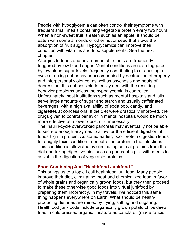People with hypoglycemia can often control their symptoms with frequent small meals containing vegetable protein every two hours. When a non-sweet fruit is eaten such as an apple, it should be eaten with some almonds or other nut or seed that slows the absorption of fruit sugar. Hypoglycemics can improve their condition with vitamins and food supplements. See the next chapter.

Allergies to foods and environmental irritants are frequently triggered by low blood sugar. Mental conditions are also triggered by low blood sugar levels, frequently contributing to or causing a cycle of acting out behavior accompanied by destruction of property and interpersonal violence, as well as psychosis and bouts of depression. It is not possible to easily deal with the resulting behavior problems unless the hypoglycemia is controlled. Unfortunately most institutions such as mental hospitals and jails serve large amounts of sugar and starch and usually caffeinated beverages, with a high availability of soda pop, candy, and cigarettes at concessions. If the diet were drastically improved, the drugs given to control behavior in mental hospitals would be much more effective at a lower dose, or unnecessary.

The insulin-cycle overworked pancreas may eventually not be able to secrete enough enzymes to allow for the efficient digestion of foods high in protein. As stated earlier, poor protein digestion leads to a highly toxic condition from putrefied protein in the intestines. This condition is alleviated by eliminating animal proteins from the diet and taking digestive aids such as pancreatin pills with meals to assist in the digestion of vegetable proteins.

### **Food Combining And "Healthfood Junkfood."**

This brings us to a topic I call healthfood junkfood. Many people improve their diet, eliminating meat and chemicalized food in favor of whole grains and organically grown foods, but they then proceed to make these otherwise good foods into virtual junkfood by preparing them incorrectly. In my travels, I've noticed this same thing happens everywhere on Earth. What should be healthproducing dietaries are ruined by frying, salting and sugaring. Healthfood junkfoods include organically grown potato chips deep fried in cold pressed organic unsaturated canola oil (made rancid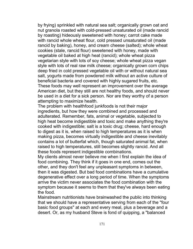by frying) sprinkled with natural sea salt; organically grown oat and nut granola roasted with cold-pressed unsaturated oil (made rancid by roasting) hideously sweetened with honey; carrot cake made with rancid whole wheat flour, cold pressed unsaturated oil (made rancid by baking), honey, and cream cheese (salted); whole wheat cookies (stale, rancid flour) sweetened with honey, made with vegetable oil baked at high heat (rancid); whole wheat pizza vegetarian style with lots of soy cheese; whole wheat pizza vegan style with lots of real raw milk cheese; organically grown corn chips deep fried in cold pressed vegetable oil with or without natural sea salt, yogurts made from powdered milk without an active culture of beneficial bacteria and covered with highly sugared fruits, etc. These foods may well represent an improvement over the average American diet, but they still are not healthy foods, and should never be used in a diet for a sick person. Nor are they worthy of a person attempting to maximize health.

The problem with healthfood junkfoods is not their major ingredients, but how they were combined and processed and adulterated. Remember, fats, animal or vegetable, subjected to high heat become indigestible and toxic and make anything they're cooked with indigestible; salt is a toxic drug; cheese, hard enough to digest as it is, when raised to high temperatures as it is when making pizza, becomes virtually indigestible and cheese inevitably contains a lot of butterfat which, though saturated animal fat, when raised to high temperatures, still becomes slightly rancid. And all these foods represent indigestible combinations.

My clients almost never believe me when I first explain the idea of food combining. They think if it goes in one end, comes out the other, and they don't feel any unpleasant symptoms in between, then it was digested. But bad food combinations have a cumulative degenerative effect over a long period of time. When the symptoms arrive the victim never associates the food combination with the symptom because it seems to them that they've always been eating the food.

Mainstream nutritionists have brainwashed the public into thinking that we should have a representative serving from each of the "four basic food groups" at each and every meal, plus a beverage and a desert. Or, as my husband Steve is fond of quipping, a "balanced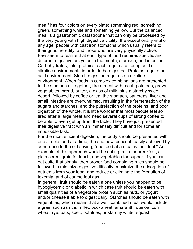meal" has four colors on every plate: something red, something green, something white and something yellow. But the balanced meal is a gastronomic catastrophe that can only be processed by the very young with high digestive vitality, the exceptionally vital of any age, people with cast iron stomachs which usually refers to their good heredity, and those who are very physically active. Few seem to realize that each type of food requires specific and different digestive enzymes in the mouth, stomach, and intestine. Carbohydrates, fats, proteins–each requires differing acid or alkaline environments in order to be digested. Proteins require an acid environment. Starch digestion requires an alkaline environment. When foods in complex combinations are presented to the stomach all together, like a meal with meat, potatoes, gravy, vegetables, bread, butter, a glass of milk, plus a starchy sweet desert, followed by coffee or tea, the stomach, pancreas, liver and small intestine are overwhelmed, resulting in the fermentation of the sugars and starches, and the putrefaction of the proteins, and poor digestion of the whole. It is little wonder that most people feel so tired after a large meal and need several cups of strong coffee to be able to even get up from the table. They have just presented their digestive tract with an immensely difficult and for some an impossible task.

For the most efficient digestion, the body should be presented with one simple food at a time, the one bowl concept, easily achieved by adherence to the old saying, "one food at a meal is the ideal." An example of this approach would be eating fruits for breakfast, a plain cereal grain for lunch, and vegetables for supper. If you can't eat quite that simply, then proper food combining rules should be followed to minimize digestive difficulty, maximize the adsorption of nutrients from your food, and reduce or eliminate the formation of toxemia, and of course foul gas.

In general, fruit should be eaten alone unless you happen to be hypoglycemic or diabetic in which case fruit should be eaten with small quantities of a vegetable protein such as nuts, or yogurt and/or cheese if able to digest dairy. Starches should be eaten with vegetables, which means that a well combined meal would include a grain such as rice, millet, buckwheat, amaranth, quinoa, corn, wheat, rye, oats, spelt, potatoes, or starchy winter squash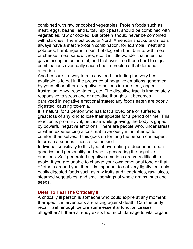combined with raw or cooked vegetables. Protein foods such as meat, eggs, beans, lentils, tofu, split peas, should be combined with vegetables, raw or cooked. But protein should never be combined with starches. The most popular North American snacks and meals always have a starch/protein combination, for example: meat and potatoes, hamburger in a bun, hot dog with bun, burrito with meat or cheese, meat sandwiches, etc. It is little wonder that intestinal gas is accepted as normal, and that over time these hard to digest combinations eventually cause health problems that demand attention.

Another sure fire way to ruin any food, including the very best available is to eat in the presence of negative emotions generated by yourself or others. Negative emotions include fear, anger, frustration, envy, resentment, etc. The digestive tract is immediately responsive to stress and or negative thoughts. It becomes paralyzed in negative emotional states; any foods eaten are poorly digested, causing toxemia.

It is natural for a person who has lost a loved one or suffered a great loss of any kind to lose their appetite for a period of time. This reaction is pro-survival, because while grieving, the body is griped by powerful negative emotions. There are people who, under stress or when experiencing a loss, eat ravenously in an attempt to comfort themselves. If this goes on for long the person can expect to create a serious illness of some kind.

Individual sensitivity to this type of overeating is dependent upon genetics and personality and who is generating the negative emotions. Self generated negative emotions are very difficult to avoid. If you are unable to change your own emotional tone or that of others around you, then it is important to eat very lightly, eat only easily digested foods such as raw fruits and vegetables, raw juices, steamed vegetables, and small servings of whole grains, nuts and seeds.

### **Diets To Heal The Critically Ill**

A critically ill person is someone who could expire at any moment; therapeutic interventions are racing against death. Can the body repair itself enough before some essential function ceases altogether? If there already exists too much damage to vital organs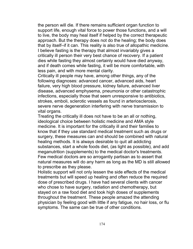the person will die. If there remains sufficient organ function to support life, enough vital force to power those functions, and a will to live, the body may heal itself if helped by the correct therapeutic approach. But the therapy does not do the healing; the body does that by itself–if it can. This reality is also true of allopathic medicine. I believe fasting is the therapy that almost invariably gives a critically ill person their very best chance of recovery. If a patient dies while fasting they almost certainly would have died anyway, and if death comes while fasting, it will be more comfortable, with less pain, and with more mental clarity.

Critically ill people may have, among other things, any of the following diagnoses: advanced cancer, advanced aids, heart failure, very high blood pressure, kidney failure, advanced liver disease, advanced emphysema, pneumonia or other catastrophic infections, especially those that seem unresponsive to antibiotics, strokes, emboli, sclerotic vessels as found in arteriosclerosis, severe nerve degeneration interfering with nerve transmission to vital organs.

Treating the critically ill does not have to be an all or nothing, ideological choice between holistic medicine and AMA style medicine. It is important for the critically ill and their families to know that if they use standard medical treatment such as drugs or surgery, these measures can and should be combined with natural healing methods. It is always desirable to quit all addicting substances, start a whole foods diet, (as light as possible), and add meganutrition (supplements) to the medical doctor's treatments. Few medical doctors are so arrogantly partisan as to assert that natural measures will do any harm as long as the MD is still allowed to prescribe as they please.

Holistic support will not only lessen the side effects of the medical treatments but will speed up healing and often reduce the required dose of prescribed drugs. I have had several clients with cancer who chose to have surgery, radiation and chemotherapy, but stayed on a raw food diet and took high doses of supplements throughout the treatment. These people amazed the attending physician by feeling good with little if any fatigue, no hair loss, or flu symptoms. The same can be true of other conditions.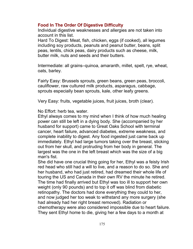## **Food In The Order Of Digestive Difficulty**

Individual digestive weaknesses and allergies are not taken into account in this list.

Hard To Digest: Meat, fish, chicken, eggs (if cooked), all legumes including soy products, peanuts and peanut butter, beans, split peas, lentils, chick peas, dairy products such as cheese, milk, butter milk, nuts and seeds and their butters.

Intermediate: all grains–quinoa, amaranth, millet, spelt, rye, wheat, oats, barley.

Fairly Easy: Brussels sprouts, green beans, green peas, broccoli, cauliflower, raw cultured milk products, asparagus, cabbage, sprouts especially bean sprouts, kale, other leafy greens.

Very Easy: fruits, vegetable juices, fruit juices, broth (clear).

No Effort: herb tea, water.

Ethyl always comes to my mind when I think of how much healing power can still be left in a dying body. She (accompanied by her husband for support) came to Great Oaks School with terminal cancer, heart failure, advanced diabetes, extreme weakness, and complete inability to digest. Any food ingested just came back up immediately. Ethyl had large tumors taking over the breast, sticking out from her skull, and protruding from her body in general. The largest was the one in the left breast which was the size of a big man's fist.

She did have one crucial thing going for her, Ethyl was a feisty Irish red head who still had a will to live, and a reason to do so. She and her husband, who had just retired, had dreamed their whole life of touring the US and Canada in their own RV the minute he retired. The time had finally arrived but Ethyl was too ill to support her own weight (only 90 pounds) and to top it off was blind from diabetic retinopathy. The doctors had done everything they could to her, and now judged her too weak to withstand any more surgery (she had already had her right breast removed). Radiation or chemotherapy were also considered impossible due to heart failure. They sent Ethyl home to die, giving her a few days to a month at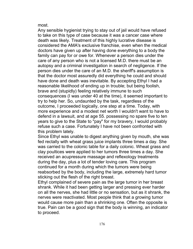most.

Any sensible hygienist trying to stay out of jail would have refused to take on this type of case because it was a cancer case where death was likely. Treatment of this highly lucrative disease is considered the AMA's exclusive franchise, even when the medical doctors have given up after having done everything to a body the family can pay for or owe for. Whenever a person dies under the care of any person who is not a licensed M.D. there must be an autopsy and a criminal investigation in search of negligence. If the person dies under the care of an M.D. the sheriff's assumption is that the doctor most assuredly did everything he could and should have done and death was inevitable. By accepting Ethyl I had a reasonable likelihood of ending up in trouble; but being foolish, brave and (stupidly) feeling relatively immune to such consequences (I was under 40 at the time), it seemed important to try to help her. So, undaunted by the task, regardless of the outcome, I proceeded logically, one step at a time. Today, with more experience and a modest net worth I wouldn't want to have to defend in a lawsuit, and at age 55. possessing no spare five to ten years to give to the State to "pay" for my bravery, I would probably refuse such a case. Fortunately I have not been confronted with this problem lately.

Since Ethyl was unable to digest anything given by mouth, she was fed rectally with wheat grass juice implants three times a day. She was carried to the colonic table for a daily colonic. Wheat grass and clay poultices were applied to her tumors three times a day. She received an acupressure massage and reflexology treatments during the day, plus a lot of tender loving care. This program continued for a month during which the tumors were being reabsorbed by the body, including the large, extremely hard tumor sticking out the flesh of the right breast.

Ethyl complained of severe pain as the large tumor in her breast shrank. While it had been getting larger and pressing ever harder on all the nerves, she had little or no sensation, but as it shrank, the nerves were reactivated. Most people think that a growing tumor would cause more pain than a shrinking one. Often the opposite is true. Pain can be a good sign that the body is winning, an indicator to proceed.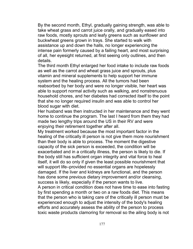By the second month, Ethyl, gradually gaining strength, was able to take wheat grass and carrot juice orally, and gradually eased into raw foods, mostly sprouts and leafy greens such as sunflower and buckwheat greens grown in trays. She started to walk with assistance up and down the halls, no longer experiencing the intense pain formerly caused by a failing heart, and most surprising of all, her eyesight returned, at first seeing only outlines, and then details.

The third month Ethyl enlarged her food intake to include raw foods as well as the carrot and wheat grass juice and sprouts, plus vitamin and mineral supplements to help support her immune system and the healing process. All the tumors had been reabsorbed by her body and were no longer visible, her heart was able to support normal activity such as walking, and nonstrenuous household chores, and her diabetes had corrected itself to the point that she no longer required insulin and was able to control her blood sugar with diet.

Her husband was then instructed in her maintenance and they went home to continue the program. The last I heard from them they had made two lengthy trips around the US in their RV and were enjoying their retirement together after all.

My treatment worked because the most important factor in the healing of the critically ill person is not give them more nourishment than their body is able to process. The moment the digestive capacity of the sick person is exceeded, the condition will be exacerbated and in a critically illness, the person is likely to die. If the body still has sufficient organ integrity and vital force to heal itself, it will do so only if given the least possible nourishment that will support life–provided no essential organs are hopelessly damaged. If the liver and kidneys are functional, and the person has done some previous dietary improvement and/or cleansing, success is likely, especially if the person wants to live.

A person in critical condition does not have time to ease into fasting by first spending a month or two on a raw foods diet. This means that the person who is taking care of the critically ill person must be experienced enough to adjust the intensity of the body's healing efforts and accurately assess the ability of the person to process toxic waste products clamoring for removal so the ailing body is not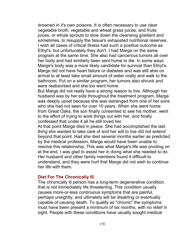drowned in it's own poisons. It is often necessary to use clear vegetable broth, vegetable and wheat grass juices, and fruits juices, or whole sprouts to slow down the cleansing gradient and sometimes, to resupply the tissue's exhausted nutritional reserves. I wish all cases of critical illness had such a positive outcome as Ethyl's, but unfortunately they don't. I had Marge on the same program at the same time. She also had cancerous tumors all over her body and had similarly been sent home to die. In some ways Marge's body was a more likely candidate for survival than Ethyl's. Marge did not have heart failure or diabetes and was still able on arrival to at least take small amount of water orally and walk to the bathroom. Put on a similar program, her tumors also shrunk and were reabsorbed and she too went home.

But Marge did not really have a strong reason to live. Although her husband was by her side throughout the treatment program, Marge was deeply upset because she was estranged from one of her sons who she had not seen for over 10 years. When she went home from Great Oaks, the son finally consented to see his mother, went to the effort of trying to work things out with her, and finally confessed that under it all he still loved her.

At that point Marge died in peace. She had accomplished the last thing she wanted to take care of and her will to live did not extend beyond that point. Had she died several months earlier as predicted by the medical profession, Marge would have been unable to resolve this relationship. This was what Marge's life was pivoting on at the end. I was glad to assist her in doing what she needed to do. Her husband and other family members found it difficult to understand, and they were hurt that Marge did not wish to continue her life with them.

#### **Diet For The Chronically Ill.**

The chronically ill person has a long-term degenerative condition that is not immediately life threatening. This condition usually causes more-or-less continuous symptoms that are painful, perhaps unsightly, and ultimately will be disabling or eventually capable of causing death. To qualify as "chronic" the symptoms must have been present a minimum of six months, with no relief in sight. People with these conditions have usually sought medical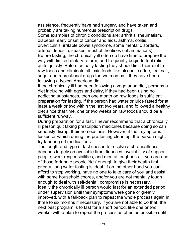assistance, frequently have had surgery, and have taken and probably are taking numerous prescription drugs.

Some examples of chronic conditions are: arthritis, rheumatism, diabetes, early onset of cancer and aids, asthma, colitis,

diverticulitis, irritable bowel syndrome, some mental disorders, arterial deposit diseases, most of the itises (inflammations). Before fasting, the chronically ill often do have time to prepare the way with limited dietary reform, and frequently begin to feel relief quite quickly. Before actually fasting they should limit their diet to raw foods and eliminate all toxic foods like alcohol, coffee, tea, salt, sugar and recreational drugs for two months if they have been following a typical American diet.

If the chronically ill had been following a vegetarian diet, perhaps a diet including with eggs and dairy, if they had been using no addicting substances, then one month on raw foods is sufficient preparation for fasting. If the person had water or juice fasted for at least a week or two within the last two years, and followed a healthy diet since that time, one or two weeks on raw foods should be a sufficient runway.

During preparation for a fast, I never recommend that a chronically ill person quit taking prescription medicines because doing so can seriously disrupt their homeostasis. However, if their symptoms lessen or vanish during the pre-fasting clean up, the person might try tapering off medications.

The length and type of fast chosen to resolve a chronic illness depends largely on available time, finances, availability of support people, work responsibilities, and mental toughness. If you are one of those fortunate people 'rich' enough to give their health first priority, long water fasting is ideal. If on the other hand you can't afford to stop working, have no one to take care of you and assist with some household chores, and/or you are not mentally tough enough to deal with self-denial, compromise is necessary. Ideally the chronically ill person would fast for an extended period under supervision until their symptoms were gone or greatly improved, with a fall-back plan to repeat the whole process again in three to six months if necessary. If you are not able to do that, the next best program is to fast for a short period, like one or two weeks, with a plan to repeat the process as often as possible until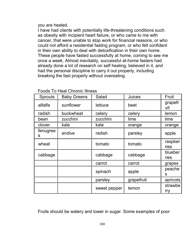you are healed.

I have had clients with potentially life-threatening conditions such as obesity with incipient heart failure, or who came to me with cancer, that were unable to stop work for financial reasons, or who could not afford a residential fasting program, or who felt confident in their own ability to deal with detoxification in their own home. These people have fasted successfully at home, coming to see me once a week. Almost inevitably, successful at-home fasters had already done a lot of research on self healing, believed in it, and had the personal discipline to carry it out properly, including breaking the fast properly without overeating.

| <b>Sprouts</b> | <b>Baby Greens</b> | Salad        | <b>Juices</b> | Fruit           |
|----------------|--------------------|--------------|---------------|-----------------|
| alfalfa        | sunflower          | lettuce      | beet          | grapefr<br>uit  |
| radish         | buckwheat          | celery       | celery        | lemon           |
| bean           | zucchini           | zucchini     | lime          | lime            |
| clover         | kale               | kale         | orange        | orange          |
| fenugree<br>k  | endive             | radish       | parsley       | apple           |
| wheat          |                    | tomato       | tomato        | raspber<br>ries |
| cabbage        |                    | cabbage      | cabbage       | blueber<br>ries |
|                |                    | carrot       | carrot        | grapes          |
|                |                    | spinach      | apple         | peache<br>S     |
|                |                    | parsley      | grapefruit    | apricots        |
|                |                    | sweet pepper | lemon         | strawbe<br>rry  |

## Foods To Heal Chronic Illness

Fruits should be watery and lower in sugar. Some examples of poor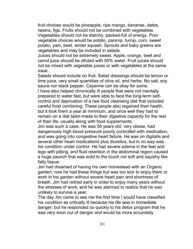fruit choices would be pineapple, ripe mango, bananas, dates, raisins, figs. Fruits should not be combined with vegetables. Vegetables should not be starchy, packed-full of energy. Poor vegetable choices would be potato, parsnip, turnip, corn, sweet potato, yam, beet, winter squash. Sprouts and baby greens are vegetables and may be included in salads.

Juices should not be extremely sweet. Apple, orange, beet and carrot juice should be diluted with 50% water. Fruit juices should not be mixed with vegetable juices or with vegetables at the same meal.

Salads should include no fruit. Salad dressings should be lemon or lime juice, very small quantities of olive oil, and herbs. No salt, soy sauce nor black pepper. Cayenne can be okay for some.

I have also helped chronically ill people that were not mentally prepared to water fast, but were able to face the long-term selfcontrol and deprivation of a raw food cleansing diet that included careful food combining. These people also regained their health, but it took them a year at minimum, and once well they had to remain on a diet tailor-made to their digestive capacity for the rest of their life, usually along with food supplements.

Jim was such a case. He was 55 years old, very obese, had dangerously high blood pressure poorly controlled with medication, and was going into congestive heart failure. He was on digitalis and several other heart medications plus diuretics, but in no way was his condition under control. He had severe edema in the feet and legs with pitting, and fluid retention in the abdominal region caused a huge paunch that was solid to the touch not soft and squishy like fatty tissue.

Jim had dreamed of having his own homestead with an Organic garden, now he had these things but was too sick to enjoy them or work in his garden without severe heart pain and shortness of breath. Jim had retired early in order to enjoy many years without the stresses of work, and he was alarmed to realize that he was unlikely to survive a year.

The day Jim came to see me the first time I would have classified his condition as critically ill because his life was in immediate danger; but he responded so quickly to his detox program that he was very soon out of danger and would be more accurately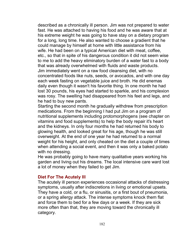described as a chronically ill person. Jim was not prepared to water fast. He was attached to having his food and he was aware that at his extreme weight he was going to have stay on a dietary program for a long, long time. He also wanted to choose a gradient that he could manage by himself at home with little assistance from his wife. He had been on a typical American diet with meat, coffee, etc., so that in spite of his dangerous condition it did not seem wise to me to add the heavy eliminatory burden of a water fast to a body that was already overwhelmed with fluids and waste products. Jim immediately went on a raw food cleansing diet, with no concentrated foods like nuts, seeds, or avocados, and with one day each week fasting on vegetable juice and broth. He did enemas daily even though it wasn't his favorite thing. In one month he had lost 30 pounds, his eyes had started to sparkle, and his complexion was rosy. The swelling had disappeared from his feet and legs, and he had to buy new pants.

Starting the second month he gradually withdrew from prescription medications. From the beginning I had put Jim on a program of nutritional supplements including protomorphogens (see chapter on vitamins and food supplements) to help the body repair it's heart and the kidneys. In only four months he had returned his body to glowing health, and looked great for his age, though he was still overweight. At the end of one year he had returned to a normal weight for his height, and only cheated on the diet a couple of times when attending a social event, and then it was only a baked potato with no dressing.

He was probably going to have many qualitative years working his garden and living out his dreams. The local intensive care ward lost a lot of money when they failed to get Jim.

### **Diet For The Acutely Ill**

The acutely ill person experiences occasional attacks of distressing symptoms, usually after indiscretions in living or emotional upsets. They have a cold, or a flu, or sinusitis, or a first bout of pneumonia, or a spring allergy attack. The intense symptoms knock them flat and force them to bed for a few days or a week. If they are sick more often than that, they are moving toward the chronically ill category.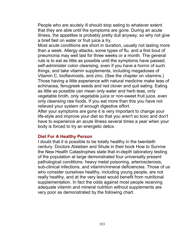People who are acutely ill should stop eating to whatever extent that they are able until the symptoms are gone. During an acute illness, the appetites is probably pretty dull anyway, so why not give a brief fast on water or fruit juice a try.

Most acute conditions are short in duration, usually not lasting more than a week. Allergy attacks, some types of flu, and a first bout of pneumonia may well last for three weeks or a month. The general rule is to eat as little as possible until the symptoms have passed, self-administer colon cleansing, even if you have a horror of such things, and take vitamin supplements, including megadoses of Vitamin C, bioflavinoids, and zinc. (See the chapter on vitamins.) Those having a little experience with natural medicine make teas of echinacea, fenugreek seeds and red clover and quit eating. Eating as little as possible can mean only water and herb teas, only vegetable broth, only vegetable juice or non-sweet fruit juice, even only cleansing raw foods. If you eat more than this you have not relieved your system of enough digestive effort.

After your symptoms are gone it is very important to change your life-style and improve your diet so that you aren't so toxic and don't have to experience an acute illness several times a year when your body is forced to try an energetic detox.

#### **Diet For A Healthy Person**

I doubt that it is possible to be totally healthy in the twentieth century. Doctors Alsleben and Shute in their book How to Survive the New Health Catastrophes state that in-depth laboratory testing of the population at large demonstrated four universally present pathological conditions: heavy metal poisoning, arteriosclerosis, sub-clinical infections, and vitamin/mineral deficiencies. Those of us who consider ourselves healthy, including young people, are not really healthy, and at the very least would benefit from nutritional supplementation. In fact the odds against most people receiving adequate vitamin and mineral nutrition without supplements are very poor as demonstrated by the following chart.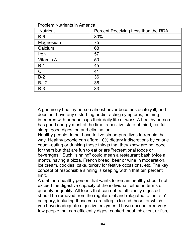| <b>Problem Nutrients in America</b> |  |  |  |  |
|-------------------------------------|--|--|--|--|
|-------------------------------------|--|--|--|--|

| <b>Nutrient</b> | Percent Receiving Less than the RDA |
|-----------------|-------------------------------------|
| $B-6$           | 80%                                 |
| Magnesium       | 75                                  |
| Calcium         | 68                                  |
| Iron            | 57                                  |
| Vitamin A       | 50                                  |
| $B-1$           | 45                                  |
| C               | 41                                  |
| $B-2$           | 36                                  |
| $B-12$          | 36                                  |
| $B-3$           | 33                                  |

A genuinely healthy person almost never becomes acutely ill, and does not have any disturbing or distracting symptoms; nothing interferes with or handicaps their daily life or work. A healthy person has good energy most of the time, a positive state of mind, restful sleep, good digestion and elimination.

Healthy people do not have to live simon-pure lives to remain that way. Healthy people can afford 10% dietary indiscretions by calorie count–eating or drinking those things that they know are not good for them but that are fun to eat or are "recreational foods or beverages." Such "sinning" could mean a restaurant bash twice a month, having a pizza, French bread, beer or wine in moderation, ice cream, cookies, cake, turkey for festive occasions, etc. The key concept of responsible sinning is keeping within that ten percent limit.

A diet for a healthy person that wants to remain healthy should not exceed the digestive capacity of the individual, either in terms of quantity or quality. All foods that can not be efficiently digested should be removed from the regular diet and relegated to the "sin" category, including those you are allergic to and those for which you have inadequate digestive enzymes. I have encountered very few people that can efficiently digest cooked meat, chicken, or fish,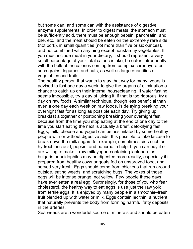but some can, and some can with the assistance of digestive enzyme supplements. In order to digest meats, the stomach must be sufficiently acid, there must be enough pepsin, pancreatin, and bile, etc., and the meat should be eaten on the extremely rare side (not pork), in small quantities (not more than five or six ounces), and not combined with anything except nonstarchy vegetables. If you must include meat in your dietary, it should represent a very small percentage of your total caloric intake, be eaten infrequently, with the bulk of the calories coming from complex carbohydrates such grains, legumes and nuts, as well as large quantities of vegetables and fruits.

The healthy person that wants to stay that way for many, years is advised to fast one day a week, to give the organs of elimination a chance to catch up on their internal housecleaning. If water fasting seems impossible, try a day of juicing it; if that is too rigorous, try a day on raw foods. A similar technique, though less beneficial than even a one day each week on raw foods, is delaying breaking your overnight fast for as long as possible each day. Try giving up breakfast altogether or postponing breaking your overnight fast, because from the time you stop eating at the end of one day to the time you start eating the next is actually a brief, detoxifying fast. Eggs, milk, cheese and yogurt can be assimilated by some healthy people with or without digestive aids. It is possible to take lactase to break down the milk sugars for example; sometimes aids such as hydrochloric acid, pepsin, and pancreatin help. If you can buy it or are willing to make it raw milk yogurt containing lactobacillus bulgaris or acidophilus may be digested more readily, especially if it prepared from healthy cows or goats fed on unsprayed food, and served very fresh. Eggs should come from chickens that run around outside, eating weeds, and scratching bugs. The yokes of those eggs will be intense orange, not yellow. Few people these days have ever eaten a real egg. Surprisingly, for those of you who fear cholesterol, the healthy way to eat eggs is use just the raw yolk from fertile eggs. It is enjoyed by many people in a smoothie–fresh fruit blended up with water or milk. Eggs contain lecithin, a nutrient that naturally prevents the body from forming harmful fatty deposits in the arteries.

Sea weeds are a wonderful source of minerals and should be eaten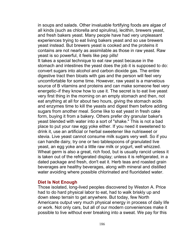in soups and salads. Other invaluable fortifying foods are algae of all kinds (such as chlorella and spirulina), lecithin, brewers yeast, and fresh bakers yeast. Many people have had very unpleasant experiences trying to eat living bakers yeast and so use brewers yeast instead. But brewers yeast is cooked and the proteins it contains are not nearly as assimilable as those in raw yeast. Raw yeast is so powerful, it feels like pep pills!

It takes a special technique to eat raw yeast because in the stomach and intestines the yeast does the job it is supposed to do: convert sugars into alcohol and carbon dioxide gas. The entire digestive tract then bloats with gas and the person will feel very uncomfortable for some time. However, raw yeast is a marvelous source of B vitamins and proteins and can make someone feel very energetic–if they know how to use it. The secret is to eat live yeast very first thing in the morning on an empty stomach and then, not eat anything at all for about two hours, giving the stomach acids and enzymes time to kill the yeasts and digest them before adding sugars from another meal. Some like to eat yeast in fresh cake form, buying it from a bakery. Others prefer dry granular baker's yeast blended with water into a sort of "shake." This is not a bad place to put your raw egg yoke either. If you need it sweetened to drink it, use an artificial or herbal sweetener like nutrisweet or stevia. Live yeast cannot consume milk sugars very well. So if you can handle dairy, try one or two tablespoons of granulated live yeast, an egg yoke and a little raw milk or yogurt, well whizzed. Wheat germ is also a great, rich food, but is usually rancid unless it is taken out of the refrigerated display; unless it is refrigerated, in a dated package and fresh, don't eat it. Herb teas and roasted grain beverages are healthy beverages, along with mineral and distilled water avoiding where possible chlorinated and fluoridated water.

#### **Diet Is Not Enough**

Those isolated, long-lived peoples discovered by Weston A. Price had to do hard physical labor to eat, had to walk briskly up and down steep terrain to get anywhere. But today, few North Americans output very much physical energy in process of daily life or work. Not only cars, but all of our modern conveniences make it possible to live without ever breaking into a sweat. We pay for this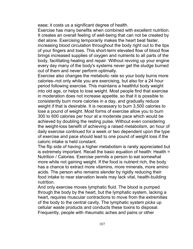ease; it costs us a significant degree of health.

Exercise has many benefits when combined with excellent nutrition. It creates an overall feeling of well-being that can not be created by diet alone. Exercising temporarily makes the heart beat faster, increasing blood circulation throughout the body right out to the tips of your fingers and toes. This short-term elevated flow of blood flow brings increased supplies of oxygen and nutrients to all parts of the body, facilitating healing and repair. Without revving up your engine every day many of the body's systems never get the sludge burned out of them and never perform optimally.

Exercise also changes the metabolic rate so your body burns more calories–not only while you are exercising, but also for a 24 hour period following exercise. This maintains a healthful body weight into old age, or helps to lose weight. Most people find that exercise in moderation does not increase appetite, so that it is possible to consistently burn more calories in a day, and gradually reduce weight if that is desirable. It is necessary to burn 3,500 calories to lose a pound of weight. Most forms of exercise allow you to burn 300 to 600 calories per hour at a moderate pace which would be achieved by doubling the resting pulse. Without even considering the weight-loss benefit of achieving a raised metabolism, an hour of daily exercise continued for a week or two dependent upon the type of exercise and pace should lead to one pound of weight loss if the caloric intake is held constant.

The flip side of having a higher metabolism is rarely appreciated but is extremely important. Recall the basic equation of health: Health = Nutrition / Calories. Exercise permits a person to eat somewhat more while not gaining weight. If the food is nutrient rich, the body has a chance to extract more vitamins, more minerals, more amino acids. The person who remains slender by rigidly reducing their food intake to near starvation levels may lack vital, health-building nutrition.

And only exercise moves lymphatic fluid. The blood is pumped through the body by the heart, but the lymphatic system, lacking a heart, requires muscular contractions to move from the extremities of the body to the central cavity. The lymphatic system picks up cellular waste products and conducts these toxins to disposal. Frequently, people with rheumatic aches and pains or other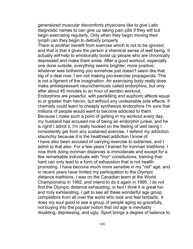generalized muscular discomforts physicians like to give Latin diagnostic names to can give up taking pain pills if they will but begin exercising regularly. Only when they begin moving their lymph can they begin to detoxify properly.

There is another benefit from exercise which is not to be ignored, and that is that it gives the person a chemical sense of well being. It actually will help to emotionally boost up people who are chronically depressed and make them smile. After a good workout, especially one done outside, everything seems brighter, more positive;

whatever was bothering you somehow just doesn't seem like that big of a deal now. I am not making pro-exercise propaganda. This is not a figment of the imagination. An exercising body really does make antidepressant neurochemicals called endorphins, but only after about 45 minutes to an hour of aerobic workout.

Endorphins are powerful, with painkilling and euphoric effects equal to or greater than heroin, but without any undesirable side effects. If chemists could learn to cheaply synthesize endorphins I'm sure that millions of people would want to become addicted to them.

Because I make such a point of getting in my workout every day, my husband has accused me of being an endorphin junkie, and he is right! I admit it, I'm really hooked on the feeling of well being I consistently get from any sustained exercise. I defend my addiction staunchly because it is the healthiest addiction I know of.

I have also been accused of carrying exercise to extremes, and I admit to that also. For a few years I trained for Ironman triathlons. I now think doing ironman distances is immoderate and except for a few remarkable individuals with "iron" constitutions, training that hard can only lead to a form of exhaustion that is not health promoting. I have become much more sensible in my "old" age, and in recent years have limited my participation to the Olympic distance triathlons. I was on the Canadian team at the World Championship in 1992, and intend to do it again in 1995. I do not find the Olympic distance exhausting, in fact I think it is great fun and truly exhilarating. I get to see all these wonderful age group competitors from all over the world who look and feel fantastic. It does my soul good to see a group of people aging so gracefully, not buying into the popular notion that old age is inevitably disabling, depressing, and ugly. Sport brings a degree of balance to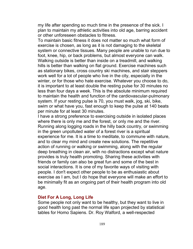my life after spending so much time in the presence of the sick. I plan to maintain my athletic activities into old age, barring accident or other unforeseen obstacles to fitness.

To maintain basic fitness it does not matter so much what form of exercise is chosen, as long as it is not damaging to the skeletal system or connective tissues. Many people are unable to run due to foot, knee, hip, or back problems, but almost everyone can walk. Walking outside is better than inside on a treadmill, and walking hills is better than walking on flat ground. Exercise machines such as stationary bikes, cross country ski machines, and stair steppers work well for a lot of people who live in the city, especially in the winter, or for those who hate exercise. Whatever you choose to do, it is important to at least double the resting pulse for 30 minutes no less than four days a week. This is the absolute minimum required to maintain the health and function of the cardiovascular-pulmonary system. If your resting pulse is 70, you must walk, jog, ski, bike, swim or what have you, fast enough to keep the pulse at 140 beats per minute for at least 30 minutes.

I have a strong preference to exercising outside in isolated places where there is only me and the forest, or only me and the river. Running along logging roads in the hilly back country, or swimming in the green unpolluted water of a forest river is a spiritual experience for me. It is a time to meditate, to commune with nature, and to clear my mind and create new solutions. The repetitive action of running or walking or swimming, along with the regular deep breathing in clean air, with no distractions except what nature provides is truly health promoting. Sharing these activities with friends or family can also be great fun and some of the best in social interactions. It is one of my favorite ways of visiting with people. I don't expect other people to be as enthusiastic about exercise as I am, but I do hope that everyone will make an effort to be minimally fit as an ongoing part of their health program into old age.

#### **Diet For A Long, Long Life**

Some people not only want to be healthy, but they want to live in good health long past the normal life span projected by statistical tables for Homo Sapiens. Dr. Roy Walford, a well-respected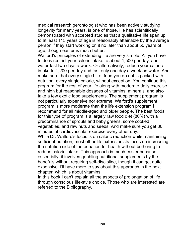medical research gerontologist who has been actively studying longevity for many years, is one of those. He has scientifically demonstrated with accepted studies that a qualitative life span up to at least 115 years of age is reasonably attainable by the average person if they start working on it no later than about 50 years of age, though earlier is much better.

Walford's principles of extending life are very simple. All you have to do is restrict your caloric intake to about 1,500 per day, and water fast two days a week. Or alternatively, reduce your caloric intake to 1,200 per day and fast only one day a week on water. And make sure that every single bit of food you do eat is packed with nutrition, every single calorie, without exception. You continue this program for the rest of your life along with moderate daily exercise and high but reasonable dosages of vitamins, minerals, and also take a few exotic food supplements. The supplement program is not particularly expensive nor extreme, Walford's supplement program is more moderate than the life extension program I recommend for all middle-aged and older people. The best foods for this type of program is a largely raw food diet (80%) with a predominance of sprouts and baby greens, some cooked vegetables, and raw nuts and seeds. And make sure you get 30 minutes of cardiovascular exercise every other day. While Dr. Walford's focus is on caloric reduction while maintaining

sufficient nutrition, most other life extensionists focus on increasing the nutrition side of the equation for health without bothering to reduce caloric intake. This approach is much easier because essentially, it involves gobbling nutritional supplements by the handfuls without requiring self-discipline, though it can get quite expensive. I'll have more to say about this approach in the next chapter, which is about vitamins.

In this book I can't explain all the aspects of prolongation of life through conscious life-style choice. Those who are interested are referred to the Bibliography.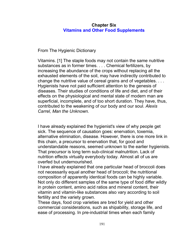# **Chapter Six Vitamins and Other Food Supplements**

From The Hygienic Dictionary

Vitamins. [1] The staple foods may not contain the same nutritive substances as in former times. . . . Chemical fertilizers, by increasing the abundance of the crops without replacing all the exhausted elements of the soil, may have indirectly contributed to change the nutritive value of cereal grains and of vegetables. . . . Hygienists have not paid sufficient attention to the genesis of diseases. Their studies of conditions of life and diet, and of their effects on the physiological and mental state of modern man are superficial, incomplete, and of too short duration. They have, thus, contributed to the weakening of our body and our soul. *Alexis Carrel, Man the Unknown.*

I have already explained the hygienist's view of why people get sick. The sequence of causation goes: enervation, toxemia, alternative elimination, disease. However, there is one more link in this chain, a precursor to enervation that, for good and understandable reasons, seemed unknown to the earlier hygienists. That precursor is long term sub-clinical malnutrition. Lack of nutrition effects virtually everybody today. Almost all of us are overfed but undernourished.

I have already explained that one particular head of broccoli does not necessarily equal another head of broccoli; the nutritional composition of apparently identical foods can be highly variable. Not only do different samples of the same type of food differ wildly in protein content, amino acid ratios and mineral content, their vitamin and vitamin-like substances also vary according to soil fertility and the variety grown.

These days, food crop varieties are bred for yield and other commercial considerations, such as shipability, storage life, and ease of processing. In pre-industrial times when each family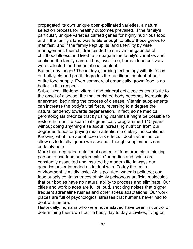propagated its own unique open-pollinated varieties, a natural selection process for healthy outcomes prevailed. If the family's particular, unique varieties carried genes for highly nutritious food, and if the family's land was fertile enough to allow those genes to manifest, and if the family kept up its land's fertility by wise management, their children tended to survive the gauntlet of childhood illness and lived to propagate the family's varieties and continue the family name. Thus, over time, human food cultivars were selected for their nutritional content.

But not any longer! These days, farming technology with its focus on bulk yield and profit, degrades the nutritional content of our entire food supply. Even commercial organically grown food is no better in this respect.

Sub-clinical, life-long, vitamin and mineral deficiencies contribute to the onset of disease; the malnourished body becomes increasingly enervated, beginning the process of disease. Vitamin supplements can increase the body's vital force, reversing to a degree the natural tendency towards degeneration. In fact, some medical gerontologists theorize that by using vitamins it might be possible to restore human life span to its genetically programmed 115 years without doing anything else about increasing nutrition from our degraded foods or paying much attention to dietary indiscretions. Knowing what I do about toxemia's effects I doubt vitamins can allow us to totally ignore what we eat, though supplements can certainly help.

More than degraded nutritional content of food prompts a thinking person to use food supplements. Our bodies and spirits are constantly assaulted and insulted by modern life in ways our genetics never intended us to deal with. Today the entire environment is mildly toxic. Air is polluted; water is polluted; our food supply contains traces of highly poisonous artificial molecules that our bodies have no natural ability to process and eliminate. Our cities and work places are full of loud, shocking noises that trigger frequent adrenaline rushes and other stress adaptations. Our work places are full of psychological stresses that humans never had to deal with before.

Historically, humans who were not enslaved have been in control of determining their own hour to hour, day to day activities, living on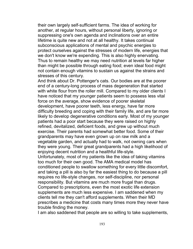their own largely self-sufficient farms. The idea of working for another, at regular hours, without personal liberty, ignoring or suppressing one's own agenda and inclinations over an entire lifetime is quite new and not at all healthy. It takes continual subconscious applications of mental and psychic energies to protect ourselves against the stresses of modern life, energies that we don't know we're expending. This is also highly enervating. Thus to remain healthy we may need nutrition at levels far higher than might be possible through eating food; even ideal food might not contain enough vitamins to sustain us against the strains and stresses of this century.

And think about Dr. Pottenger's cats. Our bodies are at the poorer end of a century-long process of mass degeneration that started with white flour from the roller mill. Compared to my older clients I have noticed that my younger patients seem to possess less vital force on the average, show evidence of poorer skeletal development, have poorer teeth, less energy, have far more difficulty breeding and coping with their family life, and are far more likely to develop degenerative conditions early. Most of my younger patients had a poor start because they were raised on highly refined, devitalized, deficient foods, and grew up without much exercise. Their parents had somewhat better food. Some of their grandparents may have even grown up on raw milk and a vegetable garden, and actually had to walk, not owning cars when they were young. Their great grandparents had a high likelihood of enjoying decent nutrition and a healthful life-style.

Unfortunately, most of my patients like the idea of taking vitamins too much for their own good. The AMA medical model has conditioned people to swallow something for every little discomfort, and taking a pill is also by far the easiest thing to do because a pill requires no life-style changes, nor self-discipline, nor personal responsibility. But vitamins are much more frugal than drugs. Compared to prescriptions, even the most exotic life extension supplements are much less expensive. I am saddened when my clients tell me they can't afford supplements. When their MD prescribes a medicine that costs many times more they never have trouble finding the money.

I am also saddened that people are so willing to take supplements,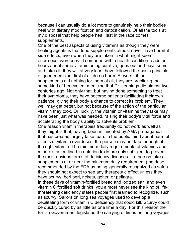because I can usually do a lot more to genuinely help their bodies heal with dietary modification and detoxification. Of all the tools at my disposal that help people heal, last in the race comes supplements.

One of the best aspects of using vitamins as though they were healing agents is that food supplements almost never have harmful side effects, even when they are taken in what might seem enormous overdoses. If someone with a health condition reads or hears about some vitamin being curative, goes out and buys some and takes it, they will at very least have followed the basic principle of good medicine: first of all do no harm. At worst, if the supplements did nothing for them at all, they are practicing the same kind of benevolent medicine that Dr. Jennings did almost two centuries ago. Not only that, but having done something to treat their symptoms, they have become patients facilitating their own patience, giving their body a chance to correct its problem. They well may get better, but not because of the action of the particular vitamin they took. Or, luckily, the vitamin or vitamins they take may have been just what was needed, raising their body's vital force and accelerating the body's ability to solve its problem.

One reason vitamin therapies frequently do not work as well as they might is that, having been intimidated by AMA propaganda that has created largely false fears in the public mind about harmful effects of vitamin overdoses, the person may not take enough of the right vitamin. The minimum daily requirements of vitamins and minerals as outlined in nutrition texts are only sufficient to prevent the most obvious forms of deficiency diseases. If a person takes supplements at or near the minimum daily requirement (the dose recommended by the FDA as being 'generally recognized as safe') they should not expect to see any therapeutic effect unless they have scurvy, beri beri, rickets, goiter, or pellagra.

In these days of vitamin-fortified bread and iodized salt, and even vitamin C fortified soft drinks, you almost never see the kind of lifethreatening deficiency states people first learned to recognize, such as scurvy. Sailors on long sea voyages used to develop a debilitating form of vitamin C deficiency that could kill. Scurvy could be quickly cured by as little as one lime a day. For this reason the British Government legislated the carrying of limes on long voyages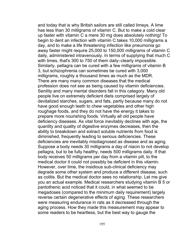and today that is why British sailors are still called limeys. A lime has less than 30 milligrams of vitamin C. But to make a cold clear up faster with vitamin C a mere 30 mg does absolutely nothing! To begin to dent an infection with vitamin C takes 10,000 milligrams a day, and to make a life threatening infection like pneumonia go away faster might require 25,000 to 150,000 milligrams of vitamin C daily, administered intravenously. In terms of supplying that much C with limes, that's 300 to 750 of them daily–clearly impossible. Similarly, pellagra can be cured with a few milligrams of vitamin B 3, but schizophrenia can sometimes be cured with 3,000 milligrams, roughly a thousand times as much as the MDR. There are many many common diseases that the medical profession does not see as being caused by vitamin deficiencies. Senility and many mental disorders fall in this category. Many old people live on extremely deficient diets comprised largely of devitalized starches, sugars, and fats, partly because many do not have good enough teeth to chew vegetables and other high roughage foods, and they do not have the energy it takes to prepare more nourishing foods. Virtually all old people have deficiency diseases. As vital force inevitably declines with age, the quantity and quality of digestive enzymes decreases, then the ability to breakdown and extract soluble nutrients from food is diminished, frequently leading to serious deficiencies. These deficiencies are inevitably misdiagnosed as disease and as aging. Suppose a body needs 30 milligrams a day of niacin to not develop pellagra, but to be fully healthy, needs 500 milligrams daily. If that body receives 50 milligrams per day from a vitamin pill, to the medical doctor it could not possibly be deficient in this vitamin. However, over time, the insidious sub-clinical deficiency may degrade some other system and produce a different disease, such as colitis. But the medical doctor sees no relationship. Let me give you an actual example. Medical researchers studying vitamin B 5 or pantothenic acid noticed that it could, in what seemed to be megadoses (compared to the minimum daily requirement) largely reverse certain degenerative effects of aging. These researchers were measuring endurance in rats as it decreased through the aging process. How they made this measurement may appear to some readers to be heartless, but the best way to gauge the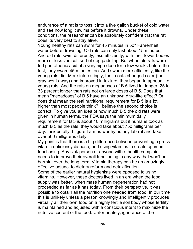endurance of a rat is to toss it into a five gallon bucket of cold water and see how long it swims before it drowns. Under these conditions, the researcher can be absolutely confident that the rat does its very best to stay alive.

Young healthy rats can swim for 45 minutes in 50° Fahrenheit water before drowning. Old rats can only last about 15 minutes. And old rats swim differently, less efficiently, with their lower bodies more or less vertical, sort of dog paddling. But when old rats were fed pantothenic acid at a very high dose for a few weeks before the test, they swam 45 minutes too. And swam more efficiently, like the young rats did. More interestingly, their coats changed color (the gray went away) and improved in texture; they began to appear like young rats. And the rats on megadoses of B 5 lived lot longer–25 to 33 percent longer than rats not on large doses of B 5. Does that mean "megadoses" of B 5 have an unknown drug-like effect? Or does that mean the real nutritional requirement for B 5 is a lot higher than most people think? I believe the second choice is correct. To give you an idea of how much B 5 the old rats were given in human terms, the FDA says the minimum daily requirement for B 5 is about 10 milligrams but if humans took as much B 5 as the rats, they would take about 750 milligrams per day. Incidentally, I figure I am as worthy as any lab rat and take over 500 milligrams daily.

My point is that there is a big difference between preventing a gross vitamin deficiency disease, and using vitamins to create optimum functioning. Any sick person or anyone with a health complaint needs to improve their overall functioning in any way that won't be harmful over the long term. Vitamin therapy can be an amazingly effective adjunct to dietary reform and detoxification.

Some of the earlier natural hygienists were opposed to using vitamins. However, these doctors lived in an era when the food supply was better, when mass human degeneration had not proceeded as far as it has today. From their perspective, it was possible to obtain all the nutrition one needed from food. In our time this is unlikely unless a person knowingly and intelligently produces virtually all their own food on a highly fertile soil body whose fertility is maintained and adjusted with a conscious intent to maximize the nutritive content of the food. Unfortunately, ignorance of the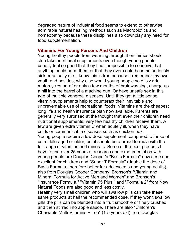degraded nature of industrial food seems to extend to otherwise admirable natural healing methods such as Macrobiotics and homeopathy because these disciplines also downplay any need for food supplementation.

#### **Vitamins For Young Persons And Children**

Young healthy people from weaning through their thirties should also take nutritional supplements even though young people usually feel so good that they find it impossible to conceive that anything could harm them or that they ever could become seriously sick or actually die. I know this is true because I remember my own youth and besides, why else would young people so glibly ride motorcycles or, after only a few months of brainwashing, charge up a hill into the barrel of a machine gun. Or have unsafe sex in this age of multiple venereal diseases. Until they get a little sense, vitamin supplements help to counteract their inevitable and unpreventable use of recreational foods. Vitamins are the cheapest long life and health insurance plan now available. Parents are generally very surprised at the thought that even their children need nutritional supplements; very few healthy children receive them. A few are given extra vitamin C when acutely ill, when they have colds or communicable diseases such as chicken pox.

Young people require a low dose supplement compared to those of us middle-aged or older, but it should be a broad formula with the full range of vitamins and minerals. Some of the best products I have found over 25 years of research and experimentation with young people are Douglas Cooper's "Basic Formula" (low dose and excellent for children) and "Super T Formula" (double the dose of Basic Formula, therefore better for adolescents and young adults), also from Douglas Cooper Company; Bronson's "Vitamin and Mineral Formula for Active Men and Women" and Bronson's "Insurance Formula." "Vitamin 75 Plus;" and "Formula 2" from Now Natural Foods are also good and less costly.

Healthy very small children who will swallow pills can take these same products at half the recommended dose. If they won't swallow pills the pills can be blended into a fruit smoothie or finely crushed and then stirred into apple sauce. There are also "Children's Chewable Multi-Vitamins + Iron" (1-5 years old) from Douglas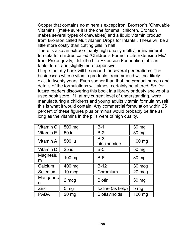Cooper that contains no minerals except iron, Bronson's "Chewable Vitamins" (make sure it is the one for small children, Bronson makes several types of chewables) and a liquid vitamin product from Bronson called Multivitamin Drops for Infants . These will be a little more costly than cutting pills in half.

There is also an extraordinarily high quality multivitamin/mineral formula for children called "Children's Formula Life Extension Mix" from Prolongevity, Ltd. (the Life Extension Foundation), it is in tablet form, and slightly more expensive.

I hope that my book will be around for several generations. The businesses whose vitamin products I recommend will not likely exist in twenty years. Even sooner than that the product names and details of the formulations will almost certainly be altered. So, for future readers discovering this book in a library or dusty shelve of a used book store, if I, at my current level of understanding, were manufacturing a childrens and young adults vitamin formula myself, this is what it would contain. Any commercial formulation within 25 percent of these figures plus or minus would probably be fine as long as the vitamins in the pills were of high quality.

| Vitamin C     | 500 mg          | $B-1$                | 30 mg           |
|---------------|-----------------|----------------------|-----------------|
| Vitamin E     | <b>50 iu</b>    | $B-2$                | 30 mg           |
| Vitamin A     | 500 iu          | $B-3$<br>niacinamide | 100 mg          |
| Vitamin D     | <b>25 iu</b>    | $B-5$                | 50 mg           |
| Magnesiu<br>m | 100 mg          | $B-6$                | 30 mg           |
| Calcium       | 400 mg          | $B-12$               | 30 mcg          |
| Selenium      | 10 mcg          | Chromium             | 20 mcg          |
| Manganes<br>e | 2 mcg           | <b>Biotin</b>        | 30 mg           |
| Zinc          | 5 <sub>mg</sub> | lodine (as kelp)     | 5 <sub>mg</sub> |
| <b>PABA</b>   | $20 \text{ mg}$ | <b>Bioflavinoids</b> | 100 mg          |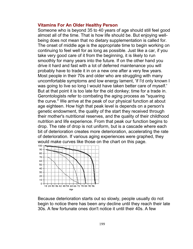#### **Vitamins For An Older Healthy Person**

Someone who is beyond 35 to 40 years of age should still feel good almost all of the time. That is how life should be. But enjoying wellbeing does not mean that no dietary supplementation is called for. The onset of middle age is the appropriate time to begin working on continuing to feel well for as long as possible. Just like a car, if you take very good care of it from the beginning, it is likely to run smoothly for many years into the future. If on the other hand you drive it hard and fast with a lot of deferred maintenance you will probably have to trade it in on a new one after a very few years. Most people in their 70s and older who are struggling with many uncomfortable symptoms and low energy lament, 'if I'd only known I was going to live so long I would have taken better care of myself.' But at that point it is too late for the old donkey; time for a trade in. Gerontologists refer to combating the aging process as "squaring the curve." We arrive at the peak of our physical function at about age eighteen. How high that peak level is depends on a person's genetic endowment, the quality of the start they received through their mother's nutritional reserves, and the quality of their childhood nutrition and life experience. From that peak our function begins to drop. The rate of drop is not uniform, but is a cascade where each bit of deterioration creates more deterioration, accelerating the rate of deterioration. If various aging experiences were graphed, they would make curves like those on the chart on this page.



Because deterioration starts out so slowly, people usually do not begin to notice there has been any decline until they reach their late 30s. A few fortunate ones don't notice it until their 40s. A few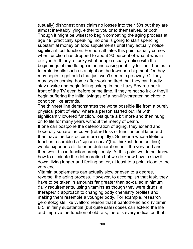(usually) dishonest ones claim no losses into their 50s but they are almost inevitably lying, either to you or to themselves, or both. Though it might be wisest to begin combating the aging process at age 19, practically speaking, no one is going to start spending substantial money on food supplements until they actually notice significant lost function. For non-athletes this point usually comes when function has dropped to about 90 percent of what it was in our youth. If they're lucky what people usually notice with the beginnings of middle age is an increasing inability for their bodies to tolerate insults such as a night on the town or a big meal. Or they may begin to get colds that just won't seem to go away. Or they may begin coming home after work so tired that they can hardly stay awake and begin falling asleep in their Lazy Boy recliner in front of the TV even before prime time. If they're not so lucky they'll begin suffering the initial twinges of a non-life-threatening chronic condition like arthritis.

The thinnest line demonstrates the worst possible life from a purely physical point of view, where a person started out life with significantly lowered function, lost quite a bit more and then hung on to life for many years without the mercy of death.

If one can postpone the deterioration of aging, they extend and hopefully square the curve (retard loss of function until later and then have the loss occur more rapidly). Someone whose lifetime function resembled a "square curve"(the thickest, topmost line) would experience little or no deterioration until the very end and then would lose function precipitously. At this point we do not know how to eliminate the deterioration but we do know how to slow it down, living longer and feeling better, at least to a point close to the very end.

Vitamin supplements can actually slow or even to a degree, reverse, the aging process. However, to accomplish that task, they have to be taken in amounts far greater than so-called minimum daily requirements, using vitamins as though they were drugs, a therapeutic approach to changing body chemistry profiles and making them resemble a younger body. For example, research gerontologists like Walford reason that if pantothenic acid (vitamin B 5, in fairly substantial (but quite safe) doses can extend the life and improve the function of old rats, there is every indication that it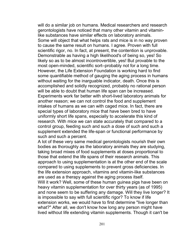will do a similar job on humans. Medical researchers and research gerontologists have noticed that many other vitamin and vitaminlike substances have similar effects on laboratory animals. Some will object that what helps rats and mice is in no way proven to cause the same result on humans. I agree. Proven with full scientific rigor, no. In fact, at present, the contention is unprovable. Demonstrable as having a high likelihood's of being so, yes! So likely so as to be almost incontrovertible, yes! But provable to the most open-minded, scientific sort–probably not for a long time. However, the Life Extension Foundation is working hard to find some quantifiable method of gauging the aging process in humans without waiting for the inarguable indicator, death. Once this is accomplished and solidly recognized, probably no rational person will be able to doubt that human life span can be increased. Experiments work far better with short-lived laboratory animals for another reason; we can not control the food and supplement intakes of humans as we can with caged mice. In fact, there are special types of laboratory mice that have been bred to have uniformly short life spans, especially to accelerate this kind of research. With mice we can state accurately that compared to a control group, feeding such and such a dose of such and such a supplement extended the life-span or functional performance by such and such a percent.

A lot of these very same medical gerontologists nourish their own bodies as thoroughly as the laboratory animals they are studying, taking broad mixes of food supplements at doses proportional to those that extend the life spans of their research animals. This approach to using supplementation is at the other end of the scale compared to using supplements to prevent gross deficiencies. In the life extension approach, vitamins and vitamin-like substances are used as a therapy against the aging process itself.

Will it work? Well, some of these human guinea pigs have been on heavy vitamin supplementation for over thirty years (as of 1995) and none seem to be suffering any damage. Will they live longer? It is impossible to say with full scientific rigor? To know if life extension works, we would have to first determine "live longer than what?" After all, we don't know how long any person might have lived without life extending vitamin supplements. Though it can't be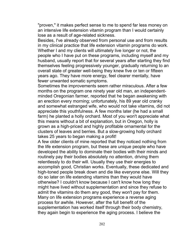"proven," it makes perfect sense to me to spend far less money on an intensive life extension vitamin program than I would certainly lose as a result of age-related sickness.

Besides, I've already observed from personal use and from results in my clinical practice that life extension vitamin programs do work. Whether I and my clients will ultimately live longer or not, the people who I have put on these programs, including myself and my husband, usually report that for several years after starting they find themselves feeling progressively younger, gradually returning to an overall state of greater well-being they knew five or ten or fifteen years ago. They have more energy, feel clearer mentally, have fewer unwanted somatic symptoms.

Sometimes the improvements seem rather miraculous. After a few months on the program one ninety year old man, an independentminded Oregonian farmer, reported that he began awakening with an erection every morning; unfortunately, his 89 year old cranky and somewhat estranged wife, who would not take vitamins, did not appreciate this youthfulness. A few months later (he had a small farm) he planted a holly orchard. Most of you won't appreciate what this means without a bit of explanation, but in Oregon, holly is grown as a high-priced and highly profitable ornamental for the clusters of leaves and berries. But a slow-growing holly orchard takes 25 years to began making a profit!

A few older clients of mine reported that they noticed nothing from the life extension program, but these are unique people who have developed the ability to dominate their bodies with their minds and routinely pay their bodies absolutely no attention, driving them relentlessly to do their will. Usually they use their energies to accomplish good, Christian works. Eventually, these dedicated and high-toned people break down and die like everyone else. Will they do so later on life extending vitamins than they would have otherwise? I couldn't know because I can't know how long they might have lived without supplementation and since they refuse to admit the vitamins do them any good, they won't pay for them. Many on life extension programs experience a reverse aging process for awhile. However, after the full benefit of the supplementation has worked itself through their body chemistry, they again begin to experience the aging process. I believe the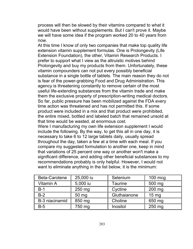process will then be slowed by their vitamins compared to what it would have been without supplements. But I can't prove it. Maybe we will have some idea if the program worked 20 to 40 years from now.

At this time I know of only two companies that make top quality life extension vitamin supplement formulas. One is Prolongevity (Life Extension Foundation), the other, Vitamin Research Products. I prefer to support what I view as the altruistic motives behind Prolongevity and buy my products from them. Unfortunately, these vitamin compounders can not put every possibly beneficial substance in a single bottle of tablets. The main reason they do not is fear of the power-grabbing Food and Drug Administration. This agency is threatening constantly to remove certain of the most useful life-extending substances from the vitamin trade and make them the exclusive property of prescription-writing medical doctors. So far, public pressure has been mobilized against the FDA every time action was threatened and has not permitted this. If some product were included in a mix and that product were prohibited, the entire mixed, bottled and labeled batch that remained unsold at that time would be wasted, at enormous cost.

Were I manufacturing my own life extension supplement I would include the following. By the way, to get this all in one day, it is necessary to take 6 to 12 large tablets daily, usually spread throughout the day, taken a few at a time with each meal. If you compare my suggested formulation to another one, keep in mind that variations of 25 percent one way or another won't make a significant difference, and adding other beneficial substances to my recommendations probably is only helpful. However, I would not want to eliminate anything in the list below, it is the minimum:

| <b>Beta-Carotene</b> | 25,000 iu | Selenium     | $100$ mcg       |
|----------------------|-----------|--------------|-----------------|
| <b>Vitamin A</b>     | 5,000 iu  | Taurine      | 500 mg          |
| $B-1$                | 250 mg    | Cyctine      | 200 mg          |
| $B-2$                | 50 mg     | Gluthaianone | $15 \text{ mg}$ |
| B-3 niacinamid       | 850 mg    | Choline      | 650 mg          |
| $B-5$                | 750 mg    | Inositol     | 250 mg          |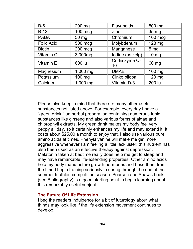| $B-6$             | 200 mg   | <b>Flavanoids</b>  | 500 mg          |
|-------------------|----------|--------------------|-----------------|
| $B-12$            | 100 mcg  | Zinc               | 35 mg           |
| <b>PABA</b>       | 50 mg    | Chromium           | $100$ mcg       |
| <b>Folic Acid</b> | 500 mcg  | Molybdenum         | 123 mg          |
| <b>Biotin</b>     | 200 mcg  | Manganese          | 5 <sub>mg</sub> |
| Vitamin C         | 3,000mg  | lodine (as kelp)   | $10 \text{ mg}$ |
| Vitamin E         | 600 iu   | Co-Enzyme Q-<br>10 | 60 mg           |
| Magnesium         | 1,000 mg | <b>DMAE</b>        | 100 mg          |
| Potassium         | 100 mg   | Ginko biloba       | 120 mg          |
| Calcium           | 1,000 mg | <b>Vitamin D-3</b> | 200 iu          |

Please also keep in mind that there are many other useful substances not listed above. For example, every day I have a "green drink," an herbal preparation containing numerous tonic substances like ginseng and also various forms of algae and chlorophyll extracts. My green drink makes my body feel very peppy all day, so it certainly enhances my life and may extend it. It costs about \$25,00 a month to enjoy that. I also use various pure amino acids at times. Phenylalyanine will make me get more aggressive whenever I am feeling a little lackluster; this nutrient has also been used as an effective therapy against depression. Melatonin taken at bedtime really does help me get to sleep and may have remarkable life-extending properties. Other amino acids help my body manufacture growth hormones and I use them from the time I begin training seriously in spring through the end of the summer triathlon competition season. Pearson and Shaw's book (see Bibliography) is a good starting point to begin learning about this remarkably useful subject.

### **The Future Of Life Extension**

I beg the readers indulgence for a bit of futurology about what things may look like if the life extension movement continues to develop.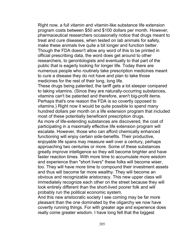Right now, a full vitamin and vitamin-like substance life extension program costs between \$50 and \$100 dollars per month. However, pharmaceutical researchers occasionally notice that drugs meant to treat and cure diseases, when tested on lab animals for safety, make these animals live quite a bit longer and function better. Though the FDA doesn't allow any word of this to be printed in official prescribing data, the word does get around to other researchers, to gerontologists and eventually to that part of the public that is eagerly looking for longer life. Today there are numerous people who routinely take prescription medicines meant to cure a disease they do not have and plan to take those medicines for the rest of their long, long life.

These drugs being patented, the tariff gets a lot steeper compared to taking vitamins. (Since they are naturally-occurring substances, vitamins can't be patented and therefore, aren't big-profit items. Perhaps that's one reason the FDA is so covertly opposed to vitamins.) Right now it would be quite possible to spend many hundred dollars per month on a life extension program that included most of these potentially beneficent prescription drugs.

As more of life-extending substances are discovered, the cost of participating in a maximally effective life extension program will escalate. However, those who can afford chemically enhanced functioning will enjoy certain side-benefits. Their productive, enjoyable life spans may measure well over a century, perhaps approaching two centuries or more. Some of these substances greatly improve intelligence so they will become brighter and have faster reaction times. With more time to accumulate more wisdom and experience than "short livers" these folks will become wiser, too. They will have more time to compound their investment assets and thus will become far more wealthy. They will become an obvious and recognizable aristocracy. This new upper class will immediately recognize each other on the street because they will look entirely different than the short-lived poorer folk and will probably run the political economic system.

And this new aristocratic society I see coming may be far more pleasant than the one dominated by the oligarchy we now have covertly running things. For with greater age and experience does really come greater wisdom. I have long felt that the biggest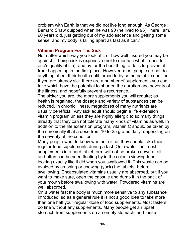problem with Earth is that we did not live long enough. As George Bernard Shaw quipped when he was 90 (he lived to 96), "here I am, 90 years old, just getting out of my adolescence and getting some sense, and my body is falling apart as fast as it can."

### **Vitamin Program For The Sick**

No matter which way you look at it or how well insured you may be against it, being sick is expensive (not to mention what it does to one's quality of life), and by far the best thing to do is to prevent it from happening in the first place. However, most people do not do anything about their health until forced to by some painful condition. If you are already sick there are a number of supplements you can take which have the potential to shorten the duration and severity of the illness, and hopefully prevent a recurrence.

The sicker you are, the more supplements you will require; as health is regained, the dosage and variety of substances can be reduced. In chronic illness, megadoses of many nutrients are usually beneficial. Any sick adult should begin a life extension vitamin program unless they are highly allergic to so many things already that they can not tolerate many kinds of vitamins as well. In addition to the life extension program, vitamin C should be taken by the chronically ill at a dose from 10 to 25 grams daily, depending on the severity of the condition.

Many people want to know whether or not they should take their regular food supplements during a fast. On a water fast most supplements in a hard tablet form will not be broken down at all, and often can be seen floating by in the colonic viewing tube looking exactly like it did when you swallowed it. This waste can be avoided by crushing or chewing (yuck) the tablets, before swallowing. Encapsulated vitamins usually are absorbed, but if you want to make sure, open the capsule and dump it in the back of your mouth before swallowing with water. Powdered vitamins are well absorbed.

On a water fast the body is much more sensitive to any substance introduced, so as a general rule it is not a good idea to take more than one half your regular dose of food supplements. Most fasters do fine without any supplements. Many people get an upset stomach from supplements on an empty stomach, and these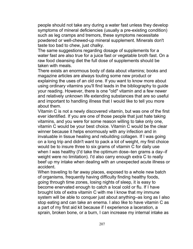people should not take any during a water fast unless they develop symptoms of mineral deficiencies (usually a pre-existing condition) such as leg cramps and tremors, these symptoms necessitate powdered or well-chewed-up mineral supplement. Minerals don't taste too bad to chew, just chalky.

The same suggestions regarding dosage of supplements for a water fast are also true for a juice fast or vegetable broth fast. On a raw food cleansing diet the full dose of supplements should be taken with meals.

There exists an enormous body of data about vitamins; books and magazine articles are always touting some new product or explaining the uses of an old one. If you want to know more about using ordinary vitamins you'll find leads in the bibliography to guide your reading. However, there is one "old" vitamin and a few newer and relatively unknown life extending substances that are so useful and important to handling illness that I would like to tell you more about them.

Vitamin C is not a newly discovered vitamin, but was one of the first ever identified. If you are one of those people that just hate taking vitamins, and you were for some reason willing to take only one, vitamin C would be your best choice. Vitamin C would be the clear winner because it helps enormously with any infection and in invaluable in tissue healing and rebuilding collagen. If I was going on a long trip and didn't want to pack a lot of weight, my first choice would be to insure three to six grams of vitamin C for daily use when I was healthy (I'd take the optimum dose–ten grams a day–if weight were no limitation). I'd also carry enough extra C to really beef up my intake when dealing with an unexpected acute illness or accident.

When traveling to far away places, exposed to a whole new batch of organisms, frequently having difficulty finding healthy foods, going through time zones, losing nights of sleep, it is easy to become enervated enough to catch a local cold or flu. If I have brought lots of extra vitamin C with me I know that my immune system will be able to conquer just about anything–as long as I also stop eating and can take an enema. I also like to have vitamin C as a part of my first aid kit because if I experience a laceration, a sprain, broken bone, or a burn, I can increase my internal intake as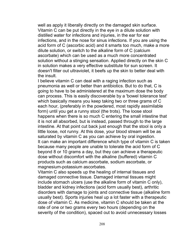well as apply it liberally directly on the damaged skin surface. Vitamin C can be put directly in the eye in a dilute solution with distilled water for infections and injuries, in the ear for ear infections, and in the nose for sinus infections. If you are using the acid form of C (ascorbic acid) and it smarts too much, make a more dilute solution, or switch to the alkaline form of C (calcium ascorbate) which can be used as a much more concentrated solution without a stinging sensation. Applied directly on the skin C in solution makes a very effective substitute for sun screen. It doesn't filter out ultraviolet, it beefs up the skin to better deal with the insult.

I believe vitamin C can deal with a raging infection such as pneumonia as well or better than antibiotics. But to do that, C is going to have to be administered at the maximum dose the body can process. This is easily discoverable by a 'bowel tolerance test' which basically means you keep taking two or three grams of C each hour, (preferably in the powdered, most rapidly assimilable form) until you get a runny stool (the trots). The loose stool happens when there is so much C entering the small intestine that it is not all absorbed, but is instead, passed through to the large intestine. At that point cut back just enough that the stool is only a little loose, not runny. At this dose, your blood stream will be as saturated by vitamin C as you can achieve by oral ingestion. It can make an important difference which type of vitamin C is taken because many people are unable to tolerate the acid form of C beyond 8 or 10 grams a day, but they can achieve a therapeutic dose without discomfort with the alkaline (buffered) vitamin C products such as calcium ascorbate, sodium ascorbate, or magnesium-potassium ascorbates.

Vitamin C also speeds up the healing of internal tissues and damaged connective tissue. Damaged internal tissues might include stomach ulcers (use the alkaline form of vitamin C only), bladder and kidney infections (acid form usually best), arthritic disorders with damage to joints and connective tissue (alkaline form usually best). Sports injuries heal up a lot faster with a therapeutic dose of vitamin C. As medicine, vitamin C should be taken at the rate of one or two grams every two hours (depending on the severity of the condition), spaced out to avoid unnecessary losses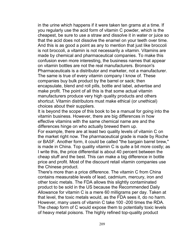in the urine which happens if it were taken ten grams at a time. If you regularly use the acid form of vitamin C powder, which is the cheapest, be sure to use a straw and dissolve it in water or juice so that the acid does not dissolve the enamel on your teeth over time. And this is as good a point as any to mention that just like broccoli is not broccoli, a vitamin is not necessarily a vitamin. Vitamins are made by chemical and pharmaceutical companies. To make this confusion even more interesting, the business names that appear on vitamin bottles are not the real manufacturers. Bronson's Pharmaceuticals is a distributor and marketer, not a manufacturer. The same is true of every vitamin company I know of. These companies buy bulk product by the barrel or sack; then encapsulate, blend and roll pills, bottle and label, advertise and make profit. The point of all this is that some actual vitamin manufacturers produce very high quality products and others shortcut. Vitamin distributors must make ethical (or unethical) choices about their suppliers.

It is beyond the scope of this book to be a manual for going into the vitamin business. However, there are big differences in how effective vitamins with the same chemical name are and the differences hinge on who actually brewed them up.

For example, there are at least two quality levels of vitamin C on the market right now. The pharmaceutical grade is made by Roche or BASF. Another form, it could be called "the bargain barrel brew," is made in China. Top quality vitamin C is quite a bit more costly; as I write this, the price differential is about 40 percent between the cheap stuff and the best. This can make a big difference in bottle price and profit. Most of the discount retail vitamin companies use the Chinese product.

There's more than a price difference. The vitamin C from China contains measurable levels of lead, cadmium, mercury, iron and other toxic metals. The FDA allows this slightly contaminated product to be sold in the US because the Recommended Daily Allowance for vitamin C is a mere 60 milligrams per day. Taken at that level, the toxic metals would, as the FDA sees it, do no harm. However, many users of vitamin C take 100 -200 times the RDA. The cheap form of C would expose them to potentially toxic levels of heavy metal poisons. The highly refined top-quality product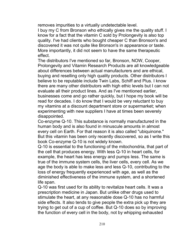removes impurities to a virtually undetectable level.

I buy my C from Bronson who ethically gives me the quality stuff. I know for a fact that the vitamin C sold by Prolongevity is also top quality. I've had clients who bought cheaper C than Bronson's and discovered it was not quite like Bronson's in appearance or taste. More importantly, it did not seem to have the same therapeutic effect.

The distributors I've mentioned so far, Bronson, NOW, Cooper, Prolongevity and Vitamin Research Products are all knowledgeable about differences between actual manufacturers and are ethical, buying and reselling only high quality products. Other distributors I believe to be reputable include Twin Labs, Schiff and Plus. I know there are many other distributors with high ethic levels but I can not evaluate all their product lines. And as I've mentioned earlier, businesses come and go rather quickly, but I hope my book will be read for decades. I do know that I would be very reluctant to buy my vitamins at a discount department store or supermarket; when experimenting with new suppliers I have at times been severely disappointed.

Co-enzyme Q-10. This substance is normally manufactured in the human body and is also found in minuscule amounts in almost every cell on Earth. For that reason it is also called "ubiquinone." But this vitamin has been only recently discovered, so as I write this book Co-enzyme Q-10 is not widely known.

Q-10 is essential to the functioning of the mitochondria, that part of the cell that produces energy. With less Q-10 in heart cells, for example, the heart has less energy and pumps less. The same is true of the immune system cells, the liver cells, every cell. As we age the body is able to make less and less Q-10, contributing to the loss of energy frequently experienced with age, as well as the diminished effectiveness of the immune system, and a shortened life span.

Q-10 was first used for its ability to revitalize heart cells. It was a prescription medicine in Japan. But unlike other drugs used to stimulate the heart, at any reasonable dose Q-10 has no harmful side effects. It also tends to give people the extra pick up they are trying to get out of a cup of coffee. But Q-10 does so by improving the function of every cell in the body, not by whipping exhausted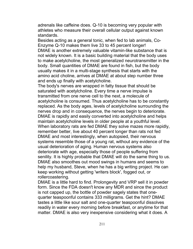adrenals like caffeine does. Q-10 is becoming very popular with athletes who measure their overall cellular output against known standards.

Besides acting as a general tonic, when fed to lab animals, Co-Enzyme Q-10 makes them live 33 to 45 percent longer! DMAE is another extremely valuable vitamin-like substance that is not widely known. It is a basic building material that the body uses to make acetylcholine, the most generalized neurotransmitter in the body. Small quantities of DMAE are found in fish, but the body usually makes it in a multi-stage synthesis that starts with the amino acid choline, arrives at DMAE at about step number three and ends up finally with acetylcholine.

The body's nerves are wrapped in fatty tissue that should be saturated with acetylcholine. Every time a nerve impulse is transmitted from one nerve cell to the next, a molecule of acetylcholine is consumed. Thus acetylcholine has to be constantly replaced. As the body ages, levels of acetylcholine surrounding the nerves drop and in consequence, the nerves begin to deteriorate. DMAE is rapidly and easily converted into acetylcholine and helps maintain acetylcholine levels in older people at a youthful level. When laboratory rats are fed DMAE they solve mazes more rapidly, remember better, live about 40 percent longer than rats not fed DMAE and most interestingly, when autopsied, their nervous systems resemble those of a young rat, without any evidence of the usual deterioration of aging. Human nervous systems also deteriorate with age, especially those of people suffering from senility. It is highly probable that DMAE will do the same thing to us. DMAE also smoothes out mood swings in humans and seems to help my husband, Steve, when he has a big writing project. He can keep working without getting 'writers block', fogged out, or rollercoastering.

DMAE is a little hard to find. Prolongevity and VRP sell it in powder form. Since the FDA doesn't know any MDR and since the product is not capped up, the bottle of powder sagely states that onequarter teaspoonful contains 333 milligrams. Get the hint? DMAE tastes a little like sour salt and one-quarter teaspoonful dissolves readily in water every morning before breakfast, or anytime for that matter. DMAE is also very inexpensive considering what it does. A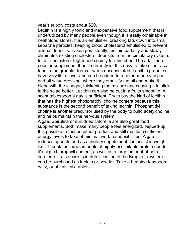year's supply costs about \$20.

Lecithin is a highly tonic and inexpensive food supplement that is underutilized by many people even though it is easily obtainable in healthfood stores. It is an emulsifier, breaking fats down into small separate particles, keeping blood cholesterol emulsified to prevent arterial deposits. Taken persistently, lecithin partially and slowly eliminates existing cholesterol deposits from the circulatory system. In our cholesterol-frightened society lecithin should be a far more popular supplement than it currently is. It is easy to take either as a food in the granular form or when encapsulated. Lecithin granules have very little flavor and can be added to a home-made vinegar and oil salad dressing, where they emulsify the oil and make it blend with the vinegar, thickening the mixture and causing it to stick to the salad better. Lecithin can also be put in a fruits smoothie. A scant tablespoon a day is sufficient. Try to buy the kind of lecithin that has the highest phosphatidyl choline content because this substance is the second benefit of taking lecithin. Phosphatidyl choline is another precursor used by the body to build acetylcholine and helps maintain the nervous system.

Algae. Spirulina or sun dried chlorella are also great food supplements. Both make many people feel energized, pepped-up. It is possible to fast on either product and still maintain sufficient energy levels to take of minimal work responsibilities. Algae reduces appetite and as a dietary supplement can assist in weight loss. It contains large amounts of highly-assimilable protein due to it's high chlorophyll content, as well as a large amount of beta carotene. It also assists in detoxification of the lymphatic system. It can be purchased as tablets or powder. Take a heaping teaspoon daily, or at least six tablets.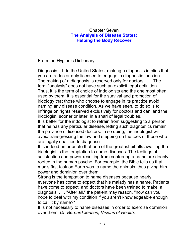# Chapter Seven **The Analysis of Disease States: Helping the Body Recover**

From the Hygienic Dictionary

Diagnosis. [1] In the United States, making a diagnosis implies that you are a doctor duly licensed to engage in diagnostic function. . . . The making of a diagnosis is reserved only for doctors. . . . The term "analysis" does not have such an explicit legal definition. Thus, it is the term of choice of iridologists and the one most often used by them. It is essential for the survival and promotion of iridology that those who choose to engage in its practice avoid naming any disease condition. As we have seen, to do so is to infringe on rights reserved exclusively for doctors and can land the iridologist, sooner or later, in a snarl of legal troubles.

It is better for the iridologist to refrain from suggesting to a person that he has any particular disease, letting such diagnostics remain the province of licensed doctors. In so doing, the iridologist will avoid transgressing the law and stepping on the toes of those who are legally qualified to diagnose.

It is indeed unfortunate that one of the greatest pitfalls awaiting the iridologist is the temptation to name diseases. The feelings of satisfaction and power resulting from conferring a name are deeply rooted in the human psyche. For example, the Bible tells us that man's first task on Earth was to name the animals, thus giving him power and dominion over them.

Strong is the temptation to name diseases because nearly everyone has come to expect that his malady has a name. Patients have come to expect, and doctors have been trained to make, a diagnosis. . . . "After all," the patient may reason, "how can you hope to deal with my condition if you aren't knowledgeable enough to call it by name?"

It is not necessary to name diseases in order to exercise dominion over them. *Dr. Bernard Jensen, Visions of Health.*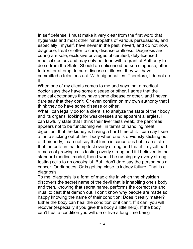In self defense, I must make it very clear from the first word that hygienists and most other naturopaths of various persuasions, and especially I myself, have never in the past, never!, and do not now, diagnose, treat or offer to cure, disease or illness. Diagnosis and curing are sole, exclusive privileges of certified, duly-licensed medical doctors and may only be done with a grant of Authority to do so from the State. Should an unlicensed person diagnose, offer to treat or attempt to cure disease or illness, they will have committed a felonious act. With big penalties. Therefore, I do not do it.

When one of my clients comes to me and says that a medical doctor says they have some disease or other, I agree that the medical doctor says they have some disease or other, and I never dare say that they don't. Or even confirm on my own authority that I think they do have some disease or other.

What I can legally do for a client is to analyze the state of their body and its organs, looking for weaknesses and apparent allergies. I can lawfully state that I think their liver tests weak, the pancreas appears not to be functioning well in terms of handling meat digestion, that the kidney is having a hard time of it. I can say I see a lump sticking out of their body when one is obviously sticking out of their body; I can not say that lump is cancerous but I can state that the cells in that lump test overly strong and that if I myself had a mass of growing cells testing overly strong and if I believed in the standard medical model, then I would be rushing my overly strong testing cells to an oncologist. But I don't dare say the person has a cancer. Or diabetes. Or is getting close to kidney failure. That is a diagnosis.

To me, diagnosis is a form of magic rite in which the physician discovers the secret name of the devil that is inhabiting one's body and then, knowing that secret name, performs the correct rite and ritual to cast that demon out. I don't know why people are made so happy knowing the name of their condition! Does it really matter? Either the body can heal the condition or it can't. If it can, you will recover (especially if you give the body a little help). If the body can't heal a condition you will die or live a long time being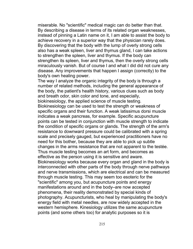miserable. No "scientific" medical magic can do better than that. By describing a disease in terms of its related organ weaknesses, instead of pinning a Latin name on it, I am able to assist the body to achieve recovery in a superior way that the physician rarely does. By discovering that the body with the lump of overly strong cells also has a weak spleen, liver and thymus gland, I can take actions to strengthen the spleen, liver and thymus. If the body can strengthen its spleen, liver and thymus, then the overly strong cells miraculously vanish. But of course I and what I did did not cure any disease. Any improvements that happen I assign (correctly) to the body's own healing power.

The way I analyze the organic integrity of the body is through a number of related methods, including the general appearance of the body, the patient's health history, various clues such as body and breath odor, skin color and tone, and especially, biokinesiology, the applied science of muscle testing. Biokinesiology can be used to test the strength or weakness of specific organs and their function. A weak latissimus dorsi muscle indicates a weak pancreas, for example. Specific acupuncture points can be tested in conjunction with muscle strength to indicate the condition of specific organs or glands. The strength of the arm's resistance to downward pressure could be calibrated with a spring scale and precisely gauged, but experienced practitioners have no need for this bother, because they are able to pick up subtle changes in the arms resistance that are not apparent to the testée. Thus muscle testing becomes an art form, and becomes as effective as the person using it is sensitive and aware. Biokinesiology works because every organ and gland in the body is interconnected with other parts of the body through nerve pathways and nerve transmissions, which are electrical and can be measured through muscle testing. This may seem too esoteric for the "scientific" among you, but acupuncture points and energy manifestations around and in the body–are now accepted phenomena, their reality demonstrated by special kinds of photography. Acupuncturists, who heal by manipulating the body's energy field with metal needles, are now widely accepted in the

western hemisphere. Kinesiology utilizes the same acupuncture points (and some others too) for analytic purposes so it is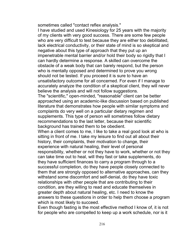sometimes called "contact reflex analysis."

I have studied and used Kinesiology for 25 years with the majority of my clients with very good success. There are some few people who are very difficult to test because they are either too debilitated, lack electrical conductivity, or their state of mind is so skeptical and negative about this type of approach that they put up an impenetrable mental barrier and/or hold their body so rigidly that I can hardly determine a response. A skilled can overcome the obstacle of a weak body that can barely respond, but the person who is mentally opposed and determined to prove you wrong should not be tested. If you proceed it is sure to have an unsatisfactory outcome for all concerned. For even if I manage to accurately analyze the condition of a skeptical client, they will never believe the analysis and will not follow suggestions.

The "scientific," open-minded, "reasonable" client can be better approached using an academic-like discussion based on published literature that demonstrates how people with similar symptoms and complaints do very well on a particular dietary regimen and supplements. This type of person will sometimes follow dietary recommendations to the last letter, because their scientific background has trained them to be obedient.

When a client comes to me, I like to take a real good look at who is sitting in front of me. I take my leisure to find out all about their history, their complaints, their motivation to change, their experience with natural healing, their level of personal responsibility, whether or not they have to work, whether or not they can take time out to heal, will they fast or take supplements, do they have sufficient finances to carry a program through to a successful completion, do they have people closely connected to them that are strongly opposed to alternative approaches, can they withstand some discomfort and self-denial, do they have toxic relationships with other people that are contributing to their condition, are they willing to read and educate themselves in greater depth about natural healing, etc. I need to know the answers to these questions in order to help them choose a program which is most likely to succeed.

Even though fasting is the most effective method I know of, it is not for people who are compelled to keep up a work schedule, nor is it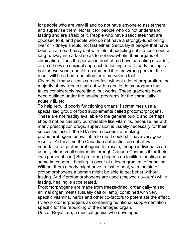for people who are very ill and do not have anyone to assist them and supervise them. Nor is it for people who do not understand fasting and are afraid of it. People who have associates that are opposed to it, and people who do not have a strongly-functioning liver or kidneys should not fast either. Seriously ill people that have been on a meat-heavy diet with lots of addicting substances need a long runway into a fast so as to not overwhelm their organs of elimination. Does the person in front of me have an eating disorder, or an otherwise suicidal approach to fasting, etc. Clearly fasting is not for everyone, and if I recommend it to the wrong person, the result will be a bad reputation for a marvelous tool.

Given that many clients can not fast without a lot of preparation, the majority of my clients start out with a gentle detox program that takes considerably more time, but works. These gradients have been outlined under the healing programs for the chronically ill, acutely ill, etc.

To help rebuild poorly functioning organs, I sometimes use a specialized group of food supplements called protomorphogens. These are not readily available to the general public and perhaps should not be casually purchasable like vitamins, because, as with many prescription drugs, supervision is usually necessary for their successful use. If the FDA ever succeeds at making protomorphogens unavailable to me, I could still have very good results. (At this time the Canadian authorities do not allow importation of protomorphogens for resale, though individuals can usually clear small shipments through Canada Customs if for their own personal use.) But protomorphogens do facilitate healing and sometimes permit healing to occur at a lower gradient of handling. Without them a body might have to fast to heal, with the aid of protomorphogens a person might be able to get better without fasting. And if protomorphogens are used (chewed up--ugh!) while fasting, healing is accelerated.

Protomorphogens are made from freeze-dried, organically-raised animal organ meats (usually calf or lamb) combined with very specific vitamins, herbs and other co-factors to potentiate the effect. I view protomorphogens as containing nutritional supplementation specific for the rebuilding of the damaged organ.

Doctor Royal Lee, a medical genius who developed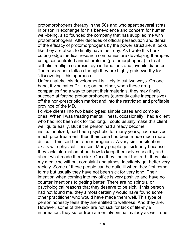protomorphogens therapy in the 50s and who spent several stints in prison in exchange for his benevolence and concern for human well-being, also founded the company that has supplied me with protomorphogens. After decades of official persecution and denial of the efficacy of protomorphogens by the power structure, it looks like they are about to finally have their day. As I write this book cutting-edge medical research companies are developing therapies using concentrated animal proteins (protomorphogens) to treat arthritis, multiple sclerosis, eye inflamations and juvenile diabetes. The researchers talk as though they are highly praiseworthy for "discovering" this approach.

Unfortunately, this development is likely to cut two ways. On one hand, it vindicates Dr. Lee; on the other, when these drug companies find a way to patent their materials, they may finally succeed at forcing protomorphogens (currently quite inexpensive) off the non-prescription market and into the restricted and profitable province of the MD.

I divide clients into two basic types: simple cases and complex ones. When I was treating mental illness, occasionally I had a client who had not been sick for too long. I could usually make this client well quite easily. But if the person had already become institutionalized, had been psychotic for many years, had received much prior treatment, then their case had been made much more difficult. This sort had a poor prognosis. A very similar situation exists with physical illnesses. Many people get sick only because they lack information about how to keep themselves healthy and about what made them sick. Once they find out the truth, they take my medicine without complaint and almost inevitably get better very rapidly. Some of these people can be quite ill when they first come to me but usually they have not been sick for very long. Their intention when coming into my office is very positive and have no counter intentions to getting better. There are no spiritual or psychological reasons that they deserve to be sick. If this person had not found me, they almost certainly would have found some other practitioner who would have made them well. This type of person honestly feels they are entitled to wellness. And they are. However, some of the sick are not sick for lack of life-style information; they suffer from a mental/spiritual malady as well, one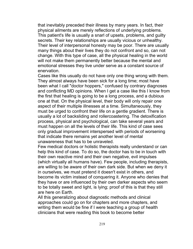that inevitably preceded their illness by many years. In fact, their physical ailments are merely reflections of underlying problems. This patient's life is usually a snarl of upsets, problems, and guilty secrets. Their key relationships are usually vicious or unhealthy. Their level of interpersonal honesty may be poor. There are usually many things about their lives they do not confront and so, can not change. With this type of case, all the physical healing in the world will not make them permanently better because the mental and emotional stresses they live under serve as a constant source of enervation.

Cases like this usually do not have only one thing wrong with them. They almost always have been sick for a long time; most have been what I call "doctor hoppers," confused by contrary diagnoses and conflicting MD opinions. When I get a case like this I know from the first that healing is going to be a long process, and a dubious one at that. On the physical level, their body will only repair one aspect of their multiple illnesses at a time. Simultaneously, they must be urged to confront their life on a gentle gradient. There is usually a lot of backsliding and rollercoastering. The detoxification process, physical and psychological, can take several years and must happen on all the levels of their life. This kind of case sees only gradual improvement interspersed with periods of worsening that indicate there remains yet another level of mental unawareness that has to be unraveled.

Few medical doctors or holistic therapists really understand or can help this kind of case. To do so, the doctor has to be in touch with their own reactive mind and their own negative, evil impulses (which virtually all humans have). Few people, including therapists, are willing to be aware of their own dark side. But when we deny it in ourselves, we must pretend it doesn't exist in others, and become its victim instead of conquering it. Anyone who denies that they have or are influenced by their own darker aspects who seem to be totally sweet and light, is lying; proof of this is that they still are here on Earth.

All this generalizing about diagnostic methods and clinical approaches could go on for chapters and more chapters, and writing them would be fine if I were teaching a group of health clinicians that were reading this book to become better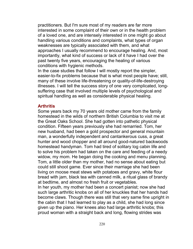practitioners. But I'm sure most of my readers are far more interested in some complaint of their own or in the health problem of a loved one, and are intensely interested in one might go about handling various conditions and complaints, what types of organ weaknesses are typically associated with them, and what approaches I usually recommend to encourage healing. And, most importantly, what kind of success or lack of it have I had over the past twenty five years, encouraging the healing of various conditions with hygienic methods.

In the case studies that follow I will mostly report the simpler, easier-to-fix problems because that is what most people have; still, many of these involve life-threatening or quality-of-life-destroying illnesses. I will tell the success story of one very complicated, longsuffering case that involved multiple levels of psychological and spiritual handling as well as considerable physical healing.

### **Arthritis**

Some years back my 70 years old mother came from the family homestead in the wilds of northern British Columbia to visit me at the Great Oaks School. She had gotten into pathetic physical condition. Fifteen years previously she had remarried. Tom, her new husband, had been a gold prospector and general mountain man, a wonderfully independent and cantankerous cuss, a great hunter and wood chopper and all around good-natured backwoods homestead handyman. Tom had tired of solitary log cabin life and to solve his problem had taken on the care and feeding of a needy widow, my mom. He began doing the cooking and menu planning. Tom, a little older than my mother, had no sense about eating but could still shoot game. Ever since their marriage she had been living on moose meat stews with potatoes and gravy, white flour bread with jam, black tea with canned milk, a ritual glass of brandy at bedtime, and almost no fresh fruit or vegetables. In her youth, my mother had been a concert pianist; now she had

such large arthritic knobs on all of her knuckles that her hands had become claws. Though there was still that very same fine upright in the cabin that I had learned to play as a child, she had long since given up the piano. Her knees also had large arthritic knobs; this proud woman with a straight back and long, flowing strides was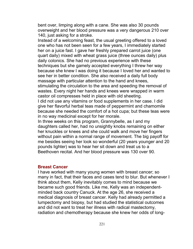bent over, limping along with a cane. She was also 30 pounds overweight and her blood pressure was a very dangerous 210 over 140, just asking for a stroke.

Instead of a welcoming feast, the usual greeting offered to a loved one who has not been seen for a few years, I immediately started her on a juice fast. I gave her freshly prepared carrot juice (one quart daily) mixed with wheat grass juice (three ounces daily) plus daily colonics. She had no previous experience with these techniques but she gamely accepted everything I threw her way because she knew I was doing it because I loved her and wanted to see her in better condition. She also received a daily full body massage with particular attention to the hand and knees,

stimulating the circulation to the area and speeding the removal of wastes. Every night her hands and knees were wrapped in warm castor oil compresses held in place with old sheeting.

I did not use any vitamins or food supplements in her case. I did give her flavorful herbal teas made of peppermint and chamomile because she needed the comfort of a hot cupa; but these teas were in no way medicinal except for her morale.

In three weeks on this program, Grannybelle, as I and my daughters called her, had no unsightly knobs remaining on either her knuckles or knees and she could walk and move her fingers without pain within a normal range of movement. The big payoff for me besides seeing her look so wonderful (20 years younger and 20 pounds lighter) was to hear her sit down and treat us to a Beethoven recital. And her blood pressure was 130 over 90.

#### **Breast Cancer**

I have worked with many young women with breast cancer; so many in fact, that their faces and cases tend to blur. But whenever I think about them, Kelly inevitably comes to mind because we became such good friends. Like me, Kelly was an independentminded back country Canuck. At the age 26, she received a medical diagnosis of breast cancer. Kelly had already permitted a lumpectomy and biopsy, but had studied the statistical outcomes and did not want to treat her illness with radical mastectomy, radiation and chemotherapy because she knew her odds of long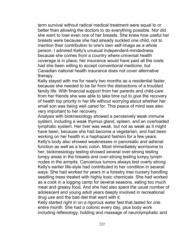term survival without radical medical treatment were equal to or better than allowing the doctors to do everything possible. Nor did she want to lose even one of her breasts. She knew how useful her breasts were because she had already suckled one child, not to mention their contribution to one's own self-image as a whole person. I admired Kelly's unusual independent-mindedness because she comes from a country where universal health coverage is in place; her insurance would have paid all the costs had she been willing to accept conventional medicine, but Canadian national health insurance does not cover alternative therapy.

Kelly stayed with me for nearly two months as a residential faster, because she needed to be far from the distractions of a troubled family life. With financial support from her parents and child-care from her friends she was able to take time out to give the recovery of health top priority in her life without worrying about whether her small son was being well cared for. This peace of mind was also very important to her recovery.

Analysis with biokinesiology showed a pervasively weak immune system, including a weak thymus gland, spleen, and an overloaded lymphatic system. Her liver was weak, but not as weak as it might have been, because she had become a vegetarian, and had been working on her health in a haphazard fashion for a few years. Kelly's body also showed weaknesses in pancreatic and adrenal function as well as a toxic colon. Most immediately worrisome to her, biokinesiology testing showed several over-strong testing lumpy areas in the breasts and over-strong testing lumpy lymph nodes in the armpits. Cancerous tumors always test overly strong Kelly's earlier life-style had contributed to her condition in several ways. She had worked for years in a forestry tree nursery handling seedling trees treated with highly toxic chemicals. She had worked as a cook in a logging camp for several seasons, eating too much meat and greasy food. And she had also spent the usual number of adolescent and young adult years deeply involved in recreational drug use and the bad diet that went with it.

Kelly started right in on a rigorous water fast that lasted for one entire month. She had a colonic every day, plus body work including reflexology, holding and massage of neurolymphatic and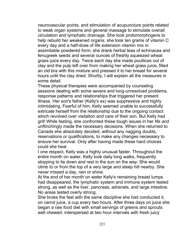neurovascular points, and stimulation of acupuncture points related to weak organ systems and general massage to stimulate overall circulation and lymphatic drainage. She took protomorphogens to help rebuild her weakened organs; she took ten grams of vitamin C every day and a half-dose of life extension vitamin mix in assimilable powdered form; she drank herbal teas of echinacea and fenugreek seeds and several ounces of freshly squeezed wheat grass juice every day. Twice each day she made poultices out of clay and the pulp left over from making her wheat grass juice, filled an old bra with this mixture and pressed it to her breast for several hours until the clay dried. Shortly, I will explain all the measures in some detail.

These physical therapies were accompanied by counseling sessions dealing with some severe and long-unresolved problems, response patterns and relationships that triggered her present illness. Her son's father (Kelly's ex) was suppressive and highly intimidating. Fearful of him, Kelly seemed unable to successfully extricate herself from the relationship due to the ongoing contact which revolved over visitation and care of their son. But Kelly had grit! While fasting, she confronted these tough issues in her life and unflinchingly made the necessary decisions. When she returned to Canada she absolutely decided, without any nagging doubts, reservations or qualifications, to make any changes necessary to ensure her survival. Only after having made these hard choices could she heal.

I one respect, Kelly was a highly unusual faster. Throughout the entire month on water, Kelly took daily long walks, frequently stopping to lie down and rest in the sun on the way. She would climb to or from the top of a very large and steep hill nearby. She never missed a day, rain or shine.

At the end of her month on water Kelly's remaining breast lumps had disappeared, the lymphatic system and immune system tested strong, as well as the liver, pancreas, adrenals, and large intestine. No areas tested overly strong.

She broke the fast with the same discipline she had conducted it, on carrot juice, a cup every two hours. After three days on juice she began a raw food diet with small servings of greens and sprouts well chewed, interspersed at two hour intervals with fresh juicy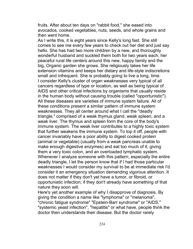fruits. After about ten days on "rabbit food," she eased into avocados, cooked vegetables, nuts, seeds, and whole grains and then went home.

As I write this, it is eight years since Kelly's long fast. She still comes to see me every few years to check out her diet and just say hello. She has had two more children by a new, and thoroughly wonderful husband and suckled them both for two years each; her peaceful rural life centers around this new, happy family and the big, Organic garden she grows. She religiously takes her life extension vitamins and keeps her dietary and life-style indiscretions small and infrequent. She is probably going to live a long, time. I consider Kelly's cluster of organ weaknesses very typical of all cancers regardless of type or location, as well as being typical of AIDS and other critical infections by organisms that usually reside in the human body without causing trouble (called "opportunistic"). All these diseases are varieties of immune system failure. All of these conditions present a similar pattern of immune system weaknesses. They all center around what I call the "deadly triangle," comprised of a weak thymus gland, weak spleen, and a weak liver. The thymus and spleen form the core of the body's immune system. The weak liver contributes to a highly toxic system that further weakens the immune system. To top it off, people with cancer invariably have a poor ability to digest cooked protein (animal or vegetable) (usually from a weak pancreas unable to make enough digestive enzymes) and eat too much of it, giving them a very toxic colon, and an overloaded lymphatic system. Whenever I analyze someone with this pattern, especially the entire deadly triangle, I let the person know that if I had those particular weaknesses I would consider my survival to be at immediate risk I'd consider it an emergency situation demanding vigorous attention. It does not matter if they don't yet have a tumor, or fibroid, or opportunistic infection; if they don't already have something of that nature they soon will.

Here's yet another example of why I disapprove of diagnosis. By giving the condition a name like "lymphoma" or "melanoma", "chronic fatigue syndrome" "Epstein-Barr syndrome" or "AIDS," "systemic yeast infection", "hepatitis" or what have, people think the doctor then understands their disease. But the doctor rarely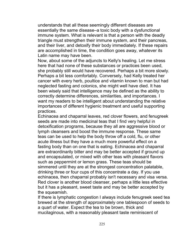understands that all these seemingly different diseases are essentially the same disease–a toxic body with a dysfunctional immune system. What is relevant is that a person with the deadly triangle must strengthen their immune system, and their pancreas, and their liver, and detoxify their body immediately. If these repairs are accomplished in time, the condition goes away, whatever its Latin name may have been.

Now, about some of the adjuncts to Kelly's healing. Let me stress here that had none of these substances or practices been used, she probably still would have recovered. Perhaps a bit more slowly. Perhaps a bit less comfortably. Conversely, had Kelly treated her cancer with every herb, poultice and vitamin known to man but had neglected fasting and colonics, she might well have died. It has been wisely said that intelligence may be defined as the ability to correctly determine differences, similarities, and importances. I want my readers to be intelligent about understanding the relative importances of different hygienic treatment and useful supporting practices.

Echinacea and chaparral leaves, red clover flowers, and fenugreek seeds are made into medicinal teas that I find very helpful in detoxification programs, because they all are aggressive blood or lymph cleansers and boost the immune response. These same teas can be used to help the body throw off a cold, flu, or other acute illness but they have a much more powerful effect on a fasting body than on one that is eating. Echinacea and chaparral are extraordinarily bitter and may be better accepted if ground up and encapsulated, or mixed with other teas with pleasant flavors such as peppermint or lemon grass. These teas should be simmered until they are at the strongest concentration palatable, drinking three or four cups of this concentrate a day. If you use echinacea, then chaparral probably isn't necessary and visa versa. Red clover is another blood cleanser, perhaps a little less effective but it has a pleasant, sweet taste and may be better accepted by the squeamish.

If there is lymphatic congestion I always include fenugreek seed tea brewed at the strength of approximately one tablespoon of seeds to a quart of water. Expect the tea to be brown, thick and mucilaginous, with a reasonably pleasant taste reminiscent of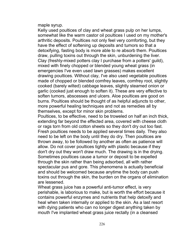maple syrup.

Kelly used poultices of clay and wheat grass pulp on her lumps, somewhat like the warm castor oil poultices I used on my mother's arthritic deposits. Poultices not only feel very comforting, but they have the effect of softening up deposits and tumors so that a detoxifying, fasting body is more able to re absorb them. Poultices draw, pulling toxins out through the skin, unburdening the liver. Clay (freshly-mixed potters clay I purchase from a potters' guild), mixed with finely chopped or blended young wheat grass (in emergencies I've even used lawn grasses) makes excellent drawing poultices. Without clay, I've also used vegetable poultices made of chopped or blended comfrey leaves, comfrey root, slightly cooked (barely wilted) cabbage leaves, slightly steamed onion or garlic (cooked just enough to soften it). These are very effective to soften tumors, abscesses and ulcers. Aloe poultices are good on burns. Poultices should be thought of as helpful adjuncts to other, more powerful healing techniques and not as remedies all by themselves, except for minor skin problems.

Poultices, to be effective, need to be troweled on half an inch thick, extending far beyond the effected area, covered with cheese cloth or rags torn from old cotton sheets so they don't dry out too fast. Fresh poultices needs to be applied several times daily. They also need to be left on the body until they do dry. Then poultices are thrown away, to be followed by another as often as patience will allow. Do not cover poultices tightly with plastic because if they don't dry out they won't draw much. The drawing is in the drying. Sometimes poultices cause a tumor or deposit to be expelled through the skin rather than being adsorbed, all with rather spectacular pus and gore. This phenomena is actually beneficial and should be welcomed because anytime the body can push toxins out through the skin, the burden on the organs of elimination are lessened.

Wheat grass juice has a powerful anti-tumor effect, is very perishable, is laborious to make, but is worth the effort because it contains powerful enzymes and nutrients that help detoxify and heal when taken internally or applied to the skin. As a last resort with dying patients who can no longer digest anything taken by mouth I've implanted wheat grass juice rectally (in a cleansed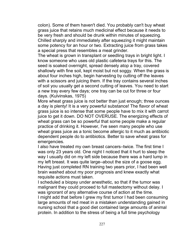colon). Some of them haven't died. You probably can't buy wheat grass juice that retains much medicinal effect because it needs to be very fresh and should be drunk within minutes of squeezing. Chilled sharply and immediately after squeezing it might maintain some potency for an hour or two. Extracting juice from grass takes a special press that resembles a meat grinder.

The wheat is grown in transplant or seedling trays in bright light. I know someone who uses old plastic cafeteria trays for this. The seed is soaked overnight, spread densely atop a tray, covered shallowly with fine soil, kept moist but not soggy. When the grass is about four inches high, begin harvesting by cutting off the leaves with a scissors and juicing them. If the tray contains several inches of soil you usually get a second cutting of leaves. You need to start a new tray every few days; one tray can be cut for three or four days. (Kulvinskas, 1975)

More wheat grass juice is not better than just enough; three ounces a day is plenty! It is a very powerful substance! The flavor of wheat grass juice is so intense that some people have to mix it with carrot juice to get it down. DO NOT OVERUSE. The energizing effects of wheat grass can be so powerful that some people make a regular practice of drinking it. However, I've seen many people who use wheat grass juice as a tonic become allergic to it much as antibiotic dependent people do to antibiotics. Better to save wheat grass for emergencies.

I also have treated my own breast cancers–twice. The first time I was only 23 years old. One night I noticed that it hurt to sleep the way I usually did on my left side because there was a hard lump in my left breast. It was quite large–about the size of a goose egg. Having just completed RN training two years prior, I had been well brain washed about my poor prognosis and knew exactly what requisite actions must taken.

I scheduled a biopsy under anesthetic, so that if the tumor was malignant they could proceed to full mastectomy without delay. I was ignorant of any alternative course of action at the time. I might add that before I grew my first tumor I had been consuming large amounts of red meat in a mistaken understanding gained in nursing school that a good diet contained large amounts of animal protein. In addition to the stress of being a full time psychology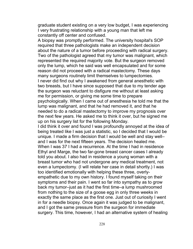graduate student existing on a very low budget, I was experiencing I very frustrating relationship with a young man that left me constantly off center and confused.

A biopsy was promptly performed. The university hospital's SOP required that three pathologists make an independent decision about the nature of a tumor before proceeding with radical surgery. Two of the pathologist agreed that my tumor was malignant, which represented the required majority vote. But the surgeon removed only the lump, which he said was well encapsulated and for some reason did not proceed with a radical mastectomy. These days many surgeons routinely limit themselves to lumpectomies. I never did find out why I awakened from general anesthetic with two breasts, but I have since supposed that due to my tender age the surgeon was reluctant to disfigure me without at least asking me for permission, or giving me some time to prepare psychologically. When I came out of anesthesia he told me that the lump was malignant, and that he had removed it, and that he needed to do a radical mastectomy to improve my prognosis over the next few years. He asked me to think it over, but he signed me up on his surgery list for the following Monday.

I did think it over and found I was profoundly annoyed at the idea of being treated like I was just a statistic, so I decided that I would be unique. I made a firm decision that I would be well and stay well– and I was for the next fifteen years. The decision healed me. When I was 37 I had a recurrence. At the time I had in residence Ethyl and Marge, the two far-gone breast cancer cases I already told you about. I also had in residence a young woman with a breast tumor who had not undergone any medical treatment, not even a lumpectomy. (I will relate her case in detail shortly.) I was too identified emotionally with helping these three, overlyempathetic due to my own history. I found myself taking on their symptoms and their pain. I went so far into sympathy as to grow back my tumor–just as it had the first time–a lump mushroomed from nothing to the size of a goose egg in only three weeks in exactly the same place as the first one. Just out of curiosity I went in for a needle biopsy. Once again it was judged to be malignant, and I got the same pressure from the surgeon for immediate surgery. This time, however, I had an alternative system of healing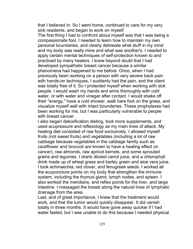that I believed in. So I went home, continued to care for my very sick residents, and began to work on myself.

The first thing I had to confront about myself was that I was being a compassionate fool. I needed to learn how to maintain my own personal boundaries, and clearly delineate what stuff in my mind and my body was really mine and what was another's. I needed to apply certain mental techniques of self-protection known to and practiced by many healers. I knew beyond doubt that I had developed sympathetic breast cancer because a similar phenomena had happened to me before. Once, when I had previously been working on a person with very severe back pain with hands-on techniques, I suddenly had the pain, and the client was totally free of it. So I protected myself when working with sick people. I would wash my hands and arms thoroughly with cold water, or with water and vinegar after contact. I would shake off their "energy," have a cold shower, walk bare foot on the grass, and visualize myself well with intact boundaries. These prophylaxes had been working for me, but I was particularly vulnerable to people with breast cancer.

I also began detoxification dieting, took more supplements, and used acupressure and reflexology as my main lines of attack. My healing diet consisted of raw food exclusively. I allowed myself fruits (not sweet fruits) and vegetables (including a lot of raw cabbage because vegetables in the cabbage family such as cauliflower and broccoli are known to have a healing effect on cancer), raw almonds, raw apricot kernels, and some sprouted grains and legumes. I drank diluted carrot juice, and a chlorophyll drink made up of wheat grass and barley green and aloe vera juice. I took echinaechia, red clover, and fenugreek seeds. I worked all the acupuncture points on my body that strengthen the immune system, including the thymus gland, lymph nodes, and spleen. I also worked the meridians, and reflex points for the liver, and large intestine. I massaged the breast along the natural lines of lymphatic drainage from the area.

Last, and of great importance, I knew that the treatment would work, and that the tumor would quickly disappear. It did vanish totally in three months. It would have gone away quicker if I had water fasted, but I was unable to do this because I needed physical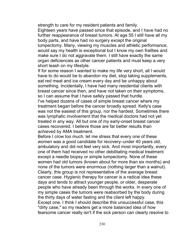strength to care for my resident patients and family.

Eighteen years have passed since that episode, and I have had no further reappearance of breast tumors. At age 55 I still have all my body parts, and have had no surgery except the original lumpectomy. Many, viewing my muscles and athletic performance, would say my health is exceptional but I know my own frailties and make sure I do not aggravate them. I still have exactly the same organ deficiencies as other cancer patients and must keep a very short leash on my lifestyle.

If for some reason I wanted to make my life very short, all I would have to do would be to abandon my diet, stop taking supplements, eat red meat and ice cream every day and be unhappy about something. Incidentally, I have had many residential clients with breast cancer since then, and have not taken on their symptoms, so I can assume that I have safely passed that hurdle.

I've helped dozens of cases of simple breast cancer where my treatment began before the cancer broadly spread. Kelly's case was not the easiest of this group, nor the hardest. Sometimes there was lymphatic involvement that the medical doctors had not yet treated in any way. All but one of my early-onset breast cancer cases recovered. I believe those are far better results than achieved by AMA treatment.

Before I crow too much, let me stress that every one of these women was a good candidate for recovery–under 40 years old, ambulatory and did not feel very sick. And most importantly, every one of them had received no other debilitating medical treatment except a needle biopsy or simple lumpectomy. None of these women had old tumors (known about for more than six months) and none of the tumors were enormous (nothing larger than a walnut). Clearly, this group is not representative of the average breast cancer case. Hygienic therapy for cancer is a radical idea these days and tends to attract younger people, or older, desperate people who have already been through the works. In every one of my simple cases the tumors were reabsorbed by the body during the thirty days of water fasting and the client left happy. Except one. I think I should describe this unsuccessful case, this "dirty case," so my readers get a more balanced idea of how fearsome cancer really isn't if the sick person can clearly resolve to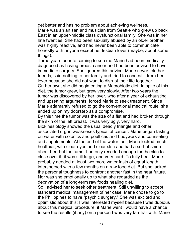get better and has no problem about achieving wellness. Marie was an artisan and musician from Seattle who grew up back East in an upper-middle class dysfunctional family. She was in her late twenties. She had been sexually abused by an older brother, was highly reactive, and had never been able to communicate honestly with anyone except her lesbian lover (maybe, about some things).

Three years prior to coming to see me Marie had been medically diagnosed as having breast cancer and had been advised to have immediate surgery. She ignored this advice; Marie never told her friends, said nothing to her family and tried to conceal it from her lover because she did not want to disrupt their life together. On her own, she did begin eating a Macrobiotic diet. In spite of this diet, the tumor grew, but grew very slowly. After two years the tumor was discovered by her lover, who after a year of exhausting and upsetting arguments, forced Marie to seek treatment. Since Marie adamantly refused to go the conventional medical route, she ended up on my doorstep as a compromise.

By this time the tumor was the size of a fist and had broken through the skin of the left breast. It was very ugly, very hard.

Biokinesiology showed the usual deadly triangle and other associated organ weakneses typical of cancer. Marie began fasting on water with colonics and poultices and bodywork and counseling and supplements. At the end of the water fast, Marie looked much healthier, with clear eyes and clear skin and had a sort of shine about her, but the tumor had only receded enough for the skin to close over it; it was still large, and very hard. To fully heal, Marie probably needed at least two more water fasts of equal length interspersed with a few months on a raw food diet. But she lacked the personal toughness to confront another fast in the near future. Nor was she emotionally up to what she regarded as the deprivation of a long-term raw foods healing diet.

So I advised her to seek other treatment. Still unwilling to accept standard medical management of her case, Marie chose to go to the Philippines to have "psychic surgery." She was excited and optimistic about this; I was interested myself because I was dubious about this magical procedure; if Marie went I would have a chance to see the results (if any) on a person I was very familiar with. Marie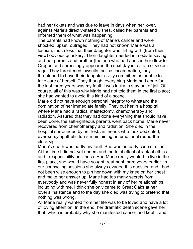had her tickets and was due to leave in days when her lover, against Marie's directly-stated wishes, called her parents and informed them of what was happening.

The parents had known nothing of Marie's cancer and were shocked, upset, outraged! They had not known Marie was a lesbian, much less that their daughter was flirting with (from their view) obvious quackery. Their daughter needed immediate saving and her parents and brother (the one who had abused her) flew to Oregon and surprisingly appeared the next day in a state of violent rage. They threatened lawsuits, police, incarceration, they threatened to have their daughter civilly committed as unable to take care of herself. They thought everything Marie had done for the last three years was my fault. I was lucky to stay out of jail. Of course, all of this was why Marie had not told them in the first place; she had wanted to avoid this kind of a scene.

Marie did not have enough personal integrity to withstand the domination of her immediate family. They put her in a hospital, where Marie had a radical mastectomy, chemotherapy and radiation. Assured that they had done everything that should have been done, the self-righteous parents went back home. Marie never recovered from chemotherapy and radiation. She died in the hospital surrounded by her lesbian friends who took dedicated, ever-so-sympathetic turns maintaining an emotional round-theclock vigil.

Marie's death was partly my fault. She was an early case of mine. At the time I did not yet understand the total effect of lack of ethics and irresponsibility on illness. Had Marie really wanted to live in the first place, she would have sought treatment three years earlier. In our counseling sessions she always evaded this question and I had not been wise enough to pin her down with my knee on her chest and make her answer up. Marie had too many secrets from everybody and was never fully honest in any of her relationships, including with me. I think she only came to Great Oaks at her lover's insistence and to the day she died was trying to pretend that nothing was wrong.

All Marie really wanted from her life was to be loved and have a lot of loving attention. In the end, her dramatic death scene gave her that, which is probably why she manifested cancer and kept it and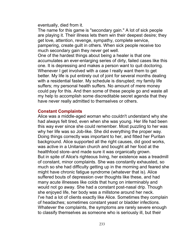eventually, died from it.

The name for this game is "secondary gain." A lot of sick people are playing it. Their illness lets them win their deepest desire; they get love, attention, revenge, sympathy, complete service, pampering, create guilt in others. When sick people receive too much secondary gain they never get well.

One of the hardest things about being a healer is that one accumulates an ever-enlarging series of dirty, failed cases like this one. It is depressing and makes a person want to quit doctoring. Whenever I get involved with a case I really want them to get better. My life is put entirely out of joint for several months dealing with a residential faster. My schedule is disrupted; my family life suffers; my personal health suffers. No amount of mere money could pay for this. And then some of these people go and waste all my help to accomplish some discreditable secret agenda that they have never really admitted to themselves or others.

#### **Constant Complaints**

Alice was a middle-aged woman who couldn't understand why she had always felt tired, even when she was young. Her life had been this way ever since she could remember. Most puzzling to her was why her life was so Job-like. She did everything the proper way. Doing things correctly was important to her, and fitted her Puritan background. Alice supported all the right causes, did good works, was active in a Unitarian church and bought all her food at the healthfood store–and made sure it was organically grown. But in spite of Alice's righteous living, her existence was a treadmill of constant, minor complaints. She was constantly exhausted, so much so she had difficulty getting up in the morning and feared she might have chronic fatigue syndrome (whatever that is). Alice suffered bouts of depression over thoughts like these, and had many acute illnesses like colds that hung on interminably and would not go away. She had a constant post-nasal drip. Though she enjoyed life, her body was a millstone around her neck. I've had a lot of clients exactly like Alice. Sometimes they complain of headaches; sometimes constant yeast or bladder infections. Whatever the complaints, the symptoms are rarely severe enough to classify themselves as someone who is seriously ill, but their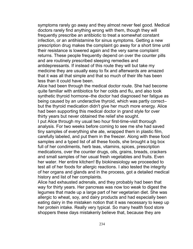symptoms rarely go away and they almost never feel good. Medical doctors rarely find anything wrong with them, though they will frequently prescribe an antibiotic to treat a somewhat constant infection, or an antihistamine for sinus symptoms. Getting a new prescription drug makes the complaint go away for a short time until their resistance is lowered again and the very same complaint returns. These people frequently depend on over the counter pills and are routinely prescribed sleeping remedies and antidepressants. If instead of this route they will but take my medicine they are usually easy to fix and afterwards are amazed that it was all that simple and that so much of their life has been less than it could have been.

Alice had been through the medical doctor route. She had become quite familiar with antibiotics for her colds and flu, and also took synthetic thyroid hormone–the doctor had diagnosed her fatigue as being caused by an underactive thyroid, which was partly correct– but the thyroid medication didn't give her much more energy. Alice had been supporting this medical doctor in grand style for over thirty years but never obtained the relief she sought.

I put Alice through my usual two hour first-time-visit thorough analysis. For two weeks before coming to see me she had saved tiny samples of everything she ate, wrapped them in plastic film, carefully labeled, and put them in the freezer. Along with these food samples and a typed list of all these foods, she brought a big box full of her condiments, herb teas, vitamins, spices, prescription medications, over the counter drugs, oils, grains, breads, crackers and small samples of her usual fresh vegetables and fruits. Even her water. Her entire kitchen! By biokinesiology we proceeded to test all of her foods for allergic reactions. I also tested the integrity of her organs and glands and in the process, got a detailed medical history and list of her complaints.

Alice had exhausted adrenals, and they probably had been that way for thirty years. Her pancreas was now too weak to digest the legumes that made up a large part of her vegetarian diet. She was allergic to wheat, soy, and dairy products and had especially been eating dairy in the mistaken notion that it was necessary to keep up her protein intake. Really very typical. So many health food store shoppers these days mistakenly believe that, because they are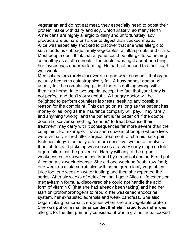vegetarian and do not eat meat, they especially need to boost their protein intake with dairy and soy. Unfortunately, so many North Americans are highly allergic to dairy and unfortunately, soy products are as hard or harder to digest than cooked meats. Alice was especially shocked to discover that she was allergic to such foods as cabbage family vegetables, alfalfa sprouts and citrus. Most people don't think that anyone could be allergic to something as healthy as alfalfa sprouts. The doctor was right about one thing; her thyroid was underperforming. He had not noticed that her heart was weak.

Medical doctors rarely discover an organ weakness until that organ actually begins to catastrophically fail. A busy honest doctor will usually tell the complaining patient there is nothing wrong with them: go home, take two aspirin, accept the fact that your body is not perfect and don't worry about it. A hungry doctor will be delighted to perform countless lab tests, seeking any possible reason for the complaint. This can go on as long as the patient has money or as long as the insurance company will pay. They rarely find anything "wrong" and the patient is far better off if the doctor doesn't discover something "serious" to treat because their treatment may carry with it consequences far more severe than the complaint. For example, I have seen dozens of people whose lives were virtually ruined after surgical treatment for chronic back pain. Biokinesiology is actually a far more sensitive system of analysis than lab tests. It picks up weaknesses at a very early stage so total organ failure can be prevented. Rarely will any of the organ weaknesses I discover be confirmed by a medical doctor. First I put Alice on a six week cleanse. She did one week on fresh, raw food; one week on dilute carrot juice with some green leafy vegetables juice too; one week on water fasting; and then she repeated the series. After six weeks of detoxification, I gave Alice a life extension megavitamin formula, discovered she could not handle the acid form of vitamin C (that she had already been taking) and had her start on protomorphogens to rebuild her weakened endocrine system, her exhausted adrenals and weak pancreas. She also began taking pancreatic enzymes when she ate vegetable protein. She was put on a maintenance diet that eliminated foods she was allergic to; the diet primarily consisted of whole grains, nuts, cooked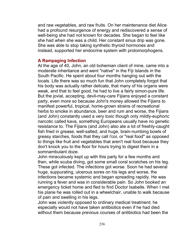and raw vegetables, and raw fruits. On her maintenance diet Alice had a profound resurgence of energy and rediscovered a sense of well-being she had not known for decades. She began to feel like she had when she was a child. Her constant sinus drip was gone. She was able to stop taking synthetic thyroid hormones and instead, supported her endocrine system with protomorphogens.

#### **A Rampaging Infection**

At the age of 40, John, an old bohemian client of mine, came into a moderate inheritance and went "native" in the Fiji Islands in the South Pacific. He spent about four months hanging out with the locals. Life there was so much fun that John completely forgot that his body was actually rather delicate, that many of his organs were weak, and that to feel good, he had to live a fairly simon-pure life. But the jovial, accepting, devil-may-care Fijians enjoyed a constant party, even more so because John's money allowed the Fijians to manifest powerful, tropical, home-grown strains of recreational herbs to smoke in abundance, beer and rum and worse, the Fijians (and John) constantly used a very toxic though only mildly-euphoric narcotic called kava, something Europeans usually have no genetic resistance to. The Fijians (and John) also ate a lot of freshly-caught fish fried in grease, well-salted, and huge, brain-numbing bowls of greasy starches, foods that they call i'coi, or "real food" as opposed to things like fruit and vegetables that aren't real food because they don't knock you to the floor for hours trying to digest them in a somnambulant doze.

John miraculously kept up with this party for a few months and then, while scuba diving, got some small coral scratches on his leg. These got infected. The infections got worse. Soon he had several huge, suppurating, ulcerous sores on his legs and worse, the infections became systemic and began spreading rapidly. He was running a fever and was in considerable pain. So John booked an emergency ticket home and fled to find Doctor Isabelle. When I met his plane he was rolled out in a wheelchair, unable to walk because of pain and swelling in his legs.

John was violently opposed to ordinary medical treatment; he especially would not have taken antibiotics even if he had died without them because previous courses of antibiotics had been the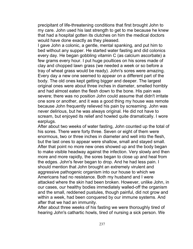precipitant of life-threatening conditions that first brought John to my care. John used his last strength to get to me because he knew that had a hospital gotten its clutches on him the medical doctors would have done exactly as they pleased.

I gave John a colonic, a gentle, mental spanking, and put him to bed without any supper. He started water fasting and did colonics every day. He began gobbling vitamin C (as calcium ascorbate) a few grams every hour. I put huge poultices on his sores made of clay and chopped lawn grass (we needed a week or so before a tray of wheat grass would be ready). John's sores were amazing. Every day a new one seemed to appear on a different part of the body. The old ones kept getting bigger and deeper. The largest original ones were about three inches in diameter, smelled horribly and had almost eaten the flesh down to the bone. His pain was severe; there was no position John could assume that didn't irritate one sore or another, and it was a good thing my house was remote because John frequently relieved his pain by screaming. John was never delirious, but he was always original. He did not have to scream, but enjoyed its relief and howled quite dramatically. I wore earplugs.

After about two weeks of water fasting, John counted up the total of his sores. There were forty three. Seven or eight of them were enormous, two or three inches in diameter and well into the flesh, but the last ones to appear were shallow, small and stayed small. After that point no more new ones showed up and the body began to make visible headway against the infection. Very slowly and then more and more rapidly, the sores began to close up and heal from the edges. John's fever began to drop. And he had less pain. I should mention that John brought an extremely virulent and aggressive pathogenic organism into our house to which we Americans had no resistance. Both my husband and I were attacked where the skin had been broken. However, unlike John, in our cases, our healthy bodies immediately walled-off the organism and the small, reddened pustules, though painful, did not grow and within a week, had been conquered by our immune systems. And after that we had an immunity.

After about three weeks of his fasting we were thoroughly tired of hearing John's cathartic howls, tired of nursing a sick person. We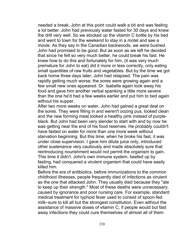needed a break. John at this point could walk a bit and was feeling a lot better. John had previously water fasted for 30 days and knew the drill very well. So we stocked up the vitamin C bottle by his bed and went to town for the weekend to stay in a motel and see a movie. As they say in the Canadian backwoods, we were bushed. John had promised to be good. But as soon as we left he decided that since he felt so very much better, he could break his fast. He knew how to do this and fortunately for him, (it was very much premature for John to eat) did it more or less correctly, only eating small quantities of raw fruits and vegetables. But by the time we got back home three days later, John had relapsed. The pain was rapidly getting much worse; the sores were growing again and a few small new ones appeared. Dr. Isabelle again took away his food and gave him another verbal spanking a little more severe than the one he'd had a few weeks earlier and put him to bed again without his supper.

After two more weeks on water, John had gained a great deal on the sores. They were filling in and weren't oozing pus, looked clean and the new forming meat looked a healthy pink instead of purpleblack. But John had been very slender to start with and by now he was getting near the end of his food reserves. He probably couldn't have fasted on water for more than one more week without starvation beginning. But this time, when he broke his fast, it was under close supervision. I gave him dilute juice only, introduced other sustenance very cautiously and made absolutely sure that reintroducing nourishment would not permit the organism to gain. This time it didn't. John's own immune system, beefed up by fasting, had conquered a virulent organism that could have easily killed him.

Before the era of antibiotics, before immunizations to the common childhood illnesses, people frequently died of infections as virulent as the one that attacked John. They usually died because they "ate to keep up their strength." Most of these deaths were unnecessary, caused by ignorance and poor nursing care. For example, standard medical treatment for typhoid fever used to consist of spoon-fed milk–sure to kill all but the strongest constitution. Even without the assistance of massive doses of vitamin C, if people would but fast away infections they could cure themselves of almost all of them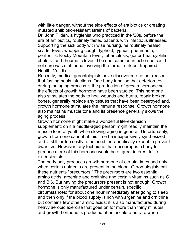with little danger, without the side effects of antibiotics or creating mutated antibiotic-resistant strains of bacteria.

Dr. John Tilden, a hygienist who practiced in the '20s, before the era of antibiotics, routinely fasted patients with infectious illnesses. Supporting the sick body with wise nursing, he routinely healed scarlet fever, whopping cough, typhoid, typhus, pneumonia, peritonitis, Rocky Mountain fever, tuberculosis, gonorrhea, syphilis, cholera, and rheumatic fever. The one common infection he could not cure was diphtheria involving the throat. (Tilden, Impaired Health, Vol. II).

Recently, medical gerontologists have discovered another reason that fasting heals infections. One body function that deteriorates during the aging process is the production of growth hormone so the effects of growth hormone have been studied. This hormone also stimulates the body to heal wounds and burns, repair broken bones, generally replace any tissues that have been destroyed and, growth hormone stimulates the immune response. Growth hormone also maintains muscle tone and its presence generally slows the aging process.

Growth hormone might make a wonderful life-extension supplement; on it a middle-aged person might readily maintain the muscle tone of youth while slowing aging in general. Unfortunately, growth hormone cannot at this time be inexpensively synthesized and is still far too costly to be used therapeutically except to prevent dwarfism. However, any technique that encourages a body to produce more of this hormone would be of great interest to life extensionists.

The body only produces growth hormone at certain times and only when certain nutrients are present in the blood. Gerontologists call these nutrients "precursors." The precursors are two essential amino acids, argenine and ornithine and certain vitamins such as C and B 6. But having the precursors present is not enough. Growth hormone is only manufactured under certain, specific circumstances: for about one hour immediately after going to sleep and then only if the blood supply is rich with argenine and ornithine but contains few other amino acids; it is also manufactured during heavy aerobic exercise that goes on for more than thirty minutes; and growth hormone is produced at an accelerated rate when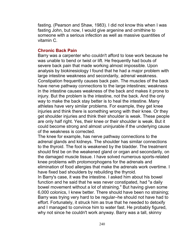fasting. (Pearson and Shaw, 1983). I did not know this when I was fasting John, but now, I would give argenine and ornithine to someone with a serious infection as well as massive quantities of vitamin C.

# **Chronic Back Pain**

Barry was a carpenter who couldn't afford to lose work because he was unable to bend or twist or lift. He frequently had bouts of severe back pain that made working almost impossible. Upon analysis by biokinesiology I found that he had a major problem with large intestine weakness and secondarily, adrenal weakness. Constipation frequently causes back pain. The muscles of the back have nerve pathway connections to the large intestines; weakness in the intestine causes weakness of the back and makes it prone to injury. But the problem is the intestine, not the back. And the only way to make the back stay better is to heal the intestine. Many athletes have very similar problems. For example, they get knee injuries and think there is something wrong with their knee. Or they get shoulder injuries and think their shoulder is weak. These people are only half right. Yes, their knee or their shoulder is weak. But it could become strong and almost uninjurable if the underlying cause of the weakness is corrected.

The knee for example, has nerve pathway connections to the adrenal glands and kidneys. The shoulder has similar connections to the thyroid. The foot is weakened by the bladder. The treatment should first be on the weakened gland or organ and secondarily, on the damaged muscle tissue. I have solved numerous sports-related knee problems with protomorphogens for the adrenals and elimination of food allergies that make the adrenals work overtime. I have fixed bad shoulders by rebuilding the thyroid.

In Barry's case, it was the intestine. I asked him about his bowel function and he said that he was never constipated, had "a daily bowel movement without a lot of straining." But having given some 6,000 colonics, I knew better. There should have been no straining; Barry was trying very hard to be regular–he should not have had to effort. Fortunately, it struck him as true that he needed to detoxify and I managed to convince him to water fast. He probably figured, why not since he couldn't work anyway. Barry was a tall, skinny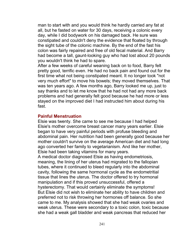man to start with and you would think he hardly carried any fat at all, but he fasted on water for 30 days, receiving a colonic every day, while I did bodywork on his damaged back. He sure was constipated and couldn't deny the evidence that floated by through the sight tube of the colonic machine. By the end of the fast his colon was fairly repaired and free of old fecal material. And Barry had become a tall, gaunt-looking guy who had lost about 20 pounds you wouldn't think he had to spare.

After a few weeks of careful weaning back on to food, Barry felt pretty good, terrific even. He had no back pain and found out for the first time what not being constipated meant. It no longer took "not very much effort" to move his bowels; they moved themselves. That was ten years ago. A few months ago, Barry looked me up, just to say thanks and to let me know that he had not had any more back problems and had generally felt good because he had more or less stayed on the improved diet I had instructed him about during his fast.

#### **Painful Menstruation**

Elsie was twenty. She came to see me because I had helped Elsie's mother overcome breast cancer many years earlier. Elsie began to have very painful periods with profuse bleeding and abdominal pain. Her nutrition had been generally good because her mother couldn't survive on the average American diet and had long ago converted her family to vegetarianism. And like her mother, Elsie had been taking vitamins for many years.

A medical doctor diagnosed Elsie as having endometriosis, meaning, the lining of her uterus had migrated to the fallopian tubes, where it continued to bleed regularly into the abdominal cavity, following the same hormonal cycle as the endometritial tissue that lines the uterus. The doctor offered to try hormonal manipulation and if this proved unsuccessful, offered a hysterectomy. That would certainly eliminate the symptoms! But Elsie did not wish to eliminate her ability to have children and preferred not to risk throwing her hormones off balance. So she came to me. My analysis showed that she had weak ovaries and weak uterus. These were secondary to a toxic colon, toxic because she had a weak gall bladder and weak pancreas that reduced her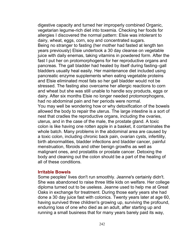digestive capacity and turned her improperly combined Organic, vegetarian legume-rich diet into toxemia. Checking her foods for allergies I discovered the normal pattern: Elsie was intolerant to dairy, wheat, eggs, corn, soy and concentrated sugars. Being no stranger to fasting (her mother had fasted at length ten years previously) Elsie undertook a 30 day cleanse on vegetable juice with daily enemas, taking vitamins in powdered form. After the fast I put her on protomorphogens for her reproductive organs and pancreas. The gall bladder had healed by itself during fasting–gall bladders usually heal easily. Her maintenance diet included using pancreatic enzyme supplements when eating vegetable proteins and Elsie eliminated most fats so her gall bladder would not be stressed. The fasting also overcame her allergic reactions to corn and wheat but she was still unable to handle soy products, eggs or dairy. After six months Elsie no longer needed protomorphogens, had no abdominal pain and her periods were normal.

You may well be wondering how or why detoxification of the bowels allowed the body to repair the uterus. The large intestine is a sort of nest that cradles the reproductive organs, including the ovaries, uterus, and in the case of the male, the prostate gland. A toxic colon is like having one rotten apple in a basket, it contaminates the whole batch. Many problems in the abdominal area are caused by a toxic colon, including chronic back pain, ovarian cysts, infertility, birth abnormalities, bladder infections and bladder cancer, painful menstruation, fibroids and other benign growths as well as malignant ones, and prostatitis or prostate cancer. Detoxing the body and cleaning out the colon should be a part of the healing of all of these conditions.

### **Irritable Bowels**

Some peoples' lives don't run smoothly. Jeanne's certainly didn't. She was abandoned to raise three little kids on welfare. Her college diploma turned out to be useless. Jeanne used to help me at Great Oaks in exchange for treatment. During those early years she had done a 30 day juice fast with colonics. Twenty years later at age 60, having survived three children's growing up, surviving the profound, enduring loss of one who died as an adult, after starting up and running a small business that for many years barely paid its way,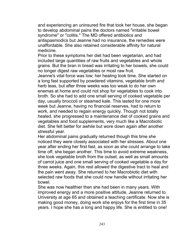and experiencing an uninsured fire that took her house, she began to develop abdominal pains the doctors named "irritable bowel syndrome" or "colitis." The MD offered antibiotics and antispasmodics but Jeanne had no insurance, the remedies were unaffordable. She also retained considerable affinity for natural medicine.

Prior to these symptoms her diet had been vegetarian, and had included large quantities of raw fruits and vegetables and whole grains. But the bran in bread was irritating to her bowels, she could no longer digest raw vegetables or most raw fruit.

Jeanne's vital force was low; her healing took time. She started on a long fast supported by powdered vitamins, vegetable broth and herb teas, but after three weeks was too weak to do her own enemas at home and could not shop for vegetables to cook into broth. So she had to add one small serving of cooked vegetable per day, usually broccoli or steamed kale. This lasted for one more week but Jeanne, having no financial reserves, had to return to work, and needed to regain energy quickly. Though not totally healed, she progressed to a maintenance diet of cooked grains and vegetables and food supplements, very much like a Macrobiotic diet. She felt better for awhile but wore down again after another stressful year.

Her abdominal pains gradually returned though this time she noticed they were closely associated with her stresses. About one year after ending her first fast, as soon as she could arrange to take time off, she began another. This time to avoid extreme weakness, she took vegetable broth from the outset, as well as small amounts of carrot juice and one small serving of cooked vegetable a day for three weeks. Again, this rest allowed the digestive tract to heal and the pain went away. She returned to her Macrobiotic diet with selected raw foods that she could now handle without irritating her bowel.

She was now healthier then she had been in many years. With improved energy and a more positive attitude, Jeanne returned to University at age 65 and obtained a teaching certificate. Now she is making good money, doing work she enjoys for the first time in 35 years. I hope she has a long and happy life. She is entitled to one!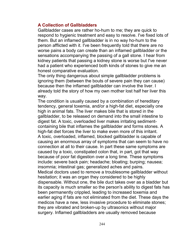### **A Collection of Gallbladders**

Gallbladder cases are rather ho-hum to me; they are quick to respond to hygienic treatment and easy to resolve. I've fixed lots of them. But an inflamed gallbladder is in no way ho-hum to the person afflicted with it. I've been frequently told that there are no worse pains a body can create than an inflamed gallbladder or the sensations accompanying the passing of a gall stone. I hear from kidney patients that passing a kidney stone is worse but I've never had a patient who experienced both kinds of stones to give me an honest comparative evaluation.

The only thing dangerous about simple gallbladder problems is ignoring them (between the bouts of severe pain they can cause) because then the inflamed gallbladder can involve the liver. I already told the story of how my own mother lost half her liver this way.

The condition is usually caused by a combination of hereditary tendency, general toxemia, and/or a high-fat diet, especially one high in animal fats. The liver makes bile that is stored in the gallbladder, to be released on demand into the small intestine to digest fat. A toxic, overloaded liver makes irritating sedimentcontaining bile that inflames the gallbladder and forms stones. A high-fat diet forces the liver to make even more of this irritant. A toxic, overloaded, inflamed, blocked gallbladder is capable of causing an enormous array of symptoms that can seem to have no connection at all to their cause. In part these same symptoms are caused by a toxic, constipated colon that, in part, got that way because of poor fat digestion over a long time. These symptoms include: severe back pain; headache; bloating; burping; nausea; insomnia; intestinal gas; generalized aches and pains. Medical doctors used to remove a troublesome gallbladder without hesitation; it was an organ they considered to be highly dispensable. Without one, the bile duct takes over as a bladder but its capacity is much smaller so the person's ability to digest fats has been permanently crippled, leading to increased toxemia and earlier aging if fats are not eliminated from the diet. These days the medicos have a new, less invasive procedure to eliminate stones; they are vibrated and broken-up by ultrasonics without major surgery. Inflamed gallbladders are usually removed because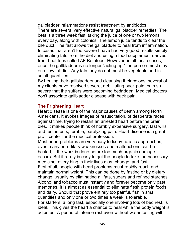gallbladder inflammations resist treatment by antibiotics. There are several very effective natural gallbladder remedies. The best is a three week fast, taking the juice of one or two lemons every day, along with colonics. The lemon juice tends to clear the bile duct. The fast allows the gallbladder to heal from inflammation. In cases that aren't too severe I have had very good results simply eliminating fats from the diet and using a food supplement derived from beet tops called AF Betafood. However, in all these cases, once the gallbladder is no longer "acting up," the person must stay on a low fat diet. Any fats they do eat must be vegetable and in small quantities.

By healing their gallbladders and cleansing their colons, several of my clients have resolved severe, debilitating back pain, pain so severe that the suffers were becoming bedridden. Medical doctors don't associate gallbladder disease with back pain.

### **The Frightening Heart**

Heart disease is one of the major causes of death among North Americans. It evokes images of resuscitation, of desperate races against time, trying to restart an arrested heart before the brain dies. It makes people think of horribly expensive surgery, last wills and testaments, terrible, paralyzing pain. Heart disease is a great profit center for the medical profession.

Most heart problems are very easy to fix by holistic approaches, even many hereditary weaknesses and malfunctions can be healed, if the work is done before too much organic damage occurs. But it rarely is easy to get the people to take the necessary medicine; everything in their lives must change–and fast. First of all, people with heart problems must rapidly reach and maintain normal weight. This can be done by fasting or by dietary change, usually by eliminating all fats, sugars and refined starches. Alcohol and tobacco must instantly and forever become only past memories. It is almost as essential to eliminate flesh protein foods and dairy. Should that prove entirely too painful, fish in small quantities and only one or two times a week is tolerable. For starters, a long fast, especially one involving lots of bed rest, is ideal. This gives the heart a chance to heal while the body weight is adjusted. A period of intense rest even without water fasting will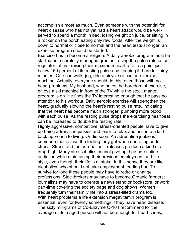accomplish almost as much. Even someone with the potential for heart disease who has not yet had a heart attack would be wellserved to spend a month in bed, losing weight on juice, or sitting in a rocker on the porch eating only raw foods. After the weight is down to normal or close to normal and the heart tests stronger, an exercise program should be started.

Exercise has to become a religion. A daily aerobic program must be started on a carefully managed gradient, using the pulse rate as an regulator, at first raising their maximum heart rate to a point just below 150 percent of its resting pulse and keeping it there for thirty minutes. One can walk, jog, ride a bicycle or use an exercise machine. Actually, everyone should do this, even those with no heart problems. My husband, who hates the boredom of exercise, enjoys a ski machine in front of the TV while the stock market program is on. He finds the TV interesting enough that he pays no attention to his workout. Daily aerobic exercise will strengthen the heart, gradually slowing the heart's resting pulse rate, indicating that the heart has become much stronger, pumping more blood with each pulse. As the resting pulse drops the exercising heartbeat can be increased to double the resting rate.

Highly aggressive, competitive, stress-oriented people have to give up being adrenaline junkies and learn to relax and assume a laidback approach to living. Or die soon. An adrenaline junkie is someone that enjoys the feeling they get when operating under stress. Stress and the adrenaline it releases produce a kind of a drug-high. Many stressaholics cannot give up their adrenaline addiction while maintaining their previous employment and lifestyle, even though their life is at stake. In this sense they are like alcoholics, who should not take employment tending bar. To survive for long these people may have to retire or change professions. Stockbrokers may have to become Organic farmers; journalists may have to operate a news stand or bookstore, or work part-time covering the society page and dog shows. Women frequently turn their family life into a stress-filled drama too. With heart problems a life extension megavitamin program is essential, even for twenty somethings if they have heart disease. The sixty milligrams of Co-Enzyme Q-10 I recommend for the average middle aged person will not be enough for heart cases;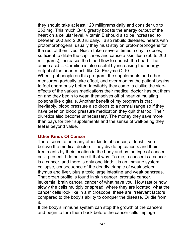they should take at least 120 milligrams daily and consider up to 250 mg. This much Q-10 greatly boosts the energy output of the heart on a cellular level. Vitamin E should also be increased, to between 600 and 2,000 iu daily. I also rebuild diseased hearts with protomorphogens; usually they must stay on protomorphogens for the rest of their lives. Niacin taken several times a day in doses, sufficient to dilate the capillaries and cause a skin flush (50 to 200 milligrams), increases the blood flow to nourish the heart. The amino acid L. Carnitine is also useful by increasing the energy output of the heart much like Co-Enzyme Q-10.

When I put people on this program, the supplements and other measures gradually take effect, and over months the patient begins to feel enormously better. Inevitably they come to dislike the sideeffects of the various medications their medical doctor has put them on and they begin to wean themselves off of heart-stimulating poisons like digitalis. Another benefit of my program is that inevitably, blood pressure also drops to a normal range so if they have been on blood pressure medication they quit that too. Their diuretics also become unnecessary. The money they save more than pays for their supplements and the sense of well-being they feel is beyond value.

### **Other Kinds Of Cancer**

There seem to be many other kinds of cancer, at least if you believe the medical doctors. They divide up cancers and their treatments by their location in the body and by the type of cancer cells present. I do not see it that way. To me, a cancer is a cancer is a cancer, and there is only one kind: it is an immune system collapse, consequence of the deadly triangle of weak spleen, thymus and liver, plus a toxic large intestine and weak pancreas. That organ profile is found in skin cancer, prostate cancer, leukemia, brain cancer, cancer of what have you. How fast or how slowly the cells multiply or spread, where they are located, what the cancer cells look like in a microscope, these are irrelevant factors compared to the body's ability to conquer the disease. Or die from it.

If the body's immune system can stop the growth of the cancers and begin to turn them back before the cancer cells impinge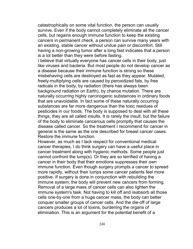catastrophically on some vital function, the person can usually survive. Even if the body cannot completely eliminate all the cancer cells, but regains enough immune function to keep the existing cancers in permanent check, a person can survive many years with an existing, stable cancer without undue pain or discomfort. Still having a non-growing tumor after a long fast indicates that a person is a lot better than they were before fasting.

I believe that virtually everyone has cancer cells in their body, just like viruses and bacteria. But most people do not develop cancer as a disease because their immune function is strong so these misbehaving cells are destroyed as fast as they appear. Mutated, freely-multiplying cells are caused by peroxidized fats, by free radicals in the body, by radiation (there has always been background radiation on Earth), by chance mutation. There are naturally occurring highly carcinogenic substances in ordinary foods that are unavoidable. In fact some of these naturally occurring substances are far more dangerous than the toxic residues of pesticides in our foods. The body is supposed to deal with all these things; they are all called insults. It is rarely the insult, but the failure of the body to eliminate cancerous cells promptly that causes the disease called cancer. So the treatment I recommend for cancer in general is the same as the one described for breast cancer cases. Restore the immune function.

However, as much as I lack respect for conventional medical cancer therapies, I do think surgery can have a useful place in cancer treatment along with hygienic methods. Some people just cannot confront the lump(s). Or they are so terrified of having a cancer in their body that their emotions suppresses their own immune function. Even though surgery prompts a cancer to spread more rapidly, without their lumps some cancer patients feel more positive. If surgery is done in conjunction with rebuilding the immune system, the body will prevent new cancers from forming. Removal of a large mass of cancer cells can also lighten the immune system's task. Not having to kill off and reabsorb all those cells one-by-one from a huge cancer mass, the body can better conquer smaller groups of cancer cells. And the die-off of large cancers produces a lot of toxins, burdening the organs of elimination. This is an argument for the potential benefit of a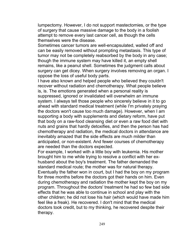lumpectomy. However, I do not support mastectomies, or the type of surgery that cause massive damage to the body in a foolish attempt to remove every last cancer cell, as though the cells themselves were the disease.

Sometimes cancer tumors are well-encapsulated, walled off and can be easily removed without prompting metastasis. This type of tumor may not be completely reabsorbed by the body in any case; though the immune system may have killed it, an empty shell remains, like a peanut shell. Sometimes the judgment calls about surgery can get dicey. When surgery involves removing an organ. I oppose the loss of useful body parts.

I have also known and helped people who believed they couldn't recover without radiation and chemotherapy. What people believe is, is. The emotions generated when a personal reality is suppressed, ignored or invalidated will overwhelm an immune system. I always tell those people who sincerely believe in it to go ahead with standard medical treatment (while I'm privately praying the doctors won't cause too much damage). However, when I am supporting a body with supplements and dietary reform, have put that body on a raw-food cleansing diet or even a raw food diet with nuts and grains that hardly detoxifies, and then the person has had chemotherapy and radiation, the medical doctors in attendance are inevitably amazed that the side effects are much milder than anticipated, or non-existent. And fewer courses of chemotherapy are needed than the doctors expected.

For example, I worked with a little boy with leukemia. His mother brought him to me while trying to resolve a conflict with her exhusband about the boy's treatment. The father demanded the standard medical route; the mother was for natural therapy. Eventually the father won in court, but I had the boy on my program for three months before the doctors got their hands on him. Even during chemotherapy and radiation the mother kept the boy on my program. Throughout the doctors' treatment he had so few bad side effects that he was able to continue in school and play with the other children; he did not lose his hair (which would have made him feel like a freak). He recovered. I don't mind that the medical doctors took credit, but to my thinking, he recovered despite their therapy.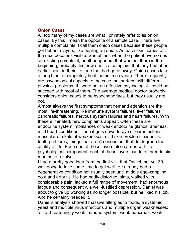## **Onion Cases**

All too many of my cases are what I privately refer to as onion cases. By this I mean the opposite of a simple case. There are multiple complaints. I call them onion cases because these people get better in layers, like pealing an onion. As each skin comes off, the next becomes visible. Sometimes when the patient overcomes an existing complaint, another appears that was not there in the beginning, probably this new one is a complaint that they had at an earlier point in their life, one that had gone away. Onion cases take a long time to completely heal, sometimes years. There frequently are psychological aspects to the case that surface with different physical problems. If I were not an effective psychologist I could not succeed with most of them. The average medical doctor probably considers onion cases to be hypochondriacs, but they usually are not.

Almost always the first symptoms that demand attention are the most life-threatening, like immune system failures, liver failures, pancreatic failures, nervous system failures and heart failures. With these eliminated, new complaints appear. Often these are endocrine system imbalances or weak endocrine glands, anemias, mild heart conditions. Then it gets down to eye or ear infections, muscular or skeletal weaknesses, mild skin problems, sinusitis, teeth problems; things that aren't serious but that do degrade the quality of life. Each one of these layers also carries with it a psychological component; each of these layers can take three to six months to resolve.

I had a pretty good idea from the first visit that Daniel, not yet 30, was going to take some time to get well. He already had a degenerative condition not usually seen until middle age–crippling gout and arthritis. He had badly distorted joints, walked with considerable pain, lacked a full range of movement, had enormous fatigue and consequently, a well-justified depression. Daniel was about to give up working as no longer possible, but he liked his job. And he certainly needed it.

Daniel's analysis showed massive allergies to foods, a systemic yeast and multiple virus infections and multiple organ weaknesses: a life-threateningly weak immune system, weak pancreas, weak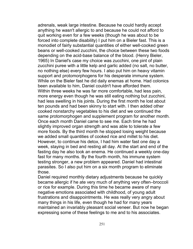adrenals, weak large intestine. Because he could hardly accept anything he wasn't allergic to and because he could not afford to quit working even for a few weeks (though he was about to be forced into complete disability) I put him on a Bieler fast. This is a monodiet of fairly substantial quantities of either well-cooked green beans or well-cooked zucchini, the choice between these two foods depending on the acid-base balance of the blood. (Henry Bieler, 1965) In Daniel's case my choice was zucchini, one pint of plain zucchini puree with a little kelp and garlic added (no salt, no butter, no nothing else) every few hours. I also put him on heavy vitamin support and protomorphogens for his desperate immune system. While on the Bieler fast he did daily enemas at home. Had colonics been available to him, Daniel couldn't have afforded them. Within three weeks he was far more comfortable, had less pain, more energy even though he was still eating nothing but zucchini, had less swelling in his joints. During the first month he lost about ten pounds and had been skinny to start with. I then added other cooked nonstarchy vegetables to his diet and we continued the same protomorphogen and supplement program for another month. Once each month Daniel came to see me. Each time he had slightly improved organ strength and was able to tolerate a few more foods. By the third month he stopped losing weight because we added small quantities of cooked rice and millet to his diet. However, to continue his detox, I had him water fast one day a week, staying in bed and resting all day. At the start and end of the fasting day he also took an enema. He continued a weekly one-day fast for many months. By the fourth month, his immune system testing stronger, a new problem appeared. Daniel had intestinal parasites. So I also put him on a six month program to eliminate those.

Daniel required monthly dietary adjustments because he quickly became allergic if he ate very much of anything very often–broccoli or rice for example. During this time he became aware of many negative emotions associated with childhood, of young adult frustrations and disappointments. He was really very angry about many things in his life, even though he had for many years maintained an invariably pleasant social veneer. But now he began expressing some of these feelings to me and to his associates.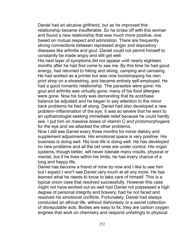Daniel had an abusive girlfriend, but as he improved this relationship became insufferable. So he broke off with this woman and found a new relationship that was much more positive, one based on mutual respect and admiration. There are frequently strong connections between repressed anger and depository diseases like arthritis and gout. Daniel could not permit himself to constantly be made angry and still get well.

His next layer of symptoms did not appear until nearly eighteen months after he had first come to see me. By this time he had good energy, had returned to hiking and skiing, camping and canoeing. He had worked as a printer but was now bootstrapping his own print shop on a shoestring, and became entirely self-employed. He had a good romantic relationship. The parasites were gone; his gout and arthritis was virtually gone; many of his food allergies were gone. Now his body was demanding that its acid/base balance be adjusted and he began to pay attention to the minor back problems he had all along. Daniel had also developed a new problem–inflammation of the eye. It was so severe that he went to an opthamologist seeking immediate relief because he could hardly see. I put him on massive doses of vitamin C and protomorphogens for the eye and we attacked the other problems.

Now I still see Daniel every three months for minor dietary and supplement adjustments. His emotional space is very positive. His business is doing well. His love life is doing well. He has developed no new problems and all the old ones are under control. His organ systems, though better, will never tolerate many insults, physical or mental, but if he lives within his limits, he has every chance of a long and happy life.

Daniel has become a friend of mine by now and I like to see him but I expect I won't see Daniel very much at all any more. He has learned what he needs to know to take care of himself. This is a typical onion case that resolved successfully. However this case might not have worked out so well had Daniel not possessed a high degree of personal integrity and bravery, had he not faced and resolved his emotional conflicts. Fortunately, Daniel had always conducted an ethical life, without dishonesty or a secret collection of disreputable acts. Bodies are easy to fix; they are carbon oxygen engines that work on chemistry and respond unfailingly to physical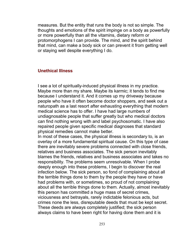measures. But the entity that runs the body is not so simple. The thoughts and emotions of the spirit impinge on a body as powerfully or more powerfully than all the vitamins, dietary reform or protomorphogens I can provide. The mind, and the spirit behind that mind, can make a body sick or can prevent it from getting well or staying well despite everything I do.

#### **Unethical Illness**

I see a lot of spiritually-induced physical illness in my practice. Maybe more than my share. Maybe its karmic; it tends to find me because I understand it. And it comes up my driveway because people who have it often become doctor shoppers, and seek out a naturopath as a last resort after exhausting everything that modern medical science has to offer. I have had large numbers of undiagnosable people that suffer greatly but who medical doctors can find nothing wrong with and label psychosomatic. I have also repaired people given specific medical diagnoses that standard physical remedies cannot make better.

In most of these cases, the physical illness is secondary to, is an overlay of a more fundamental spiritual cause. On this type of case there are inevitably severe problems connected with close friends, relatives and business associates. The sick person inevitably blames the friends, relatives and business associates and takes no responsibility. The problems seem unresolvable. When I probe deeply enough into these problems, I begin to discover the real infection below. The sick person, so fond of complaining about all the terrible things done to them by the people they have or have had problems with, or sometimes, so proud of not complaining about all the terrible things done to them. Actually, almost inevitably this person has committed a huge mass of secret crimes, viciousness and betrayals, rarely indictable felonious acts, but crimes none the less, disreputable deeds that must be kept secret. These deeds are always completely justified; the sick person always claims to have been right for having done them and it is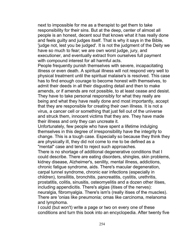next to impossible for me as a therapist to get them to take responsibility for their sins. But at the deep, center of almost all people is an honest, decent soul that knows what it has really done and feels guilty and judges itself. That is why it says in the Bible, 'judge not, lest you be judged'. It is not the judgment of the Deity we have so much to fear; we are own worst judge, jury, and executioner, and eventually extract from ourselves full payment with compound interest for all harmful acts.

People frequently punish themselves with severe, incapacitating illness or even death. A spiritual illness will not respond very well to physical treatment until the spiritual malaise's is resolved. This case has to find enough courage to become honest with themselves, to admit their deeds in all their disgusting detail and then to make amends, or if amends are not possible, to at least cease and desist. They have to take personal responsibly for what they really are being and what they have really done and most importantly, accept that they are responsible for creating their own illness. It is not a virus, a cancer cell or something that just fell out of the universe and struck them, innocent victims that they are. They have made their illness and only they can uncreate it.

Unfortunately, few people who have spent a lifetime indulging themselves in this degree of irresponsibility have the integrity to change. This is a tough case. Especially so because they think they are physically ill, they did not come to me to be defined as a "mental" case and tend to reject such approaches.

There is no shortage of additional degenerative conditions that I could describe. There are eating disorders, shingles, skin problems, kidney disease, Alzheimer's, senility, mental illness, addictions, chronic fatigue syndrome, aids. There's macular degeneration, carpal tunnel syndrome, chronic ear infections (especially in children), tonsillitis, bronchitis, pancreatitis, cystitis, urethritis, prostatitis, colitis, sinusitis, osteomyelitis and a dozen other itises, including appendicitis. There's algias (itises of the nerves): neuralgia, fibromyalgia. There's ism's (really itises of the muscles). There are 'onias like pneumonia; omas like carcinoma, melanoma and lymphoma.

I could (but won't) write a page or two on every one of these conditions and turn this book into an encyclopedia. After twenty five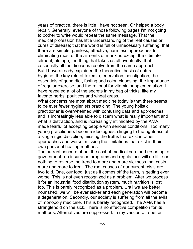years of practice, there is little I have not seen. Or helped a body repair. Generally, everyone of those following pages I'm not going to bother to write would repeat the same message. That the medical profession has little understanding of the real causes or cures of disease; that the world is full of unnecessary suffering; that there are simple, painless, effective, harmless approaches to eliminating most of the ailments of mankind except the ultimate ailment, old age, the thing that takes us all eventually; that essentially all the diseases resolve from the same approach. But I have already explained the theoretical basis of natural hygiene, the key role of toxemia, enervation, constipation, the essentials of good diet, fasting and colon cleansing, the importance of regular exercise, and the rational for vitamin supplementation. I have revealed a lot of the secrets in my bag of tricks, like my favorite herbs, poultices and wheat grass.

What concerns me most about medicine today is that there seems to be ever fewer hygienists practicing. The young holistic practitioner is overwhelmed with confusing data and approaches and is increasingly less able to discern what is really important and what is distraction, and is increasingly intimidated by the AMA, made fearful of accepting people with serious conditions. Too many young practitioners become ideologues, clinging to the rightness of a single rigid discipline, missing the truths that exist in other approaches and worse, missing the limitations that exist in their own personal healing methods.

The current concern about the cost of medical care and resorting to government-run insurance programs and regulations will do little or nothing to reverse the trend to more and more sickness that costs more and more to treat. The root causes of our current crisis are two fold. One, our food, just as it comes off the farm, is getting ever worse. This is not even recognized as a problem. After we process it for an industrial food distribution system, much nutrition is lost too. This is barely recognized as a problem. Until we are better nourished, we will be ever sicker and each generation will become a degeneration. Secondly, our society is suffering from all the evils of monopoly medicine. This is barely recognized. The AMA has a stranglehold on the sick. There is no effective competition for its methods. Alternatives are suppressed. In my version of a better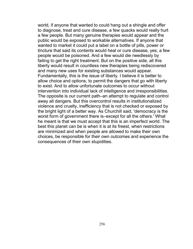world, if anyone that wanted to could hang out a shingle and offer to diagnose, treat and cure disease, a few quacks would really hurt a few people. But many genuine therapies would appear and the public would be exposed to workable alternatives. If anyone that wanted to market it could put a label on a bottle of pills, power or tincture that said its contents would heal or cure disease, yes, a few people would be poisoned. And a few would die needlessly by failing to get the right treatment. But on the positive side, all this liberty would result in countless new therapies being rediscovered and many new uses for existing substances would appear. Fundamentally, this is the issue of liberty. I believe it is better to allow choice and options, to permit the dangers that go with liberty to exist. And to allow unfortunate outcomes to occur without intervention into individual lack of intelligence and irresponsibilities. The opposite is our current path–an attempt to regulate and control away all dangers. But this overcontrol results in institutionalized violence and cruelty, inefficiency that is not checked or exposed by the bright light of a better way. As Churchill said, 'democracy is the worst form of government there is–except for all the others.' What he meant is that we must accept that this is an imperfect world. The best this planet can be is when it is at its freest, when restrictions are minimized and when people are allowed to make their own choices, be responsible for their own outcomes and experience the consequences of their own stupidities.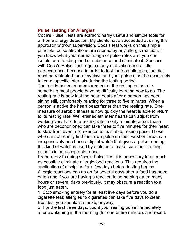## **Pulse Testing For Allergies**

Coca's Pulse Tests are extraordinarily useful and simple tools for at-home allergy detection. My clients have succeeded at using this approach without supervision. Coca's test works on this simple principle: pulse elevations are caused by any allergic reaction. If you know what your normal range of pulse rates are, you can isolate an offending food or substance and eliminate it. Success with Coca's Pulse Test requires only motivation and a little perseverance, because in order to test for food allergies, the diet must be restricted for a few days and your pulse must be accurately taken at specific intervals during the testing period.

The test is based on measurement of the resting pulse rate, something most people have no difficulty learning how to do. The resting rate is how fast the heart beats after a person has been sitting still, comfortably relaxing for three to five minutes. When a person is active the heart beats faster than the resting rate. One measure of aerobic fitness is how quickly the heart is able to return to its resting rate. Well-trained athletes' hearts can adjust from working very hard to a resting rate in only a minute or so; those who are deconditioned can take three to five minutes for their heart to slow from even mild exertion to its stable, resting pace. Those who cannot readily find their own pulse on their wrist or throat can inexpensively purchase a digital watch that gives a pulse reading; this kind of watch is used by athletes to make sure their training pulse is in an acceptable range.

Preparatory to doing Coca's Pulse Test it is necessary to as much as possible eliminate allergic food reactions. This requires the application of discipline for a few days before testing begins. Allergic reactions can go on for several days after a food has been eaten and if you are having a reaction to something eaten many hours or several days previously, it may obscure a reaction to a food just eaten.

1. Stop smoking entirely for at least five days before you do a cigarette test; allergies to cigarettes can take five days to clear. Besides, you shouldn't smoke, anyway!

2. For the first three days, count your resting pulse immediately after awakening in the morning (for one entire minute), and record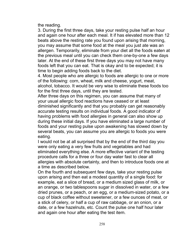the reading.

3. During the first three days, take your resting pulse half an hour and again one hour after each meal. It if has elevated more than 12 beats above the resting rate you found upon arising that morning, you may assume that some food at the meal you just ate was an allergen. Temporarily, eliminate from your diet all the foods eaten at the previous meal until you can check them one-by-one a few days later. At the end of these first three days you may not have many foods left that you can eat. That is okay and to be expected; it is time to begin adding foods back to the diet.

4. Most people who are allergic to foods are allergic to one or more of the following: corn, wheat, milk and cheese, yogurt, meat, alcohol, tobacco. It would be very wise to eliminate these foods too for the first three days, until they are tested.

After three days on this regimen, you can assume that many of your usual allergic food reactions have ceased or at least diminished significantly and that you probably can get reasonably accurate testing results on individual foods. A good indicator of having problems with food allergies in general can also show up during these initial days. If you have eliminated a large number of foods and your resting pulse upon awakening has slowed down by several beats, you can assume you are allergic to foods you were eating.

I would not be at all surprised that by the end of the third day you were only eating a very few fruits and vegetables and had eliminated everything else. A more effective variant of the testing procedure calls for a three or four day water fast to clear all allergies with absolute certainty, and then to introduce foods one at a time as described below.

On the fourth and subsequent few days, take your resting pulse upon arising and then eat a modest quantity of a single food: for example, eat a slice of bread, or a medium sized glass of milk, or an orange, or two tablespoons sugar in dissolved in water, or a few dried prunes, or a peach, or an egg, or a medium-sized potato, or a cup of black coffee without sweetener, or a few ounces of meat, or a stick of celery, or half a cup of raw cabbage, or an onion, or a date, or a few hazelnuts, etc. Count the pulse one half hour later and again one hour after eating the test item.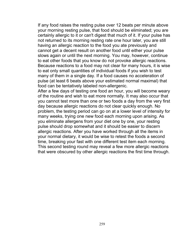If any food raises the resting pulse over 12 beats per minute above your morning resting pulse, that food should be eliminated; you are certainly allergic to it or can't digest that much of it. If your pulse has not returned to its morning resting rate one hour later, you are still having an allergic reaction to the food you ate previously and cannot get a decent result on another food until either your pulse slows again or until the next morning. You may, however, continue to eat other foods that you know do not provoke allergic reactions. Because reactions to a food may not clear for many hours, it is wise to eat only small quantities of individual foods if you wish to test many of them in a single day. If a food causes no acceleration of pulse (at least 6 beats above your estimated normal maximal) that food can be tentatively labeled non-allergenic.

After a few days of testing one food an hour, you will become weary of the routine and wish to eat more normally. It may also occur that you cannot test more than one or two foods a day from the very first day because allergic reactions do not clear quickly enough. No problem, the testing period can go on at a lower level of intensity for many weeks, trying one new food each morning upon arising. As you eliminate allergens from your diet one by one, your resting pulse should drop somewhat and it should be easier to discern allergic reactions. After you have worked through all the items in your normal dietary, it would be wise to retest the foods a second time, breaking your fast with one different test item each morning. This second testing round may reveal a few more allergic reactions that were obscured by other allergic reactions the first time through.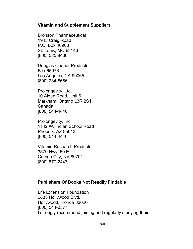### **Vitamin and Supplement Suppliers**

Bronson Pharmaceutical 1945 Craig Road P.O. Box 46903 St. Louis, MO 63146 [800] 525-8466

Douglas Cooper Products Box 65976 Los Angeles, CA 90065 [800] 234-8686

Prolongevity, Ltd. 10 Alden Road, Unit 6 Markham, Ontario L3R 2S1 Canada [800] 544-4440

Prolongevity, Inc. 1142 W. Indian School Road Phoenix, AZ 85013 [800] 544-4440

Vitamin Research Products 3579 Hwy. 50 E. Carson City, NV 89701 [800] 877-2447

## **Publishers Of Books Not Readily Findable**

Life Extension Foundation 2835 Hollywood Blvd. Hollywood, Florida 33020 [800] 544-0577 I strongly recommend joining and regularly studying their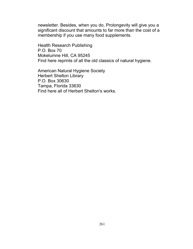newsletter. Besides, when you do, Prolongevity will give you a significant discount that amounts to far more than the cost of a membership if you use many food supplements.

Health Research Publishing P.O. Box 70 Mokelumne Hill, CA 95245 Find here reprints of all the old classics of natural hygiene.

American Natural Hygiene Society Herbert Shelton Library P.O. Box 30630 Tampa, Florida 33630 Find here all of Herbert Shelton's works.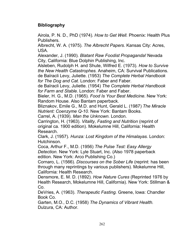# **Bibliography**

Airola, P. N. D., PhD (1974). *How to Get Well.* Phoenix: Health Plus Publishers.

Albrecht, W. A. (1975). *The Albrecht Papers*. Kansas City: Acres, USA.

Alexander, J. (1990). *Blatant Raw Foodist Propaganda!* Nevada City, California: Blue Dolphin Publishing, Inc.

Alsleben, Rudolph H. and Shute, Wilfred E. (1973). *How to Survive the New Health Catastrophes.* Anaheim, CA: Survival Publications. de Baïracli Levy, Juliette. (1953) *The Complete Herbal Handbook for The Dog and Cat.* London: Faber and Faber.

de Baïracli Levy, Juliette. (1954) *The Complete Herbal Handbook for Farm and Stable.* London: Faber and Faber.

Bieler, H. G., M.D. (1965). *Food Is Your Best Medicine*. New York: Random House. Also Bantam paperback.

Bliznakov, Emile G., M.D. and Hunt, Gerald L. (1987) *The Miracle Nutrient: Coenzyme Q-10.* New York: Bantam Books.

Carrel, A. (1939). *Man the Unknown.* London.

Carrington, H. (1963). *Vitality, Fasting and Nutrition* (reprint of original ca. 1900 edition). Mokelumne Hill, California: Health Research.

Clark, J. (1957). *Hunza: Lost Kingdom of the Himalayas.* London: Hutchinson.

Coca, Arthur F., M.D. (1956) *The Pulse Test: Easy Allergy Detection.* New York: Lyle Stuart, Inc. (Also 1978 paperback edition. New York: Arco Publishing Co.)

Cornaro, L. (1566). *Discourses on the Sober Life* (reprint: has been through many reprintings by various publishers). Mokelumne Hill, California: Health Research.

Densmore, E. M. D. (1892). *How Nature Cures* (Reprinted 1976 by Health Research, Mokelumne Hill, California). New York: Stillman & Co.

DeVries, A. (1963). *Therapeutic Fasting.* Greene, Iowa: Chandler Book Co.

Garten, M.O., D.C. (1958) *The Dynamics of Vibrant Health.* Dulzura, CA: Author.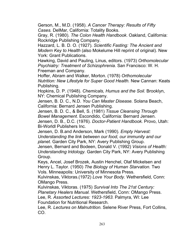Gerson, M., M.D. (1958). *A Cancer Therapy: Results of Fifty Cases.* DelMar, California: Totality Books.

Gray, R. (1980). *The Colon Health Handbook*. Oakland, California: Rockridge Publishing Company.

Hazzard, L. B. D. O. (1927). *Scientific Fasting: The Ancient and Modern Key to Health* (also Mokelume Hill reprint of original). New York: Grant Publications.

Hawking, David and Pauling, Linus, editors. (1973) *Orthomolecular Psychiatry: Treatment of Schizophrenia.* San Francisco: W. H. Freeman and Company.

Hoffer, Abram and Walker, Morton. (1978) *Orthomolecular Nutrition: New Lifestyle for Super Good Health.* New Cannan: Keats Publishing.

Hopkins, D. P. (1948). *Chemicals, Humus and the Soil.* Brooklyn, NY: Chemical Publishing Company.

Jensen, B. D. C., N.D. *You Can Master Disease.* Solana Beach, California: Bernard Jensen Publishing.

Jensen, B. D. C., & Bell, S. (1981) *Tissue Cleansing Through Bowel Management.* Escondido, California: Bernard Jensen. Jensen, D. B., D.C. (1976). *Doctor-Patient Handbook.* Provo, Utah: Bi-Worldl Publishers Inc.

Jensen, D. B.and Anderson, Mark (1990). *Empty Harvest: Understanding the link between our food, our immunity and our planet.* Garden City Park, NY: Avery Publishing Group.

Jensen, Bernard and Bodeen, Donald V. (1992) *Visions of Health: Understanding Iridology.* Garden City Park, NY: Avery Publishing Group.

Keys, Ancel, Josef Brozek, Austin Henchel, Olaf Mickelsen and Henry L. Taylor. (1950) *The Biology of Human Starvation.* Two Vols. Minneapolis: University of Minnesota Press.

Kulvinskas, Viktoras.(1972) *Love Your Body.* Wethersfield, Conn: OMango Press.

Kulvinskas, Viktoras. (1975) *Survival Into The 21st Century: Planetary Healers Manual.* Wethersfield, Conn: OMango Press. Lee, R. *Assorted Lectures: 1923-1963.* Palmyra, WI: Lee Foundation for Nutritional Research.

Lee, R. *Lectures on Malnutrition.* Selene River Press, Fort Collins, CO.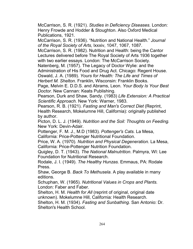McCarrison, S. R. (1921). *Studies in Deficiency Diseases.* London: Henry Frowde and Hodder & Stoughton. Also Oxford Medical Publications, 1921.

McCarrison, S. R. (1936). "Nutrition and National Health." *Journal of the Royal Society of Arts,* lxxxiv, 1047, 1067, 1087.

McCarrison, S. R. (1982). Nutrition and Health: being the Cantor Lectures delivered before The Royal Society of Arts 1936 together with two earlier essays. London: The McCarrison Society.

Natenberg, M. (1957). The Legacy of Doctor Wylie: and the Administration of His Food and Drug Act. Chicago: Regent House. Oswald, J. A. (1989). *Yours for Health: The Life and Times of*

*Herbert M. Shelton.* Franklin, Wisconsin: Franklin Books.

Page, Melvin E. D.D.S. and Abrams, Leon. *Your Body Is Your Best Doctor.* New Cannan: Keats Publishing.

Pearson, Durk and Shaw, Sandy. (1983) *Life Extension: A Practical Scientific Approach.* New York: Warner, 1983.

Pearson, R. B. (1921). *Fasting and Man's Correct Diet* (Reprint, Health Research, Mokelumne Hill, California): originally published by author.

Picton, D. L. J. (1949). *Nutrition and the Soil: Thoughts on Feeding.* New York: Devin-Adair.

Pottenger, F. M. J., M.D (1983). *Pottenger's Cats.* La Mesa, California: Price-Pottenger Nutritional Foundation.

Price, W. A. (1970). *Nutrition and Physical Degeneration.* La Mesa, California: Price-Pottenger Nutrition Foundation.

Quigley, D. T. (1943). *The National Malnutrition*. Palmyra, WI: Lee Foundation for Nutritional Research.

Rodale, J. I. (1949). *The Healthy Hunzas.* Emmaus, PA: Rodale Press.

Shaw, George B. *Back To Methusela*. A play available in many editions.

Schuphan, W. (1965). *Nutritional Values in Crops and Plants.* London: Faber and Faber.

Shelton, H. M. *Health for All* (reprint of original, original date unknown). Mokelumne Hill, California: Health Research.

Shelton, H. M. (1934). *Fasting and Sunbathing.* San Antonio: Dr. Shelton's Health School.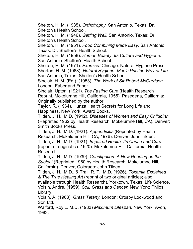Shelton, H. M. (1935). *Orthotrophy.* San Antonio, Texas: Dr. Shelton's Health School.

Shelton, H. M. (1946). *Getting Well.* San Antonio, Texas: Dr. Shelton's Health School.

Shelton, H. M. (1951). *Food Combining Made Easy.* San Antonio, Texas: Dr. Shelton's Health School.

Shelton, H. M. (1958). *Human Beauty: Its Culture and Hygiene.* San Antonio: Shelton's Health School.

Shelton, H. M. (1971). *Exercise!* Chicago: Natural Hygiene Press. Sherton, H. M. (1968). *Natural Hygiene: Man's Pristine Way of Life.* San Antonio, Texas: Shelton's Health School.

Sinclair, H. M. (Ed.). (1953). *The Work of Sir Robert McCarrison.* London: Faber and Faber.

Sinclair, Upton. (1921). *The Fasting Cure* (Health Research Reprint, Mokelumne Hill, California, 1955). Pasedena, California: Originally published by the author.

Taylor, R. (1964). Hunza Health Secrets for Long Life and Happiness. New York: Award Books.

Tilden, J. H., M.D. (1912). *Diseases of Women and Easy Childbirth* (Reprinted 1962 by Health Research, Mokelumne Hill, CA). Denver: Smith Books Press.

Tilden, J. H., M.D. (1921). *Appendicitis* (Reprinted by Health Research, Mokelumne Hill, CA, 1976). Denver: John Tilden. Tilden, J. H., M.D. (1921). *Impaired Health: Its Cause and Cure* (reprint of original ca. 1920). Mokelumne Hill, California: Health Research.

Tilden, J. H., M.D. (1939). *Constipation: A New Reading on the Subject* (Reprinted 1960 by Health Research, Mokelumne Hill, California). Denver, Colorado: John Tilden.

Tilden, J. H., M.D., & Trail, R. T., M.D. (1926). *Toxemia Explained & The True Healing Art* (reprint of two original articles; also available through Health Research). Yorktown, Texas: Life Science. Voisin, André. (1959). *Soil, Grass and Cancer.* New York: Philos. Library.

Voisin, A. (1963). *Grass Tetany.* London: Crosby Lockwood and Son Ltd.

Walford, Roy L. M.D. (1983) *Maximum Lifespan.* New York: Avon, 1983.